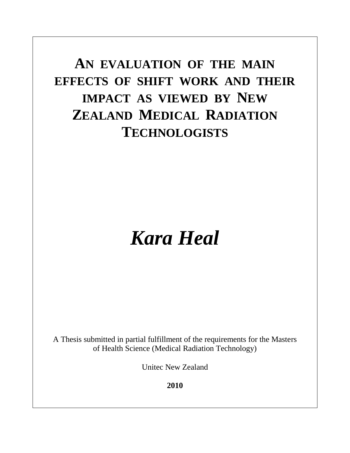## **AN EVALUATION OF THE MAIN EFFECTS OF SHIFT WORK AND THEIR IMPACT AS VIEWED BY NEW ZEALAND MEDICAL RADIATION TECHNOLOGISTS**

# *Kara Heal*

A Thesis submitted in partial fulfillment of the requirements for the Masters of Health Science (Medical Radiation Technology)

Unitec New Zealand

**2010**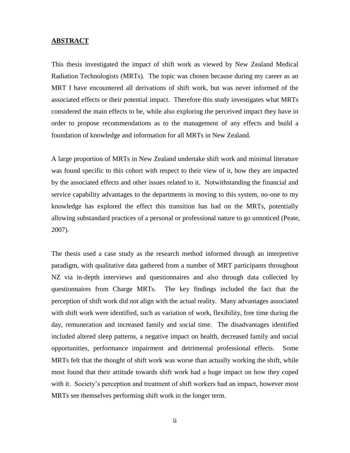#### **ABSTRACT**

This thesis investigated the impact of shift work as viewed by New Zealand Medical Radiation Technologists (MRTs). The topic was chosen because during my career as an MRT I have encountered all derivations of shift work, but was never informed of the associated effects or their potential impact. Therefore this study investigates what MRTs considered the main effects to be, while also exploring the perceived impact they have in order to propose recommendations as to the management of any effects and build a foundation of knowledge and information for all MRTs in New Zealand.

A large proportion of MRTs in New Zealand undertake shift work and minimal literature was found specific to this cohort with respect to their view of it, how they are impacted by the associated effects and other issues related to it. Notwithstanding the financial and service capability advantages to the departments in moving to this system, no-one to my knowledge has explored the effect this transition has had on the MRTs, potentially allowing substandard practices of a personal or professional nature to go unnoticed (Peate, 2007).

The thesis used a case study as the research method informed through an interpretive paradigm, with qualitative data gathered from a number of MRT participants throughout NZ via in-depth interviews and questionnaires and also through data collected by questionnaires from Charge MRTs. The key findings included the fact that the perception of shift work did not align with the actual reality. Many advantages associated with shift work were identified, such as variation of work, flexibility, free time during the day, remuneration and increased family and social time. The disadvantages identified included altered sleep patterns, a negative impact on health, decreased family and social opportunities, performance impairment and detrimental professional effects. Some MRTs felt that the thought of shift work was worse than actually working the shift, while most found that their attitude towards shift work had a huge impact on how they coped with it. Society's perception and treatment of shift workers had an impact, however most MRTs see themselves performing shift work in the longer term.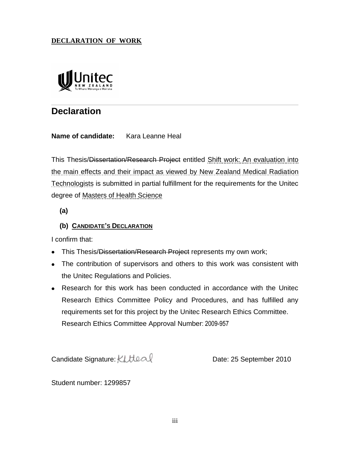## **DECLARATION OF WORK**



## **Declaration**

### **Name of candidate:** Kara Leanne Heal

This Thesis/Dissertation/Research Project entitled Shift work: An evaluation into the main effects and their impact as viewed by New Zealand Medical Radiation Technologists is submitted in partial fulfillment for the requirements for the Unitec degree of Masters of Health Science

**(a)**

## **(b) CANDIDATE'S DECLARATION**

I confirm that:

- This Thesis/Dissertation/Research Project represents my own work;
- The contribution of supervisors and others to this work was consistent with the Unitec Regulations and Policies.
- Research for this work has been conducted in accordance with the Unitec Research Ethics Committee Policy and Procedures, and has fulfilled any requirements set for this project by the Unitec Research Ethics Committee. Research Ethics Committee Approval Number: 2009-957

Candidate Signature: KLUeal Candidate Signature: KLUeal

Student number: 1299857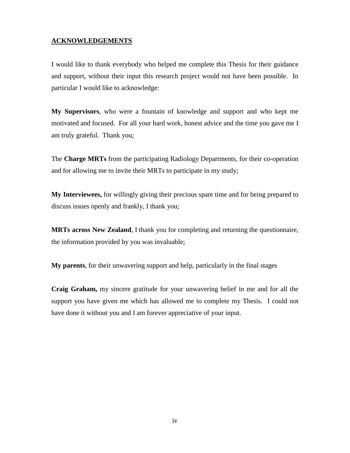#### **ACKNOWLEDGEMENTS**

I would like to thank everybody who helped me complete this Thesis for their guidance and support, without their input this research project would not have been possible. In particular I would like to acknowledge:

**My Supervisors**, who were a fountain of knowledge and support and who kept me motivated and focused. For all your hard work, honest advice and the time you gave me I am truly grateful. Thank you;

The **Charge MRTs** from the participating Radiology Departments, for their co-operation and for allowing me to invite their MRTs to participate in my study;

**My Interviewees,** for willingly giving their precious spare time and for being prepared to discuss issues openly and frankly, I thank you;

**MRTs across New Zealand**, I thank you for completing and returning the questionnaire, the information provided by you was invaluable;

**My parents**, for their unwavering support and help, particularly in the final stages

**Craig Graham,** my sincere gratitude for your unwavering belief in me and for all the support you have given me which has allowed me to complete my Thesis. I could not have done it without you and I am forever appreciative of your input.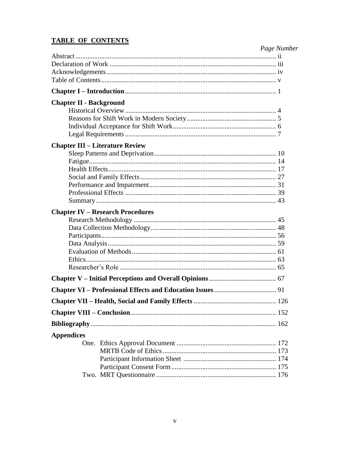## **TABLE OF CONTENTS**

| <b>Chapter IV – Research Procedures</b><br><b>Appendices</b> |                                        | Page Number |
|--------------------------------------------------------------|----------------------------------------|-------------|
|                                                              |                                        |             |
|                                                              |                                        |             |
|                                                              |                                        |             |
|                                                              |                                        |             |
|                                                              |                                        |             |
|                                                              | <b>Chapter II - Background</b>         |             |
|                                                              |                                        |             |
|                                                              |                                        |             |
|                                                              |                                        |             |
|                                                              |                                        |             |
|                                                              | <b>Chapter III - Literature Review</b> |             |
|                                                              |                                        |             |
|                                                              |                                        |             |
|                                                              |                                        |             |
|                                                              |                                        |             |
|                                                              |                                        |             |
|                                                              |                                        |             |
|                                                              |                                        |             |
|                                                              |                                        |             |
|                                                              |                                        |             |
|                                                              |                                        |             |
|                                                              |                                        |             |
|                                                              |                                        |             |
|                                                              |                                        |             |
|                                                              |                                        |             |
|                                                              |                                        |             |
|                                                              |                                        |             |
|                                                              |                                        |             |
|                                                              |                                        |             |
|                                                              |                                        |             |
|                                                              |                                        |             |
|                                                              |                                        |             |
|                                                              |                                        |             |
|                                                              |                                        |             |
|                                                              |                                        |             |
|                                                              |                                        |             |
|                                                              |                                        |             |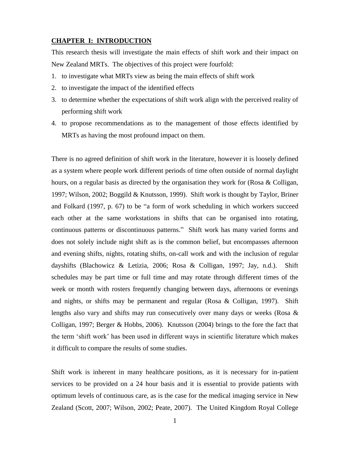#### **CHAPTER I: INTRODUCTION**

This research thesis will investigate the main effects of shift work and their impact on New Zealand MRTs. The objectives of this project were fourfold:

- 1. to investigate what MRTs view as being the main effects of shift work
- 2. to investigate the impact of the identified effects
- 3. to determine whether the expectations of shift work align with the perceived reality of performing shift work
- 4. to propose recommendations as to the management of those effects identified by MRTs as having the most profound impact on them.

There is no agreed definition of shift work in the literature, however it is loosely defined as a system where people work different periods of time often outside of normal daylight hours, on a regular basis as directed by the organisation they work for (Rosa  $\&$  Colligan, 1997; Wilson, 2002; Boggild & Knutsson, 1999). Shift work is thought by Taylor, Briner and Folkard (1997, p. 67) to be "a form of work scheduling in which workers succeed each other at the same workstations in shifts that can be organised into rotating, continuous patterns or discontinuous patterns." Shift work has many varied forms and does not solely include night shift as is the common belief, but encompasses afternoon and evening shifts, nights, rotating shifts, on-call work and with the inclusion of regular dayshifts (Blachowicz & Letizia, 2006; Rosa & Colligan, 1997; Jay, n.d.). Shift schedules may be part time or full time and may rotate through different times of the week or month with rosters frequently changing between days, afternoons or evenings and nights, or shifts may be permanent and regular (Rosa & Colligan, 1997). Shift lengths also vary and shifts may run consecutively over many days or weeks (Rosa  $\&$ Colligan, 1997; Berger & Hobbs, 2006). Knutsson (2004) brings to the fore the fact that the term "shift work" has been used in different ways in scientific literature which makes it difficult to compare the results of some studies.

Shift work is inherent in many healthcare positions, as it is necessary for in-patient services to be provided on a 24 hour basis and it is essential to provide patients with optimum levels of continuous care, as is the case for the medical imaging service in New Zealand (Scott, 2007; Wilson, 2002; Peate, 2007). The United Kingdom Royal College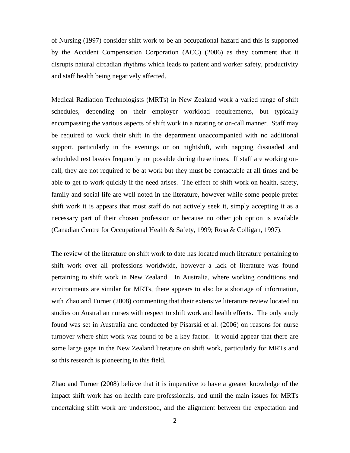of Nursing (1997) consider shift work to be an occupational hazard and this is supported by the Accident Compensation Corporation (ACC) (2006) as they comment that it disrupts natural circadian rhythms which leads to patient and worker safety, productivity and staff health being negatively affected.

Medical Radiation Technologists (MRTs) in New Zealand work a varied range of shift schedules, depending on their employer workload requirements, but typically encompassing the various aspects of shift work in a rotating or on-call manner. Staff may be required to work their shift in the department unaccompanied with no additional support, particularly in the evenings or on nightshift, with napping dissuaded and scheduled rest breaks frequently not possible during these times. If staff are working oncall, they are not required to be at work but they must be contactable at all times and be able to get to work quickly if the need arises. The effect of shift work on health, safety, family and social life are well noted in the literature, however while some people prefer shift work it is appears that most staff do not actively seek it, simply accepting it as a necessary part of their chosen profession or because no other job option is available (Canadian Centre for Occupational Health & Safety, 1999; Rosa & Colligan, 1997).

The review of the literature on shift work to date has located much literature pertaining to shift work over all professions worldwide, however a lack of literature was found pertaining to shift work in New Zealand. In Australia, where working conditions and environments are similar for MRTs, there appears to also be a shortage of information, with Zhao and Turner (2008) commenting that their extensive literature review located no studies on Australian nurses with respect to shift work and health effects. The only study found was set in Australia and conducted by Pisarski et al. (2006) on reasons for nurse turnover where shift work was found to be a key factor. It would appear that there are some large gaps in the New Zealand literature on shift work, particularly for MRTs and so this research is pioneering in this field.

Zhao and Turner (2008) believe that it is imperative to have a greater knowledge of the impact shift work has on health care professionals, and until the main issues for MRTs undertaking shift work are understood, and the alignment between the expectation and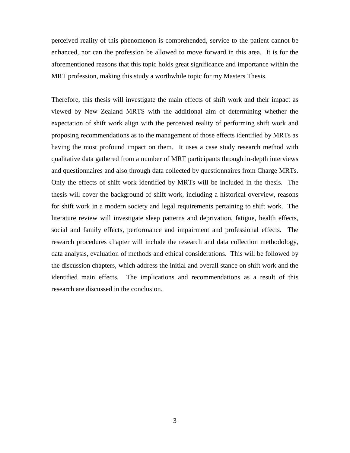perceived reality of this phenomenon is comprehended, service to the patient cannot be enhanced, nor can the profession be allowed to move forward in this area. It is for the aforementioned reasons that this topic holds great significance and importance within the MRT profession, making this study a worthwhile topic for my Masters Thesis.

Therefore, this thesis will investigate the main effects of shift work and their impact as viewed by New Zealand MRTS with the additional aim of determining whether the expectation of shift work align with the perceived reality of performing shift work and proposing recommendations as to the management of those effects identified by MRTs as having the most profound impact on them. It uses a case study research method with qualitative data gathered from a number of MRT participants through in-depth interviews and questionnaires and also through data collected by questionnaires from Charge MRTs. Only the effects of shift work identified by MRTs will be included in the thesis. The thesis will cover the background of shift work, including a historical overview, reasons for shift work in a modern society and legal requirements pertaining to shift work. The literature review will investigate sleep patterns and deprivation, fatigue, health effects, social and family effects, performance and impairment and professional effects. The research procedures chapter will include the research and data collection methodology, data analysis, evaluation of methods and ethical considerations. This will be followed by the discussion chapters, which address the initial and overall stance on shift work and the identified main effects. The implications and recommendations as a result of this research are discussed in the conclusion.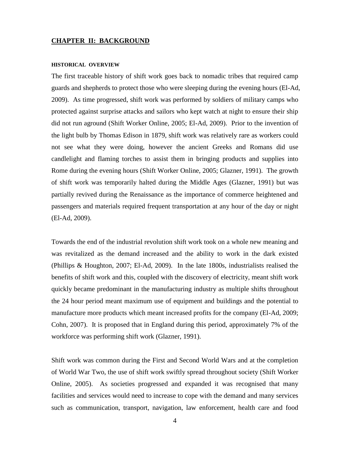#### **CHAPTER II: BACKGROUND**

#### **HISTORICAL OVERVIEW**

The first traceable history of shift work goes back to nomadic tribes that required camp guards and shepherds to protect those who were sleeping during the evening hours (El-Ad, 2009). As time progressed, shift work was performed by soldiers of military camps who protected against surprise attacks and sailors who kept watch at night to ensure their ship did not run aground (Shift Worker Online, 2005; El-Ad, 2009). Prior to the invention of the light bulb by Thomas Edison in 1879, shift work was relatively rare as workers could not see what they were doing, however the ancient Greeks and Romans did use candlelight and flaming torches to assist them in bringing products and supplies into Rome during the evening hours (Shift Worker Online, 2005; Glazner, 1991). The growth of shift work was temporarily halted during the Middle Ages (Glazner, 1991) but was partially revived during the Renaissance as the importance of commerce heightened and passengers and materials required frequent transportation at any hour of the day or night (El-Ad, 2009).

Towards the end of the industrial revolution shift work took on a whole new meaning and was revitalized as the demand increased and the ability to work in the dark existed (Phillips & Houghton, 2007; El-Ad, 2009). In the late 1800s, industrialists realised the benefits of shift work and this, coupled with the discovery of electricity, meant shift work quickly became predominant in the manufacturing industry as multiple shifts throughout the 24 hour period meant maximum use of equipment and buildings and the potential to manufacture more products which meant increased profits for the company (El-Ad, 2009; Cohn, 2007). It is proposed that in England during this period, approximately 7% of the workforce was performing shift work (Glazner, 1991).

Shift work was common during the First and Second World Wars and at the completion of World War Two, the use of shift work swiftly spread throughout society (Shift Worker Online, 2005). As societies progressed and expanded it was recognised that many facilities and services would need to increase to cope with the demand and many services such as communication, transport, navigation, law enforcement, health care and food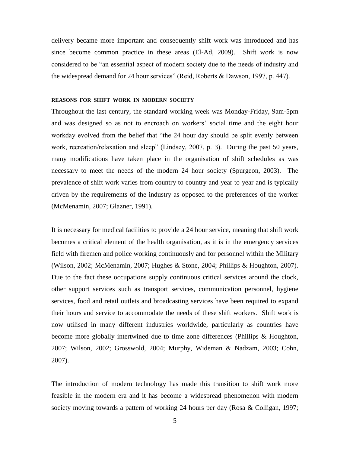delivery became more important and consequently shift work was introduced and has since become common practice in these areas (El-Ad, 2009). Shift work is now considered to be "an essential aspect of modern society due to the needs of industry and the widespread demand for 24 hour services" (Reid, Roberts & Dawson, 1997, p. 447).

#### **REASONS FOR SHIFT WORK IN MODERN SOCIETY**

Throughout the last century, the standard working week was Monday-Friday, 9am-5pm and was designed so as not to encroach on workers" social time and the eight hour workday evolved from the belief that "the 24 hour day should be split evenly between work, recreation/relaxation and sleep" (Lindsey, 2007, p. 3). During the past 50 years, many modifications have taken place in the organisation of shift schedules as was necessary to meet the needs of the modern 24 hour society (Spurgeon, 2003). The prevalence of shift work varies from country to country and year to year and is typically driven by the requirements of the industry as opposed to the preferences of the worker (McMenamin, 2007; Glazner, 1991).

It is necessary for medical facilities to provide a 24 hour service, meaning that shift work becomes a critical element of the health organisation, as it is in the emergency services field with firemen and police working continuously and for personnel within the Military (Wilson, 2002; McMenamin, 2007; Hughes & Stone, 2004; Phillips & Houghton, 2007). Due to the fact these occupations supply continuous critical services around the clock, other support services such as transport services, communication personnel, hygiene services, food and retail outlets and broadcasting services have been required to expand their hours and service to accommodate the needs of these shift workers. Shift work is now utilised in many different industries worldwide, particularly as countries have become more globally intertwined due to time zone differences (Phillips & Houghton, 2007; Wilson, 2002; Grosswold, 2004; Murphy, Wideman & Nadzam, 2003; Cohn, 2007).

The introduction of modern technology has made this transition to shift work more feasible in the modern era and it has become a widespread phenomenon with modern society moving towards a pattern of working 24 hours per day (Rosa & Colligan, 1997;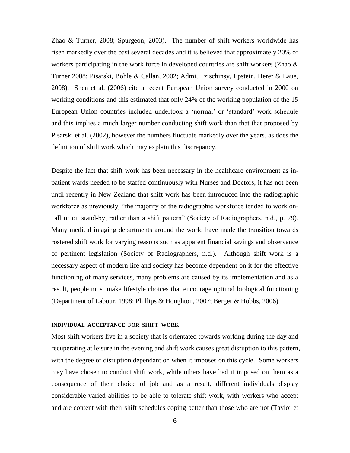Zhao & Turner, 2008; Spurgeon, 2003). The number of shift workers worldwide has risen markedly over the past several decades and it is believed that approximately 20% of workers participating in the work force in developed countries are shift workers (Zhao  $\&$ Turner 2008; Pisarski, Bohle & Callan, 2002; Admi, Tzischinsy, Epstein, Herer & Laue, 2008). Shen et al. (2006) cite a recent European Union survey conducted in 2000 on working conditions and this estimated that only 24% of the working population of the 15 European Union countries included undertook a "normal" or "standard" work schedule and this implies a much larger number conducting shift work than that that proposed by Pisarski et al. (2002), however the numbers fluctuate markedly over the years, as does the definition of shift work which may explain this discrepancy.

Despite the fact that shift work has been necessary in the healthcare environment as inpatient wards needed to be staffed continuously with Nurses and Doctors, it has not been until recently in New Zealand that shift work has been introduced into the radiographic workforce as previously, "the majority of the radiographic workforce tended to work oncall or on stand-by, rather than a shift pattern" (Society of Radiographers, n.d., p. 29). Many medical imaging departments around the world have made the transition towards rostered shift work for varying reasons such as apparent financial savings and observance of pertinent legislation (Society of Radiographers, n.d.). Although shift work is a necessary aspect of modern life and society has become dependent on it for the effective functioning of many services, many problems are caused by its implementation and as a result, people must make lifestyle choices that encourage optimal biological functioning (Department of Labour, 1998; Phillips & Houghton, 2007; Berger & Hobbs, 2006).

#### **INDIVIDUAL ACCEPTANCE FOR SHIFT WORK**

Most shift workers live in a society that is orientated towards working during the day and recuperating at leisure in the evening and shift work causes great disruption to this pattern, with the degree of disruption dependant on when it imposes on this cycle. Some workers may have chosen to conduct shift work, while others have had it imposed on them as a consequence of their choice of job and as a result, different individuals display considerable varied abilities to be able to tolerate shift work, with workers who accept and are content with their shift schedules coping better than those who are not (Taylor et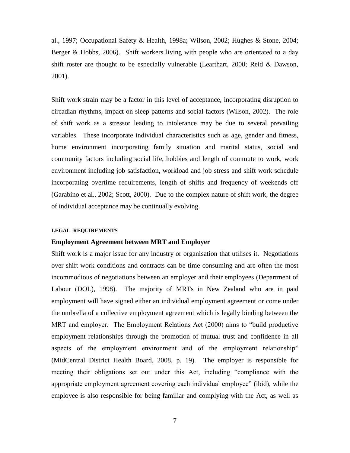al., 1997; Occupational Safety & Health, 1998a; Wilson, 2002; Hughes & Stone, 2004; Berger & Hobbs, 2006). Shift workers living with people who are orientated to a day shift roster are thought to be especially vulnerable (Learthart, 2000; Reid & Dawson, 2001).

Shift work strain may be a factor in this level of acceptance, incorporating disruption to circadian rhythms, impact on sleep patterns and social factors (Wilson, 2002). The role of shift work as a stressor leading to intolerance may be due to several prevailing variables. These incorporate individual characteristics such as age, gender and fitness, home environment incorporating family situation and marital status, social and community factors including social life, hobbies and length of commute to work, work environment including job satisfaction, workload and job stress and shift work schedule incorporating overtime requirements, length of shifts and frequency of weekends off (Garabino et al., 2002; Scott, 2000). Due to the complex nature of shift work, the degree of individual acceptance may be continually evolving.

#### **LEGAL REQUIREMENTS**

#### **Employment Agreement between MRT and Employer**

Shift work is a major issue for any industry or organisation that utilises it. Negotiations over shift work conditions and contracts can be time consuming and are often the most incommodious of negotiations between an employer and their employees (Department of Labour (DOL), 1998). The majority of MRTs in New Zealand who are in paid employment will have signed either an individual employment agreement or come under the umbrella of a collective employment agreement which is legally binding between the MRT and employer. The Employment Relations Act (2000) aims to "build productive employment relationships through the promotion of mutual trust and confidence in all aspects of the employment environment and of the employment relationship" (MidCentral District Health Board, 2008, p. 19). The employer is responsible for meeting their obligations set out under this Act, including "compliance with the appropriate employment agreement covering each individual employee" (ibid), while the employee is also responsible for being familiar and complying with the Act, as well as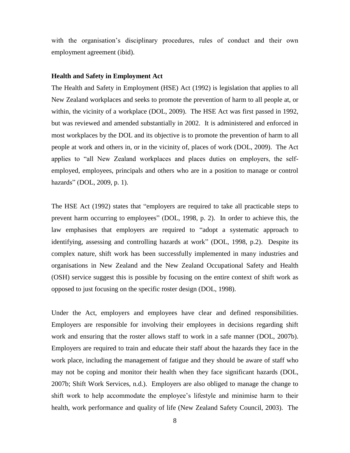with the organisation's disciplinary procedures, rules of conduct and their own employment agreement (ibid).

#### **Health and Safety in Employment Act**

The Health and Safety in Employment (HSE) Act (1992) is legislation that applies to all New Zealand workplaces and seeks to promote the prevention of harm to all people at, or within, the vicinity of a workplace (DOL, 2009). The HSE Act was first passed in 1992, but was reviewed and amended substantially in 2002. It is administered and enforced in most workplaces by the DOL and its objective is to promote the prevention of harm to all people at work and others in, or in the vicinity of, places of work (DOL, 2009). The Act applies to "all New Zealand workplaces and places duties on employers, the selfemployed, employees, principals and others who are in a position to manage or control hazards" (DOL, 2009, p. 1).

The HSE Act (1992) states that "employers are required to take all practicable steps to prevent harm occurring to employees" (DOL, 1998, p. 2). In order to achieve this, the law emphasises that employers are required to "adopt a systematic approach to identifying, assessing and controlling hazards at work" (DOL, 1998, p.2). Despite its complex nature, shift work has been successfully implemented in many industries and organisations in New Zealand and the New Zealand Occupational Safety and Health (OSH) service suggest this is possible by focusing on the entire context of shift work as opposed to just focusing on the specific roster design (DOL, 1998).

Under the Act, employers and employees have clear and defined responsibilities. Employers are responsible for involving their employees in decisions regarding shift work and ensuring that the roster allows staff to work in a safe manner (DOL, 2007b). Employers are required to train and educate their staff about the hazards they face in the work place, including the management of fatigue and they should be aware of staff who may not be coping and monitor their health when they face significant hazards (DOL, 2007b; Shift Work Services, n.d.). Employers are also obliged to manage the change to shift work to help accommodate the employee's lifestyle and minimise harm to their health, work performance and quality of life (New Zealand Safety Council, 2003). The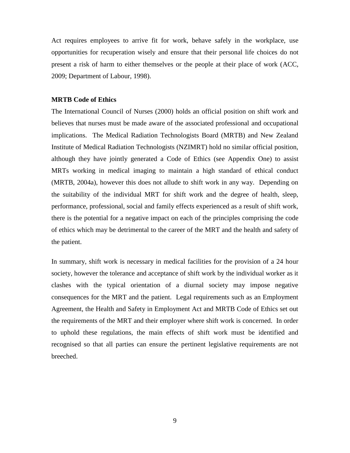Act requires employees to arrive fit for work, behave safely in the workplace, use opportunities for recuperation wisely and ensure that their personal life choices do not present a risk of harm to either themselves or the people at their place of work (ACC, 2009; Department of Labour, 1998).

#### **MRTB Code of Ethics**

The International Council of Nurses (2000) holds an official position on shift work and believes that nurses must be made aware of the associated professional and occupational implications. The Medical Radiation Technologists Board (MRTB) and New Zealand Institute of Medical Radiation Technologists (NZIMRT) hold no similar official position, although they have jointly generated a Code of Ethics (see Appendix One) to assist MRTs working in medical imaging to maintain a high standard of ethical conduct (MRTB, 2004a), however this does not allude to shift work in any way. Depending on the suitability of the individual MRT for shift work and the degree of health, sleep, performance, professional, social and family effects experienced as a result of shift work, there is the potential for a negative impact on each of the principles comprising the code of ethics which may be detrimental to the career of the MRT and the health and safety of the patient.

In summary, shift work is necessary in medical facilities for the provision of a 24 hour society, however the tolerance and acceptance of shift work by the individual worker as it clashes with the typical orientation of a diurnal society may impose negative consequences for the MRT and the patient. Legal requirements such as an Employment Agreement, the Health and Safety in Employment Act and MRTB Code of Ethics set out the requirements of the MRT and their employer where shift work is concerned. In order to uphold these regulations, the main effects of shift work must be identified and recognised so that all parties can ensure the pertinent legislative requirements are not breeched.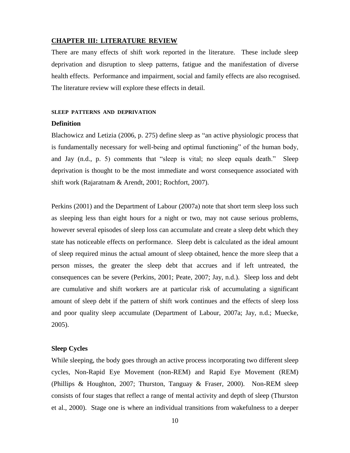#### **CHAPTER III: LITERATURE REVIEW**

There are many effects of shift work reported in the literature. These include sleep deprivation and disruption to sleep patterns, fatigue and the manifestation of diverse health effects. Performance and impairment, social and family effects are also recognised. The literature review will explore these effects in detail.

#### **SLEEP PATTERNS AND DEPRIVATION**

#### **Definition**

Blachowicz and Letizia (2006, p. 275) define sleep as "an active physiologic process that is fundamentally necessary for well-being and optimal functioning" of the human body, and Jay (n.d., p. 5) comments that "sleep is vital; no sleep equals death." Sleep deprivation is thought to be the most immediate and worst consequence associated with shift work (Rajaratnam & Arendt, 2001; Rochfort, 2007).

Perkins (2001) and the Department of Labour (2007a) note that short term sleep loss such as sleeping less than eight hours for a night or two, may not cause serious problems, however several episodes of sleep loss can accumulate and create a sleep debt which they state has noticeable effects on performance. Sleep debt is calculated as the ideal amount of sleep required minus the actual amount of sleep obtained, hence the more sleep that a person misses, the greater the sleep debt that accrues and if left untreated, the consequences can be severe (Perkins, 2001; Peate, 2007; Jay, n.d.). Sleep loss and debt are cumulative and shift workers are at particular risk of accumulating a significant amount of sleep debt if the pattern of shift work continues and the effects of sleep loss and poor quality sleep accumulate (Department of Labour, 2007a; Jay, n.d.; Muecke, 2005).

#### **Sleep Cycles**

While sleeping, the body goes through an active process incorporating two different sleep cycles, Non-Rapid Eye Movement (non-REM) and Rapid Eye Movement (REM) (Phillips & Houghton, 2007; Thurston, Tanguay & Fraser, 2000). Non-REM sleep consists of four stages that reflect a range of mental activity and depth of sleep (Thurston et al., 2000). Stage one is where an individual transitions from wakefulness to a deeper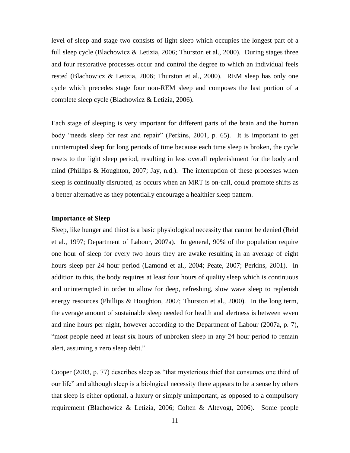level of sleep and stage two consists of light sleep which occupies the longest part of a full sleep cycle (Blachowicz & Letizia, 2006; Thurston et al., 2000). During stages three and four restorative processes occur and control the degree to which an individual feels rested (Blachowicz & Letizia, 2006; Thurston et al., 2000). REM sleep has only one cycle which precedes stage four non-REM sleep and composes the last portion of a complete sleep cycle (Blachowicz & Letizia, 2006).

Each stage of sleeping is very important for different parts of the brain and the human body "needs sleep for rest and repair" (Perkins, 2001, p. 65). It is important to get uninterrupted sleep for long periods of time because each time sleep is broken, the cycle resets to the light sleep period, resulting in less overall replenishment for the body and mind (Phillips & Houghton, 2007; Jay, n.d.). The interruption of these processes when sleep is continually disrupted, as occurs when an MRT is on-call, could promote shifts as a better alternative as they potentially encourage a healthier sleep pattern.

#### **Importance of Sleep**

Sleep, like hunger and thirst is a basic physiological necessity that cannot be denied (Reid et al., 1997; Department of Labour, 2007a). In general, 90% of the population require one hour of sleep for every two hours they are awake resulting in an average of eight hours sleep per 24 hour period (Lamond et al., 2004; Peate, 2007; Perkins, 2001). In addition to this, the body requires at least four hours of quality sleep which is continuous and uninterrupted in order to allow for deep, refreshing, slow wave sleep to replenish energy resources (Phillips & Houghton, 2007; Thurston et al., 2000). In the long term, the average amount of sustainable sleep needed for health and alertness is between seven and nine hours per night, however according to the Department of Labour (2007a, p. 7), "most people need at least six hours of unbroken sleep in any 24 hour period to remain alert, assuming a zero sleep debt."

Cooper (2003, p. 77) describes sleep as "that mysterious thief that consumes one third of our life" and although sleep is a biological necessity there appears to be a sense by others that sleep is either optional, a luxury or simply unimportant, as opposed to a compulsory requirement (Blachowicz & Letizia, 2006; Colten & Altevogt, 2006). Some people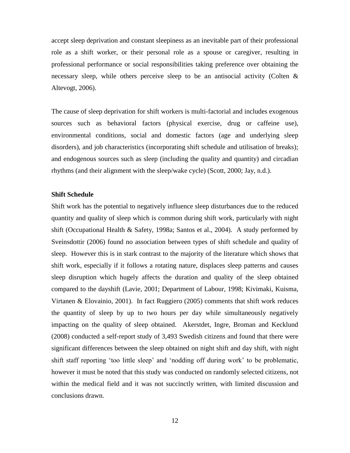accept sleep deprivation and constant sleepiness as an inevitable part of their professional role as a shift worker, or their personal role as a spouse or caregiver, resulting in professional performance or social responsibilities taking preference over obtaining the necessary sleep, while others perceive sleep to be an antisocial activity (Colten & Altevogt, 2006).

The cause of sleep deprivation for shift workers is multi-factorial and includes exogenous sources such as behavioral factors (physical exercise, drug or caffeine use), environmental conditions, social and domestic factors (age and underlying sleep disorders), and job characteristics (incorporating shift schedule and utilisation of breaks); and endogenous sources such as sleep (including the quality and quantity) and circadian rhythms (and their alignment with the sleep/wake cycle) (Scott, 2000; Jay, n.d.).

#### **Shift Schedule**

Shift work has the potential to negatively influence sleep disturbances due to the reduced quantity and quality of sleep which is common during shift work, particularly with night shift (Occupational Health & Safety, 1998a; Santos et al., 2004). A study performed by Sveinsdottir (2006) found no association between types of shift schedule and quality of sleep. However this is in stark contrast to the majority of the literature which shows that shift work, especially if it follows a rotating nature, displaces sleep patterns and causes sleep disruption which hugely affects the duration and quality of the sleep obtained compared to the dayshift (Lavie, 2001; Department of Labour, 1998; Kivimaki, Kuisma, Virtanen & Elovainio, 2001). In fact Ruggiero (2005) comments that shift work reduces the quantity of sleep by up to two hours per day while simultaneously negatively impacting on the quality of sleep obtained. Akerstdet, Ingre, Broman and Kecklund (2008) conducted a self-report study of 3,493 Swedish citizens and found that there were significant differences between the sleep obtained on night shift and day shift, with night shift staff reporting "too little sleep" and "nodding off during work" to be problematic, however it must be noted that this study was conducted on randomly selected citizens, not within the medical field and it was not succinctly written, with limited discussion and conclusions drawn.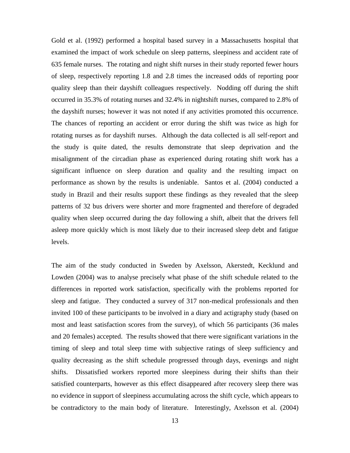Gold et al. (1992) performed a hospital based survey in a Massachusetts hospital that examined the impact of work schedule on sleep patterns, sleepiness and accident rate of 635 female nurses. The rotating and night shift nurses in their study reported fewer hours of sleep, respectively reporting 1.8 and 2.8 times the increased odds of reporting poor quality sleep than their dayshift colleagues respectively. Nodding off during the shift occurred in 35.3% of rotating nurses and 32.4% in nightshift nurses, compared to 2.8% of the dayshift nurses; however it was not noted if any activities promoted this occurrence. The chances of reporting an accident or error during the shift was twice as high for rotating nurses as for dayshift nurses. Although the data collected is all self-report and the study is quite dated, the results demonstrate that sleep deprivation and the misalignment of the circadian phase as experienced during rotating shift work has a significant influence on sleep duration and quality and the resulting impact on performance as shown by the results is undeniable. Santos et al. (2004) conducted a study in Brazil and their results support these findings as they revealed that the sleep patterns of 32 bus drivers were shorter and more fragmented and therefore of degraded quality when sleep occurred during the day following a shift, albeit that the drivers fell asleep more quickly which is most likely due to their increased sleep debt and fatigue levels.

The aim of the study conducted in Sweden by Axelsson, Akerstedt, Kecklund and Lowden (2004) was to analyse precisely what phase of the shift schedule related to the differences in reported work satisfaction, specifically with the problems reported for sleep and fatigue. They conducted a survey of 317 non-medical professionals and then invited 100 of these participants to be involved in a diary and actigraphy study (based on most and least satisfaction scores from the survey), of which 56 participants (36 males and 20 females) accepted. The results showed that there were significant variations in the timing of sleep and total sleep time with subjective ratings of sleep sufficiency and quality decreasing as the shift schedule progressed through days, evenings and night shifts. Dissatisfied workers reported more sleepiness during their shifts than their satisfied counterparts, however as this effect disappeared after recovery sleep there was no evidence in support of sleepiness accumulating across the shift cycle, which appears to be contradictory to the main body of literature. Interestingly, Axelsson et al. (2004)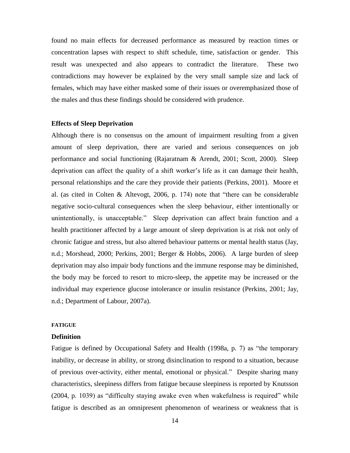found no main effects for decreased performance as measured by reaction times or concentration lapses with respect to shift schedule, time, satisfaction or gender. This result was unexpected and also appears to contradict the literature. These two contradictions may however be explained by the very small sample size and lack of females, which may have either masked some of their issues or overemphasized those of the males and thus these findings should be considered with prudence.

#### **Effects of Sleep Deprivation**

Although there is no consensus on the amount of impairment resulting from a given amount of sleep deprivation, there are varied and serious consequences on job performance and social functioning (Rajaratnam & Arendt, 2001; Scott, 2000). Sleep deprivation can affect the quality of a shift worker"s life as it can damage their health, personal relationships and the care they provide their patients (Perkins, 2001). Moore et al. (as cited in Colten & Altevogt, 2006, p. 174) note that "there can be considerable negative socio-cultural consequences when the sleep behaviour, either intentionally or unintentionally, is unacceptable." Sleep deprivation can affect brain function and a health practitioner affected by a large amount of sleep deprivation is at risk not only of chronic fatigue and stress, but also altered behaviour patterns or mental health status (Jay, n.d.; Morshead, 2000; Perkins, 2001; Berger & Hobbs, 2006). A large burden of sleep deprivation may also impair body functions and the immune response may be diminished, the body may be forced to resort to micro-sleep, the appetite may be increased or the individual may experience glucose intolerance or insulin resistance (Perkins, 2001; Jay, n.d.; Department of Labour, 2007a).

#### **FATIGUE**

#### **Definition**

Fatigue is defined by Occupational Safety and Health (1998a, p. 7) as "the temporary inability, or decrease in ability, or strong disinclination to respond to a situation, because of previous over-activity, either mental, emotional or physical." Despite sharing many characteristics, sleepiness differs from fatigue because sleepiness is reported by Knutsson (2004, p. 1039) as "difficulty staying awake even when wakefulness is required" while fatigue is described as an omnipresent phenomenon of weariness or weakness that is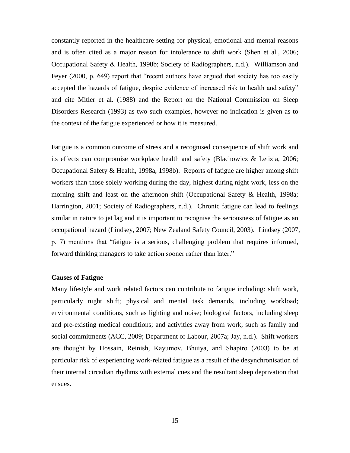constantly reported in the healthcare setting for physical, emotional and mental reasons and is often cited as a major reason for intolerance to shift work (Shen et al., 2006; Occupational Safety & Health, 1998b; Society of Radiographers, n.d.). Williamson and Feyer (2000, p. 649) report that "recent authors have argued that society has too easily accepted the hazards of fatigue, despite evidence of increased risk to health and safety" and cite Mitler et al. (1988) and the Report on the National Commission on Sleep Disorders Research (1993) as two such examples, however no indication is given as to the context of the fatigue experienced or how it is measured.

Fatigue is a common outcome of stress and a recognised consequence of shift work and its effects can compromise workplace health and safety (Blachowicz & Letizia, 2006; Occupational Safety & Health, 1998a, 1998b). Reports of fatigue are higher among shift workers than those solely working during the day, highest during night work, less on the morning shift and least on the afternoon shift (Occupational Safety & Health, 1998a; Harrington, 2001; Society of Radiographers, n.d.). Chronic fatigue can lead to feelings similar in nature to jet lag and it is important to recognise the seriousness of fatigue as an occupational hazard (Lindsey, 2007; New Zealand Safety Council, 2003). Lindsey (2007, p. 7) mentions that "fatigue is a serious, challenging problem that requires informed, forward thinking managers to take action sooner rather than later."

#### **Causes of Fatigue**

Many lifestyle and work related factors can contribute to fatigue including: shift work, particularly night shift; physical and mental task demands, including workload; environmental conditions, such as lighting and noise; biological factors, including sleep and pre-existing medical conditions; and activities away from work, such as family and social commitments (ACC, 2009; Department of Labour, 2007a; Jay, n.d.). Shift workers are thought by Hossain, Reinish, Kayumov, Bhuiya, and Shapiro (2003) to be at particular risk of experiencing work-related fatigue as a result of the desynchronisation of their internal circadian rhythms with external cues and the resultant sleep deprivation that ensues.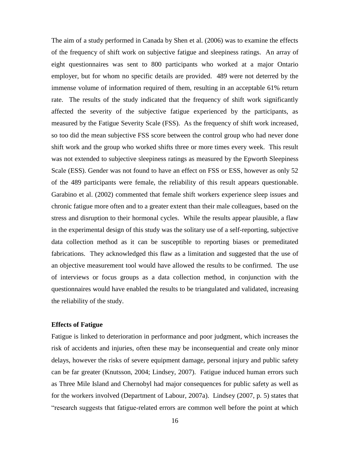The aim of a study performed in Canada by Shen et al. (2006) was to examine the effects of the frequency of shift work on subjective fatigue and sleepiness ratings. An array of eight questionnaires was sent to 800 participants who worked at a major Ontario employer, but for whom no specific details are provided. 489 were not deterred by the immense volume of information required of them, resulting in an acceptable 61% return rate. The results of the study indicated that the frequency of shift work significantly affected the severity of the subjective fatigue experienced by the participants, as measured by the Fatigue Severity Scale (FSS). As the frequency of shift work increased, so too did the mean subjective FSS score between the control group who had never done shift work and the group who worked shifts three or more times every week. This result was not extended to subjective sleepiness ratings as measured by the Epworth Sleepiness Scale (ESS). Gender was not found to have an effect on FSS or ESS, however as only 52 of the 489 participants were female, the reliability of this result appears questionable. Garabino et al. (2002) commented that female shift workers experience sleep issues and chronic fatigue more often and to a greater extent than their male colleagues, based on the stress and disruption to their hormonal cycles. While the results appear plausible, a flaw in the experimental design of this study was the solitary use of a self-reporting, subjective data collection method as it can be susceptible to reporting biases or premeditated fabrications. They acknowledged this flaw as a limitation and suggested that the use of an objective measurement tool would have allowed the results to be confirmed. The use of interviews or focus groups as a data collection method, in conjunction with the questionnaires would have enabled the results to be triangulated and validated, increasing the reliability of the study.

#### **Effects of Fatigue**

Fatigue is linked to deterioration in performance and poor judgment, which increases the risk of accidents and injuries, often these may be inconsequential and create only minor delays, however the risks of severe equipment damage, personal injury and public safety can be far greater (Knutsson, 2004; Lindsey, 2007). Fatigue induced human errors such as Three Mile Island and Chernobyl had major consequences for public safety as well as for the workers involved (Department of Labour, 2007a). Lindsey (2007, p. 5) states that "research suggests that fatigue-related errors are common well before the point at which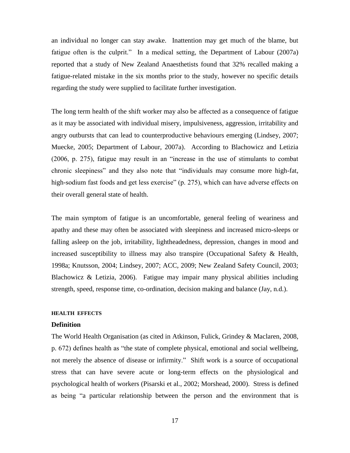an individual no longer can stay awake. Inattention may get much of the blame, but fatigue often is the culprit." In a medical setting, the Department of Labour (2007a) reported that a study of New Zealand Anaesthetists found that 32% recalled making a fatigue-related mistake in the six months prior to the study, however no specific details regarding the study were supplied to facilitate further investigation.

The long term health of the shift worker may also be affected as a consequence of fatigue as it may be associated with individual misery, impulsiveness, aggression, irritability and angry outbursts that can lead to counterproductive behaviours emerging (Lindsey, 2007; Muecke, 2005; Department of Labour, 2007a). According to Blachowicz and Letizia (2006, p. 275), fatigue may result in an "increase in the use of stimulants to combat chronic sleepiness" and they also note that "individuals may consume more high-fat, high-sodium fast foods and get less exercise" (p. 275), which can have adverse effects on their overall general state of health.

The main symptom of fatigue is an uncomfortable, general feeling of weariness and apathy and these may often be associated with sleepiness and increased micro-sleeps or falling asleep on the job, irritability, lightheadedness, depression, changes in mood and increased susceptibility to illness may also transpire (Occupational Safety & Health, 1998a; Knutsson, 2004; Lindsey, 2007; ACC, 2009; New Zealand Safety Council, 2003; Blachowicz & Letizia, 2006). Fatigue may impair many physical abilities including strength, speed, response time, co-ordination, decision making and balance (Jay, n.d.).

#### **HEALTH EFFECTS**

#### **Definition**

The World Health Organisation (as cited in Atkinson, Fulick, Grindey & Maclaren, 2008, p. 672) defines health as "the state of complete physical, emotional and social wellbeing, not merely the absence of disease or infirmity." Shift work is a source of occupational stress that can have severe acute or long-term effects on the physiological and psychological health of workers (Pisarski et al., 2002; Morshead, 2000). Stress is defined as being "a particular relationship between the person and the environment that is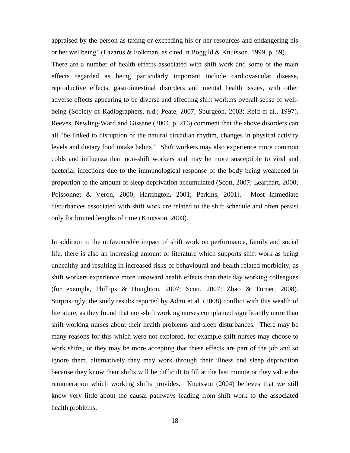appraised by the person as taxing or exceeding his or her resources and endangering his or her wellbeing" (Lazarus & Folkman, as cited in Boggild & Knutsson, 1999, p. 89).

There are a number of health effects associated with shift work and some of the main effects regarded as being particularly important include cardiovascular disease, reproductive effects, gastrointestinal disorders and mental health issues, with other adverse effects appearing to be diverse and affecting shift workers overall sense of wellbeing (Society of Radiographers, n.d.; Peate, 2007; Spurgeon, 2003; Reid et al., 1997). Reeves, Newling-Ward and Gissane (2004, p. 216) comment that the above disorders can all "be linked to disruption of the natural circadian rhythm, changes in physical activity levels and dietary food intake habits." Shift workers may also experience more common colds and influenza than non-shift workers and may be more susceptible to viral and bacterial infections due to the immunological response of the body being weakened in proportion to the amount of sleep deprivation accumulated (Scott, 2007; Learthart, 2000; Poissonnet & Veron, 2000; Harrington, 2001; Perkins, 2001). Most immediate disturbances associated with shift work are related to the shift schedule and often persist only for limited lengths of time (Knutsson, 2003).

In addition to the unfavourable impact of shift work on performance, family and social life, there is also an increasing amount of literature which supports shift work as being unhealthy and resulting in increased risks of behavioural and health related morbidity, as shift workers experience more untoward health effects than their day working colleagues (for example, Phillips & Houghton, 2007; Scott, 2007; Zhao & Turner, 2008). Surprisingly, the study results reported by Admi et al. (2008) conflict with this wealth of literature, as they found that non-shift working nurses complained significantly more than shift working nurses about their health problems and sleep disturbances. There may be many reasons for this which were not explored, for example shift nurses may choose to work shifts, or they may be more accepting that these effects are part of the job and so ignore them, alternatively they may work through their illness and sleep deprivation because they know their shifts will be difficult to fill at the last minute or they value the remuneration which working shifts provides. Knutsson (2004) believes that we still know very little about the causal pathways leading from shift work to the associated health problems.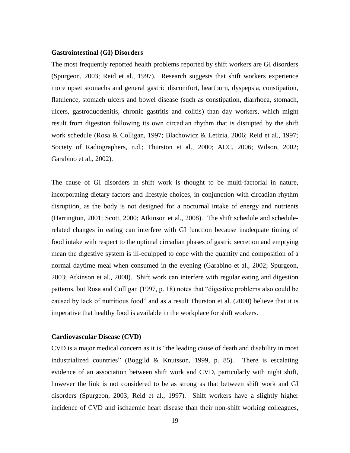#### **Gastrointestinal (GI) Disorders**

The most frequently reported health problems reported by shift workers are GI disorders (Spurgeon, 2003; Reid et al., 1997). Research suggests that shift workers experience more upset stomachs and general gastric discomfort, heartburn, dyspepsia, constipation, flatulence, stomach ulcers and bowel disease (such as constipation, diarrhoea, stomach, ulcers, gastroduodenitis, chronic gastritis and colitis) than day workers, which might result from digestion following its own circadian rhythm that is disrupted by the shift work schedule (Rosa & Colligan, 1997; Blachowicz & Letizia, 2006; Reid et al., 1997; Society of Radiographers, n.d.; Thurston et al., 2000; ACC, 2006; Wilson, 2002; Garabino et al., 2002).

The cause of GI disorders in shift work is thought to be multi-factorial in nature, incorporating dietary factors and lifestyle choices, in conjunction with circadian rhythm disruption, as the body is not designed for a nocturnal intake of energy and nutrients (Harrington, 2001; Scott, 2000; Atkinson et al., 2008). The shift schedule and schedulerelated changes in eating can interfere with GI function because inadequate timing of food intake with respect to the optimal circadian phases of gastric secretion and emptying mean the digestive system is ill-equipped to cope with the quantity and composition of a normal daytime meal when consumed in the evening (Garabino et al., 2002; Spurgeon, 2003; Atkinson et al., 2008). Shift work can interfere with regular eating and digestion patterns, but Rosa and Colligan (1997, p. 18) notes that "digestive problems also could be caused by lack of nutritious food" and as a result Thurston et al. (2000) believe that it is imperative that healthy food is available in the workplace for shift workers.

#### **Cardiovascular Disease (CVD)**

CVD is a major medical concern as it is "the leading cause of death and disability in most industrialized countries" (Boggild & Knutsson, 1999, p. 85). There is escalating evidence of an association between shift work and CVD, particularly with night shift, however the link is not considered to be as strong as that between shift work and GI disorders (Spurgeon, 2003; Reid et al., 1997). Shift workers have a slightly higher incidence of CVD and ischaemic heart disease than their non-shift working colleagues,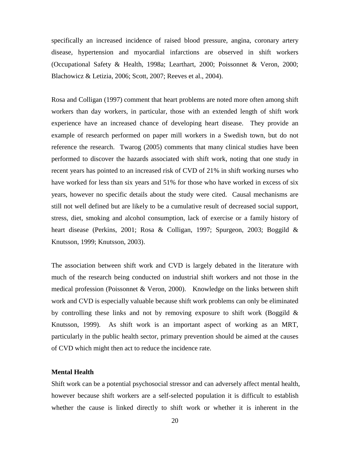specifically an increased incidence of raised blood pressure, angina, coronary artery disease, hypertension and myocardial infarctions are observed in shift workers (Occupational Safety & Health, 1998a; Learthart, 2000; Poissonnet & Veron, 2000; Blachowicz & Letizia, 2006; Scott, 2007; Reeves et al., 2004).

Rosa and Colligan (1997) comment that heart problems are noted more often among shift workers than day workers, in particular, those with an extended length of shift work experience have an increased chance of developing heart disease. They provide an example of research performed on paper mill workers in a Swedish town, but do not reference the research. Twarog (2005) comments that many clinical studies have been performed to discover the hazards associated with shift work, noting that one study in recent years has pointed to an increased risk of CVD of 21% in shift working nurses who have worked for less than six years and 51% for those who have worked in excess of six years, however no specific details about the study were cited. Causal mechanisms are still not well defined but are likely to be a cumulative result of decreased social support, stress, diet, smoking and alcohol consumption, lack of exercise or a family history of heart disease (Perkins, 2001; Rosa & Colligan, 1997; Spurgeon, 2003; Boggild & Knutsson, 1999; Knutsson, 2003).

The association between shift work and CVD is largely debated in the literature with much of the research being conducted on industrial shift workers and not those in the medical profession (Poissonnet & Veron, 2000). Knowledge on the links between shift work and CVD is especially valuable because shift work problems can only be eliminated by controlling these links and not by removing exposure to shift work (Boggild  $\&$ Knutsson, 1999). As shift work is an important aspect of working as an MRT, particularly in the public health sector, primary prevention should be aimed at the causes of CVD which might then act to reduce the incidence rate.

#### **Mental Health**

Shift work can be a potential psychosocial stressor and can adversely affect mental health, however because shift workers are a self-selected population it is difficult to establish whether the cause is linked directly to shift work or whether it is inherent in the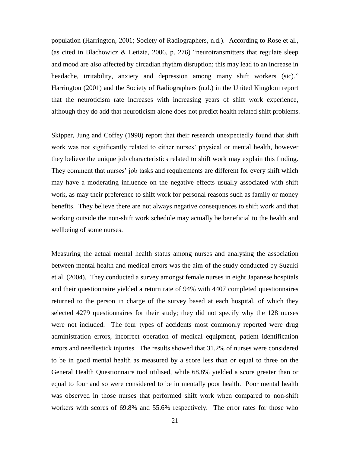population (Harrington, 2001; Society of Radiographers, n.d.). According to Rose et al., (as cited in Blachowicz & Letizia, 2006, p. 276) "neurotransmitters that regulate sleep and mood are also affected by circadian rhythm disruption; this may lead to an increase in headache, irritability, anxiety and depression among many shift workers (sic)." Harrington (2001) and the Society of Radiographers (n.d.) in the United Kingdom report that the neuroticism rate increases with increasing years of shift work experience, although they do add that neuroticism alone does not predict health related shift problems.

Skipper, Jung and Coffey (1990) report that their research unexpectedly found that shift work was not significantly related to either nurses' physical or mental health, however they believe the unique job characteristics related to shift work may explain this finding. They comment that nurses' job tasks and requirements are different for every shift which may have a moderating influence on the negative effects usually associated with shift work, as may their preference to shift work for personal reasons such as family or money benefits. They believe there are not always negative consequences to shift work and that working outside the non-shift work schedule may actually be beneficial to the health and wellbeing of some nurses.

Measuring the actual mental health status among nurses and analysing the association between mental health and medical errors was the aim of the study conducted by Suzuki et al. (2004). They conducted a survey amongst female nurses in eight Japanese hospitals and their questionnaire yielded a return rate of 94% with 4407 completed questionnaires returned to the person in charge of the survey based at each hospital, of which they selected 4279 questionnaires for their study; they did not specify why the 128 nurses were not included. The four types of accidents most commonly reported were drug administration errors, incorrect operation of medical equipment, patient identification errors and needlestick injuries. The results showed that 31.2% of nurses were considered to be in good mental health as measured by a score less than or equal to three on the General Health Questionnaire tool utilised, while 68.8% yielded a score greater than or equal to four and so were considered to be in mentally poor health. Poor mental health was observed in those nurses that performed shift work when compared to non-shift workers with scores of 69.8% and 55.6% respectively. The error rates for those who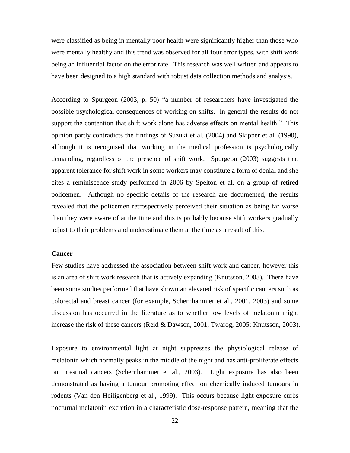were classified as being in mentally poor health were significantly higher than those who were mentally healthy and this trend was observed for all four error types, with shift work being an influential factor on the error rate. This research was well written and appears to have been designed to a high standard with robust data collection methods and analysis.

According to Spurgeon (2003, p. 50) "a number of researchers have investigated the possible psychological consequences of working on shifts. In general the results do not support the contention that shift work alone has adverse effects on mental health." This opinion partly contradicts the findings of Suzuki et al. (2004) and Skipper et al. (1990), although it is recognised that working in the medical profession is psychologically demanding, regardless of the presence of shift work. Spurgeon (2003) suggests that apparent tolerance for shift work in some workers may constitute a form of denial and she cites a reminiscence study performed in 2006 by Spelton et al. on a group of retired policemen. Although no specific details of the research are documented, the results revealed that the policemen retrospectively perceived their situation as being far worse than they were aware of at the time and this is probably because shift workers gradually adjust to their problems and underestimate them at the time as a result of this.

#### **Cancer**

Few studies have addressed the association between shift work and cancer, however this is an area of shift work research that is actively expanding (Knutsson, 2003). There have been some studies performed that have shown an elevated risk of specific cancers such as colorectal and breast cancer (for example, Schernhammer et al., 2001, 2003) and some discussion has occurred in the literature as to whether low levels of melatonin might increase the risk of these cancers (Reid & Dawson, 2001; Twarog, 2005; Knutsson, 2003).

Exposure to environmental light at night suppresses the physiological release of melatonin which normally peaks in the middle of the night and has anti-proliferate effects on intestinal cancers (Schernhammer et al., 2003). Light exposure has also been demonstrated as having a tumour promoting effect on chemically induced tumours in rodents (Van den Heiligenberg et al., 1999). This occurs because light exposure curbs nocturnal melatonin excretion in a characteristic dose-response pattern, meaning that the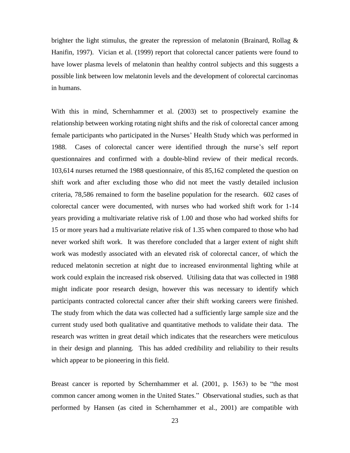brighter the light stimulus, the greater the repression of melatonin (Brainard, Rollag  $\&$ Hanifin, 1997). Vician et al. (1999) report that colorectal cancer patients were found to have lower plasma levels of melatonin than healthy control subjects and this suggests a possible link between low melatonin levels and the development of colorectal carcinomas in humans.

With this in mind, Schernhammer et al. (2003) set to prospectively examine the relationship between working rotating night shifts and the risk of colorectal cancer among female participants who participated in the Nurses" Health Study which was performed in 1988. Cases of colorectal cancer were identified through the nurse"s self report questionnaires and confirmed with a double-blind review of their medical records. 103,614 nurses returned the 1988 questionnaire, of this 85,162 completed the question on shift work and after excluding those who did not meet the vastly detailed inclusion criteria, 78,586 remained to form the baseline population for the research. 602 cases of colorectal cancer were documented, with nurses who had worked shift work for 1-14 years providing a multivariate relative risk of 1.00 and those who had worked shifts for 15 or more years had a multivariate relative risk of 1.35 when compared to those who had never worked shift work. It was therefore concluded that a larger extent of night shift work was modestly associated with an elevated risk of colorectal cancer, of which the reduced melatonin secretion at night due to increased environmental lighting while at work could explain the increased risk observed. Utilising data that was collected in 1988 might indicate poor research design, however this was necessary to identify which participants contracted colorectal cancer after their shift working careers were finished. The study from which the data was collected had a sufficiently large sample size and the current study used both qualitative and quantitative methods to validate their data. The research was written in great detail which indicates that the researchers were meticulous in their design and planning. This has added credibility and reliability to their results which appear to be pioneering in this field.

Breast cancer is reported by Schernhammer et al. (2001, p. 1563) to be "the most common cancer among women in the United States." Observational studies, such as that performed by Hansen (as cited in Schernhammer et al., 2001) are compatible with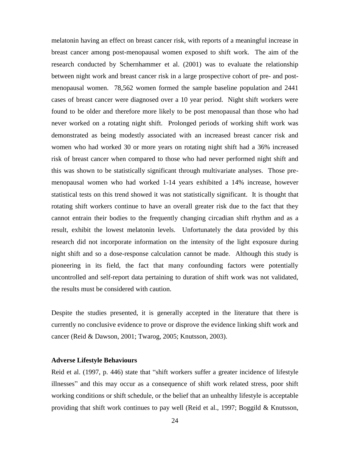melatonin having an effect on breast cancer risk, with reports of a meaningful increase in breast cancer among post-menopausal women exposed to shift work. The aim of the research conducted by Schernhammer et al. (2001) was to evaluate the relationship between night work and breast cancer risk in a large prospective cohort of pre- and postmenopausal women. 78,562 women formed the sample baseline population and 2441 cases of breast cancer were diagnosed over a 10 year period. Night shift workers were found to be older and therefore more likely to be post menopausal than those who had never worked on a rotating night shift. Prolonged periods of working shift work was demonstrated as being modestly associated with an increased breast cancer risk and women who had worked 30 or more years on rotating night shift had a 36% increased risk of breast cancer when compared to those who had never performed night shift and this was shown to be statistically significant through multivariate analyses. Those premenopausal women who had worked 1-14 years exhibited a 14% increase, however statistical tests on this trend showed it was not statistically significant. It is thought that rotating shift workers continue to have an overall greater risk due to the fact that they cannot entrain their bodies to the frequently changing circadian shift rhythm and as a result, exhibit the lowest melatonin levels. Unfortunately the data provided by this research did not incorporate information on the intensity of the light exposure during night shift and so a dose-response calculation cannot be made. Although this study is pioneering in its field, the fact that many confounding factors were potentially uncontrolled and self-report data pertaining to duration of shift work was not validated, the results must be considered with caution.

Despite the studies presented, it is generally accepted in the literature that there is currently no conclusive evidence to prove or disprove the evidence linking shift work and cancer (Reid & Dawson, 2001; Twarog, 2005; Knutsson, 2003).

#### **Adverse Lifestyle Behaviours**

Reid et al. (1997, p. 446) state that "shift workers suffer a greater incidence of lifestyle illnesses" and this may occur as a consequence of shift work related stress, poor shift working conditions or shift schedule, or the belief that an unhealthy lifestyle is acceptable providing that shift work continues to pay well (Reid et al., 1997; Boggild & Knutsson,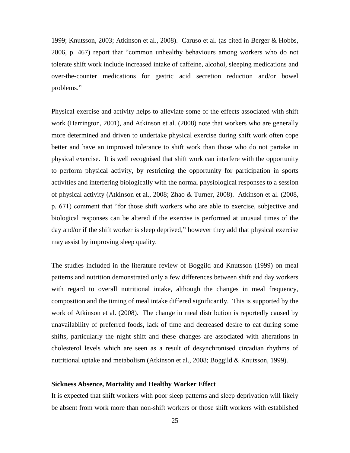1999; Knutsson, 2003; Atkinson et al., 2008). Caruso et al. (as cited in Berger & Hobbs, 2006, p. 467) report that "common unhealthy behaviours among workers who do not tolerate shift work include increased intake of caffeine, alcohol, sleeping medications and over-the-counter medications for gastric acid secretion reduction and/or bowel problems."

Physical exercise and activity helps to alleviate some of the effects associated with shift work (Harrington, 2001), and Atkinson et al. (2008) note that workers who are generally more determined and driven to undertake physical exercise during shift work often cope better and have an improved tolerance to shift work than those who do not partake in physical exercise. It is well recognised that shift work can interfere with the opportunity to perform physical activity, by restricting the opportunity for participation in sports activities and interfering biologically with the normal physiological responses to a session of physical activity (Atkinson et al., 2008; Zhao & Turner, 2008). Atkinson et al. (2008, p. 671) comment that "for those shift workers who are able to exercise, subjective and biological responses can be altered if the exercise is performed at unusual times of the day and/or if the shift worker is sleep deprived," however they add that physical exercise may assist by improving sleep quality.

The studies included in the literature review of Boggild and Knutsson (1999) on meal patterns and nutrition demonstrated only a few differences between shift and day workers with regard to overall nutritional intake, although the changes in meal frequency, composition and the timing of meal intake differed significantly. This is supported by the work of Atkinson et al. (2008). The change in meal distribution is reportedly caused by unavailability of preferred foods, lack of time and decreased desire to eat during some shifts, particularly the night shift and these changes are associated with alterations in cholesterol levels which are seen as a result of desynchronised circadian rhythms of nutritional uptake and metabolism (Atkinson et al., 2008; Boggild & Knutsson, 1999).

#### **Sickness Absence, Mortality and Healthy Worker Effect**

It is expected that shift workers with poor sleep patterns and sleep deprivation will likely be absent from work more than non-shift workers or those shift workers with established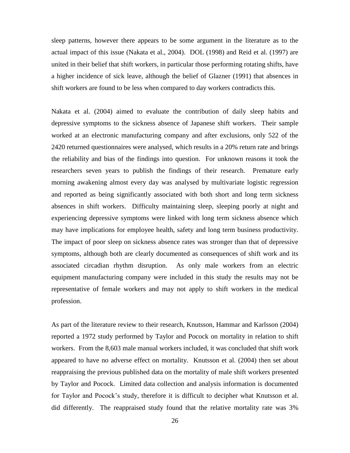sleep patterns, however there appears to be some argument in the literature as to the actual impact of this issue (Nakata et al., 2004). DOL (1998) and Reid et al. (1997) are united in their belief that shift workers, in particular those performing rotating shifts, have a higher incidence of sick leave, although the belief of Glazner (1991) that absences in shift workers are found to be less when compared to day workers contradicts this.

Nakata et al. (2004) aimed to evaluate the contribution of daily sleep habits and depressive symptoms to the sickness absence of Japanese shift workers. Their sample worked at an electronic manufacturing company and after exclusions, only 522 of the 2420 returned questionnaires were analysed, which results in a 20% return rate and brings the reliability and bias of the findings into question. For unknown reasons it took the researchers seven years to publish the findings of their research. Premature early morning awakening almost every day was analysed by multivariate logistic regression and reported as being significantly associated with both short and long term sickness absences in shift workers. Difficulty maintaining sleep, sleeping poorly at night and experiencing depressive symptoms were linked with long term sickness absence which may have implications for employee health, safety and long term business productivity. The impact of poor sleep on sickness absence rates was stronger than that of depressive symptoms, although both are clearly documented as consequences of shift work and its associated circadian rhythm disruption. As only male workers from an electric equipment manufacturing company were included in this study the results may not be representative of female workers and may not apply to shift workers in the medical profession.

As part of the literature review to their research, Knutsson, Hammar and Karlsson (2004) reported a 1972 study performed by Taylor and Pocock on mortality in relation to shift workers. From the 8,603 male manual workers included, it was concluded that shift work appeared to have no adverse effect on mortality. Knutsson et al. (2004) then set about reappraising the previous published data on the mortality of male shift workers presented by Taylor and Pocock. Limited data collection and analysis information is documented for Taylor and Pocock"s study, therefore it is difficult to decipher what Knutsson et al. did differently. The reappraised study found that the relative mortality rate was 3%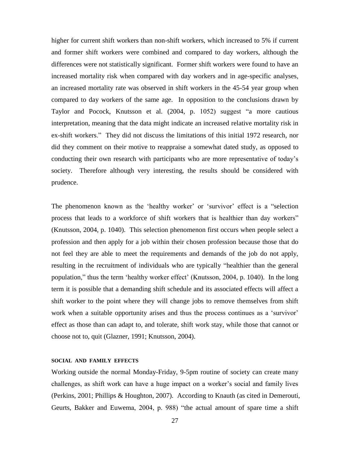higher for current shift workers than non-shift workers, which increased to 5% if current and former shift workers were combined and compared to day workers, although the differences were not statistically significant. Former shift workers were found to have an increased mortality risk when compared with day workers and in age-specific analyses, an increased mortality rate was observed in shift workers in the 45-54 year group when compared to day workers of the same age. In opposition to the conclusions drawn by Taylor and Pocock, Knutsson et al. (2004, p. 1052) suggest "a more cautious interpretation, meaning that the data might indicate an increased relative mortality risk in ex-shift workers." They did not discuss the limitations of this initial 1972 research, nor did they comment on their motive to reappraise a somewhat dated study, as opposed to conducting their own research with participants who are more representative of today"s society. Therefore although very interesting, the results should be considered with prudence.

The phenomenon known as the 'healthy worker' or 'survivor' effect is a "selection process that leads to a workforce of shift workers that is healthier than day workers" (Knutsson, 2004, p. 1040). This selection phenomenon first occurs when people select a profession and then apply for a job within their chosen profession because those that do not feel they are able to meet the requirements and demands of the job do not apply, resulting in the recruitment of individuals who are typically "healthier than the general population," thus the term "healthy worker effect" (Knutsson, 2004, p. 1040). In the long term it is possible that a demanding shift schedule and its associated effects will affect a shift worker to the point where they will change jobs to remove themselves from shift work when a suitable opportunity arises and thus the process continues as a 'survivor' effect as those than can adapt to, and tolerate, shift work stay, while those that cannot or choose not to, quit (Glazner, 1991; Knutsson, 2004).

#### **SOCIAL AND FAMILY EFFECTS**

Working outside the normal Monday-Friday, 9-5pm routine of society can create many challenges, as shift work can have a huge impact on a worker"s social and family lives (Perkins, 2001; Phillips & Houghton, 2007). According to Knauth (as cited in Demerouti, Geurts, Bakker and Euwema, 2004, p. 988) "the actual amount of spare time a shift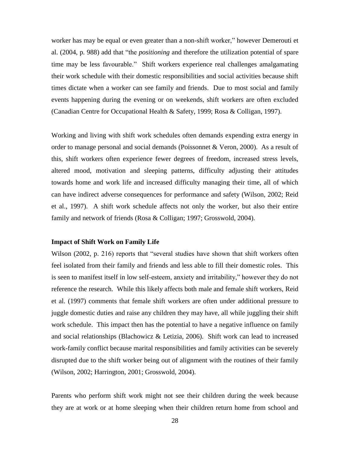worker has may be equal or even greater than a non-shift worker," however Demerouti et al. (2004, p. 988) add that "the *positioning* and therefore the utilization potential of spare time may be less favourable." Shift workers experience real challenges amalgamating their work schedule with their domestic responsibilities and social activities because shift times dictate when a worker can see family and friends. Due to most social and family events happening during the evening or on weekends, shift workers are often excluded (Canadian Centre for Occupational Health & Safety, 1999; Rosa & Colligan, 1997).

Working and living with shift work schedules often demands expending extra energy in order to manage personal and social demands (Poissonnet & Veron, 2000). As a result of this, shift workers often experience fewer degrees of freedom, increased stress levels, altered mood, motivation and sleeping patterns, difficulty adjusting their attitudes towards home and work life and increased difficulty managing their time, all of which can have indirect adverse consequences for performance and safety (Wilson, 2002; Reid et al., 1997). A shift work schedule affects not only the worker, but also their entire family and network of friends (Rosa & Colligan; 1997; Grosswold, 2004).

#### **Impact of Shift Work on Family Life**

Wilson (2002, p. 216) reports that "several studies have shown that shift workers often feel isolated from their family and friends and less able to fill their domestic roles. This is seen to manifest itself in low self-esteem, anxiety and irritability," however they do not reference the research. While this likely affects both male and female shift workers, Reid et al. (1997) comments that female shift workers are often under additional pressure to juggle domestic duties and raise any children they may have, all while juggling their shift work schedule. This impact then has the potential to have a negative influence on family and social relationships (Blachowicz  $\&$  Letizia, 2006). Shift work can lead to increased work-family conflict because marital responsibilities and family activities can be severely disrupted due to the shift worker being out of alignment with the routines of their family (Wilson, 2002; Harrington, 2001; Grosswold, 2004).

Parents who perform shift work might not see their children during the week because they are at work or at home sleeping when their children return home from school and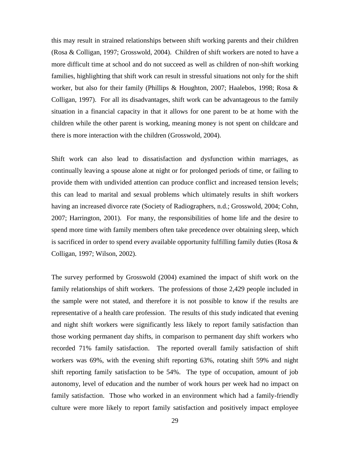this may result in strained relationships between shift working parents and their children (Rosa & Colligan, 1997; Grosswold, 2004). Children of shift workers are noted to have a more difficult time at school and do not succeed as well as children of non-shift working families, highlighting that shift work can result in stressful situations not only for the shift worker, but also for their family (Phillips & Houghton, 2007; Haalebos, 1998; Rosa & Colligan, 1997). For all its disadvantages, shift work can be advantageous to the family situation in a financial capacity in that it allows for one parent to be at home with the children while the other parent is working, meaning money is not spent on childcare and there is more interaction with the children (Grosswold, 2004).

Shift work can also lead to dissatisfaction and dysfunction within marriages, as continually leaving a spouse alone at night or for prolonged periods of time, or failing to provide them with undivided attention can produce conflict and increased tension levels; this can lead to marital and sexual problems which ultimately results in shift workers having an increased divorce rate (Society of Radiographers, n.d.; Grosswold, 2004; Cohn, 2007; Harrington, 2001). For many, the responsibilities of home life and the desire to spend more time with family members often take precedence over obtaining sleep, which is sacrificed in order to spend every available opportunity fulfilling family duties (Rosa & Colligan, 1997; Wilson, 2002).

The survey performed by Grosswold (2004) examined the impact of shift work on the family relationships of shift workers. The professions of those 2,429 people included in the sample were not stated, and therefore it is not possible to know if the results are representative of a health care profession. The results of this study indicated that evening and night shift workers were significantly less likely to report family satisfaction than those working permanent day shifts, in comparison to permanent day shift workers who recorded 71% family satisfaction. The reported overall family satisfaction of shift workers was 69%, with the evening shift reporting 63%, rotating shift 59% and night shift reporting family satisfaction to be 54%. The type of occupation, amount of job autonomy, level of education and the number of work hours per week had no impact on family satisfaction. Those who worked in an environment which had a family-friendly culture were more likely to report family satisfaction and positively impact employee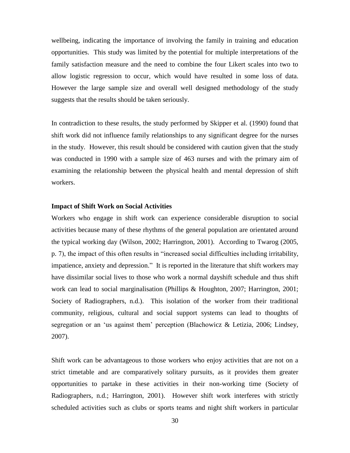wellbeing, indicating the importance of involving the family in training and education opportunities. This study was limited by the potential for multiple interpretations of the family satisfaction measure and the need to combine the four Likert scales into two to allow logistic regression to occur, which would have resulted in some loss of data. However the large sample size and overall well designed methodology of the study suggests that the results should be taken seriously.

In contradiction to these results, the study performed by Skipper et al. (1990) found that shift work did not influence family relationships to any significant degree for the nurses in the study. However, this result should be considered with caution given that the study was conducted in 1990 with a sample size of 463 nurses and with the primary aim of examining the relationship between the physical health and mental depression of shift workers.

#### **Impact of Shift Work on Social Activities**

Workers who engage in shift work can experience considerable disruption to social activities because many of these rhythms of the general population are orientated around the typical working day (Wilson, 2002; Harrington, 2001). According to Twarog (2005, p. 7), the impact of this often results in "increased social difficulties including irritability, impatience, anxiety and depression." It is reported in the literature that shift workers may have dissimilar social lives to those who work a normal dayshift schedule and thus shift work can lead to social marginalisation (Phillips & Houghton, 2007; Harrington, 2001; Society of Radiographers, n.d.). This isolation of the worker from their traditional community, religious, cultural and social support systems can lead to thoughts of segregation or an "us against them" perception (Blachowicz & Letizia, 2006; Lindsey, 2007).

Shift work can be advantageous to those workers who enjoy activities that are not on a strict timetable and are comparatively solitary pursuits, as it provides them greater opportunities to partake in these activities in their non-working time (Society of Radiographers, n.d.; Harrington, 2001). However shift work interferes with strictly scheduled activities such as clubs or sports teams and night shift workers in particular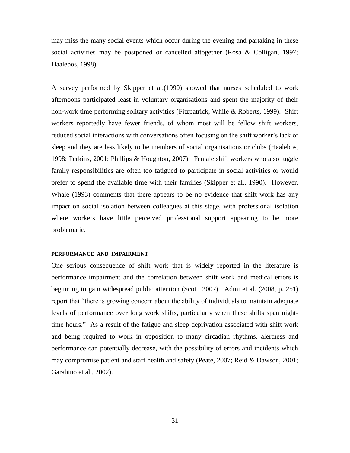may miss the many social events which occur during the evening and partaking in these social activities may be postponed or cancelled altogether (Rosa & Colligan, 1997; Haalebos, 1998).

A survey performed by Skipper et al.(1990) showed that nurses scheduled to work afternoons participated least in voluntary organisations and spent the majority of their non-work time performing solitary activities (Fitzpatrick, While  $\&$  Roberts, 1999). Shift workers reportedly have fewer friends, of whom most will be fellow shift workers, reduced social interactions with conversations often focusing on the shift worker's lack of sleep and they are less likely to be members of social organisations or clubs (Haalebos, 1998; Perkins, 2001; Phillips & Houghton, 2007). Female shift workers who also juggle family responsibilities are often too fatigued to participate in social activities or would prefer to spend the available time with their families (Skipper et al., 1990). However, Whale (1993) comments that there appears to be no evidence that shift work has any impact on social isolation between colleagues at this stage, with professional isolation where workers have little perceived professional support appearing to be more problematic.

#### **PERFORMANCE AND IMPAIRMENT**

One serious consequence of shift work that is widely reported in the literature is performance impairment and the correlation between shift work and medical errors is beginning to gain widespread public attention (Scott, 2007). Admi et al. (2008, p. 251) report that "there is growing concern about the ability of individuals to maintain adequate levels of performance over long work shifts, particularly when these shifts span nighttime hours." As a result of the fatigue and sleep deprivation associated with shift work and being required to work in opposition to many circadian rhythms, alertness and performance can potentially decrease, with the possibility of errors and incidents which may compromise patient and staff health and safety (Peate, 2007; Reid & Dawson, 2001; Garabino et al., 2002).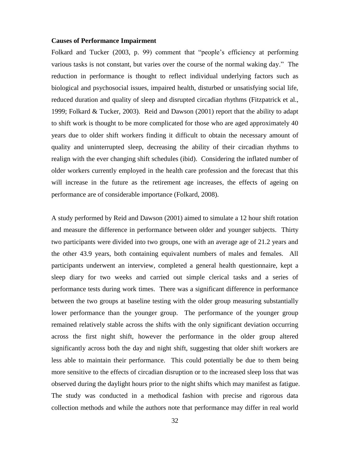### **Causes of Performance Impairment**

Folkard and Tucker (2003, p. 99) comment that "people's efficiency at performing various tasks is not constant, but varies over the course of the normal waking day." The reduction in performance is thought to reflect individual underlying factors such as biological and psychosocial issues, impaired health, disturbed or unsatisfying social life, reduced duration and quality of sleep and disrupted circadian rhythms (Fitzpatrick et al., 1999; Folkard & Tucker, 2003). Reid and Dawson (2001) report that the ability to adapt to shift work is thought to be more complicated for those who are aged approximately 40 years due to older shift workers finding it difficult to obtain the necessary amount of quality and uninterrupted sleep, decreasing the ability of their circadian rhythms to realign with the ever changing shift schedules (ibid). Considering the inflated number of older workers currently employed in the health care profession and the forecast that this will increase in the future as the retirement age increases, the effects of ageing on performance are of considerable importance (Folkard, 2008).

A study performed by Reid and Dawson (2001) aimed to simulate a 12 hour shift rotation and measure the difference in performance between older and younger subjects. Thirty two participants were divided into two groups, one with an average age of 21.2 years and the other 43.9 years, both containing equivalent numbers of males and females. All participants underwent an interview, completed a general health questionnaire, kept a sleep diary for two weeks and carried out simple clerical tasks and a series of performance tests during work times. There was a significant difference in performance between the two groups at baseline testing with the older group measuring substantially lower performance than the younger group. The performance of the younger group remained relatively stable across the shifts with the only significant deviation occurring across the first night shift, however the performance in the older group altered significantly across both the day and night shift, suggesting that older shift workers are less able to maintain their performance. This could potentially be due to them being more sensitive to the effects of circadian disruption or to the increased sleep loss that was observed during the daylight hours prior to the night shifts which may manifest as fatigue. The study was conducted in a methodical fashion with precise and rigorous data collection methods and while the authors note that performance may differ in real world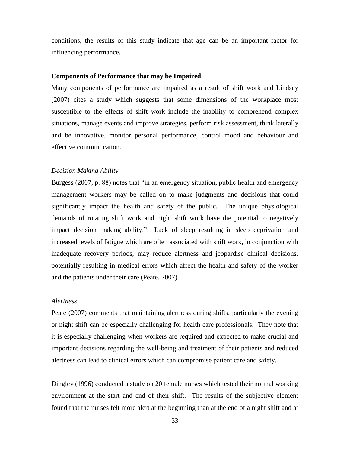conditions, the results of this study indicate that age can be an important factor for influencing performance.

### **Components of Performance that may be Impaired**

Many components of performance are impaired as a result of shift work and Lindsey (2007) cites a study which suggests that some dimensions of the workplace most susceptible to the effects of shift work include the inability to comprehend complex situations, manage events and improve strategies, perform risk assessment, think laterally and be innovative, monitor personal performance, control mood and behaviour and effective communication.

#### *Decision Making Ability*

Burgess (2007, p. 88) notes that "in an emergency situation, public health and emergency management workers may be called on to make judgments and decisions that could significantly impact the health and safety of the public. The unique physiological demands of rotating shift work and night shift work have the potential to negatively impact decision making ability." Lack of sleep resulting in sleep deprivation and increased levels of fatigue which are often associated with shift work, in conjunction with inadequate recovery periods, may reduce alertness and jeopardise clinical decisions, potentially resulting in medical errors which affect the health and safety of the worker and the patients under their care (Peate, 2007).

#### *Alertness*

Peate (2007) comments that maintaining alertness during shifts, particularly the evening or night shift can be especially challenging for health care professionals. They note that it is especially challenging when workers are required and expected to make crucial and important decisions regarding the well-being and treatment of their patients and reduced alertness can lead to clinical errors which can compromise patient care and safety.

Dingley (1996) conducted a study on 20 female nurses which tested their normal working environment at the start and end of their shift. The results of the subjective element found that the nurses felt more alert at the beginning than at the end of a night shift and at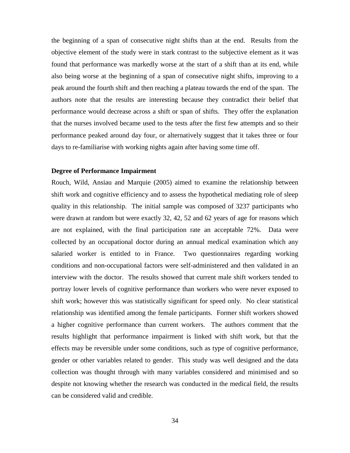the beginning of a span of consecutive night shifts than at the end. Results from the objective element of the study were in stark contrast to the subjective element as it was found that performance was markedly worse at the start of a shift than at its end, while also being worse at the beginning of a span of consecutive night shifts, improving to a peak around the fourth shift and then reaching a plateau towards the end of the span. The authors note that the results are interesting because they contradict their belief that performance would decrease across a shift or span of shifts. They offer the explanation that the nurses involved became used to the tests after the first few attempts and so their performance peaked around day four, or alternatively suggest that it takes three or four days to re-familiarise with working nights again after having some time off.

# **Degree of Performance Impairment**

Rouch, Wild, Ansiau and Marquie (2005) aimed to examine the relationship between shift work and cognitive efficiency and to assess the hypothetical mediating role of sleep quality in this relationship. The initial sample was composed of 3237 participants who were drawn at random but were exactly 32, 42, 52 and 62 years of age for reasons which are not explained, with the final participation rate an acceptable 72%. Data were collected by an occupational doctor during an annual medical examination which any salaried worker is entitled to in France. Two questionnaires regarding working conditions and non-occupational factors were self-administered and then validated in an interview with the doctor. The results showed that current male shift workers tended to portray lower levels of cognitive performance than workers who were never exposed to shift work; however this was statistically significant for speed only. No clear statistical relationship was identified among the female participants. Former shift workers showed a higher cognitive performance than current workers. The authors comment that the results highlight that performance impairment is linked with shift work, but that the effects may be reversible under some conditions, such as type of cognitive performance, gender or other variables related to gender. This study was well designed and the data collection was thought through with many variables considered and minimised and so despite not knowing whether the research was conducted in the medical field, the results can be considered valid and credible.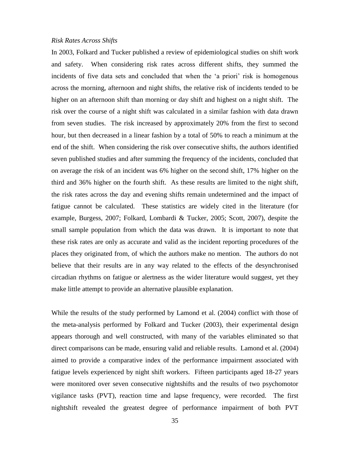# *Risk Rates Across Shifts*

In 2003, Folkard and Tucker published a review of epidemiological studies on shift work and safety. When considering risk rates across different shifts, they summed the incidents of five data sets and concluded that when the 'a priori' risk is homogenous across the morning, afternoon and night shifts, the relative risk of incidents tended to be higher on an afternoon shift than morning or day shift and highest on a night shift. The risk over the course of a night shift was calculated in a similar fashion with data drawn from seven studies. The risk increased by approximately 20% from the first to second hour, but then decreased in a linear fashion by a total of 50% to reach a minimum at the end of the shift. When considering the risk over consecutive shifts, the authors identified seven published studies and after summing the frequency of the incidents, concluded that on average the risk of an incident was 6% higher on the second shift, 17% higher on the third and 36% higher on the fourth shift. As these results are limited to the night shift, the risk rates across the day and evening shifts remain undetermined and the impact of fatigue cannot be calculated. These statistics are widely cited in the literature (for example, Burgess, 2007; Folkard, Lombardi & Tucker, 2005; Scott, 2007), despite the small sample population from which the data was drawn. It is important to note that these risk rates are only as accurate and valid as the incident reporting procedures of the places they originated from, of which the authors make no mention. The authors do not believe that their results are in any way related to the effects of the desynchronised circadian rhythms on fatigue or alertness as the wider literature would suggest, yet they make little attempt to provide an alternative plausible explanation.

While the results of the study performed by Lamond et al. (2004) conflict with those of the meta-analysis performed by Folkard and Tucker (2003), their experimental design appears thorough and well constructed, with many of the variables eliminated so that direct comparisons can be made, ensuring valid and reliable results. Lamond et al. (2004) aimed to provide a comparative index of the performance impairment associated with fatigue levels experienced by night shift workers. Fifteen participants aged 18-27 years were monitored over seven consecutive nightshifts and the results of two psychomotor vigilance tasks (PVT), reaction time and lapse frequency, were recorded. The first nightshift revealed the greatest degree of performance impairment of both PVT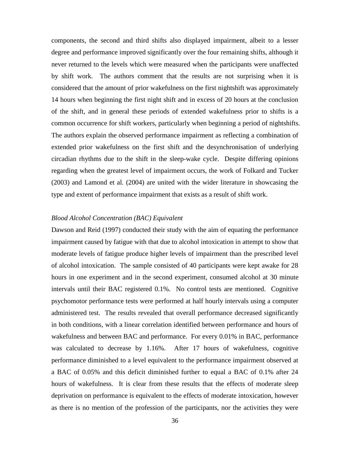components, the second and third shifts also displayed impairment, albeit to a lesser degree and performance improved significantly over the four remaining shifts, although it never returned to the levels which were measured when the participants were unaffected by shift work. The authors comment that the results are not surprising when it is considered that the amount of prior wakefulness on the first nightshift was approximately 14 hours when beginning the first night shift and in excess of 20 hours at the conclusion of the shift, and in general these periods of extended wakefulness prior to shifts is a common occurrence for shift workers, particularly when beginning a period of nightshifts. The authors explain the observed performance impairment as reflecting a combination of extended prior wakefulness on the first shift and the desynchronisation of underlying circadian rhythms due to the shift in the sleep-wake cycle. Despite differing opinions regarding when the greatest level of impairment occurs, the work of Folkard and Tucker (2003) and Lamond et al. (2004) are united with the wider literature in showcasing the type and extent of performance impairment that exists as a result of shift work.

# *Blood Alcohol Concentration (BAC) Equivalent*

Dawson and Reid (1997) conducted their study with the aim of equating the performance impairment caused by fatigue with that due to alcohol intoxication in attempt to show that moderate levels of fatigue produce higher levels of impairment than the prescribed level of alcohol intoxication. The sample consisted of 40 participants were kept awake for 28 hours in one experiment and in the second experiment, consumed alcohol at 30 minute intervals until their BAC registered 0.1%. No control tests are mentioned. Cognitive psychomotor performance tests were performed at half hourly intervals using a computer administered test. The results revealed that overall performance decreased significantly in both conditions, with a linear correlation identified between performance and hours of wakefulness and between BAC and performance. For every 0.01% in BAC, performance was calculated to decrease by 1.16%. After 17 hours of wakefulness, cognitive performance diminished to a level equivalent to the performance impairment observed at a BAC of 0.05% and this deficit diminished further to equal a BAC of 0.1% after 24 hours of wakefulness. It is clear from these results that the effects of moderate sleep deprivation on performance is equivalent to the effects of moderate intoxication, however as there is no mention of the profession of the participants, nor the activities they were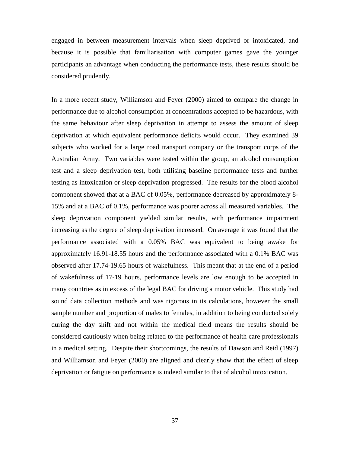engaged in between measurement intervals when sleep deprived or intoxicated, and because it is possible that familiarisation with computer games gave the younger participants an advantage when conducting the performance tests, these results should be considered prudently.

In a more recent study, Williamson and Feyer (2000) aimed to compare the change in performance due to alcohol consumption at concentrations accepted to be hazardous, with the same behaviour after sleep deprivation in attempt to assess the amount of sleep deprivation at which equivalent performance deficits would occur. They examined 39 subjects who worked for a large road transport company or the transport corps of the Australian Army. Two variables were tested within the group, an alcohol consumption test and a sleep deprivation test, both utilising baseline performance tests and further testing as intoxication or sleep deprivation progressed. The results for the blood alcohol component showed that at a BAC of 0.05%, performance decreased by approximately 8- 15% and at a BAC of 0.1%, performance was poorer across all measured variables. The sleep deprivation component yielded similar results, with performance impairment increasing as the degree of sleep deprivation increased. On average it was found that the performance associated with a 0.05% BAC was equivalent to being awake for approximately 16.91-18.55 hours and the performance associated with a 0.1% BAC was observed after 17.74-19.65 hours of wakefulness. This meant that at the end of a period of wakefulness of 17-19 hours, performance levels are low enough to be accepted in many countries as in excess of the legal BAC for driving a motor vehicle. This study had sound data collection methods and was rigorous in its calculations, however the small sample number and proportion of males to females, in addition to being conducted solely during the day shift and not within the medical field means the results should be considered cautiously when being related to the performance of health care professionals in a medical setting. Despite their shortcomings, the results of Dawson and Reid (1997) and Williamson and Feyer (2000) are aligned and clearly show that the effect of sleep deprivation or fatigue on performance is indeed similar to that of alcohol intoxication.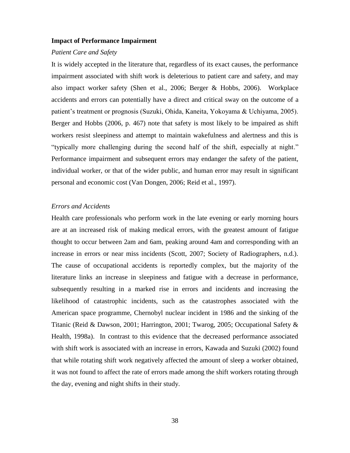### **Impact of Performance Impairment**

#### *Patient Care and Safety*

It is widely accepted in the literature that, regardless of its exact causes, the performance impairment associated with shift work is deleterious to patient care and safety, and may also impact worker safety (Shen et al., 2006; Berger & Hobbs, 2006). Workplace accidents and errors can potentially have a direct and critical sway on the outcome of a patient"s treatment or prognosis (Suzuki, Ohida, Kaneita, Yokoyama & Uchiyama, 2005). Berger and Hobbs (2006, p. 467) note that safety is most likely to be impaired as shift workers resist sleepiness and attempt to maintain wakefulness and alertness and this is "typically more challenging during the second half of the shift, especially at night." Performance impairment and subsequent errors may endanger the safety of the patient, individual worker, or that of the wider public, and human error may result in significant personal and economic cost (Van Dongen, 2006; Reid et al., 1997).

# *Errors and Accidents*

Health care professionals who perform work in the late evening or early morning hours are at an increased risk of making medical errors, with the greatest amount of fatigue thought to occur between 2am and 6am, peaking around 4am and corresponding with an increase in errors or near miss incidents (Scott, 2007; Society of Radiographers, n.d.). The cause of occupational accidents is reportedly complex, but the majority of the literature links an increase in sleepiness and fatigue with a decrease in performance, subsequently resulting in a marked rise in errors and incidents and increasing the likelihood of catastrophic incidents, such as the catastrophes associated with the American space programme, Chernobyl nuclear incident in 1986 and the sinking of the Titanic (Reid & Dawson, 2001; Harrington, 2001; Twarog, 2005; Occupational Safety & Health, 1998a). In contrast to this evidence that the decreased performance associated with shift work is associated with an increase in errors, Kawada and Suzuki (2002) found that while rotating shift work negatively affected the amount of sleep a worker obtained, it was not found to affect the rate of errors made among the shift workers rotating through the day, evening and night shifts in their study.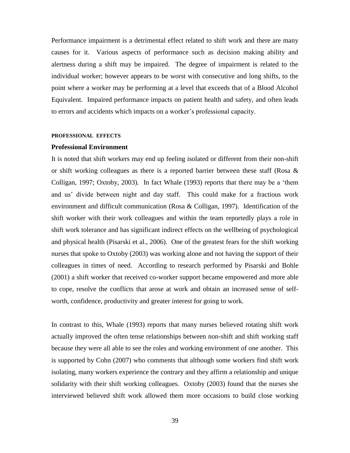Performance impairment is a detrimental effect related to shift work and there are many causes for it. Various aspects of performance such as decision making ability and alertness during a shift may be impaired. The degree of impairment is related to the individual worker; however appears to be worst with consecutive and long shifts, to the point where a worker may be performing at a level that exceeds that of a Blood Alcohol Equivalent. Impaired performance impacts on patient health and safety, and often leads to errors and accidents which impacts on a worker"s professional capacity.

#### **PROFESSIONAL EFFECTS**

#### **Professional Environment**

It is noted that shift workers may end up feeling isolated or different from their non-shift or shift working colleagues as there is a reported barrier between these staff (Rosa & Colligan, 1997; Oxtoby, 2003). In fact Whale (1993) reports that there may be a "them and us" divide between night and day staff. This could make for a fractious work environment and difficult communication (Rosa & Colligan, 1997). Identification of the shift worker with their work colleagues and within the team reportedly plays a role in shift work tolerance and has significant indirect effects on the wellbeing of psychological and physical health (Pisarski et al., 2006). One of the greatest fears for the shift working nurses that spoke to Oxtoby (2003) was working alone and not having the support of their colleagues in times of need. According to research performed by Pisarski and Bohle (2001) a shift worker that received co-worker support became empowered and more able to cope, resolve the conflicts that arose at work and obtain an increased sense of selfworth, confidence, productivity and greater interest for going to work.

In contrast to this, Whale (1993) reports that many nurses believed rotating shift work actually improved the often tense relationships between non-shift and shift working staff because they were all able to see the roles and working environment of one another. This is supported by Cohn (2007) who comments that although some workers find shift work isolating, many workers experience the contrary and they affirm a relationship and unique solidarity with their shift working colleagues. Oxtoby (2003) found that the nurses she interviewed believed shift work allowed them more occasions to build close working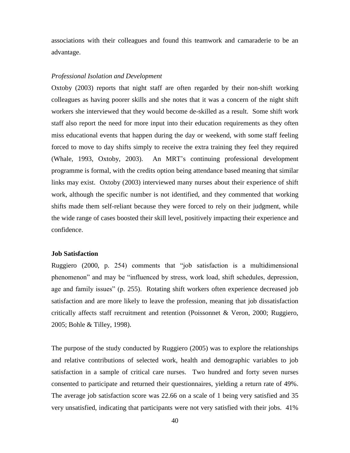associations with their colleagues and found this teamwork and camaraderie to be an advantage.

# *Professional Isolation and Development*

Oxtoby (2003) reports that night staff are often regarded by their non-shift working colleagues as having poorer skills and she notes that it was a concern of the night shift workers she interviewed that they would become de-skilled as a result. Some shift work staff also report the need for more input into their education requirements as they often miss educational events that happen during the day or weekend, with some staff feeling forced to move to day shifts simply to receive the extra training they feel they required (Whale, 1993, Oxtoby, 2003). An MRT"s continuing professional development programme is formal, with the credits option being attendance based meaning that similar links may exist. Oxtoby (2003) interviewed many nurses about their experience of shift work, although the specific number is not identified, and they commented that working shifts made them self-reliant because they were forced to rely on their judgment, while the wide range of cases boosted their skill level, positively impacting their experience and confidence.

### **Job Satisfaction**

Ruggiero (2000, p. 254) comments that "job satisfaction is a multidimensional phenomenon" and may be "influenced by stress, work load, shift schedules, depression, age and family issues" (p. 255). Rotating shift workers often experience decreased job satisfaction and are more likely to leave the profession, meaning that job dissatisfaction critically affects staff recruitment and retention (Poissonnet & Veron, 2000; Ruggiero, 2005; Bohle & Tilley, 1998).

The purpose of the study conducted by Ruggiero (2005) was to explore the relationships and relative contributions of selected work, health and demographic variables to job satisfaction in a sample of critical care nurses. Two hundred and forty seven nurses consented to participate and returned their questionnaires, yielding a return rate of 49%. The average job satisfaction score was 22.66 on a scale of 1 being very satisfied and 35 very unsatisfied, indicating that participants were not very satisfied with their jobs. 41%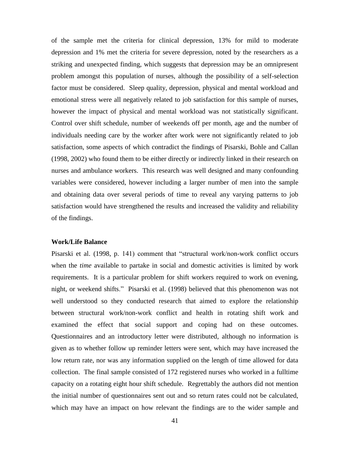of the sample met the criteria for clinical depression, 13% for mild to moderate depression and 1% met the criteria for severe depression, noted by the researchers as a striking and unexpected finding, which suggests that depression may be an omnipresent problem amongst this population of nurses, although the possibility of a self-selection factor must be considered. Sleep quality, depression, physical and mental workload and emotional stress were all negatively related to job satisfaction for this sample of nurses, however the impact of physical and mental workload was not statistically significant. Control over shift schedule, number of weekends off per month, age and the number of individuals needing care by the worker after work were not significantly related to job satisfaction, some aspects of which contradict the findings of Pisarski, Bohle and Callan (1998, 2002) who found them to be either directly or indirectly linked in their research on nurses and ambulance workers. This research was well designed and many confounding variables were considered, however including a larger number of men into the sample and obtaining data over several periods of time to reveal any varying patterns to job satisfaction would have strengthened the results and increased the validity and reliability of the findings.

# **Work/Life Balance**

Pisarski et al. (1998, p. 141) comment that "structural work/non-work conflict occurs when the *time* available to partake in social and domestic activities is limited by work requirements. It is a particular problem for shift workers required to work on evening, night, or weekend shifts." Pisarski et al. (1998) believed that this phenomenon was not well understood so they conducted research that aimed to explore the relationship between structural work/non-work conflict and health in rotating shift work and examined the effect that social support and coping had on these outcomes. Questionnaires and an introductory letter were distributed, although no information is given as to whether follow up reminder letters were sent, which may have increased the low return rate, nor was any information supplied on the length of time allowed for data collection. The final sample consisted of 172 registered nurses who worked in a fulltime capacity on a rotating eight hour shift schedule. Regrettably the authors did not mention the initial number of questionnaires sent out and so return rates could not be calculated, which may have an impact on how relevant the findings are to the wider sample and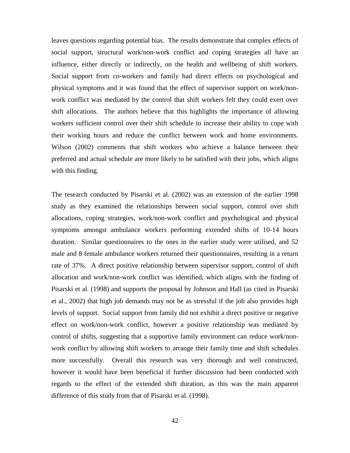leaves questions regarding potential bias. The results demonstrate that complex effects of social support, structural work/non-work conflict and coping strategies all have an influence, either directly or indirectly, on the health and wellbeing of shift workers. Social support from co-workers and family had direct effects on psychological and physical symptoms and it was found that the effect of supervisor support on work/nonwork conflict was mediated by the control that shift workers felt they could exert over shift allocations. The authors believe that this highlights the importance of allowing workers sufficient control over their shift schedule to increase their ability to cope with their working hours and reduce the conflict between work and home environments. Wilson (2002) comments that shift workers who achieve a balance between their preferred and actual schedule are more likely to be satisfied with their jobs, which aligns with this finding.

The research conducted by Pisarski et al. (2002) was an extension of the earlier 1998 study as they examined the relationships between social support, control over shift allocations, coping strategies, work/non-work conflict and psychological and physical symptoms amongst ambulance workers performing extended shifts of 10-14 hours duration. Similar questionnaires to the ones in the earlier study were utilised, and 52 male and 8 female ambulance workers returned their questionnaires, resulting in a return rate of 37%. A direct positive relationship between supervisor support, control of shift allocation and work/non-work conflict was identified, which aligns with the finding of Pisarski et al. (1998) and supports the proposal by Johnson and Hall (as cited in Pisarski et al., 2002) that high job demands may not be as stressful if the job also provides high levels of support. Social support from family did not exhibit a direct positive or negative effect on work/non-work conflict, however a positive relationship was mediated by control of shifts, suggesting that a supportive family environment can reduce work/nonwork conflict by allowing shift workers to arrange their family time and shift schedules more successfully. Overall this research was very thorough and well constructed, however it would have been beneficial if further discussion had been conducted with regards to the effect of the extended shift duration, as this was the main apparent difference of this study from that of Pisarski et al. (1998).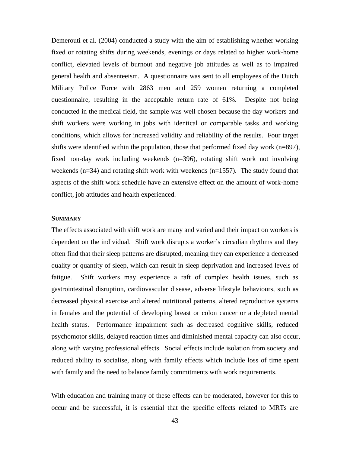Demerouti et al. (2004) conducted a study with the aim of establishing whether working fixed or rotating shifts during weekends, evenings or days related to higher work-home conflict, elevated levels of burnout and negative job attitudes as well as to impaired general health and absenteeism. A questionnaire was sent to all employees of the Dutch Military Police Force with 2863 men and 259 women returning a completed questionnaire, resulting in the acceptable return rate of 61%. Despite not being conducted in the medical field, the sample was well chosen because the day workers and shift workers were working in jobs with identical or comparable tasks and working conditions, which allows for increased validity and reliability of the results. Four target shifts were identified within the population, those that performed fixed day work (n=897), fixed non-day work including weekends (n=396), rotating shift work not involving weekends (n=34) and rotating shift work with weekends (n=1557). The study found that aspects of the shift work schedule have an extensive effect on the amount of work-home conflict, job attitudes and health experienced.

# **SUMMARY**

The effects associated with shift work are many and varied and their impact on workers is dependent on the individual. Shift work disrupts a worker's circadian rhythms and they often find that their sleep patterns are disrupted, meaning they can experience a decreased quality or quantity of sleep, which can result in sleep deprivation and increased levels of fatigue. Shift workers may experience a raft of complex health issues, such as gastrointestinal disruption, cardiovascular disease, adverse lifestyle behaviours, such as decreased physical exercise and altered nutritional patterns, altered reproductive systems in females and the potential of developing breast or colon cancer or a depleted mental health status. Performance impairment such as decreased cognitive skills, reduced psychomotor skills, delayed reaction times and diminished mental capacity can also occur, along with varying professional effects. Social effects include isolation from society and reduced ability to socialise, along with family effects which include loss of time spent with family and the need to balance family commitments with work requirements.

With education and training many of these effects can be moderated, however for this to occur and be successful, it is essential that the specific effects related to MRTs are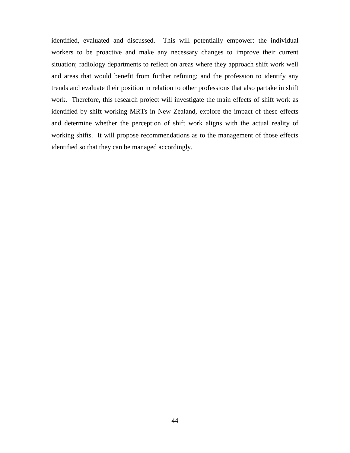identified, evaluated and discussed. This will potentially empower: the individual workers to be proactive and make any necessary changes to improve their current situation; radiology departments to reflect on areas where they approach shift work well and areas that would benefit from further refining; and the profession to identify any trends and evaluate their position in relation to other professions that also partake in shift work. Therefore, this research project will investigate the main effects of shift work as identified by shift working MRTs in New Zealand, explore the impact of these effects and determine whether the perception of shift work aligns with the actual reality of working shifts. It will propose recommendations as to the management of those effects identified so that they can be managed accordingly.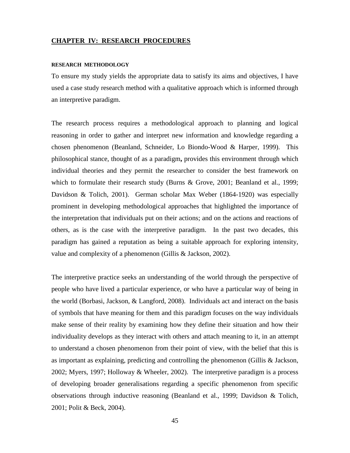## **CHAPTER IV: RESEARCH PROCEDURES**

#### **RESEARCH METHODOLOGY**

To ensure my study yields the appropriate data to satisfy its aims and objectives, I have used a case study research method with a qualitative approach which is informed through an interpretive paradigm.

The research process requires a methodological approach to planning and logical reasoning in order to gather and interpret new information and knowledge regarding a chosen phenomenon (Beanland, Schneider, Lo Biondo-Wood & Harper, 1999). This philosophical stance, thought of as a paradigm**,** provides this environment through which individual theories and they permit the researcher to consider the best framework on which to formulate their research study (Burns & Grove, 2001; Beanland et al., 1999; Davidson & Tolich, 2001). German scholar Max Weber (1864-1920) was especially prominent in developing methodological approaches that highlighted the importance of the interpretation that individuals put on their actions; and on the actions and reactions of others, as is the case with the interpretive paradigm. In the past two decades, this paradigm has gained a reputation as being a suitable approach for exploring intensity, value and complexity of a phenomenon (Gillis & Jackson, 2002).

The interpretive practice seeks an understanding of the world through the perspective of people who have lived a particular experience, or who have a particular way of being in the world (Borbasi, Jackson, & Langford, 2008). Individuals act and interact on the basis of symbols that have meaning for them and this paradigm focuses on the way individuals make sense of their reality by examining how they define their situation and how their individuality develops as they interact with others and attach meaning to it, in an attempt to understand a chosen phenomenon from their point of view, with the belief that this is as important as explaining, predicting and controlling the phenomenon (Gillis & Jackson, 2002; Myers, 1997; Holloway & Wheeler, 2002). The interpretive paradigm is a process of developing broader generalisations regarding a specific phenomenon from specific observations through inductive reasoning (Beanland et al., 1999; Davidson & Tolich, 2001; Polit & Beck, 2004).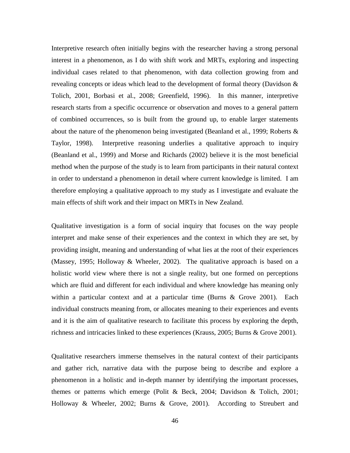Interpretive research often initially begins with the researcher having a strong personal interest in a phenomenon, as I do with shift work and MRTs, exploring and inspecting individual cases related to that phenomenon, with data collection growing from and revealing concepts or ideas which lead to the development of formal theory (Davidson & Tolich, 2001, Borbasi et al., 2008; Greenfield, 1996). In this manner, interpretive research starts from a specific occurrence or observation and moves to a general pattern of combined occurrences, so is built from the ground up, to enable larger statements about the nature of the phenomenon being investigated (Beanland et al., 1999; Roberts  $\&$ Taylor, 1998). Interpretive reasoning underlies a qualitative approach to inquiry (Beanland et al., 1999) and Morse and Richards (2002) believe it is the most beneficial method when the purpose of the study is to learn from participants in their natural context in order to understand a phenomenon in detail where current knowledge is limited. I am therefore employing a qualitative approach to my study as I investigate and evaluate the main effects of shift work and their impact on MRTs in New Zealand.

Qualitative investigation is a form of social inquiry that focuses on the way people interpret and make sense of their experiences and the context in which they are set, by providing insight, meaning and understanding of what lies at the root of their experiences (Massey, 1995; Holloway & Wheeler, 2002). The qualitative approach is based on a holistic world view where there is not a single reality, but one formed on perceptions which are fluid and different for each individual and where knowledge has meaning only within a particular context and at a particular time (Burns & Grove 2001). Each individual constructs meaning from, or allocates meaning to their experiences and events and it is the aim of qualitative research to facilitate this process by exploring the depth, richness and intricacies linked to these experiences (Krauss, 2005; Burns & Grove 2001).

Qualitative researchers immerse themselves in the natural context of their participants and gather rich, narrative data with the purpose being to describe and explore a phenomenon in a holistic and in-depth manner by identifying the important processes, themes or patterns which emerge (Polit & Beck, 2004; Davidson & Tolich, 2001; Holloway & Wheeler, 2002; Burns & Grove, 2001). According to Streubert and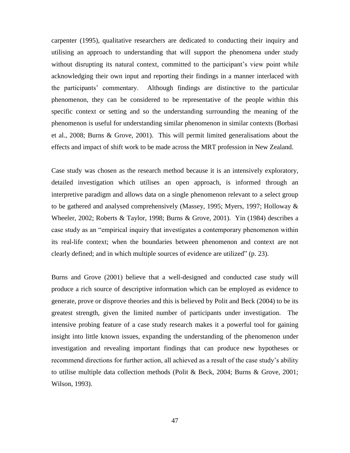carpenter (1995), qualitative researchers are dedicated to conducting their inquiry and utilising an approach to understanding that will support the phenomena under study without disrupting its natural context, committed to the participant's view point while acknowledging their own input and reporting their findings in a manner interlaced with the participants" commentary. Although findings are distinctive to the particular phenomenon, they can be considered to be representative of the people within this specific context or setting and so the understanding surrounding the meaning of the phenomenon is useful for understanding similar phenomenon in similar contexts (Borbasi et al., 2008; Burns & Grove, 2001). This will permit limited generalisations about the effects and impact of shift work to be made across the MRT profession in New Zealand.

Case study was chosen as the research method because it is an intensively exploratory, detailed investigation which utilises an open approach, is informed through an interpretive paradigm and allows data on a single phenomenon relevant to a select group to be gathered and analysed comprehensively (Massey, 1995; Myers, 1997; Holloway & Wheeler, 2002; Roberts & Taylor, 1998; Burns & Grove, 2001). Yin (1984) describes a case study as an "empirical inquiry that investigates a contemporary phenomenon within its real-life context; when the boundaries between phenomenon and context are not clearly defined; and in which multiple sources of evidence are utilized" (p. 23).

Burns and Grove (2001) believe that a well-designed and conducted case study will produce a rich source of descriptive information which can be employed as evidence to generate, prove or disprove theories and this is believed by Polit and Beck (2004) to be its greatest strength, given the limited number of participants under investigation. The intensive probing feature of a case study research makes it a powerful tool for gaining insight into little known issues, expanding the understanding of the phenomenon under investigation and revealing important findings that can produce new hypotheses or recommend directions for further action, all achieved as a result of the case study"s ability to utilise multiple data collection methods (Polit & Beck, 2004; Burns & Grove, 2001; Wilson, 1993).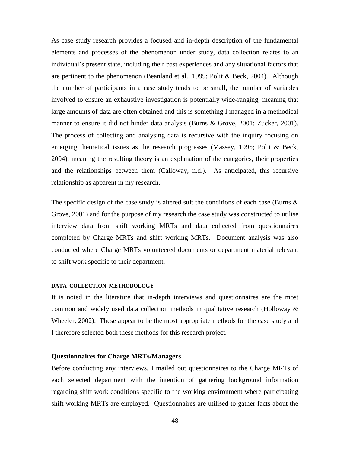As case study research provides a focused and in-depth description of the fundamental elements and processes of the phenomenon under study, data collection relates to an individual"s present state, including their past experiences and any situational factors that are pertinent to the phenomenon (Beanland et al., 1999; Polit & Beck, 2004). Although the number of participants in a case study tends to be small, the number of variables involved to ensure an exhaustive investigation is potentially wide-ranging, meaning that large amounts of data are often obtained and this is something I managed in a methodical manner to ensure it did not hinder data analysis (Burns & Grove, 2001; Zucker, 2001). The process of collecting and analysing data is recursive with the inquiry focusing on emerging theoretical issues as the research progresses (Massey, 1995; Polit & Beck, 2004), meaning the resulting theory is an explanation of the categories, their properties and the relationships between them (Calloway, n.d.). As anticipated, this recursive relationship as apparent in my research.

The specific design of the case study is altered suit the conditions of each case (Burns  $\&$ Grove, 2001) and for the purpose of my research the case study was constructed to utilise interview data from shift working MRTs and data collected from questionnaires completed by Charge MRTs and shift working MRTs. Document analysis was also conducted where Charge MRTs volunteered documents or department material relevant to shift work specific to their department.

#### **DATA COLLECTION METHODOLOGY**

It is noted in the literature that in-depth interviews and questionnaires are the most common and widely used data collection methods in qualitative research (Holloway & Wheeler, 2002). These appear to be the most appropriate methods for the case study and I therefore selected both these methods for this research project.

# **Questionnaires for Charge MRTs/Managers**

Before conducting any interviews, I mailed out questionnaires to the Charge MRTs of each selected department with the intention of gathering background information regarding shift work conditions specific to the working environment where participating shift working MRTs are employed. Questionnaires are utilised to gather facts about the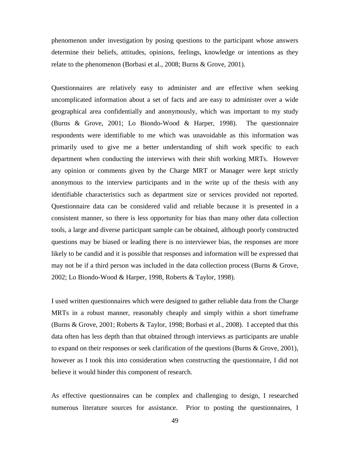phenomenon under investigation by posing questions to the participant whose answers determine their beliefs, attitudes, opinions, feelings, knowledge or intentions as they relate to the phenomenon (Borbasi et al., 2008; Burns & Grove, 2001).

Questionnaires are relatively easy to administer and are effective when seeking uncomplicated information about a set of facts and are easy to administer over a wide geographical area confidentially and anonymously, which was important to my study (Burns & Grove, 2001; Lo Biondo-Wood & Harper, 1998). The questionnaire respondents were identifiable to me which was unavoidable as this information was primarily used to give me a better understanding of shift work specific to each department when conducting the interviews with their shift working MRTs. However any opinion or comments given by the Charge MRT or Manager were kept strictly anonymous to the interview participants and in the write up of the thesis with any identifiable characteristics such as department size or services provided not reported. Questionnaire data can be considered valid and reliable because it is presented in a consistent manner, so there is less opportunity for bias than many other data collection tools, a large and diverse participant sample can be obtained, although poorly constructed questions may be biased or leading there is no interviewer bias, the responses are more likely to be candid and it is possible that responses and information will be expressed that may not be if a third person was included in the data collection process (Burns & Grove, 2002; Lo Biondo-Wood & Harper, 1998, Roberts & Taylor, 1998).

I used written questionnaires which were designed to gather reliable data from the Charge MRTs in a robust manner, reasonably cheaply and simply within a short timeframe (Burns & Grove, 2001; Roberts & Taylor, 1998; Borbasi et al., 2008). I accepted that this data often has less depth than that obtained through interviews as participants are unable to expand on their responses or seek clarification of the questions (Burns & Grove, 2001), however as I took this into consideration when constructing the questionnaire, I did not believe it would hinder this component of research.

As effective questionnaires can be complex and challenging to design, I researched numerous literature sources for assistance. Prior to posting the questionnaires, I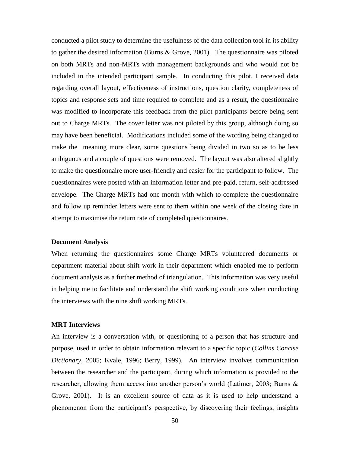conducted a pilot study to determine the usefulness of the data collection tool in its ability to gather the desired information (Burns & Grove, 2001). The questionnaire was piloted on both MRTs and non-MRTs with management backgrounds and who would not be included in the intended participant sample. In conducting this pilot, I received data regarding overall layout, effectiveness of instructions, question clarity, completeness of topics and response sets and time required to complete and as a result, the questionnaire was modified to incorporate this feedback from the pilot participants before being sent out to Charge MRTs. The cover letter was not piloted by this group, although doing so may have been beneficial. Modifications included some of the wording being changed to make the meaning more clear, some questions being divided in two so as to be less ambiguous and a couple of questions were removed. The layout was also altered slightly to make the questionnaire more user-friendly and easier for the participant to follow. The questionnaires were posted with an information letter and pre-paid, return, self-addressed envelope. The Charge MRTs had one month with which to complete the questionnaire and follow up reminder letters were sent to them within one week of the closing date in attempt to maximise the return rate of completed questionnaires.

# **Document Analysis**

When returning the questionnaires some Charge MRTs volunteered documents or department material about shift work in their department which enabled me to perform document analysis as a further method of triangulation. This information was very useful in helping me to facilitate and understand the shift working conditions when conducting the interviews with the nine shift working MRTs.

## **MRT Interviews**

An interview is a conversation with, or questioning of a person that has structure and purpose, used in order to obtain information relevant to a specific topic (*Collins Concise Dictionary*, 2005; Kvale, 1996; Berry, 1999). An interview involves communication between the researcher and the participant, during which information is provided to the researcher, allowing them access into another person's world (Latimer, 2003; Burns & Grove, 2001). It is an excellent source of data as it is used to help understand a phenomenon from the participant"s perspective, by discovering their feelings, insights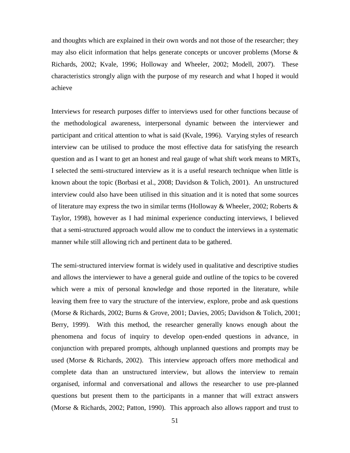and thoughts which are explained in their own words and not those of the researcher; they may also elicit information that helps generate concepts or uncover problems (Morse  $\&$ Richards, 2002; Kvale, 1996; Holloway and Wheeler, 2002; Modell, 2007). These characteristics strongly align with the purpose of my research and what I hoped it would achieve

Interviews for research purposes differ to interviews used for other functions because of the methodological awareness, interpersonal dynamic between the interviewer and participant and critical attention to what is said (Kvale, 1996). Varying styles of research interview can be utilised to produce the most effective data for satisfying the research question and as I want to get an honest and real gauge of what shift work means to MRTs, I selected the semi-structured interview as it is a useful research technique when little is known about the topic (Borbasi et al., 2008; Davidson & Tolich, 2001). An unstructured interview could also have been utilised in this situation and it is noted that some sources of literature may express the two in similar terms (Holloway & Wheeler, 2002; Roberts & Taylor, 1998), however as I had minimal experience conducting interviews, I believed that a semi-structured approach would allow me to conduct the interviews in a systematic manner while still allowing rich and pertinent data to be gathered.

The semi-structured interview format is widely used in qualitative and descriptive studies and allows the interviewer to have a general guide and outline of the topics to be covered which were a mix of personal knowledge and those reported in the literature, while leaving them free to vary the structure of the interview, explore, probe and ask questions (Morse & Richards, 2002; Burns & Grove, 2001; Davies, 2005; Davidson & Tolich, 2001; Berry, 1999). With this method, the researcher generally knows enough about the phenomena and focus of inquiry to develop open-ended questions in advance, in conjunction with prepared prompts, although unplanned questions and prompts may be used (Morse & Richards, 2002). This interview approach offers more methodical and complete data than an unstructured interview, but allows the interview to remain organised, informal and conversational and allows the researcher to use pre-planned questions but present them to the participants in a manner that will extract answers (Morse & Richards, 2002; Patton, 1990). This approach also allows rapport and trust to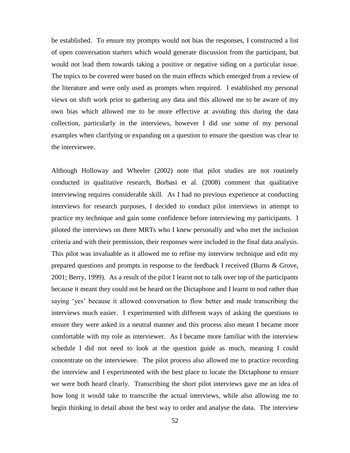be established. To ensure my prompts would not bias the responses, I constructed a list of open conversation starters which would generate discussion from the participant, but would not lead them towards taking a positive or negative siding on a particular issue. The topics to be covered were based on the main effects which emerged from a review of the literature and were only used as prompts when required. I established my personal views on shift work prior to gathering any data and this allowed me to be aware of my own bias which allowed me to be more effective at avoiding this during the data collection, particularly in the interviews, however I did use some of my personal examples when clarifying or expanding on a question to ensure the question was clear to the interviewee.

Although Holloway and Wheeler (2002) note that pilot studies are not routinely conducted in qualitative research, Borbasi et al. (2008) comment that qualitative interviewing requires considerable skill. As I had no previous experience at conducting interviews for research purposes, I decided to conduct pilot interviews in attempt to practice my technique and gain some confidence before interviewing my participants. I piloted the interviews on three MRTs who I knew personally and who met the inclusion criteria and with their permission, their responses were included in the final data analysis. This pilot was invaluable as it allowed me to refine my interview technique and edit my prepared questions and prompts in response to the feedback I received (Burns & Grove, 2001; Berry, 1999). As a result of the pilot I learnt not to talk over top of the participants because it meant they could not be heard on the Dictaphone and I learnt to nod rather than saying 'yes' because it allowed conversation to flow better and made transcribing the interviews much easier. I experimented with different ways of asking the questions to ensure they were asked in a neutral manner and this process also meant I became more comfortable with my role as interviewer. As I became more familiar with the interview schedule I did not need to look at the question guide as much, meaning I could concentrate on the interviewee. The pilot process also allowed me to practice recording the interview and I experimented with the best place to locate the Dictaphone to ensure we were both heard clearly. Transcribing the short pilot interviews gave me an idea of how long it would take to transcribe the actual interviews, while also allowing me to begin thinking in detail about the best way to order and analyse the data. The interview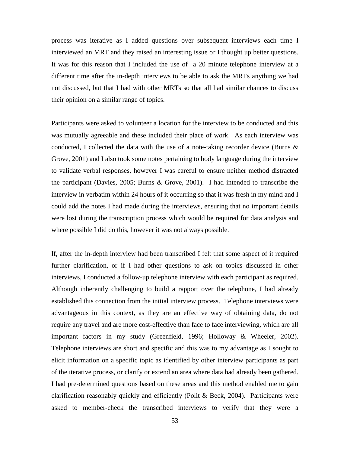process was iterative as I added questions over subsequent interviews each time I interviewed an MRT and they raised an interesting issue or I thought up better questions. It was for this reason that I included the use of a 20 minute telephone interview at a different time after the in-depth interviews to be able to ask the MRTs anything we had not discussed, but that I had with other MRTs so that all had similar chances to discuss their opinion on a similar range of topics.

Participants were asked to volunteer a location for the interview to be conducted and this was mutually agreeable and these included their place of work. As each interview was conducted, I collected the data with the use of a note-taking recorder device (Burns  $\&$ Grove, 2001) and I also took some notes pertaining to body language during the interview to validate verbal responses, however I was careful to ensure neither method distracted the participant (Davies, 2005; Burns & Grove, 2001). I had intended to transcribe the interview in verbatim within 24 hours of it occurring so that it was fresh in my mind and I could add the notes I had made during the interviews, ensuring that no important details were lost during the transcription process which would be required for data analysis and where possible I did do this, however it was not always possible.

If, after the in-depth interview had been transcribed I felt that some aspect of it required further clarification, or if I had other questions to ask on topics discussed in other interviews, I conducted a follow-up telephone interview with each participant as required. Although inherently challenging to build a rapport over the telephone, I had already established this connection from the initial interview process. Telephone interviews were advantageous in this context, as they are an effective way of obtaining data, do not require any travel and are more cost-effective than face to face interviewing, which are all important factors in my study (Greenfield, 1996; Holloway & Wheeler, 2002). Telephone interviews are short and specific and this was to my advantage as I sought to elicit information on a specific topic as identified by other interview participants as part of the iterative process, or clarify or extend an area where data had already been gathered. I had pre-determined questions based on these areas and this method enabled me to gain clarification reasonably quickly and efficiently (Polit & Beck, 2004). Participants were asked to member-check the transcribed interviews to verify that they were a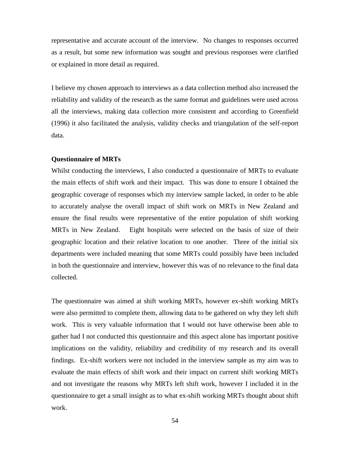representative and accurate account of the interview. No changes to responses occurred as a result, but some new information was sought and previous responses were clarified or explained in more detail as required.

I believe my chosen approach to interviews as a data collection method also increased the reliability and validity of the research as the same format and guidelines were used across all the interviews, making data collection more consistent and according to Greenfield (1996) it also facilitated the analysis, validity checks and triangulation of the self-report data.

## **Questionnaire of MRTs**

Whilst conducting the interviews, I also conducted a questionnaire of MRTs to evaluate the main effects of shift work and their impact. This was done to ensure I obtained the geographic coverage of responses which my interview sample lacked, in order to be able to accurately analyse the overall impact of shift work on MRTs in New Zealand and ensure the final results were representative of the entire population of shift working MRTs in New Zealand. Eight hospitals were selected on the basis of size of their geographic location and their relative location to one another. Three of the initial six departments were included meaning that some MRTs could possibly have been included in both the questionnaire and interview, however this was of no relevance to the final data collected.

The questionnaire was aimed at shift working MRTs, however ex-shift working MRTs were also permitted to complete them, allowing data to be gathered on why they left shift work. This is very valuable information that I would not have otherwise been able to gather had I not conducted this questionnaire and this aspect alone has important positive implications on the validity, reliability and credibility of my research and its overall findings. Ex-shift workers were not included in the interview sample as my aim was to evaluate the main effects of shift work and their impact on current shift working MRTs and not investigate the reasons why MRTs left shift work, however I included it in the questionnaire to get a small insight as to what ex-shift working MRTs thought about shift work.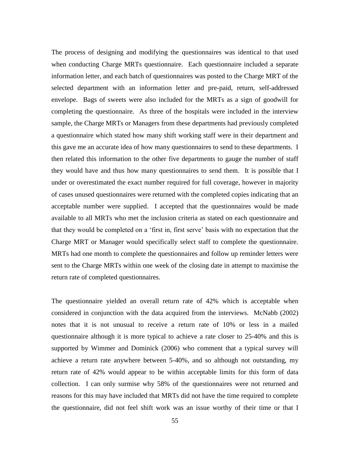The process of designing and modifying the questionnaires was identical to that used when conducting Charge MRTs questionnaire. Each questionnaire included a separate information letter, and each batch of questionnaires was posted to the Charge MRT of the selected department with an information letter and pre-paid, return, self-addressed envelope. Bags of sweets were also included for the MRTs as a sign of goodwill for completing the questionnaire. As three of the hospitals were included in the interview sample, the Charge MRTs or Managers from these departments had previously completed a questionnaire which stated how many shift working staff were in their department and this gave me an accurate idea of how many questionnaires to send to these departments. I then related this information to the other five departments to gauge the number of staff they would have and thus how many questionnaires to send them. It is possible that I under or overestimated the exact number required for full coverage, however in majority of cases unused questionnaires were returned with the completed copies indicating that an acceptable number were supplied. I accepted that the questionnaires would be made available to all MRTs who met the inclusion criteria as stated on each questionnaire and that they would be completed on a "first in, first serve" basis with no expectation that the Charge MRT or Manager would specifically select staff to complete the questionnaire. MRTs had one month to complete the questionnaires and follow up reminder letters were sent to the Charge MRTs within one week of the closing date in attempt to maximise the return rate of completed questionnaires.

The questionnaire yielded an overall return rate of 42% which is acceptable when considered in conjunction with the data acquired from the interviews. McNabb (2002) notes that it is not unusual to receive a return rate of 10% or less in a mailed questionnaire although it is more typical to achieve a rate closer to 25-40% and this is supported by Wimmer and Dominick (2006) who comment that a typical survey will achieve a return rate anywhere between 5-40%, and so although not outstanding, my return rate of 42% would appear to be within acceptable limits for this form of data collection. I can only surmise why 58% of the questionnaires were not returned and reasons for this may have included that MRTs did not have the time required to complete the questionnaire, did not feel shift work was an issue worthy of their time or that I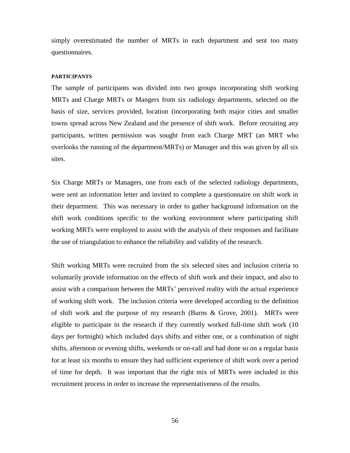simply overestimated the number of MRTs in each department and sent too many questionnaires.

#### **PARTICIPANTS**

The sample of participants was divided into two groups incorporating shift working MRTs and Charge MRTs or Mangers from six radiology departments, selected on the basis of size, services provided, location (incorporating both major cities and smaller towns spread across New Zealand and the presence of shift work. Before recruiting any participants, written permission was sought from each Charge MRT (an MRT who overlooks the running of the department/MRTs) or Manager and this was given by all six sites.

Six Charge MRTs or Managers, one from each of the selected radiology departments, were sent an information letter and invited to complete a questionnaire on shift work in their department. This was necessary in order to gather background information on the shift work conditions specific to the working environment where participating shift working MRTs were employed to assist with the analysis of their responses and facilitate the use of triangulation to enhance the reliability and validity of the research.

Shift working MRTs were recruited from the six selected sites and inclusion criteria to voluntarily provide information on the effects of shift work and their impact, and also to assist with a comparison between the MRTs' perceived reality with the actual experience of working shift work. The inclusion criteria were developed according to the definition of shift work and the purpose of my research (Burns & Grove, 2001). MRTs were eligible to participate in the research if they currently worked full-time shift work (10 days per fortnight) which included days shifts and either one, or a combination of night shifts, afternoon or evening shifts, weekends or on-call and had done so on a regular basis for at least six months to ensure they had sufficient experience of shift work over a period of time for depth. It was important that the right mix of MRTs were included in this recruitment process in order to increase the representativeness of the results.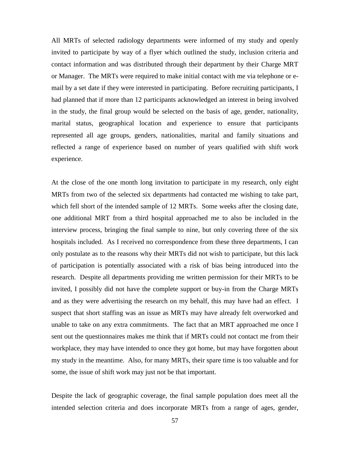All MRTs of selected radiology departments were informed of my study and openly invited to participate by way of a flyer which outlined the study, inclusion criteria and contact information and was distributed through their department by their Charge MRT or Manager. The MRTs were required to make initial contact with me via telephone or email by a set date if they were interested in participating. Before recruiting participants, I had planned that if more than 12 participants acknowledged an interest in being involved in the study, the final group would be selected on the basis of age, gender, nationality, marital status, geographical location and experience to ensure that participants represented all age groups, genders, nationalities, marital and family situations and reflected a range of experience based on number of years qualified with shift work experience.

At the close of the one month long invitation to participate in my research, only eight MRTs from two of the selected six departments had contacted me wishing to take part, which fell short of the intended sample of 12 MRTs. Some weeks after the closing date, one additional MRT from a third hospital approached me to also be included in the interview process, bringing the final sample to nine, but only covering three of the six hospitals included. As I received no correspondence from these three departments, I can only postulate as to the reasons why their MRTs did not wish to participate, but this lack of participation is potentially associated with a risk of bias being introduced into the research. Despite all departments providing me written permission for their MRTs to be invited, I possibly did not have the complete support or buy-in from the Charge MRTs and as they were advertising the research on my behalf, this may have had an effect. I suspect that short staffing was an issue as MRTs may have already felt overworked and unable to take on any extra commitments. The fact that an MRT approached me once I sent out the questionnaires makes me think that if MRTs could not contact me from their workplace, they may have intended to once they got home, but may have forgotten about my study in the meantime. Also, for many MRTs, their spare time is too valuable and for some, the issue of shift work may just not be that important.

Despite the lack of geographic coverage, the final sample population does meet all the intended selection criteria and does incorporate MRTs from a range of ages, gender,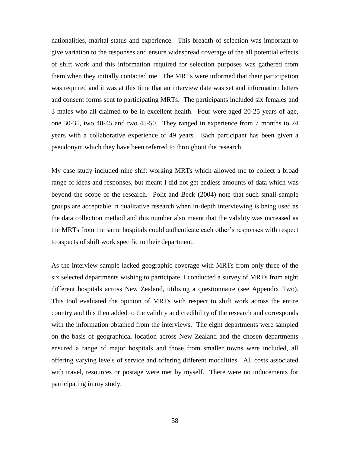nationalities, marital status and experience. This breadth of selection was important to give variation to the responses and ensure widespread coverage of the all potential effects of shift work and this information required for selection purposes was gathered from them when they initially contacted me. The MRTs were informed that their participation was required and it was at this time that an interview date was set and information letters and consent forms sent to participating MRTs. The participants included six females and 3 males who all claimed to be in excellent health. Four were aged 20-25 years of age, one 30-35, two 40-45 and two 45-50. They ranged in experience from 7 months to 24 years with a collaborative experience of 49 years. Each participant has been given a pseudonym which they have been referred to throughout the research.

My case study included nine shift working MRTs which allowed me to collect a broad range of ideas and responses, but meant I did not get endless amounts of data which was beyond the scope of the research. Polit and Beck (2004) note that such small sample groups are acceptable in qualitative research when in-depth interviewing is being used as the data collection method and this number also meant that the validity was increased as the MRTs from the same hospitals could authenticate each other"s responses with respect to aspects of shift work specific to their department.

As the interview sample lacked geographic coverage with MRTs from only three of the six selected departments wishing to participate, I conducted a survey of MRTs from eight different hospitals across New Zealand, utilising a questionnaire (see Appendix Two). This tool evaluated the opinion of MRTs with respect to shift work across the entire country and this then added to the validity and credibility of the research and corresponds with the information obtained from the interviews. The eight departments were sampled on the basis of geographical location across New Zealand and the chosen departments ensured a range of major hospitals and those from smaller towns were included, all offering varying levels of service and offering different modalities. All costs associated with travel, resources or postage were met by myself. There were no inducements for participating in my study.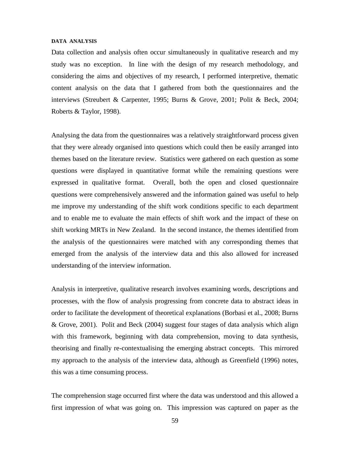#### **DATA ANALYSIS**

Data collection and analysis often occur simultaneously in qualitative research and my study was no exception. In line with the design of my research methodology, and considering the aims and objectives of my research, I performed interpretive, thematic content analysis on the data that I gathered from both the questionnaires and the interviews (Streubert & Carpenter, 1995; Burns & Grove, 2001; Polit & Beck, 2004; Roberts & Taylor, 1998).

Analysing the data from the questionnaires was a relatively straightforward process given that they were already organised into questions which could then be easily arranged into themes based on the literature review. Statistics were gathered on each question as some questions were displayed in quantitative format while the remaining questions were expressed in qualitative format. Overall, both the open and closed questionnaire questions were comprehensively answered and the information gained was useful to help me improve my understanding of the shift work conditions specific to each department and to enable me to evaluate the main effects of shift work and the impact of these on shift working MRTs in New Zealand. In the second instance, the themes identified from the analysis of the questionnaires were matched with any corresponding themes that emerged from the analysis of the interview data and this also allowed for increased understanding of the interview information.

Analysis in interpretive, qualitative research involves examining words, descriptions and processes, with the flow of analysis progressing from concrete data to abstract ideas in order to facilitate the development of theoretical explanations (Borbasi et al., 2008; Burns & Grove, 2001). Polit and Beck (2004) suggest four stages of data analysis which align with this framework, beginning with data comprehension, moving to data synthesis, theorising and finally re-contextualising the emerging abstract concepts. This mirrored my approach to the analysis of the interview data, although as Greenfield (1996) notes, this was a time consuming process.

The comprehension stage occurred first where the data was understood and this allowed a first impression of what was going on. This impression was captured on paper as the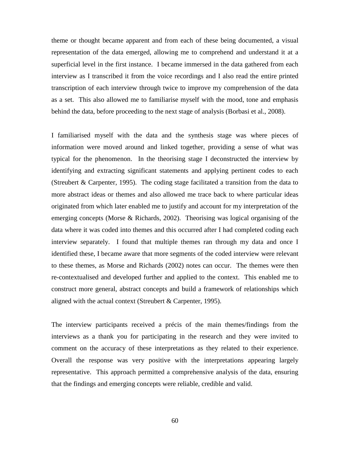theme or thought became apparent and from each of these being documented, a visual representation of the data emerged, allowing me to comprehend and understand it at a superficial level in the first instance. I became immersed in the data gathered from each interview as I transcribed it from the voice recordings and I also read the entire printed transcription of each interview through twice to improve my comprehension of the data as a set. This also allowed me to familiarise myself with the mood, tone and emphasis behind the data, before proceeding to the next stage of analysis (Borbasi et al., 2008).

I familiarised myself with the data and the synthesis stage was where pieces of information were moved around and linked together, providing a sense of what was typical for the phenomenon. In the theorising stage I deconstructed the interview by identifying and extracting significant statements and applying pertinent codes to each (Streubert & Carpenter, 1995). The coding stage facilitated a transition from the data to more abstract ideas or themes and also allowed me trace back to where particular ideas originated from which later enabled me to justify and account for my interpretation of the emerging concepts (Morse & Richards, 2002). Theorising was logical organising of the data where it was coded into themes and this occurred after I had completed coding each interview separately. I found that multiple themes ran through my data and once I identified these, I became aware that more segments of the coded interview were relevant to these themes, as Morse and Richards (2002) notes can occur. The themes were then re-contextualised and developed further and applied to the context. This enabled me to construct more general, abstract concepts and build a framework of relationships which aligned with the actual context (Streubert & Carpenter, 1995).

The interview participants received a précis of the main themes/findings from the interviews as a thank you for participating in the research and they were invited to comment on the accuracy of these interpretations as they related to their experience. Overall the response was very positive with the interpretations appearing largely representative. This approach permitted a comprehensive analysis of the data, ensuring that the findings and emerging concepts were reliable, credible and valid.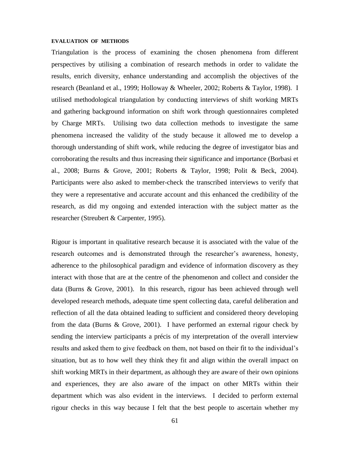#### **EVALUATION OF METHODS**

Triangulation is the process of examining the chosen phenomena from different perspectives by utilising a combination of research methods in order to validate the results, enrich diversity, enhance understanding and accomplish the objectives of the research (Beanland et al., 1999; Holloway & Wheeler, 2002; Roberts & Taylor, 1998). I utilised methodological triangulation by conducting interviews of shift working MRTs and gathering background information on shift work through questionnaires completed by Charge MRTs. Utilising two data collection methods to investigate the same phenomena increased the validity of the study because it allowed me to develop a thorough understanding of shift work, while reducing the degree of investigator bias and corroborating the results and thus increasing their significance and importance (Borbasi et al., 2008; Burns & Grove, 2001; Roberts & Taylor, 1998; Polit & Beck, 2004). Participants were also asked to member-check the transcribed interviews to verify that they were a representative and accurate account and this enhanced the credibility of the research, as did my ongoing and extended interaction with the subject matter as the researcher (Streubert & Carpenter, 1995).

Rigour is important in qualitative research because it is associated with the value of the research outcomes and is demonstrated through the researcher"s awareness, honesty, adherence to the philosophical paradigm and evidence of information discovery as they interact with those that are at the centre of the phenomenon and collect and consider the data (Burns & Grove, 2001). In this research, rigour has been achieved through well developed research methods, adequate time spent collecting data, careful deliberation and reflection of all the data obtained leading to sufficient and considered theory developing from the data (Burns & Grove, 2001). I have performed an external rigour check by sending the interview participants a précis of my interpretation of the overall interview results and asked them to give feedback on them, not based on their fit to the individual"s situation, but as to how well they think they fit and align within the overall impact on shift working MRTs in their department, as although they are aware of their own opinions and experiences, they are also aware of the impact on other MRTs within their department which was also evident in the interviews. I decided to perform external rigour checks in this way because I felt that the best people to ascertain whether my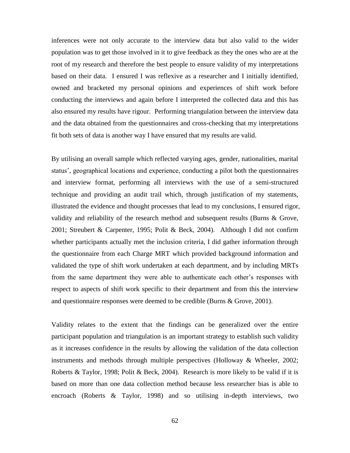inferences were not only accurate to the interview data but also valid to the wider population was to get those involved in it to give feedback as they the ones who are at the root of my research and therefore the best people to ensure validity of my interpretations based on their data. I ensured I was reflexive as a researcher and I initially identified, owned and bracketed my personal opinions and experiences of shift work before conducting the interviews and again before I interpreted the collected data and this has also ensured my results have rigour. Performing triangulation between the interview data and the data obtained from the questionnaires and cross-checking that my interpretations fit both sets of data is another way I have ensured that my results are valid.

By utilising an overall sample which reflected varying ages, gender, nationalities, marital status", geographical locations and experience, conducting a pilot both the questionnaires and interview format, performing all interviews with the use of a semi-structured technique and providing an audit trail which, through justification of my statements, illustrated the evidence and thought processes that lead to my conclusions, I ensured rigor, validity and reliability of the research method and subsequent results (Burns & Grove, 2001; Streubert & Carpenter, 1995; Polit & Beck, 2004). Although I did not confirm whether participants actually met the inclusion criteria, I did gather information through the questionnaire from each Charge MRT which provided background information and validated the type of shift work undertaken at each department, and by including MRTs from the same department they were able to authenticate each other"s responses with respect to aspects of shift work specific to their department and from this the interview and questionnaire responses were deemed to be credible (Burns & Grove, 2001).

Validity relates to the extent that the findings can be generalized over the entire participant population and triangulation is an important strategy to establish such validity as it increases confidence in the results by allowing the validation of the data collection instruments and methods through multiple perspectives (Holloway & Wheeler, 2002; Roberts & Taylor, 1998; Polit & Beck, 2004). Research is more likely to be valid if it is based on more than one data collection method because less researcher bias is able to encroach (Roberts & Taylor, 1998) and so utilising in-depth interviews, two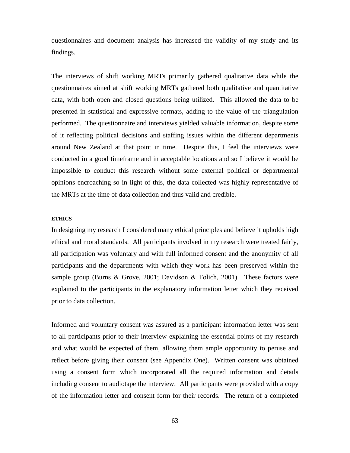questionnaires and document analysis has increased the validity of my study and its findings.

The interviews of shift working MRTs primarily gathered qualitative data while the questionnaires aimed at shift working MRTs gathered both qualitative and quantitative data, with both open and closed questions being utilized. This allowed the data to be presented in statistical and expressive formats, adding to the value of the triangulation performed. The questionnaire and interviews yielded valuable information, despite some of it reflecting political decisions and staffing issues within the different departments around New Zealand at that point in time. Despite this, I feel the interviews were conducted in a good timeframe and in acceptable locations and so I believe it would be impossible to conduct this research without some external political or departmental opinions encroaching so in light of this, the data collected was highly representative of the MRTs at the time of data collection and thus valid and credible.

# **ETHICS**

In designing my research I considered many ethical principles and believe it upholds high ethical and moral standards. All participants involved in my research were treated fairly, all participation was voluntary and with full informed consent and the anonymity of all participants and the departments with which they work has been preserved within the sample group (Burns & Grove, 2001; Davidson & Tolich, 2001). These factors were explained to the participants in the explanatory information letter which they received prior to data collection.

Informed and voluntary consent was assured as a participant information letter was sent to all participants prior to their interview explaining the essential points of my research and what would be expected of them, allowing them ample opportunity to peruse and reflect before giving their consent (see Appendix One). Written consent was obtained using a consent form which incorporated all the required information and details including consent to audiotape the interview. All participants were provided with a copy of the information letter and consent form for their records. The return of a completed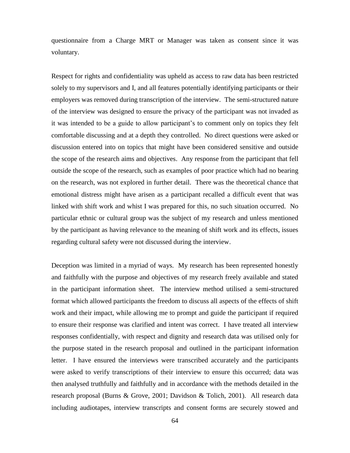questionnaire from a Charge MRT or Manager was taken as consent since it was voluntary.

Respect for rights and confidentiality was upheld as access to raw data has been restricted solely to my supervisors and I, and all features potentially identifying participants or their employers was removed during transcription of the interview. The semi-structured nature of the interview was designed to ensure the privacy of the participant was not invaded as it was intended to be a guide to allow participant's to comment only on topics they felt comfortable discussing and at a depth they controlled. No direct questions were asked or discussion entered into on topics that might have been considered sensitive and outside the scope of the research aims and objectives. Any response from the participant that fell outside the scope of the research, such as examples of poor practice which had no bearing on the research, was not explored in further detail. There was the theoretical chance that emotional distress might have arisen as a participant recalled a difficult event that was linked with shift work and whist I was prepared for this, no such situation occurred. No particular ethnic or cultural group was the subject of my research and unless mentioned by the participant as having relevance to the meaning of shift work and its effects, issues regarding cultural safety were not discussed during the interview.

Deception was limited in a myriad of ways. My research has been represented honestly and faithfully with the purpose and objectives of my research freely available and stated in the participant information sheet. The interview method utilised a semi-structured format which allowed participants the freedom to discuss all aspects of the effects of shift work and their impact, while allowing me to prompt and guide the participant if required to ensure their response was clarified and intent was correct. I have treated all interview responses confidentially, with respect and dignity and research data was utilised only for the purpose stated in the research proposal and outlined in the participant information letter. I have ensured the interviews were transcribed accurately and the participants were asked to verify transcriptions of their interview to ensure this occurred; data was then analysed truthfully and faithfully and in accordance with the methods detailed in the research proposal (Burns & Grove, 2001; Davidson & Tolich, 2001). All research data including audiotapes, interview transcripts and consent forms are securely stowed and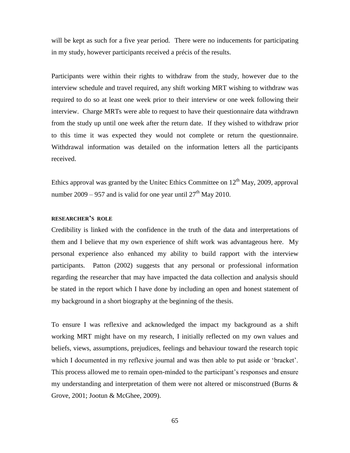will be kept as such for a five year period. There were no inducements for participating in my study, however participants received a précis of the results.

Participants were within their rights to withdraw from the study, however due to the interview schedule and travel required, any shift working MRT wishing to withdraw was required to do so at least one week prior to their interview or one week following their interview. Charge MRTs were able to request to have their questionnaire data withdrawn from the study up until one week after the return date. If they wished to withdraw prior to this time it was expected they would not complete or return the questionnaire. Withdrawal information was detailed on the information letters all the participants received.

Ethics approval was granted by the Unitec Ethics Committee on  $12<sup>th</sup>$  May, 2009, approval number 2009 – 957 and is valid for one year until  $27<sup>th</sup>$  May 2010.

# **RESEARCHER'S ROLE**

Credibility is linked with the confidence in the truth of the data and interpretations of them and I believe that my own experience of shift work was advantageous here. My personal experience also enhanced my ability to build rapport with the interview participants. Patton (2002) suggests that any personal or professional information regarding the researcher that may have impacted the data collection and analysis should be stated in the report which I have done by including an open and honest statement of my background in a short biography at the beginning of the thesis.

To ensure I was reflexive and acknowledged the impact my background as a shift working MRT might have on my research, I initially reflected on my own values and beliefs, views, assumptions, prejudices, feelings and behaviour toward the research topic which I documented in my reflexive journal and was then able to put aside or "bracket". This process allowed me to remain open-minded to the participant's responses and ensure my understanding and interpretation of them were not altered or misconstrued (Burns & Grove, 2001; Jootun & McGhee, 2009).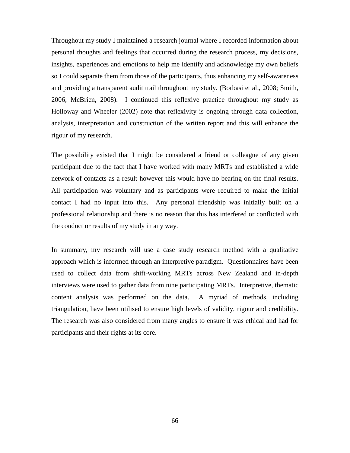Throughout my study I maintained a research journal where I recorded information about personal thoughts and feelings that occurred during the research process, my decisions, insights, experiences and emotions to help me identify and acknowledge my own beliefs so I could separate them from those of the participants, thus enhancing my self-awareness and providing a transparent audit trail throughout my study. (Borbasi et al., 2008; Smith, 2006; McBrien, 2008). I continued this reflexive practice throughout my study as Holloway and Wheeler (2002) note that reflexivity is ongoing through data collection, analysis, interpretation and construction of the written report and this will enhance the rigour of my research.

The possibility existed that I might be considered a friend or colleague of any given participant due to the fact that I have worked with many MRTs and established a wide network of contacts as a result however this would have no bearing on the final results. All participation was voluntary and as participants were required to make the initial contact I had no input into this. Any personal friendship was initially built on a professional relationship and there is no reason that this has interfered or conflicted with the conduct or results of my study in any way.

In summary, my research will use a case study research method with a qualitative approach which is informed through an interpretive paradigm. Questionnaires have been used to collect data from shift-working MRTs across New Zealand and in-depth interviews were used to gather data from nine participating MRTs. Interpretive, thematic content analysis was performed on the data. A myriad of methods, including triangulation, have been utilised to ensure high levels of validity, rigour and credibility. The research was also considered from many angles to ensure it was ethical and had for participants and their rights at its core.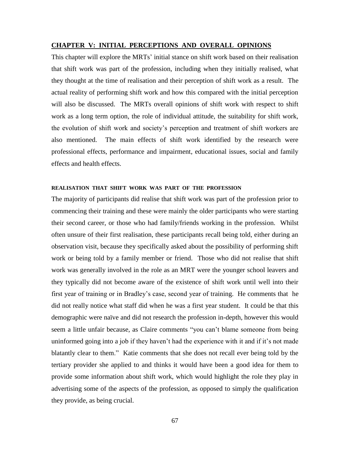### **CHAPTER V: INITIAL PERCEPTIONS AND OVERALL OPINIONS**

This chapter will explore the MRTs" initial stance on shift work based on their realisation that shift work was part of the profession, including when they initially realised, what they thought at the time of realisation and their perception of shift work as a result. The actual reality of performing shift work and how this compared with the initial perception will also be discussed. The MRTs overall opinions of shift work with respect to shift work as a long term option, the role of individual attitude, the suitability for shift work, the evolution of shift work and society"s perception and treatment of shift workers are also mentioned. The main effects of shift work identified by the research were professional effects, performance and impairment, educational issues, social and family effects and health effects.

### **REALISATION THAT SHIFT WORK WAS PART OF THE PROFESSION**

The majority of participants did realise that shift work was part of the profession prior to commencing their training and these were mainly the older participants who were starting their second career, or those who had family/friends working in the profession. Whilst often unsure of their first realisation, these participants recall being told, either during an observation visit, because they specifically asked about the possibility of performing shift work or being told by a family member or friend. Those who did not realise that shift work was generally involved in the role as an MRT were the younger school leavers and they typically did not become aware of the existence of shift work until well into their first year of training or in Bradley"s case, second year of training. He comments that he did not really notice what staff did when he was a first year student. It could be that this demographic were naïve and did not research the profession in-depth, however this would seem a little unfair because, as Claire comments "you can"t blame someone from being uninformed going into a job if they haven't had the experience with it and if it's not made blatantly clear to them." Katie comments that she does not recall ever being told by the tertiary provider she applied to and thinks it would have been a good idea for them to provide some information about shift work, which would highlight the role they play in advertising some of the aspects of the profession, as opposed to simply the qualification they provide, as being crucial.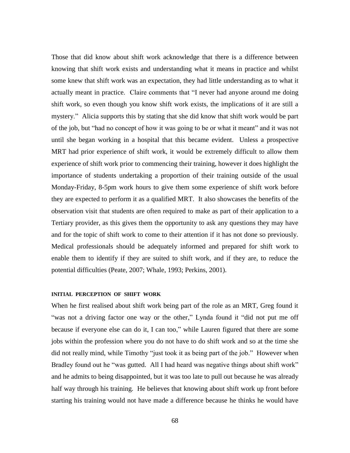Those that did know about shift work acknowledge that there is a difference between knowing that shift work exists and understanding what it means in practice and whilst some knew that shift work was an expectation, they had little understanding as to what it actually meant in practice. Claire comments that "I never had anyone around me doing shift work, so even though you know shift work exists, the implications of it are still a mystery." Alicia supports this by stating that she did know that shift work would be part of the job, but "had no concept of how it was going to be or what it meant" and it was not until she began working in a hospital that this became evident. Unless a prospective MRT had prior experience of shift work, it would be extremely difficult to allow them experience of shift work prior to commencing their training, however it does highlight the importance of students undertaking a proportion of their training outside of the usual Monday-Friday, 8-5pm work hours to give them some experience of shift work before they are expected to perform it as a qualified MRT. It also showcases the benefits of the observation visit that students are often required to make as part of their application to a Tertiary provider, as this gives them the opportunity to ask any questions they may have and for the topic of shift work to come to their attention if it has not done so previously. Medical professionals should be adequately informed and prepared for shift work to enable them to identify if they are suited to shift work, and if they are, to reduce the potential difficulties (Peate, 2007; Whale, 1993; Perkins, 2001).

# **INITIAL PERCEPTION OF SHIFT WORK**

When he first realised about shift work being part of the role as an MRT, Greg found it "was not a driving factor one way or the other," Lynda found it "did not put me off because if everyone else can do it, I can too," while Lauren figured that there are some jobs within the profession where you do not have to do shift work and so at the time she did not really mind, while Timothy "just took it as being part of the job." However when Bradley found out he "was gutted. All I had heard was negative things about shift work" and he admits to being disappointed, but it was too late to pull out because he was already half way through his training. He believes that knowing about shift work up front before starting his training would not have made a difference because he thinks he would have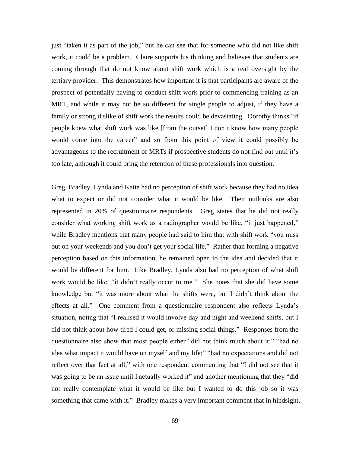just "taken it as part of the job," but he can see that for someone who did not like shift work, it could be a problem. Claire supports his thinking and believes that students are coming through that do not know about shift work which is a real oversight by the tertiary provider. This demonstrates how important it is that participants are aware of the prospect of potentially having to conduct shift work prior to commencing training as an MRT, and while it may not be so different for single people to adjust, if they have a family or strong dislike of shift work the results could be devastating. Dorothy thinks "if people knew what shift work was like [from the outset] I don"t know how many people would come into the career" and so from this point of view it could possibly be advantageous to the recruitment of MRTs if prospective students do not find out until it's too late, although it could bring the retention of these professionals into question.

Greg, Bradley, Lynda and Katie had no perception of shift work because they had no idea what to expect or did not consider what it would be like. Their outlooks are also represented in 20% of questionnaire respondents. Greg states that he did not really consider what working shift work as a radiographer would be like, "it just happened," while Bradley mentions that many people had said to him that with shift work "you miss" out on your weekends and you don"t get your social life." Rather than forming a negative perception based on this information, he remained open to the idea and decided that it would be different for him. Like Bradley, Lynda also had no perception of what shift work would be like, "it didn"t really occur to me." She notes that she did have some knowledge but "it was more about what the shifts were, but I didn"t think about the effects at all." One comment from a questionnaire respondent also reflects Lynda"s situation, noting that "I realised it would involve day and night and weekend shifts, but I did not think about how tired I could get, or missing social things." Responses from the questionnaire also show that most people either "did not think much about it;" "had no idea what impact it would have on myself and my life;" "had no expectations and did not reflect over that fact at all," with one respondent commenting that "I did not see that it was going to be an issue until I actually worked it" and another mentioning that they "did" not really contemplate what it would be like but I wanted to do this job so it was something that came with it." Bradley makes a very important comment that in hindsight,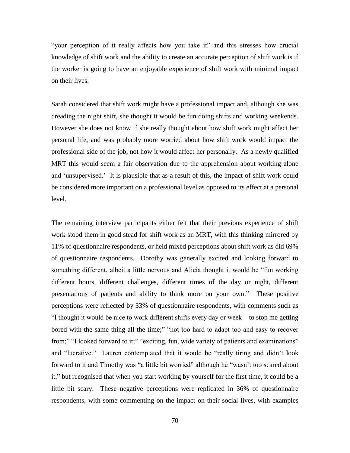"your perception of it really affects how you take it" and this stresses how crucial knowledge of shift work and the ability to create an accurate perception of shift work is if the worker is going to have an enjoyable experience of shift work with minimal impact on their lives.

Sarah considered that shift work might have a professional impact and, although she was dreading the night shift, she thought it would be fun doing shifts and working weekends. However she does not know if she really thought about how shift work might affect her personal life, and was probably more worried about how shift work would impact the professional side of the job, not how it would affect her personally. As a newly qualified MRT this would seem a fair observation due to the apprehension about working alone and "unsupervised." It is plausible that as a result of this, the impact of shift work could be considered more important on a professional level as opposed to its effect at a personal level.

The remaining interview participants either felt that their previous experience of shift work stood them in good stead for shift work as an MRT, with this thinking mirrored by 11% of questionnaire respondents, or held mixed perceptions about shift work as did 69% of questionnaire respondents. Dorothy was generally excited and looking forward to something different, albeit a little nervous and Alicia thought it would be "fun working different hours, different challenges, different times of the day or night, different presentations of patients and ability to think more on your own." These positive perceptions were reflected by 33% of questionnaire respondents, with comments such as "I thought it would be nice to work different shifts every day or week – to stop me getting bored with the same thing all the time;" "not too hard to adapt too and easy to recover from;" "I looked forward to it;" "exciting, fun, wide variety of patients and examinations" and "lucrative." Lauren contemplated that it would be "really tiring and didn"t look forward to it and Timothy was "a little bit worried" although he "wasn"t too scared about it," but recognised that when you start working by yourself for the first time, it could be a little bit scary. These negative perceptions were replicated in 36% of questionnaire respondents, with some commenting on the impact on their social lives, with examples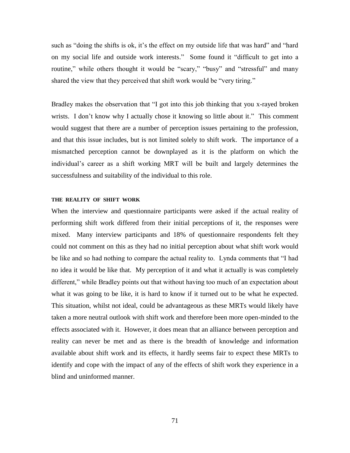such as "doing the shifts is ok, it's the effect on my outside life that was hard" and "hard" on my social life and outside work interests." Some found it "difficult to get into a routine," while others thought it would be "scary," "busy" and "stressful" and many shared the view that they perceived that shift work would be "very tiring."

Bradley makes the observation that "I got into this job thinking that you x-rayed broken wrists. I don't know why I actually chose it knowing so little about it." This comment would suggest that there are a number of perception issues pertaining to the profession, and that this issue includes, but is not limited solely to shift work. The importance of a mismatched perception cannot be downplayed as it is the platform on which the individual"s career as a shift working MRT will be built and largely determines the successfulness and suitability of the individual to this role.

### **THE REALITY OF SHIFT WORK**

When the interview and questionnaire participants were asked if the actual reality of performing shift work differed from their initial perceptions of it, the responses were mixed. Many interview participants and 18% of questionnaire respondents felt they could not comment on this as they had no initial perception about what shift work would be like and so had nothing to compare the actual reality to. Lynda comments that "I had no idea it would be like that. My perception of it and what it actually is was completely different," while Bradley points out that without having too much of an expectation about what it was going to be like, it is hard to know if it turned out to be what he expected. This situation, whilst not ideal, could be advantageous as these MRTs would likely have taken a more neutral outlook with shift work and therefore been more open-minded to the effects associated with it. However, it does mean that an alliance between perception and reality can never be met and as there is the breadth of knowledge and information available about shift work and its effects, it hardly seems fair to expect these MRTs to identify and cope with the impact of any of the effects of shift work they experience in a blind and uninformed manner.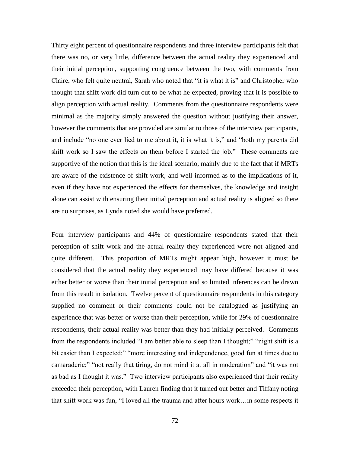Thirty eight percent of questionnaire respondents and three interview participants felt that there was no, or very little, difference between the actual reality they experienced and their initial perception, supporting congruence between the two, with comments from Claire, who felt quite neutral, Sarah who noted that "it is what it is" and Christopher who thought that shift work did turn out to be what he expected, proving that it is possible to align perception with actual reality. Comments from the questionnaire respondents were minimal as the majority simply answered the question without justifying their answer, however the comments that are provided are similar to those of the interview participants, and include "no one ever lied to me about it, it is what it is," and "both my parents did shift work so I saw the effects on them before I started the job." These comments are supportive of the notion that this is the ideal scenario, mainly due to the fact that if MRTs are aware of the existence of shift work, and well informed as to the implications of it, even if they have not experienced the effects for themselves, the knowledge and insight alone can assist with ensuring their initial perception and actual reality is aligned so there are no surprises, as Lynda noted she would have preferred.

Four interview participants and 44% of questionnaire respondents stated that their perception of shift work and the actual reality they experienced were not aligned and quite different. This proportion of MRTs might appear high, however it must be considered that the actual reality they experienced may have differed because it was either better or worse than their initial perception and so limited inferences can be drawn from this result in isolation. Twelve percent of questionnaire respondents in this category supplied no comment or their comments could not be catalogued as justifying an experience that was better or worse than their perception, while for 29% of questionnaire respondents, their actual reality was better than they had initially perceived. Comments from the respondents included "I am better able to sleep than I thought;" "night shift is a bit easier than I expected;" "more interesting and independence, good fun at times due to camaraderie;" "not really that tiring, do not mind it at all in moderation" and "it was not as bad as I thought it was." Two interview participants also experienced that their reality exceeded their perception, with Lauren finding that it turned out better and Tiffany noting that shift work was fun, "I loved all the trauma and after hours work…in some respects it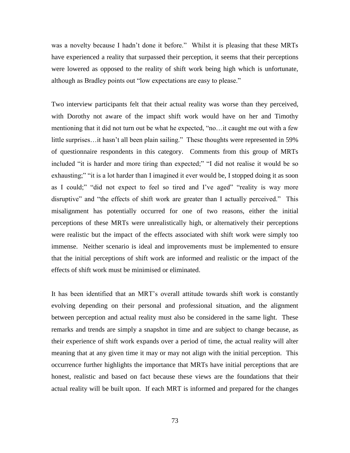was a novelty because I hadn't done it before." Whilst it is pleasing that these MRTs have experienced a reality that surpassed their perception, it seems that their perceptions were lowered as opposed to the reality of shift work being high which is unfortunate, although as Bradley points out "low expectations are easy to please."

Two interview participants felt that their actual reality was worse than they perceived, with Dorothy not aware of the impact shift work would have on her and Timothy mentioning that it did not turn out be what he expected, "no…it caught me out with a few little surprises...it hasn't all been plain sailing." These thoughts were represented in 59% of questionnaire respondents in this category. Comments from this group of MRTs included "it is harder and more tiring than expected;" "I did not realise it would be so exhausting;" "it is a lot harder than I imagined it ever would be, I stopped doing it as soon as I could;" "did not expect to feel so tired and I"ve aged" "reality is way more disruptive" and "the effects of shift work are greater than I actually perceived." This misalignment has potentially occurred for one of two reasons, either the initial perceptions of these MRTs were unrealistically high, or alternatively their perceptions were realistic but the impact of the effects associated with shift work were simply too immense. Neither scenario is ideal and improvements must be implemented to ensure that the initial perceptions of shift work are informed and realistic or the impact of the effects of shift work must be minimised or eliminated.

It has been identified that an MRT"s overall attitude towards shift work is constantly evolving depending on their personal and professional situation, and the alignment between perception and actual reality must also be considered in the same light. These remarks and trends are simply a snapshot in time and are subject to change because, as their experience of shift work expands over a period of time, the actual reality will alter meaning that at any given time it may or may not align with the initial perception. This occurrence further highlights the importance that MRTs have initial perceptions that are honest, realistic and based on fact because these views are the foundations that their actual reality will be built upon. If each MRT is informed and prepared for the changes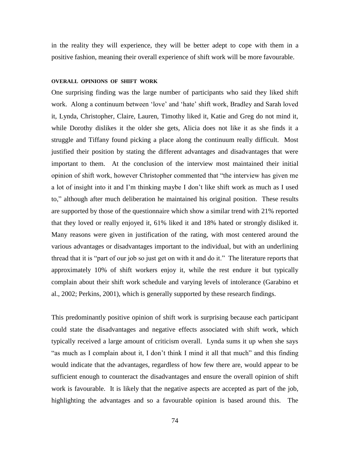in the reality they will experience, they will be better adept to cope with them in a positive fashion, meaning their overall experience of shift work will be more favourable.

#### **OVERALL OPINIONS OF SHIFT WORK**

One surprising finding was the large number of participants who said they liked shift work. Along a continuum between "love" and "hate" shift work, Bradley and Sarah loved it, Lynda, Christopher, Claire, Lauren, Timothy liked it, Katie and Greg do not mind it, while Dorothy dislikes it the older she gets, Alicia does not like it as she finds it a struggle and Tiffany found picking a place along the continuum really difficult. Most justified their position by stating the different advantages and disadvantages that were important to them. At the conclusion of the interview most maintained their initial opinion of shift work, however Christopher commented that "the interview has given me a lot of insight into it and I"m thinking maybe I don"t like shift work as much as I used to," although after much deliberation he maintained his original position. These results are supported by those of the questionnaire which show a similar trend with 21% reported that they loved or really enjoyed it, 61% liked it and 18% hated or strongly disliked it. Many reasons were given in justification of the rating, with most centered around the various advantages or disadvantages important to the individual, but with an underlining thread that it is "part of our job so just get on with it and do it." The literature reports that approximately 10% of shift workers enjoy it, while the rest endure it but typically complain about their shift work schedule and varying levels of intolerance (Garabino et al., 2002; Perkins, 2001), which is generally supported by these research findings.

This predominantly positive opinion of shift work is surprising because each participant could state the disadvantages and negative effects associated with shift work, which typically received a large amount of criticism overall. Lynda sums it up when she says "as much as I complain about it, I don"t think I mind it all that much" and this finding would indicate that the advantages, regardless of how few there are, would appear to be sufficient enough to counteract the disadvantages and ensure the overall opinion of shift work is favourable. It is likely that the negative aspects are accepted as part of the job, highlighting the advantages and so a favourable opinion is based around this. The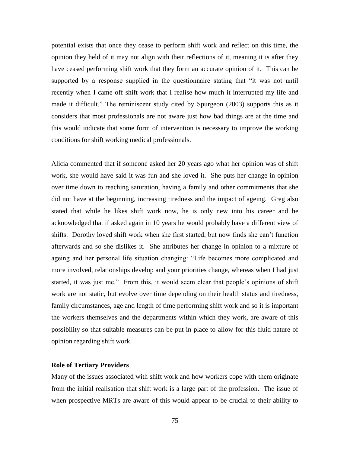potential exists that once they cease to perform shift work and reflect on this time, the opinion they held of it may not align with their reflections of it, meaning it is after they have ceased performing shift work that they form an accurate opinion of it. This can be supported by a response supplied in the questionnaire stating that "it was not until recently when I came off shift work that I realise how much it interrupted my life and made it difficult." The reminiscent study cited by Spurgeon (2003) supports this as it considers that most professionals are not aware just how bad things are at the time and this would indicate that some form of intervention is necessary to improve the working conditions for shift working medical professionals.

Alicia commented that if someone asked her 20 years ago what her opinion was of shift work, she would have said it was fun and she loved it. She puts her change in opinion over time down to reaching saturation, having a family and other commitments that she did not have at the beginning, increasing tiredness and the impact of ageing. Greg also stated that while he likes shift work now, he is only new into his career and he acknowledged that if asked again in 10 years he would probably have a different view of shifts. Dorothy loved shift work when she first started, but now finds she can"t function afterwards and so she dislikes it. She attributes her change in opinion to a mixture of ageing and her personal life situation changing: "Life becomes more complicated and more involved, relationships develop and your priorities change, whereas when I had just started, it was just me." From this, it would seem clear that people"s opinions of shift work are not static, but evolve over time depending on their health status and tiredness, family circumstances, age and length of time performing shift work and so it is important the workers themselves and the departments within which they work, are aware of this possibility so that suitable measures can be put in place to allow for this fluid nature of opinion regarding shift work.

# **Role of Tertiary Providers**

Many of the issues associated with shift work and how workers cope with them originate from the initial realisation that shift work is a large part of the profession. The issue of when prospective MRTs are aware of this would appear to be crucial to their ability to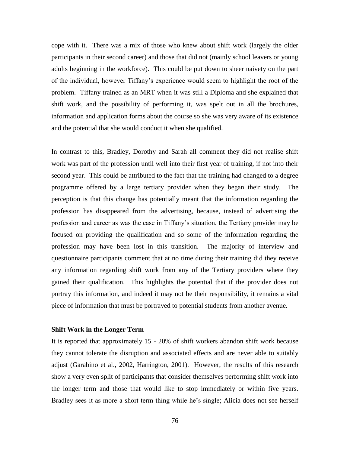cope with it. There was a mix of those who knew about shift work (largely the older participants in their second career) and those that did not (mainly school leavers or young adults beginning in the workforce). This could be put down to sheer naivety on the part of the individual, however Tiffany"s experience would seem to highlight the root of the problem. Tiffany trained as an MRT when it was still a Diploma and she explained that shift work, and the possibility of performing it, was spelt out in all the brochures, information and application forms about the course so she was very aware of its existence and the potential that she would conduct it when she qualified.

In contrast to this, Bradley, Dorothy and Sarah all comment they did not realise shift work was part of the profession until well into their first year of training, if not into their second year. This could be attributed to the fact that the training had changed to a degree programme offered by a large tertiary provider when they began their study. The perception is that this change has potentially meant that the information regarding the profession has disappeared from the advertising, because, instead of advertising the profession and career as was the case in Tiffany"s situation, the Tertiary provider may be focused on providing the qualification and so some of the information regarding the profession may have been lost in this transition. The majority of interview and questionnaire participants comment that at no time during their training did they receive any information regarding shift work from any of the Tertiary providers where they gained their qualification. This highlights the potential that if the provider does not portray this information, and indeed it may not be their responsibility, it remains a vital piece of information that must be portrayed to potential students from another avenue.

#### **Shift Work in the Longer Term**

It is reported that approximately 15 - 20% of shift workers abandon shift work because they cannot tolerate the disruption and associated effects and are never able to suitably adjust (Garabino et al., 2002, Harrington, 2001). However, the results of this research show a very even split of participants that consider themselves performing shift work into the longer term and those that would like to stop immediately or within five years. Bradley sees it as more a short term thing while he"s single; Alicia does not see herself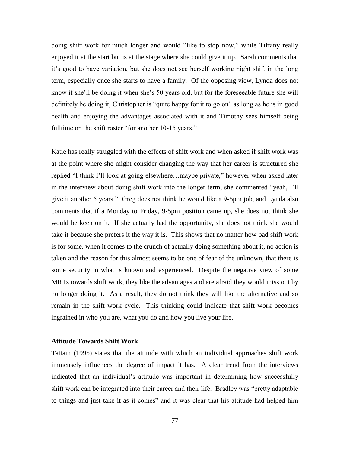doing shift work for much longer and would "like to stop now," while Tiffany really enjoyed it at the start but is at the stage where she could give it up. Sarah comments that it"s good to have variation, but she does not see herself working night shift in the long term, especially once she starts to have a family. Of the opposing view, Lynda does not know if she'll be doing it when she's 50 years old, but for the foreseeable future she will definitely be doing it, Christopher is "quite happy for it to go on" as long as he is in good health and enjoying the advantages associated with it and Timothy sees himself being fulltime on the shift roster "for another 10-15 years."

Katie has really struggled with the effects of shift work and when asked if shift work was at the point where she might consider changing the way that her career is structured she replied "I think I"ll look at going elsewhere…maybe private," however when asked later in the interview about doing shift work into the longer term, she commented "yeah, I"ll give it another 5 years." Greg does not think he would like a 9-5pm job, and Lynda also comments that if a Monday to Friday, 9-5pm position came up, she does not think she would be keen on it. If she actually had the opportunity, she does not think she would take it because she prefers it the way it is. This shows that no matter how bad shift work is for some, when it comes to the crunch of actually doing something about it, no action is taken and the reason for this almost seems to be one of fear of the unknown, that there is some security in what is known and experienced. Despite the negative view of some MRTs towards shift work, they like the advantages and are afraid they would miss out by no longer doing it. As a result, they do not think they will like the alternative and so remain in the shift work cycle. This thinking could indicate that shift work becomes ingrained in who you are, what you do and how you live your life.

### **Attitude Towards Shift Work**

Tattam (1995) states that the attitude with which an individual approaches shift work immensely influences the degree of impact it has. A clear trend from the interviews indicated that an individual's attitude was important in determining how successfully shift work can be integrated into their career and their life. Bradley was "pretty adaptable to things and just take it as it comes" and it was clear that his attitude had helped him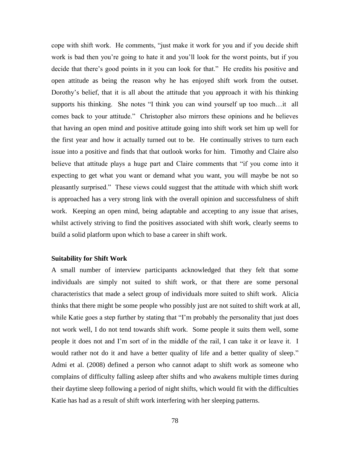cope with shift work. He comments, "just make it work for you and if you decide shift work is bad then you"re going to hate it and you"ll look for the worst points, but if you decide that there"s good points in it you can look for that." He credits his positive and open attitude as being the reason why he has enjoyed shift work from the outset. Dorothy"s belief, that it is all about the attitude that you approach it with his thinking supports his thinking. She notes "I think you can wind yourself up too much…it all comes back to your attitude." Christopher also mirrors these opinions and he believes that having an open mind and positive attitude going into shift work set him up well for the first year and how it actually turned out to be. He continually strives to turn each issue into a positive and finds that that outlook works for him. Timothy and Claire also believe that attitude plays a huge part and Claire comments that "if you come into it expecting to get what you want or demand what you want, you will maybe be not so pleasantly surprised." These views could suggest that the attitude with which shift work is approached has a very strong link with the overall opinion and successfulness of shift work. Keeping an open mind, being adaptable and accepting to any issue that arises, whilst actively striving to find the positives associated with shift work, clearly seems to build a solid platform upon which to base a career in shift work.

## **Suitability for Shift Work**

A small number of interview participants acknowledged that they felt that some individuals are simply not suited to shift work, or that there are some personal characteristics that made a select group of individuals more suited to shift work. Alicia thinks that there might be some people who possibly just are not suited to shift work at all, while Katie goes a step further by stating that "I'm probably the personality that just does not work well, I do not tend towards shift work. Some people it suits them well, some people it does not and I"m sort of in the middle of the rail, I can take it or leave it. I would rather not do it and have a better quality of life and a better quality of sleep." Admi et al. (2008) defined a person who cannot adapt to shift work as someone who complains of difficulty falling asleep after shifts and who awakens multiple times during their daytime sleep following a period of night shifts, which would fit with the difficulties Katie has had as a result of shift work interfering with her sleeping patterns.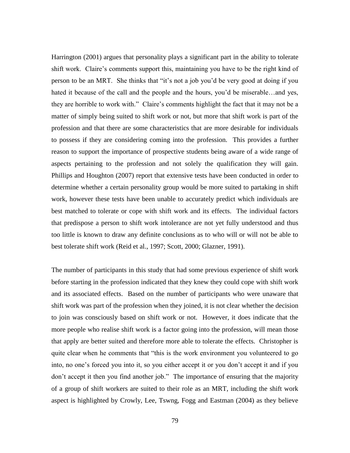Harrington (2001) argues that personality plays a significant part in the ability to tolerate shift work. Claire's comments support this, maintaining you have to be the right kind of person to be an MRT. She thinks that "it"s not a job you"d be very good at doing if you hated it because of the call and the people and the hours, you'd be miserable...and yes, they are horrible to work with." Claire's comments highlight the fact that it may not be a matter of simply being suited to shift work or not, but more that shift work is part of the profession and that there are some characteristics that are more desirable for individuals to possess if they are considering coming into the profession. This provides a further reason to support the importance of prospective students being aware of a wide range of aspects pertaining to the profession and not solely the qualification they will gain. Phillips and Houghton (2007) report that extensive tests have been conducted in order to determine whether a certain personality group would be more suited to partaking in shift work, however these tests have been unable to accurately predict which individuals are best matched to tolerate or cope with shift work and its effects. The individual factors that predispose a person to shift work intolerance are not yet fully understood and thus too little is known to draw any definite conclusions as to who will or will not be able to best tolerate shift work (Reid et al., 1997; Scott, 2000; Glazner, 1991).

The number of participants in this study that had some previous experience of shift work before starting in the profession indicated that they knew they could cope with shift work and its associated effects. Based on the number of participants who were unaware that shift work was part of the profession when they joined, it is not clear whether the decision to join was consciously based on shift work or not. However, it does indicate that the more people who realise shift work is a factor going into the profession, will mean those that apply are better suited and therefore more able to tolerate the effects. Christopher is quite clear when he comments that "this is the work environment you volunteered to go into, no one"s forced you into it, so you either accept it or you don"t accept it and if you don"t accept it then you find another job." The importance of ensuring that the majority of a group of shift workers are suited to their role as an MRT, including the shift work aspect is highlighted by Crowly, Lee, Tswng, Fogg and Eastman (2004) as they believe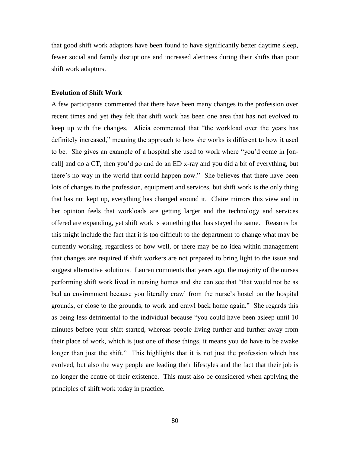that good shift work adaptors have been found to have significantly better daytime sleep, fewer social and family disruptions and increased alertness during their shifts than poor shift work adaptors.

# **Evolution of Shift Work**

A few participants commented that there have been many changes to the profession over recent times and yet they felt that shift work has been one area that has not evolved to keep up with the changes. Alicia commented that "the workload over the years has definitely increased," meaning the approach to how she works is different to how it used to be. She gives an example of a hospital she used to work where "you"d come in [oncall] and do a CT, then you"d go and do an ED x-ray and you did a bit of everything, but there"s no way in the world that could happen now." She believes that there have been lots of changes to the profession, equipment and services, but shift work is the only thing that has not kept up, everything has changed around it. Claire mirrors this view and in her opinion feels that workloads are getting larger and the technology and services offered are expanding, yet shift work is something that has stayed the same. Reasons for this might include the fact that it is too difficult to the department to change what may be currently working, regardless of how well, or there may be no idea within management that changes are required if shift workers are not prepared to bring light to the issue and suggest alternative solutions. Lauren comments that years ago, the majority of the nurses performing shift work lived in nursing homes and she can see that "that would not be as bad an environment because you literally crawl from the nurse's hostel on the hospital grounds, or close to the grounds, to work and crawl back home again." She regards this as being less detrimental to the individual because "you could have been asleep until 10 minutes before your shift started, whereas people living further and further away from their place of work, which is just one of those things, it means you do have to be awake longer than just the shift." This highlights that it is not just the profession which has evolved, but also the way people are leading their lifestyles and the fact that their job is no longer the centre of their existence. This must also be considered when applying the principles of shift work today in practice.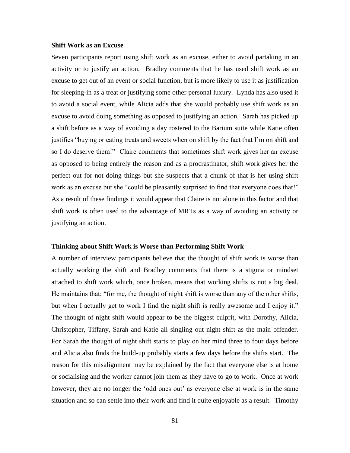# **Shift Work as an Excuse**

Seven participants report using shift work as an excuse, either to avoid partaking in an activity or to justify an action. Bradley comments that he has used shift work as an excuse to get out of an event or social function, but is more likely to use it as justification for sleeping-in as a treat or justifying some other personal luxury. Lynda has also used it to avoid a social event, while Alicia adds that she would probably use shift work as an excuse to avoid doing something as opposed to justifying an action. Sarah has picked up a shift before as a way of avoiding a day rostered to the Barium suite while Katie often justifies "buying or eating treats and sweets when on shift by the fact that I"m on shift and so I do deserve them!" Claire comments that sometimes shift work gives her an excuse as opposed to being entirely the reason and as a procrastinator, shift work gives her the perfect out for not doing things but she suspects that a chunk of that is her using shift work as an excuse but she "could be pleasantly surprised to find that everyone does that!" As a result of these findings it would appear that Claire is not alone in this factor and that shift work is often used to the advantage of MRTs as a way of avoiding an activity or justifying an action.

#### **Thinking about Shift Work is Worse than Performing Shift Work**

A number of interview participants believe that the thought of shift work is worse than actually working the shift and Bradley comments that there is a stigma or mindset attached to shift work which, once broken, means that working shifts is not a big deal. He maintains that: "for me, the thought of night shift is worse than any of the other shifts, but when I actually get to work I find the night shift is really awesome and I enjoy it." The thought of night shift would appear to be the biggest culprit, with Dorothy, Alicia, Christopher, Tiffany, Sarah and Katie all singling out night shift as the main offender. For Sarah the thought of night shift starts to play on her mind three to four days before and Alicia also finds the build-up probably starts a few days before the shifts start. The reason for this misalignment may be explained by the fact that everyone else is at home or socialising and the worker cannot join them as they have to go to work. Once at work however, they are no longer the 'odd ones out' as everyone else at work is in the same situation and so can settle into their work and find it quite enjoyable as a result. Timothy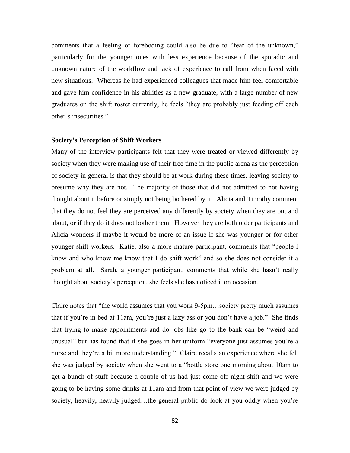comments that a feeling of foreboding could also be due to "fear of the unknown," particularly for the younger ones with less experience because of the sporadic and unknown nature of the workflow and lack of experience to call from when faced with new situations. Whereas he had experienced colleagues that made him feel comfortable and gave him confidence in his abilities as a new graduate, with a large number of new graduates on the shift roster currently, he feels "they are probably just feeding off each other"s insecurities."

### **Society's Perception of Shift Workers**

Many of the interview participants felt that they were treated or viewed differently by society when they were making use of their free time in the public arena as the perception of society in general is that they should be at work during these times, leaving society to presume why they are not. The majority of those that did not admitted to not having thought about it before or simply not being bothered by it. Alicia and Timothy comment that they do not feel they are perceived any differently by society when they are out and about, or if they do it does not bother them. However they are both older participants and Alicia wonders if maybe it would be more of an issue if she was younger or for other younger shift workers. Katie, also a more mature participant, comments that "people I know and who know me know that I do shift work" and so she does not consider it a problem at all. Sarah, a younger participant, comments that while she hasn"t really thought about society"s perception, she feels she has noticed it on occasion.

Claire notes that "the world assumes that you work 9-5pm…society pretty much assumes that if you"re in bed at 11am, you"re just a lazy ass or you don"t have a job." She finds that trying to make appointments and do jobs like go to the bank can be "weird and unusual" but has found that if she goes in her uniform "everyone just assumes you"re a nurse and they're a bit more understanding." Claire recalls an experience where she felt she was judged by society when she went to a "bottle store one morning about 10am to get a bunch of stuff because a couple of us had just come off night shift and we were going to be having some drinks at 11am and from that point of view we were judged by society, heavily, heavily judged...the general public do look at you oddly when you're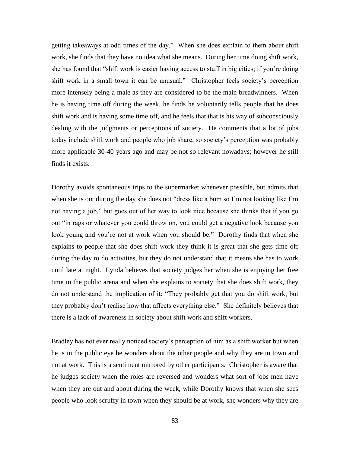getting takeaways at odd times of the day." When she does explain to them about shift work, she finds that they have no idea what she means. During her time doing shift work, she has found that "shift work is easier having access to stuff in big cities; if you"re doing shift work in a small town it can be unusual." Christopher feels society"s perception more intensely being a male as they are considered to be the main breadwinners. When he is having time off during the week, he finds he voluntarily tells people that he does shift work and is having some time off, and he feels that that is his way of subconsciously dealing with the judgments or perceptions of society. He comments that a lot of jobs today include shift work and people who job share, so society"s perception was probably more applicable 30-40 years ago and may be not so relevant nowadays; however he still finds it exists.

Dorothy avoids spontaneous trips to the supermarket whenever possible, but admits that when she is out during the day she does not "dress like a bum so I"m not looking like I"m not having a job," but goes out of her way to look nice because she thinks that if you go out "in rags or whatever you could throw on, you could get a negative look because you look young and you're not at work when you should be." Dorothy finds that when she explains to people that she does shift work they think it is great that she gets time off during the day to do activities, but they do not understand that it means she has to work until late at night. Lynda believes that society judges her when she is enjoying her free time in the public arena and when she explains to society that she does shift work, they do not understand the implication of it: "They probably get that you do shift work, but they probably don"t realise how that affects everything else." She definitely believes that there is a lack of awareness in society about shift work and shift workers.

Bradley has not ever really noticed society's perception of him as a shift worker but when he is in the public eye he wonders about the other people and why they are in town and not at work. This is a sentiment mirrored by other participants. Christopher is aware that he judges society when the roles are reversed and wonders what sort of jobs men have when they are out and about during the week, while Dorothy knows that when she sees people who look scruffy in town when they should be at work, she wonders why they are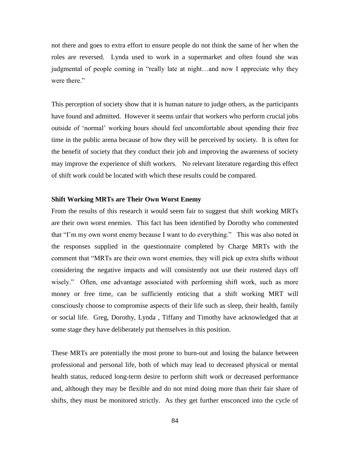not there and goes to extra effort to ensure people do not think the same of her when the roles are reversed. Lynda used to work in a supermarket and often found she was judgmental of people coming in "really late at night…and now I appreciate why they were there."

This perception of society show that it is human nature to judge others, as the participants have found and admitted. However it seems unfair that workers who perform crucial jobs outside of "normal" working hours should feel uncomfortable about spending their free time in the public arena because of how they will be perceived by society. It is often for the benefit of society that they conduct their job and improving the awareness of society may improve the experience of shift workers. No relevant literature regarding this effect of shift work could be located with which these results could be compared.

# **Shift Working MRTs are Their Own Worst Enemy**

From the results of this research it would seem fair to suggest that shift working MRTs are their own worst enemies. This fact has been identified by Dorothy who commented that "I"m my own worst enemy because I want to do everything." This was also noted in the responses supplied in the questionnaire completed by Charge MRTs with the comment that "MRTs are their own worst enemies, they will pick up extra shifts without considering the negative impacts and will consistently not use their rostered days off wisely." Often, one advantage associated with performing shift work, such as more money or free time, can be sufficiently enticing that a shift working MRT will consciously choose to compromise aspects of their life such as sleep, their health, family or social life. Greg, Dorothy, Lynda , Tiffany and Timothy have acknowledged that at some stage they have deliberately put themselves in this position.

These MRTs are potentially the most prone to burn-out and losing the balance between professional and personal life, both of which may lead to decreased physical or mental health status, reduced long-term desire to perform shift work or decreased performance and, although they may be flexible and do not mind doing more than their fair share of shifts, they must be monitored strictly. As they get further ensconced into the cycle of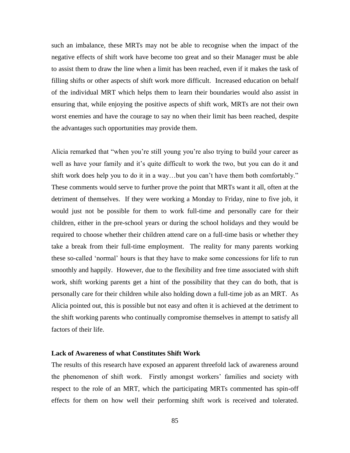such an imbalance, these MRTs may not be able to recognise when the impact of the negative effects of shift work have become too great and so their Manager must be able to assist them to draw the line when a limit has been reached, even if it makes the task of filling shifts or other aspects of shift work more difficult. Increased education on behalf of the individual MRT which helps them to learn their boundaries would also assist in ensuring that, while enjoying the positive aspects of shift work, MRTs are not their own worst enemies and have the courage to say no when their limit has been reached, despite the advantages such opportunities may provide them.

Alicia remarked that "when you"re still young you"re also trying to build your career as well as have your family and it's quite difficult to work the two, but you can do it and shift work does help you to do it in a way…but you can"t have them both comfortably." These comments would serve to further prove the point that MRTs want it all, often at the detriment of themselves. If they were working a Monday to Friday, nine to five job, it would just not be possible for them to work full-time and personally care for their children, either in the pre-school years or during the school holidays and they would be required to choose whether their children attend care on a full-time basis or whether they take a break from their full-time employment. The reality for many parents working these so-called "normal" hours is that they have to make some concessions for life to run smoothly and happily. However, due to the flexibility and free time associated with shift work, shift working parents get a hint of the possibility that they can do both, that is personally care for their children while also holding down a full-time job as an MRT. As Alicia pointed out, this is possible but not easy and often it is achieved at the detriment to the shift working parents who continually compromise themselves in attempt to satisfy all factors of their life.

# **Lack of Awareness of what Constitutes Shift Work**

The results of this research have exposed an apparent threefold lack of awareness around the phenomenon of shift work. Firstly amongst workers" families and society with respect to the role of an MRT, which the participating MRTs commented has spin-off effects for them on how well their performing shift work is received and tolerated.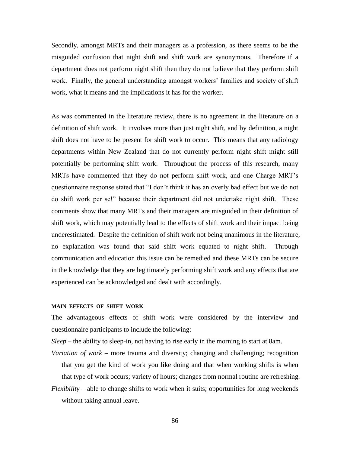Secondly, amongst MRTs and their managers as a profession, as there seems to be the misguided confusion that night shift and shift work are synonymous. Therefore if a department does not perform night shift then they do not believe that they perform shift work. Finally, the general understanding amongst workers' families and society of shift work, what it means and the implications it has for the worker.

As was commented in the literature review, there is no agreement in the literature on a definition of shift work. It involves more than just night shift, and by definition, a night shift does not have to be present for shift work to occur. This means that any radiology departments within New Zealand that do not currently perform night shift might still potentially be performing shift work. Throughout the process of this research, many MRTs have commented that they do not perform shift work, and one Charge MRT"s questionnaire response stated that "I don"t think it has an overly bad effect but we do not do shift work per se!" because their department did not undertake night shift. These comments show that many MRTs and their managers are misguided in their definition of shift work, which may potentially lead to the effects of shift work and their impact being underestimated. Despite the definition of shift work not being unanimous in the literature, no explanation was found that said shift work equated to night shift. Through communication and education this issue can be remedied and these MRTs can be secure in the knowledge that they are legitimately performing shift work and any effects that are experienced can be acknowledged and dealt with accordingly.

#### **MAIN EFFECTS OF SHIFT WORK**

The advantageous effects of shift work were considered by the interview and questionnaire participants to include the following:

*Sleep* – the ability to sleep-in, not having to rise early in the morning to start at 8am.

*Variation of work* – more trauma and diversity; changing and challenging; recognition that you get the kind of work you like doing and that when working shifts is when that type of work occurs; variety of hours; changes from normal routine are refreshing.

*Flexibility* – able to change shifts to work when it suits; opportunities for long weekends without taking annual leave.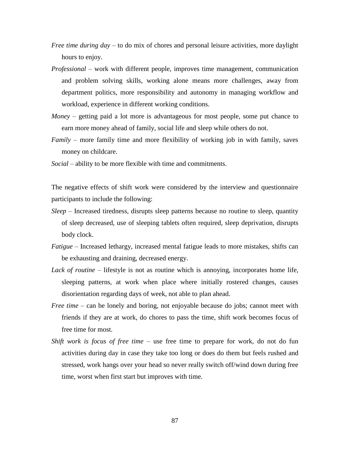- *Free time during day* to do mix of chores and personal leisure activities, more daylight hours to enjoy.
- *Professional* work with different people, improves time management, communication and problem solving skills, working alone means more challenges, away from department politics, more responsibility and autonomy in managing workflow and workload, experience in different working conditions.
- *Money* getting paid a lot more is advantageous for most people, some put chance to earn more money ahead of family, social life and sleep while others do not.
- *Family* more family time and more flexibility of working job in with family, saves money on childcare.
- *Social* ability to be more flexible with time and commitments.

The negative effects of shift work were considered by the interview and questionnaire participants to include the following:

- *Sleep* Increased tiredness, disrupts sleep patterns because no routine to sleep, quantity of sleep decreased, use of sleeping tablets often required, sleep deprivation, disrupts body clock.
- *Fatigue* Increased lethargy, increased mental fatigue leads to more mistakes, shifts can be exhausting and draining, decreased energy.
- *Lack of routine* lifestyle is not as routine which is annoying, incorporates home life, sleeping patterns, at work when place where initially rostered changes, causes disorientation regarding days of week, not able to plan ahead.
- *Free time* can be lonely and boring, not enjoyable because do jobs; cannot meet with friends if they are at work, do chores to pass the time, shift work becomes focus of free time for most.
- *Shift work is focus of free time* use free time to prepare for work, do not do fun activities during day in case they take too long or does do them but feels rushed and stressed, work hangs over your head so never really switch off/wind down during free time, worst when first start but improves with time.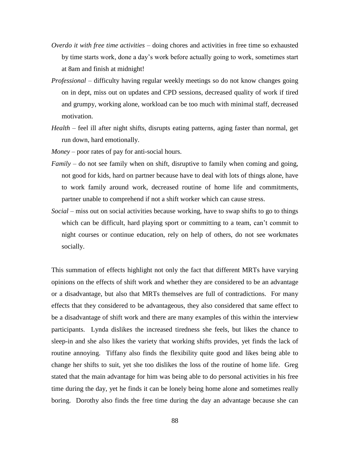- *Overdo it with free time activities* doing chores and activities in free time so exhausted by time starts work, done a day"s work before actually going to work, sometimes start at 8am and finish at midnight!
- *Professional* difficulty having regular weekly meetings so do not know changes going on in dept, miss out on updates and CPD sessions, decreased quality of work if tired and grumpy, working alone, workload can be too much with minimal staff, decreased motivation.
- *Health* feel ill after night shifts, disrupts eating patterns, aging faster than normal, get run down, hard emotionally.
- *Money* poor rates of pay for anti-social hours.
- *Family* do not see family when on shift, disruptive to family when coming and going, not good for kids, hard on partner because have to deal with lots of things alone, have to work family around work, decreased routine of home life and commitments, partner unable to comprehend if not a shift worker which can cause stress.
- *Social* miss out on social activities because working, have to swap shifts to go to things which can be difficult, hard playing sport or committing to a team, can't commit to night courses or continue education, rely on help of others, do not see workmates socially.

This summation of effects highlight not only the fact that different MRTs have varying opinions on the effects of shift work and whether they are considered to be an advantage or a disadvantage, but also that MRTs themselves are full of contradictions. For many effects that they considered to be advantageous, they also considered that same effect to be a disadvantage of shift work and there are many examples of this within the interview participants. Lynda dislikes the increased tiredness she feels, but likes the chance to sleep-in and she also likes the variety that working shifts provides, yet finds the lack of routine annoying. Tiffany also finds the flexibility quite good and likes being able to change her shifts to suit, yet she too dislikes the loss of the routine of home life. Greg stated that the main advantage for him was being able to do personal activities in his free time during the day, yet he finds it can be lonely being home alone and sometimes really boring. Dorothy also finds the free time during the day an advantage because she can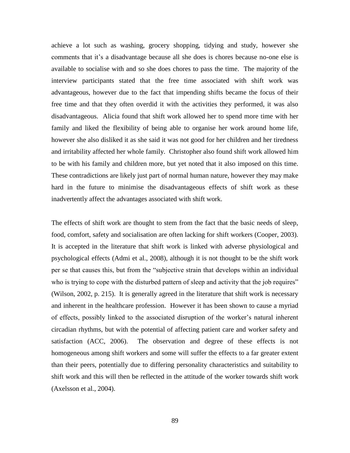achieve a lot such as washing, grocery shopping, tidying and study, however she comments that it"s a disadvantage because all she does is chores because no-one else is available to socialise with and so she does chores to pass the time. The majority of the interview participants stated that the free time associated with shift work was advantageous, however due to the fact that impending shifts became the focus of their free time and that they often overdid it with the activities they performed, it was also disadvantageous. Alicia found that shift work allowed her to spend more time with her family and liked the flexibility of being able to organise her work around home life, however she also disliked it as she said it was not good for her children and her tiredness and irritability affected her whole family. Christopher also found shift work allowed him to be with his family and children more, but yet noted that it also imposed on this time. These contradictions are likely just part of normal human nature, however they may make hard in the future to minimise the disadvantageous effects of shift work as these inadvertently affect the advantages associated with shift work.

The effects of shift work are thought to stem from the fact that the basic needs of sleep, food, comfort, safety and socialisation are often lacking for shift workers (Cooper, 2003). It is accepted in the literature that shift work is linked with adverse physiological and psychological effects (Admi et al., 2008), although it is not thought to be the shift work per se that causes this, but from the "subjective strain that develops within an individual who is trying to cope with the disturbed pattern of sleep and activity that the job requires" (Wilson, 2002, p. 215). It is generally agreed in the literature that shift work is necessary and inherent in the healthcare profession. However it has been shown to cause a myriad of effects, possibly linked to the associated disruption of the worker"s natural inherent circadian rhythms, but with the potential of affecting patient care and worker safety and satisfaction (ACC, 2006). The observation and degree of these effects is not homogeneous among shift workers and some will suffer the effects to a far greater extent than their peers, potentially due to differing personality characteristics and suitability to shift work and this will then be reflected in the attitude of the worker towards shift work (Axelsson et al., 2004).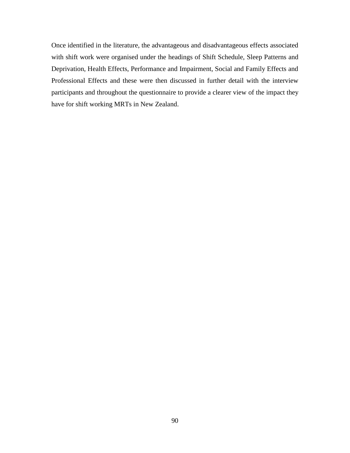Once identified in the literature, the advantageous and disadvantageous effects associated with shift work were organised under the headings of Shift Schedule, Sleep Patterns and Deprivation, Health Effects, Performance and Impairment, Social and Family Effects and Professional Effects and these were then discussed in further detail with the interview participants and throughout the questionnaire to provide a clearer view of the impact they have for shift working MRTs in New Zealand.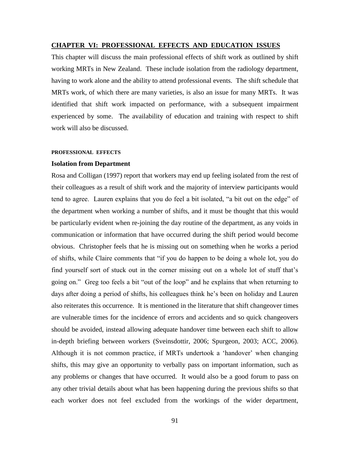## **CHAPTER VI: PROFESSIONAL EFFECTS AND EDUCATION ISSUES**

This chapter will discuss the main professional effects of shift work as outlined by shift working MRTs in New Zealand. These include isolation from the radiology department, having to work alone and the ability to attend professional events. The shift schedule that MRTs work, of which there are many varieties, is also an issue for many MRTs. It was identified that shift work impacted on performance, with a subsequent impairment experienced by some. The availability of education and training with respect to shift work will also be discussed.

#### **PROFESSIONAL EFFECTS**

# **Isolation from Department**

Rosa and Colligan (1997) report that workers may end up feeling isolated from the rest of their colleagues as a result of shift work and the majority of interview participants would tend to agree. Lauren explains that you do feel a bit isolated, "a bit out on the edge" of the department when working a number of shifts, and it must be thought that this would be particularly evident when re-joining the day routine of the department, as any voids in communication or information that have occurred during the shift period would become obvious. Christopher feels that he is missing out on something when he works a period of shifts, while Claire comments that "if you do happen to be doing a whole lot, you do find yourself sort of stuck out in the corner missing out on a whole lot of stuff that's going on." Greg too feels a bit "out of the loop" and he explains that when returning to days after doing a period of shifts, his colleagues think he's been on holiday and Lauren also reiterates this occurrence. It is mentioned in the literature that shift changeover times are vulnerable times for the incidence of errors and accidents and so quick changeovers should be avoided, instead allowing adequate handover time between each shift to allow in-depth briefing between workers (Sveinsdottir, 2006; Spurgeon, 2003; ACC, 2006). Although it is not common practice, if MRTs undertook a "handover" when changing shifts, this may give an opportunity to verbally pass on important information, such as any problems or changes that have occurred. It would also be a good forum to pass on any other trivial details about what has been happening during the previous shifts so that each worker does not feel excluded from the workings of the wider department,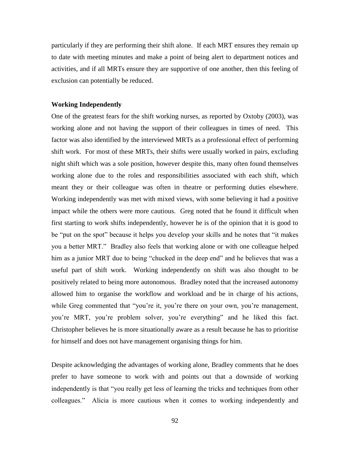particularly if they are performing their shift alone. If each MRT ensures they remain up to date with meeting minutes and make a point of being alert to department notices and activities, and if all MRTs ensure they are supportive of one another, then this feeling of exclusion can potentially be reduced.

# **Working Independently**

One of the greatest fears for the shift working nurses, as reported by Oxtoby (2003), was working alone and not having the support of their colleagues in times of need. This factor was also identified by the interviewed MRTs as a professional effect of performing shift work. For most of these MRTs, their shifts were usually worked in pairs, excluding night shift which was a sole position, however despite this, many often found themselves working alone due to the roles and responsibilities associated with each shift, which meant they or their colleague was often in theatre or performing duties elsewhere. Working independently was met with mixed views, with some believing it had a positive impact while the others were more cautious. Greg noted that he found it difficult when first starting to work shifts independently, however he is of the opinion that it is good to be "put on the spot" because it helps you develop your skills and he notes that "it makes you a better MRT." Bradley also feels that working alone or with one colleague helped him as a junior MRT due to being "chucked in the deep end" and he believes that was a useful part of shift work. Working independently on shift was also thought to be positively related to being more autonomous. Bradley noted that the increased autonomy allowed him to organise the workflow and workload and be in charge of his actions, while Greg commented that "you're it, you're there on your own, you're management, you"re MRT, you"re problem solver, you"re everything" and he liked this fact. Christopher believes he is more situationally aware as a result because he has to prioritise for himself and does not have management organising things for him.

Despite acknowledging the advantages of working alone, Bradley comments that he does prefer to have someone to work with and points out that a downside of working independently is that "you really get less of learning the tricks and techniques from other colleagues." Alicia is more cautious when it comes to working independently and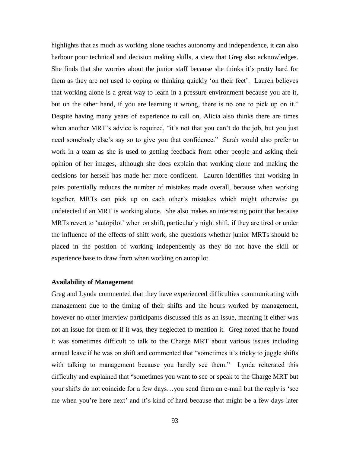highlights that as much as working alone teaches autonomy and independence, it can also harbour poor technical and decision making skills, a view that Greg also acknowledges. She finds that she worries about the junior staff because she thinks it's pretty hard for them as they are not used to coping or thinking quickly "on their feet". Lauren believes that working alone is a great way to learn in a pressure environment because you are it, but on the other hand, if you are learning it wrong, there is no one to pick up on it." Despite having many years of experience to call on, Alicia also thinks there are times when another MRT's advice is required, "it's not that you can't do the job, but you just need somebody else"s say so to give you that confidence." Sarah would also prefer to work in a team as she is used to getting feedback from other people and asking their opinion of her images, although she does explain that working alone and making the decisions for herself has made her more confident. Lauren identifies that working in pairs potentially reduces the number of mistakes made overall, because when working together, MRTs can pick up on each other"s mistakes which might otherwise go undetected if an MRT is working alone. She also makes an interesting point that because MRTs revert to 'autopilot' when on shift, particularly night shift, if they are tired or under the influence of the effects of shift work, she questions whether junior MRTs should be placed in the position of working independently as they do not have the skill or experience base to draw from when working on autopilot.

# **Availability of Management**

Greg and Lynda commented that they have experienced difficulties communicating with management due to the timing of their shifts and the hours worked by management, however no other interview participants discussed this as an issue, meaning it either was not an issue for them or if it was, they neglected to mention it. Greg noted that he found it was sometimes difficult to talk to the Charge MRT about various issues including annual leave if he was on shift and commented that "sometimes it"s tricky to juggle shifts with talking to management because you hardly see them." Lynda reiterated this difficulty and explained that "sometimes you want to see or speak to the Charge MRT but your shifts do not coincide for a few days…you send them an e-mail but the reply is "see me when you"re here next" and it"s kind of hard because that might be a few days later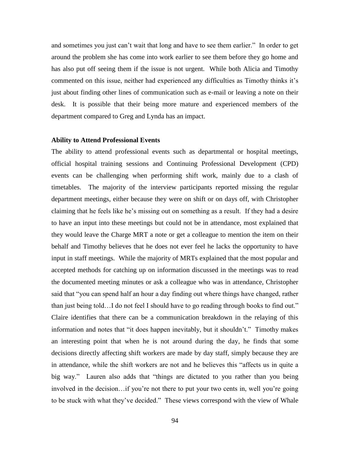and sometimes you just can"t wait that long and have to see them earlier." In order to get around the problem she has come into work earlier to see them before they go home and has also put off seeing them if the issue is not urgent. While both Alicia and Timothy commented on this issue, neither had experienced any difficulties as Timothy thinks it's just about finding other lines of communication such as e-mail or leaving a note on their desk. It is possible that their being more mature and experienced members of the department compared to Greg and Lynda has an impact.

### **Ability to Attend Professional Events**

The ability to attend professional events such as departmental or hospital meetings, official hospital training sessions and Continuing Professional Development (CPD) events can be challenging when performing shift work, mainly due to a clash of timetables. The majority of the interview participants reported missing the regular department meetings, either because they were on shift or on days off, with Christopher claiming that he feels like he"s missing out on something as a result. If they had a desire to have an input into these meetings but could not be in attendance, most explained that they would leave the Charge MRT a note or get a colleague to mention the item on their behalf and Timothy believes that he does not ever feel he lacks the opportunity to have input in staff meetings. While the majority of MRTs explained that the most popular and accepted methods for catching up on information discussed in the meetings was to read the documented meeting minutes or ask a colleague who was in attendance, Christopher said that "you can spend half an hour a day finding out where things have changed, rather than just being told…I do not feel I should have to go reading through books to find out." Claire identifies that there can be a communication breakdown in the relaying of this information and notes that "it does happen inevitably, but it shouldn"t." Timothy makes an interesting point that when he is not around during the day, he finds that some decisions directly affecting shift workers are made by day staff, simply because they are in attendance, while the shift workers are not and he believes this "affects us in quite a big way." Lauren also adds that "things are dictated to you rather than you being involved in the decision...if you're not there to put your two cents in, well you're going to be stuck with what they"ve decided." These views correspond with the view of Whale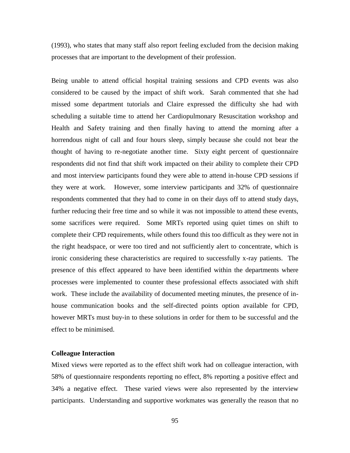(1993), who states that many staff also report feeling excluded from the decision making processes that are important to the development of their profession.

Being unable to attend official hospital training sessions and CPD events was also considered to be caused by the impact of shift work. Sarah commented that she had missed some department tutorials and Claire expressed the difficulty she had with scheduling a suitable time to attend her Cardiopulmonary Resuscitation workshop and Health and Safety training and then finally having to attend the morning after a horrendous night of call and four hours sleep, simply because she could not bear the thought of having to re-negotiate another time. Sixty eight percent of questionnaire respondents did not find that shift work impacted on their ability to complete their CPD and most interview participants found they were able to attend in-house CPD sessions if they were at work. However, some interview participants and 32% of questionnaire respondents commented that they had to come in on their days off to attend study days, further reducing their free time and so while it was not impossible to attend these events, some sacrifices were required. Some MRTs reported using quiet times on shift to complete their CPD requirements, while others found this too difficult as they were not in the right headspace, or were too tired and not sufficiently alert to concentrate, which is ironic considering these characteristics are required to successfully x-ray patients. The presence of this effect appeared to have been identified within the departments where processes were implemented to counter these professional effects associated with shift work. These include the availability of documented meeting minutes, the presence of inhouse communication books and the self-directed points option available for CPD, however MRTs must buy-in to these solutions in order for them to be successful and the effect to be minimised.

# **Colleague Interaction**

Mixed views were reported as to the effect shift work had on colleague interaction, with 58% of questionnaire respondents reporting no effect, 8% reporting a positive effect and 34% a negative effect. These varied views were also represented by the interview participants. Understanding and supportive workmates was generally the reason that no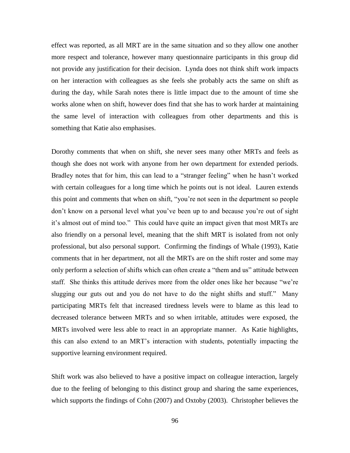effect was reported, as all MRT are in the same situation and so they allow one another more respect and tolerance, however many questionnaire participants in this group did not provide any justification for their decision. Lynda does not think shift work impacts on her interaction with colleagues as she feels she probably acts the same on shift as during the day, while Sarah notes there is little impact due to the amount of time she works alone when on shift, however does find that she has to work harder at maintaining the same level of interaction with colleagues from other departments and this is something that Katie also emphasises.

Dorothy comments that when on shift, she never sees many other MRTs and feels as though she does not work with anyone from her own department for extended periods. Bradley notes that for him, this can lead to a "stranger feeling" when he hasn"t worked with certain colleagues for a long time which he points out is not ideal. Lauren extends this point and comments that when on shift, "you"re not seen in the department so people don"t know on a personal level what you"ve been up to and because you"re out of sight it's almost out of mind too." This could have quite an impact given that most MRTs are also friendly on a personal level, meaning that the shift MRT is isolated from not only professional, but also personal support. Confirming the findings of Whale (1993), Katie comments that in her department, not all the MRTs are on the shift roster and some may only perform a selection of shifts which can often create a "them and us" attitude between staff. She thinks this attitude derives more from the older ones like her because "we"re slugging our guts out and you do not have to do the night shifts and stuff." Many participating MRTs felt that increased tiredness levels were to blame as this lead to decreased tolerance between MRTs and so when irritable, attitudes were exposed, the MRTs involved were less able to react in an appropriate manner. As Katie highlights, this can also extend to an MRT"s interaction with students, potentially impacting the supportive learning environment required.

Shift work was also believed to have a positive impact on colleague interaction, largely due to the feeling of belonging to this distinct group and sharing the same experiences, which supports the findings of Cohn (2007) and Oxtoby (2003). Christopher believes the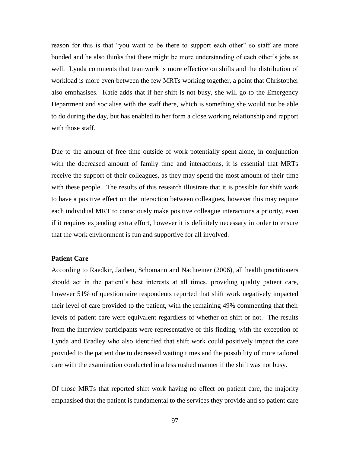reason for this is that "you want to be there to support each other" so staff are more bonded and he also thinks that there might be more understanding of each other"s jobs as well. Lynda comments that teamwork is more effective on shifts and the distribution of workload is more even between the few MRTs working together, a point that Christopher also emphasises. Katie adds that if her shift is not busy, she will go to the Emergency Department and socialise with the staff there, which is something she would not be able to do during the day, but has enabled to her form a close working relationship and rapport with those staff.

Due to the amount of free time outside of work potentially spent alone, in conjunction with the decreased amount of family time and interactions, it is essential that MRTs receive the support of their colleagues, as they may spend the most amount of their time with these people. The results of this research illustrate that it is possible for shift work to have a positive effect on the interaction between colleagues, however this may require each individual MRT to consciously make positive colleague interactions a priority, even if it requires expending extra effort, however it is definitely necessary in order to ensure that the work environment is fun and supportive for all involved.

# **Patient Care**

According to Raedkir, Janben, Schomann and Nachreiner (2006), all health practitioners should act in the patient's best interests at all times, providing quality patient care, however 51% of questionnaire respondents reported that shift work negatively impacted their level of care provided to the patient, with the remaining 49% commenting that their levels of patient care were equivalent regardless of whether on shift or not. The results from the interview participants were representative of this finding, with the exception of Lynda and Bradley who also identified that shift work could positively impact the care provided to the patient due to decreased waiting times and the possibility of more tailored care with the examination conducted in a less rushed manner if the shift was not busy.

Of those MRTs that reported shift work having no effect on patient care, the majority emphasised that the patient is fundamental to the services they provide and so patient care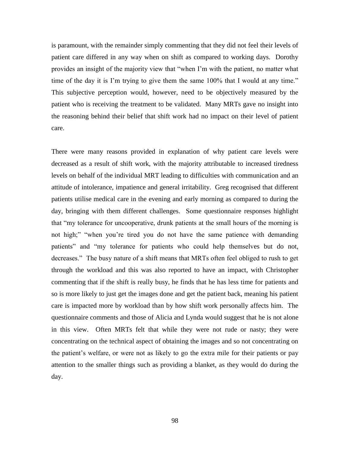is paramount, with the remainder simply commenting that they did not feel their levels of patient care differed in any way when on shift as compared to working days. Dorothy provides an insight of the majority view that "when I"m with the patient, no matter what time of the day it is I'm trying to give them the same 100% that I would at any time." This subjective perception would, however, need to be objectively measured by the patient who is receiving the treatment to be validated. Many MRTs gave no insight into the reasoning behind their belief that shift work had no impact on their level of patient care.

There were many reasons provided in explanation of why patient care levels were decreased as a result of shift work, with the majority attributable to increased tiredness levels on behalf of the individual MRT leading to difficulties with communication and an attitude of intolerance, impatience and general irritability. Greg recognised that different patients utilise medical care in the evening and early morning as compared to during the day, bringing with them different challenges. Some questionnaire responses highlight that "my tolerance for uncooperative, drunk patients at the small hours of the morning is not high;" "when you"re tired you do not have the same patience with demanding patients" and "my tolerance for patients who could help themselves but do not, decreases." The busy nature of a shift means that MRTs often feel obliged to rush to get through the workload and this was also reported to have an impact, with Christopher commenting that if the shift is really busy, he finds that he has less time for patients and so is more likely to just get the images done and get the patient back, meaning his patient care is impacted more by workload than by how shift work personally affects him. The questionnaire comments and those of Alicia and Lynda would suggest that he is not alone in this view. Often MRTs felt that while they were not rude or nasty; they were concentrating on the technical aspect of obtaining the images and so not concentrating on the patient"s welfare, or were not as likely to go the extra mile for their patients or pay attention to the smaller things such as providing a blanket, as they would do during the day.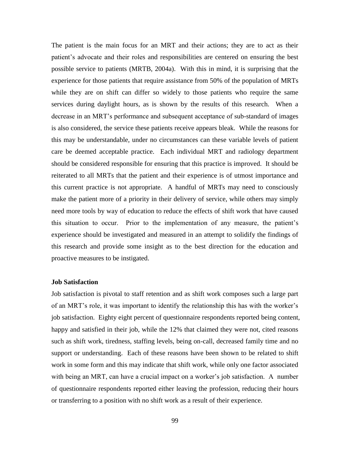The patient is the main focus for an MRT and their actions; they are to act as their patient"s advocate and their roles and responsibilities are centered on ensuring the best possible service to patients (MRTB, 2004a). With this in mind, it is surprising that the experience for those patients that require assistance from 50% of the population of MRTs while they are on shift can differ so widely to those patients who require the same services during daylight hours, as is shown by the results of this research. When a decrease in an MRT"s performance and subsequent acceptance of sub-standard of images is also considered, the service these patients receive appears bleak. While the reasons for this may be understandable, under no circumstances can these variable levels of patient care be deemed acceptable practice. Each individual MRT and radiology department should be considered responsible for ensuring that this practice is improved. It should be reiterated to all MRTs that the patient and their experience is of utmost importance and this current practice is not appropriate. A handful of MRTs may need to consciously make the patient more of a priority in their delivery of service, while others may simply need more tools by way of education to reduce the effects of shift work that have caused this situation to occur. Prior to the implementation of any measure, the patient"s experience should be investigated and measured in an attempt to solidify the findings of this research and provide some insight as to the best direction for the education and proactive measures to be instigated.

# **Job Satisfaction**

Job satisfaction is pivotal to staff retention and as shift work composes such a large part of an MRT"s role, it was important to identify the relationship this has with the worker"s job satisfaction. Eighty eight percent of questionnaire respondents reported being content, happy and satisfied in their job, while the 12% that claimed they were not, cited reasons such as shift work, tiredness, staffing levels, being on-call, decreased family time and no support or understanding. Each of these reasons have been shown to be related to shift work in some form and this may indicate that shift work, while only one factor associated with being an MRT, can have a crucial impact on a worker's job satisfaction. A number of questionnaire respondents reported either leaving the profession, reducing their hours or transferring to a position with no shift work as a result of their experience.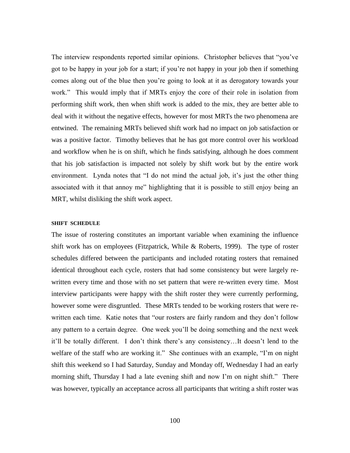The interview respondents reported similar opinions. Christopher believes that "you"ve got to be happy in your job for a start; if you"re not happy in your job then if something comes along out of the blue then you"re going to look at it as derogatory towards your work." This would imply that if MRTs enjoy the core of their role in isolation from performing shift work, then when shift work is added to the mix, they are better able to deal with it without the negative effects, however for most MRTs the two phenomena are entwined. The remaining MRTs believed shift work had no impact on job satisfaction or was a positive factor. Timothy believes that he has got more control over his workload and workflow when he is on shift, which he finds satisfying, although he does comment that his job satisfaction is impacted not solely by shift work but by the entire work environment. Lynda notes that "I do not mind the actual job, it's just the other thing associated with it that annoy me" highlighting that it is possible to still enjoy being an MRT, whilst disliking the shift work aspect.

#### **SHIFT SCHEDULE**

The issue of rostering constitutes an important variable when examining the influence shift work has on employees (Fitzpatrick, While & Roberts, 1999). The type of roster schedules differed between the participants and included rotating rosters that remained identical throughout each cycle, rosters that had some consistency but were largely rewritten every time and those with no set pattern that were re-written every time. Most interview participants were happy with the shift roster they were currently performing, however some were disgruntled. These MRTs tended to be working rosters that were rewritten each time. Katie notes that "our rosters are fairly random and they don"t follow any pattern to a certain degree. One week you"ll be doing something and the next week it"ll be totally different. I don"t think there"s any consistency…It doesn"t lend to the welfare of the staff who are working it." She continues with an example, "I'm on night shift this weekend so I had Saturday, Sunday and Monday off, Wednesday I had an early morning shift, Thursday I had a late evening shift and now I"m on night shift." There was however, typically an acceptance across all participants that writing a shift roster was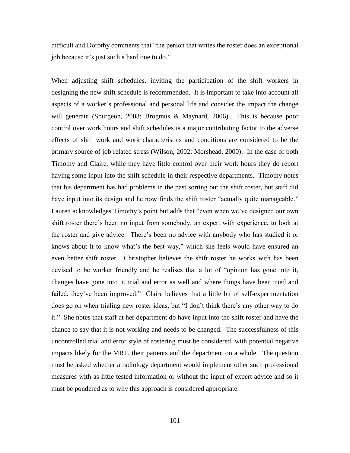difficult and Dorothy comments that "the person that writes the roster does an exceptional job because it"s just such a hard one to do."

When adjusting shift schedules, inviting the participation of the shift workers in designing the new shift schedule is recommended. It is important to take into account all aspects of a worker"s professional and personal life and consider the impact the change will generate (Spurgeon, 2003; Brogmus & Maynard, 2006). This is because poor control over work hours and shift schedules is a major contributing factor to the adverse effects of shift work and work characteristics and conditions are considered to be the primary source of job related stress (Wilson, 2002; Morshead, 2000). In the case of both Timothy and Claire, while they have little control over their work hours they do report having some input into the shift schedule in their respective departments. Timothy notes that his department has had problems in the past sorting out the shift roster, but staff did have input into its design and he now finds the shift roster "actually quite manageable." Lauren acknowledges Timothy"s point but adds that "even when we"ve designed our own shift roster there's been no input from somebody, an expert with experience, to look at the roster and give advice. There"s been no advice with anybody who has studied it or knows about it to know what's the best way," which she feels would have ensured an even better shift roster. Christopher believes the shift roster he works with has been devised to be worker friendly and he realises that a lot of "opinion has gone into it, changes have gone into it, trial and error as well and where things have been tried and failed, they've been improved." Claire believes that a little bit of self-experimentation does go on when trialing new roster ideas, but "I don"t think there"s any other way to do it." She notes that staff at her department do have input into the shift roster and have the chance to say that it is not working and needs to be changed. The successfulness of this uncontrolled trial and error style of rostering must be considered, with potential negative impacts likely for the MRT, their patients and the department on a whole. The question must be asked whether a radiology department would implement other such professional measures with as little tested information or without the input of expert advice and so it must be pondered as to why this approach is considered appropriate.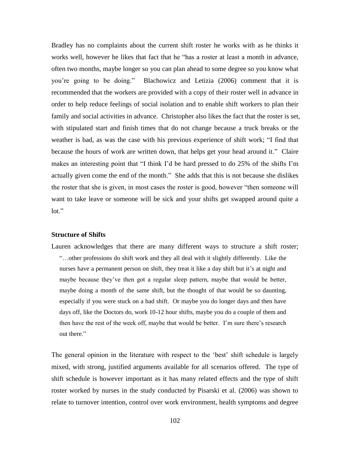Bradley has no complaints about the current shift roster he works with as he thinks it works well, however he likes that fact that he "has a roster at least a month in advance, often two months, maybe longer so you can plan ahead to some degree so you know what you"re going to be doing." Blachowicz and Letizia (2006) comment that it is recommended that the workers are provided with a copy of their roster well in advance in order to help reduce feelings of social isolation and to enable shift workers to plan their family and social activities in advance. Christopher also likes the fact that the roster is set, with stipulated start and finish times that do not change because a truck breaks or the weather is bad, as was the case with his previous experience of shift work; "I find that because the hours of work are written down, that helps get your head around it." Claire makes an interesting point that "I think I"d be hard pressed to do 25% of the shifts I"m actually given come the end of the month." She adds that this is not because she dislikes the roster that she is given, in most cases the roster is good, however "then someone will want to take leave or someone will be sick and your shifts get swapped around quite a lot."

# **Structure of Shifts**

Lauren acknowledges that there are many different ways to structure a shift roster; "…other professions do shift work and they all deal with it slightly differently. Like the nurses have a permanent person on shift, they treat it like a day shift but it's at night and maybe because they've then got a regular sleep pattern, maybe that would be better, maybe doing a month of the same shift, but the thought of that would be so daunting, especially if you were stuck on a bad shift. Or maybe you do longer days and then have days off, like the Doctors do, work 10-12 hour shifts, maybe you do a couple of them and then have the rest of the week off, maybe that would be better. I"m sure there"s research out there."

The general opinion in the literature with respect to the 'best' shift schedule is largely mixed, with strong, justified arguments available for all scenarios offered. The type of shift schedule is however important as it has many related effects and the type of shift roster worked by nurses in the study conducted by Pisarski et al. (2006) was shown to relate to turnover intention, control over work environment, health symptoms and degree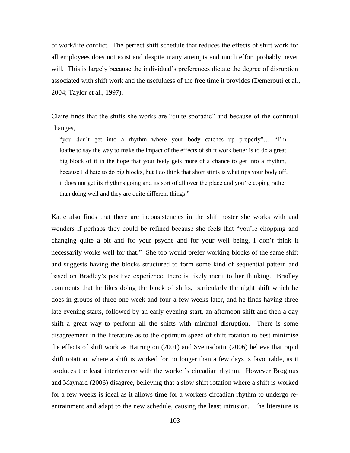of work/life conflict. The perfect shift schedule that reduces the effects of shift work for all employees does not exist and despite many attempts and much effort probably never will. This is largely because the individual's preferences dictate the degree of disruption associated with shift work and the usefulness of the free time it provides (Demerouti et al., 2004; Taylor et al., 1997).

Claire finds that the shifts she works are "quite sporadic" and because of the continual changes,

"you don"t get into a rhythm where your body catches up properly"… "I"m loathe to say the way to make the impact of the effects of shift work better is to do a great big block of it in the hope that your body gets more of a chance to get into a rhythm, because I"d hate to do big blocks, but I do think that short stints is what tips your body off, it does not get its rhythms going and its sort of all over the place and you"re coping rather than doing well and they are quite different things."

Katie also finds that there are inconsistencies in the shift roster she works with and wonders if perhaps they could be refined because she feels that "you"re chopping and changing quite a bit and for your psyche and for your well being, I don"t think it necessarily works well for that." She too would prefer working blocks of the same shift and suggests having the blocks structured to form some kind of sequential pattern and based on Bradley"s positive experience, there is likely merit to her thinking. Bradley comments that he likes doing the block of shifts, particularly the night shift which he does in groups of three one week and four a few weeks later, and he finds having three late evening starts, followed by an early evening start, an afternoon shift and then a day shift a great way to perform all the shifts with minimal disruption. There is some disagreement in the literature as to the optimum speed of shift rotation to best minimise the effects of shift work as Harrington (2001) and Sveinsdottir (2006) believe that rapid shift rotation, where a shift is worked for no longer than a few days is favourable, as it produces the least interference with the worker"s circadian rhythm. However Brogmus and Maynard (2006) disagree, believing that a slow shift rotation where a shift is worked for a few weeks is ideal as it allows time for a workers circadian rhythm to undergo reentrainment and adapt to the new schedule, causing the least intrusion. The literature is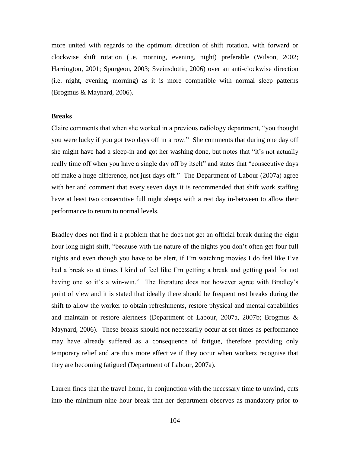more united with regards to the optimum direction of shift rotation, with forward or clockwise shift rotation (i.e. morning, evening, night) preferable (Wilson, 2002; Harrington, 2001; Spurgeon, 2003; Sveinsdottir, 2006) over an anti-clockwise direction (i.e. night, evening, morning) as it is more compatible with normal sleep patterns (Brogmus & Maynard, 2006).

### **Breaks**

Claire comments that when she worked in a previous radiology department, "you thought you were lucky if you got two days off in a row." She comments that during one day off she might have had a sleep-in and got her washing done, but notes that "it"s not actually really time off when you have a single day off by itself" and states that "consecutive days off make a huge difference, not just days off." The Department of Labour (2007a) agree with her and comment that every seven days it is recommended that shift work staffing have at least two consecutive full night sleeps with a rest day in-between to allow their performance to return to normal levels.

Bradley does not find it a problem that he does not get an official break during the eight hour long night shift, "because with the nature of the nights you don"t often get four full nights and even though you have to be alert, if I"m watching movies I do feel like I"ve had a break so at times I kind of feel like I'm getting a break and getting paid for not having one so it's a win-win." The literature does not however agree with Bradley's point of view and it is stated that ideally there should be frequent rest breaks during the shift to allow the worker to obtain refreshments, restore physical and mental capabilities and maintain or restore alertness (Department of Labour, 2007a, 2007b; Brogmus & Maynard, 2006). These breaks should not necessarily occur at set times as performance may have already suffered as a consequence of fatigue, therefore providing only temporary relief and are thus more effective if they occur when workers recognise that they are becoming fatigued (Department of Labour, 2007a).

Lauren finds that the travel home, in conjunction with the necessary time to unwind, cuts into the minimum nine hour break that her department observes as mandatory prior to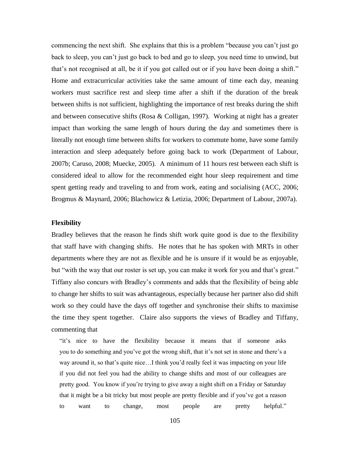commencing the next shift. She explains that this is a problem "because you can"t just go back to sleep, you can"t just go back to bed and go to sleep, you need time to unwind, but that's not recognised at all, be it if you got called out or if you have been doing a shift." Home and extracurricular activities take the same amount of time each day, meaning workers must sacrifice rest and sleep time after a shift if the duration of the break between shifts is not sufficient, highlighting the importance of rest breaks during the shift and between consecutive shifts (Rosa & Colligan, 1997). Working at night has a greater impact than working the same length of hours during the day and sometimes there is literally not enough time between shifts for workers to commute home, have some family interaction and sleep adequately before going back to work (Department of Labour, 2007b; Caruso, 2008; Muecke, 2005). A minimum of 11 hours rest between each shift is considered ideal to allow for the recommended eight hour sleep requirement and time spent getting ready and traveling to and from work, eating and socialising (ACC, 2006; Brogmus & Maynard, 2006; Blachowicz & Letizia, 2006; Department of Labour, 2007a).

### **Flexibility**

Bradley believes that the reason he finds shift work quite good is due to the flexibility that staff have with changing shifts. He notes that he has spoken with MRTs in other departments where they are not as flexible and he is unsure if it would be as enjoyable, but "with the way that our roster is set up, you can make it work for you and that's great." Tiffany also concurs with Bradley"s comments and adds that the flexibility of being able to change her shifts to suit was advantageous, especially because her partner also did shift work so they could have the days off together and synchronise their shifts to maximise the time they spent together. Claire also supports the views of Bradley and Tiffany, commenting that

"it"s nice to have the flexibility because it means that if someone asks you to do something and you've got the wrong shift, that it's not set in stone and there's a way around it, so that's quite nice...I think you'd really feel it was impacting on your life if you did not feel you had the ability to change shifts and most of our colleagues are pretty good. You know if you"re trying to give away a night shift on a Friday or Saturday that it might be a bit tricky but most people are pretty flexible and if you"ve got a reason to want to change, most people are pretty helpful."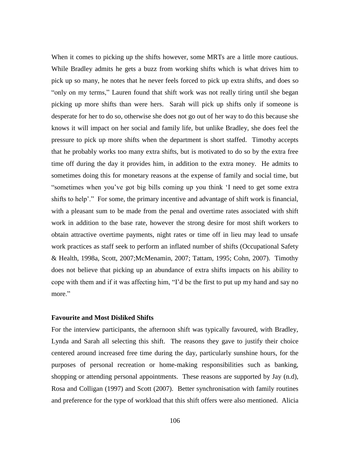When it comes to picking up the shifts however, some MRTs are a little more cautious. While Bradley admits he gets a buzz from working shifts which is what drives him to pick up so many, he notes that he never feels forced to pick up extra shifts, and does so "only on my terms," Lauren found that shift work was not really tiring until she began picking up more shifts than were hers. Sarah will pick up shifts only if someone is desperate for her to do so, otherwise she does not go out of her way to do this because she knows it will impact on her social and family life, but unlike Bradley, she does feel the pressure to pick up more shifts when the department is short staffed. Timothy accepts that he probably works too many extra shifts, but is motivated to do so by the extra free time off during the day it provides him, in addition to the extra money. He admits to sometimes doing this for monetary reasons at the expense of family and social time, but "sometimes when you"ve got big bills coming up you think "I need to get some extra shifts to help'." For some, the primary incentive and advantage of shift work is financial, with a pleasant sum to be made from the penal and overtime rates associated with shift work in addition to the base rate, however the strong desire for most shift workers to obtain attractive overtime payments, night rates or time off in lieu may lead to unsafe work practices as staff seek to perform an inflated number of shifts (Occupational Safety & Health, 1998a, Scott, 2007;McMenamin, 2007; Tattam, 1995; Cohn, 2007). Timothy does not believe that picking up an abundance of extra shifts impacts on his ability to cope with them and if it was affecting him, "I"d be the first to put up my hand and say no more."

# **Favourite and Most Disliked Shifts**

For the interview participants, the afternoon shift was typically favoured, with Bradley, Lynda and Sarah all selecting this shift. The reasons they gave to justify their choice centered around increased free time during the day, particularly sunshine hours, for the purposes of personal recreation or home-making responsibilities such as banking, shopping or attending personal appointments. These reasons are supported by Jay (n.d), Rosa and Colligan (1997) and Scott (2007). Better synchronisation with family routines and preference for the type of workload that this shift offers were also mentioned. Alicia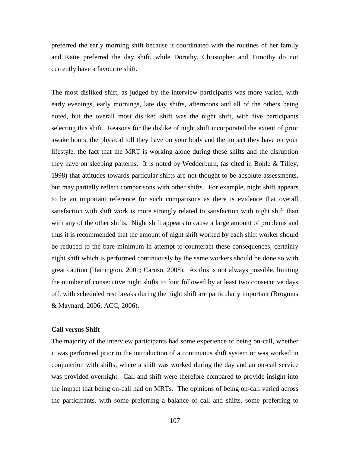preferred the early morning shift because it coordinated with the routines of her family and Katie preferred the day shift, while Dorothy, Christopher and Timothy do not currently have a favourite shift.

The most disliked shift, as judged by the interview participants was more varied, with early evenings, early mornings, late day shifts, afternoons and all of the others being noted, but the overall most disliked shift was the night shift, with five participants selecting this shift. Reasons for the dislike of night shift incorporated the extent of prior awake hours, the physical toll they have on your body and the impact they have on your lifestyle, the fact that the MRT is working alone during these shifts and the disruption they have on sleeping patterns. It is noted by Wedderburn, (as cited in Bohle & Tilley, 1998) that attitudes towards particular shifts are not thought to be absolute assessments, but may partially reflect comparisons with other shifts. For example, night shift appears to be an important reference for such comparisons as there is evidence that overall satisfaction with shift work is more strongly related to satisfaction with night shift than with any of the other shifts. Night shift appears to cause a large amount of problems and thus it is recommended that the amount of night shift worked by each shift worker should be reduced to the bare minimum in attempt to counteract these consequences, certainly night shift which is performed continuously by the same workers should be done so with great caution (Harrington, 2001; Caruso, 2008). As this is not always possible, limiting the number of consecutive night shifts to four followed by at least two consecutive days off, with scheduled rest breaks during the night shift are particularly important (Brogmus & Maynard, 2006; ACC, 2006).

#### **Call versus Shift**

The majority of the interview participants had some experience of being on-call, whether it was performed prior to the introduction of a continuous shift system or was worked in conjunction with shifts, where a shift was worked during the day and an on-call service was provided overnight. Call and shift were therefore compared to provide insight into the impact that being on-call had on MRTs. The opinions of being on-call varied across the participants, with some preferring a balance of call and shifts, some preferring to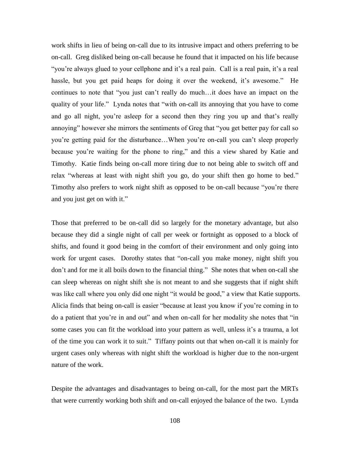work shifts in lieu of being on-call due to its intrusive impact and others preferring to be on-call. Greg disliked being on-call because he found that it impacted on his life because "you're always glued to your cellphone and it's a real pain. Call is a real pain, it's a real hassle, but you get paid heaps for doing it over the weekend, it's awesome." He continues to note that "you just can"t really do much…it does have an impact on the quality of your life." Lynda notes that "with on-call its annoying that you have to come and go all night, you're asleep for a second then they ring you up and that's really annoying" however she mirrors the sentiments of Greg that "you get better pay for call so you"re getting paid for the disturbance…When you"re on-call you can"t sleep properly because you"re waiting for the phone to ring," and this a view shared by Katie and Timothy. Katie finds being on-call more tiring due to not being able to switch off and relax "whereas at least with night shift you go, do your shift then go home to bed." Timothy also prefers to work night shift as opposed to be on-call because "you"re there and you just get on with it."

Those that preferred to be on-call did so largely for the monetary advantage, but also because they did a single night of call per week or fortnight as opposed to a block of shifts, and found it good being in the comfort of their environment and only going into work for urgent cases. Dorothy states that "on-call you make money, night shift you don"t and for me it all boils down to the financial thing." She notes that when on-call she can sleep whereas on night shift she is not meant to and she suggests that if night shift was like call where you only did one night "it would be good," a view that Katie supports. Alicia finds that being on-call is easier "because at least you know if you"re coming in to do a patient that you"re in and out" and when on-call for her modality she notes that "in some cases you can fit the workload into your pattern as well, unless it's a trauma, a lot of the time you can work it to suit." Tiffany points out that when on-call it is mainly for urgent cases only whereas with night shift the workload is higher due to the non-urgent nature of the work.

Despite the advantages and disadvantages to being on-call, for the most part the MRTs that were currently working both shift and on-call enjoyed the balance of the two. Lynda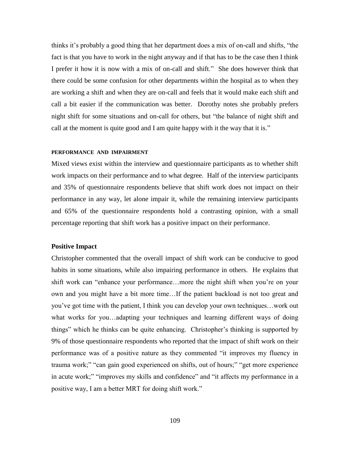thinks it"s probably a good thing that her department does a mix of on-call and shifts, "the fact is that you have to work in the night anyway and if that has to be the case then I think I prefer it how it is now with a mix of on-call and shift." She does however think that there could be some confusion for other departments within the hospital as to when they are working a shift and when they are on-call and feels that it would make each shift and call a bit easier if the communication was better. Dorothy notes she probably prefers night shift for some situations and on-call for others, but "the balance of night shift and call at the moment is quite good and I am quite happy with it the way that it is."

### **PERFORMANCE AND IMPAIRMENT**

Mixed views exist within the interview and questionnaire participants as to whether shift work impacts on their performance and to what degree. Half of the interview participants and 35% of questionnaire respondents believe that shift work does not impact on their performance in any way, let alone impair it, while the remaining interview participants and 65% of the questionnaire respondents hold a contrasting opinion, with a small percentage reporting that shift work has a positive impact on their performance.

## **Positive Impact**

Christopher commented that the overall impact of shift work can be conducive to good habits in some situations, while also impairing performance in others. He explains that shift work can "enhance your performance…more the night shift when you"re on your own and you might have a bit more time…If the patient backload is not too great and you"ve got time with the patient, I think you can develop your own techniques…work out what works for you…adapting your techniques and learning different ways of doing things" which he thinks can be quite enhancing. Christopher"s thinking is supported by 9% of those questionnaire respondents who reported that the impact of shift work on their performance was of a positive nature as they commented "it improves my fluency in trauma work;" "can gain good experienced on shifts, out of hours;" "get more experience in acute work;" "improves my skills and confidence" and "it affects my performance in a positive way, I am a better MRT for doing shift work."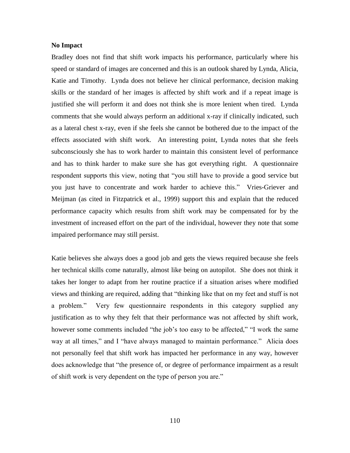### **No Impact**

Bradley does not find that shift work impacts his performance, particularly where his speed or standard of images are concerned and this is an outlook shared by Lynda, Alicia, Katie and Timothy. Lynda does not believe her clinical performance, decision making skills or the standard of her images is affected by shift work and if a repeat image is justified she will perform it and does not think she is more lenient when tired. Lynda comments that she would always perform an additional x-ray if clinically indicated, such as a lateral chest x-ray, even if she feels she cannot be bothered due to the impact of the effects associated with shift work. An interesting point, Lynda notes that she feels subconsciously she has to work harder to maintain this consistent level of performance and has to think harder to make sure she has got everything right. A questionnaire respondent supports this view, noting that "you still have to provide a good service but you just have to concentrate and work harder to achieve this." Vries-Griever and Meijman (as cited in Fitzpatrick et al., 1999) support this and explain that the reduced performance capacity which results from shift work may be compensated for by the investment of increased effort on the part of the individual, however they note that some impaired performance may still persist.

Katie believes she always does a good job and gets the views required because she feels her technical skills come naturally, almost like being on autopilot. She does not think it takes her longer to adapt from her routine practice if a situation arises where modified views and thinking are required, adding that "thinking like that on my feet and stuff is not a problem." Very few questionnaire respondents in this category supplied any justification as to why they felt that their performance was not affected by shift work, however some comments included "the job"s too easy to be affected," "I work the same way at all times," and I "have always managed to maintain performance." Alicia does not personally feel that shift work has impacted her performance in any way, however does acknowledge that "the presence of, or degree of performance impairment as a result of shift work is very dependent on the type of person you are."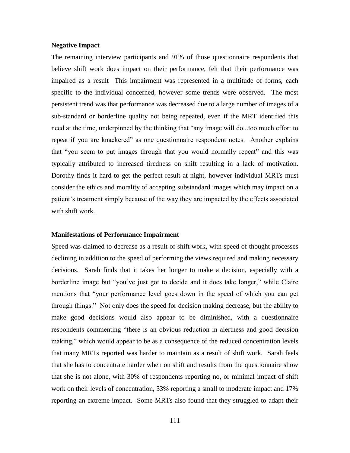### **Negative Impact**

The remaining interview participants and 91% of those questionnaire respondents that believe shift work does impact on their performance, felt that their performance was impaired as a result This impairment was represented in a multitude of forms, each specific to the individual concerned, however some trends were observed. The most persistent trend was that performance was decreased due to a large number of images of a sub-standard or borderline quality not being repeated, even if the MRT identified this need at the time, underpinned by the thinking that "any image will do...too much effort to repeat if you are knackered" as one questionnaire respondent notes. Another explains that "you seem to put images through that you would normally repeat" and this was typically attributed to increased tiredness on shift resulting in a lack of motivation. Dorothy finds it hard to get the perfect result at night, however individual MRTs must consider the ethics and morality of accepting substandard images which may impact on a patient"s treatment simply because of the way they are impacted by the effects associated with shift work.

## **Manifestations of Performance Impairment**

Speed was claimed to decrease as a result of shift work, with speed of thought processes declining in addition to the speed of performing the views required and making necessary decisions. Sarah finds that it takes her longer to make a decision, especially with a borderline image but "you"ve just got to decide and it does take longer," while Claire mentions that "your performance level goes down in the speed of which you can get through things." Not only does the speed for decision making decrease, but the ability to make good decisions would also appear to be diminished, with a questionnaire respondents commenting "there is an obvious reduction in alertness and good decision making," which would appear to be as a consequence of the reduced concentration levels that many MRTs reported was harder to maintain as a result of shift work. Sarah feels that she has to concentrate harder when on shift and results from the questionnaire show that she is not alone, with 30% of respondents reporting no, or minimal impact of shift work on their levels of concentration, 53% reporting a small to moderate impact and 17% reporting an extreme impact. Some MRTs also found that they struggled to adapt their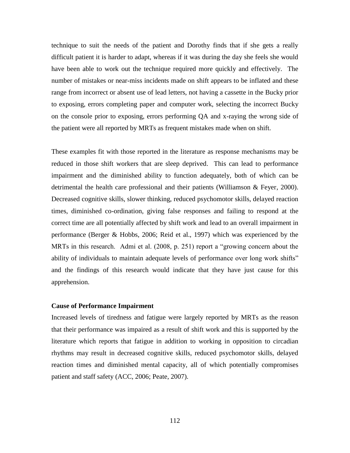technique to suit the needs of the patient and Dorothy finds that if she gets a really difficult patient it is harder to adapt, whereas if it was during the day she feels she would have been able to work out the technique required more quickly and effectively. The number of mistakes or near-miss incidents made on shift appears to be inflated and these range from incorrect or absent use of lead letters, not having a cassette in the Bucky prior to exposing, errors completing paper and computer work, selecting the incorrect Bucky on the console prior to exposing, errors performing QA and x-raying the wrong side of the patient were all reported by MRTs as frequent mistakes made when on shift.

These examples fit with those reported in the literature as response mechanisms may be reduced in those shift workers that are sleep deprived. This can lead to performance impairment and the diminished ability to function adequately, both of which can be detrimental the health care professional and their patients (Williamson & Feyer, 2000). Decreased cognitive skills, slower thinking, reduced psychomotor skills, delayed reaction times, diminished co-ordination, giving false responses and failing to respond at the correct time are all potentially affected by shift work and lead to an overall impairment in performance (Berger & Hobbs, 2006; Reid et al., 1997) which was experienced by the MRTs in this research. Admi et al. (2008, p. 251) report a "growing concern about the ability of individuals to maintain adequate levels of performance over long work shifts" and the findings of this research would indicate that they have just cause for this apprehension.

## **Cause of Performance Impairment**

Increased levels of tiredness and fatigue were largely reported by MRTs as the reason that their performance was impaired as a result of shift work and this is supported by the literature which reports that fatigue in addition to working in opposition to circadian rhythms may result in decreased cognitive skills, reduced psychomotor skills, delayed reaction times and diminished mental capacity, all of which potentially compromises patient and staff safety (ACC, 2006; Peate, 2007).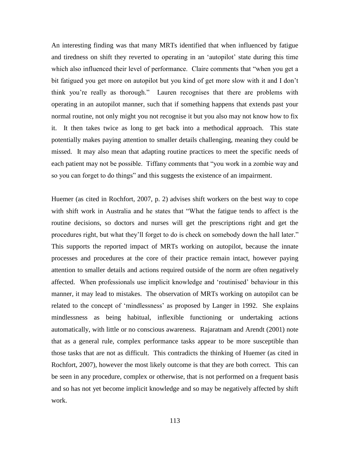An interesting finding was that many MRTs identified that when influenced by fatigue and tiredness on shift they reverted to operating in an "autopilot" state during this time which also influenced their level of performance. Claire comments that "when you get a bit fatigued you get more on autopilot but you kind of get more slow with it and I don"t think you"re really as thorough." Lauren recognises that there are problems with operating in an autopilot manner, such that if something happens that extends past your normal routine, not only might you not recognise it but you also may not know how to fix it. It then takes twice as long to get back into a methodical approach. This state potentially makes paying attention to smaller details challenging, meaning they could be missed. It may also mean that adapting routine practices to meet the specific needs of each patient may not be possible. Tiffany comments that "you work in a zombie way and so you can forget to do things" and this suggests the existence of an impairment.

Huemer (as cited in Rochfort, 2007, p. 2) advises shift workers on the best way to cope with shift work in Australia and he states that "What the fatigue tends to affect is the routine decisions, so doctors and nurses will get the prescriptions right and get the procedures right, but what they"ll forget to do is check on somebody down the hall later." This supports the reported impact of MRTs working on autopilot, because the innate processes and procedures at the core of their practice remain intact, however paying attention to smaller details and actions required outside of the norm are often negatively affected. When professionals use implicit knowledge and "routinised" behaviour in this manner, it may lead to mistakes. The observation of MRTs working on autopilot can be related to the concept of "mindlessness" as proposed by Langer in 1992. She explains mindlessness as being habitual, inflexible functioning or undertaking actions automatically, with little or no conscious awareness. Rajaratnam and Arendt (2001) note that as a general rule, complex performance tasks appear to be more susceptible than those tasks that are not as difficult. This contradicts the thinking of Huemer (as cited in Rochfort, 2007), however the most likely outcome is that they are both correct. This can be seen in any procedure, complex or otherwise, that is not performed on a frequent basis and so has not yet become implicit knowledge and so may be negatively affected by shift work.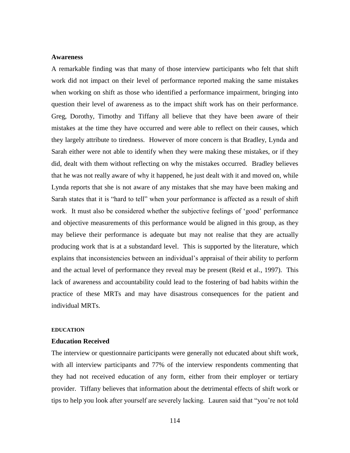## **Awareness**

A remarkable finding was that many of those interview participants who felt that shift work did not impact on their level of performance reported making the same mistakes when working on shift as those who identified a performance impairment, bringing into question their level of awareness as to the impact shift work has on their performance. Greg, Dorothy, Timothy and Tiffany all believe that they have been aware of their mistakes at the time they have occurred and were able to reflect on their causes, which they largely attribute to tiredness. However of more concern is that Bradley, Lynda and Sarah either were not able to identify when they were making these mistakes, or if they did, dealt with them without reflecting on why the mistakes occurred. Bradley believes that he was not really aware of why it happened, he just dealt with it and moved on, while Lynda reports that she is not aware of any mistakes that she may have been making and Sarah states that it is "hard to tell" when your performance is affected as a result of shift work. It must also be considered whether the subjective feelings of "good" performance and objective measurements of this performance would be aligned in this group, as they may believe their performance is adequate but may not realise that they are actually producing work that is at a substandard level. This is supported by the literature, which explains that inconsistencies between an individual"s appraisal of their ability to perform and the actual level of performance they reveal may be present (Reid et al., 1997). This lack of awareness and accountability could lead to the fostering of bad habits within the practice of these MRTs and may have disastrous consequences for the patient and individual MRTs.

#### **EDUCATION**

## **Education Received**

The interview or questionnaire participants were generally not educated about shift work, with all interview participants and 77% of the interview respondents commenting that they had not received education of any form, either from their employer or tertiary provider. Tiffany believes that information about the detrimental effects of shift work or tips to help you look after yourself are severely lacking. Lauren said that "you"re not told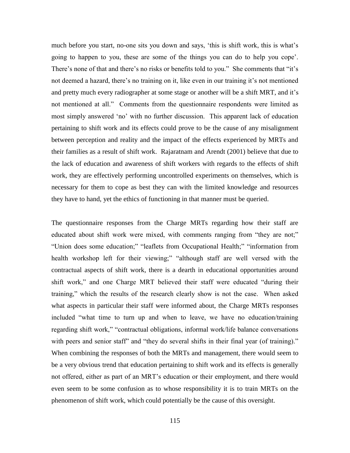much before you start, no-one sits you down and says, "this is shift work, this is what"s going to happen to you, these are some of the things you can do to help you cope". There's none of that and there's no risks or benefits told to you." She comments that "it's not deemed a hazard, there's no training on it, like even in our training it's not mentioned and pretty much every radiographer at some stage or another will be a shift MRT, and it's not mentioned at all." Comments from the questionnaire respondents were limited as most simply answered "no" with no further discussion. This apparent lack of education pertaining to shift work and its effects could prove to be the cause of any misalignment between perception and reality and the impact of the effects experienced by MRTs and their families as a result of shift work. Rajaratnam and Arendt (2001) believe that due to the lack of education and awareness of shift workers with regards to the effects of shift work, they are effectively performing uncontrolled experiments on themselves, which is necessary for them to cope as best they can with the limited knowledge and resources they have to hand, yet the ethics of functioning in that manner must be queried.

The questionnaire responses from the Charge MRTs regarding how their staff are educated about shift work were mixed, with comments ranging from "they are not;" "Union does some education;" "leaflets from Occupational Health;" "information from health workshop left for their viewing;" "although staff are well versed with the contractual aspects of shift work, there is a dearth in educational opportunities around shift work," and one Charge MRT believed their staff were educated "during their training," which the results of the research clearly show is not the case. When asked what aspects in particular their staff were informed about, the Charge MRTs responses included "what time to turn up and when to leave, we have no education/training regarding shift work," "contractual obligations, informal work/life balance conversations with peers and senior staff" and "they do several shifts in their final year (of training)." When combining the responses of both the MRTs and management, there would seem to be a very obvious trend that education pertaining to shift work and its effects is generally not offered, either as part of an MRT"s education or their employment, and there would even seem to be some confusion as to whose responsibility it is to train MRTs on the phenomenon of shift work, which could potentially be the cause of this oversight.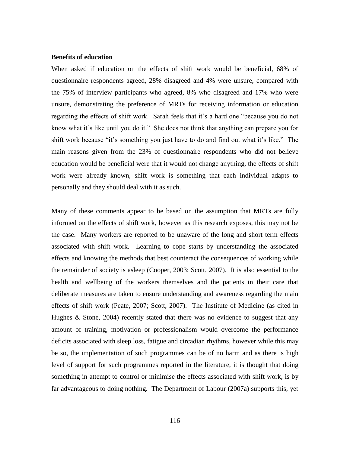### **Benefits of education**

When asked if education on the effects of shift work would be beneficial, 68% of questionnaire respondents agreed, 28% disagreed and 4% were unsure, compared with the 75% of interview participants who agreed, 8% who disagreed and 17% who were unsure, demonstrating the preference of MRTs for receiving information or education regarding the effects of shift work. Sarah feels that it's a hard one "because you do not know what it's like until you do it." She does not think that anything can prepare you for shift work because "it's something you just have to do and find out what it's like." The main reasons given from the 23% of questionnaire respondents who did not believe education would be beneficial were that it would not change anything, the effects of shift work were already known, shift work is something that each individual adapts to personally and they should deal with it as such.

Many of these comments appear to be based on the assumption that MRTs are fully informed on the effects of shift work, however as this research exposes, this may not be the case. Many workers are reported to be unaware of the long and short term effects associated with shift work. Learning to cope starts by understanding the associated effects and knowing the methods that best counteract the consequences of working while the remainder of society is asleep (Cooper, 2003; Scott, 2007). It is also essential to the health and wellbeing of the workers themselves and the patients in their care that deliberate measures are taken to ensure understanding and awareness regarding the main effects of shift work (Peate, 2007; Scott, 2007). The Institute of Medicine (as cited in Hughes & Stone, 2004) recently stated that there was no evidence to suggest that any amount of training, motivation or professionalism would overcome the performance deficits associated with sleep loss, fatigue and circadian rhythms, however while this may be so, the implementation of such programmes can be of no harm and as there is high level of support for such programmes reported in the literature, it is thought that doing something in attempt to control or minimise the effects associated with shift work, is by far advantageous to doing nothing. The Department of Labour (2007a) supports this, yet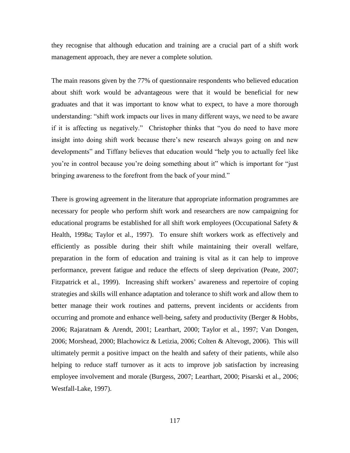they recognise that although education and training are a crucial part of a shift work management approach, they are never a complete solution.

The main reasons given by the 77% of questionnaire respondents who believed education about shift work would be advantageous were that it would be beneficial for new graduates and that it was important to know what to expect, to have a more thorough understanding: "shift work impacts our lives in many different ways, we need to be aware if it is affecting us negatively." Christopher thinks that "you do need to have more insight into doing shift work because there"s new research always going on and new developments" and Tiffany believes that education would "help you to actually feel like you"re in control because you"re doing something about it" which is important for "just bringing awareness to the forefront from the back of your mind."

There is growing agreement in the literature that appropriate information programmes are necessary for people who perform shift work and researchers are now campaigning for educational programs be established for all shift work employees (Occupational Safety & Health, 1998a; Taylor et al., 1997). To ensure shift workers work as effectively and efficiently as possible during their shift while maintaining their overall welfare, preparation in the form of education and training is vital as it can help to improve performance, prevent fatigue and reduce the effects of sleep deprivation (Peate, 2007; Fitzpatrick et al., 1999). Increasing shift workers' awareness and repertoire of coping strategies and skills will enhance adaptation and tolerance to shift work and allow them to better manage their work routines and patterns, prevent incidents or accidents from occurring and promote and enhance well-being, safety and productivity (Berger & Hobbs, 2006; Rajaratnam & Arendt, 2001; Learthart, 2000; Taylor et al., 1997; Van Dongen, 2006; Morshead, 2000; Blachowicz & Letizia, 2006; Colten & Altevogt, 2006). This will ultimately permit a positive impact on the health and safety of their patients, while also helping to reduce staff turnover as it acts to improve job satisfaction by increasing employee involvement and morale (Burgess, 2007; Learthart, 2000; Pisarski et al., 2006; Westfall-Lake, 1997).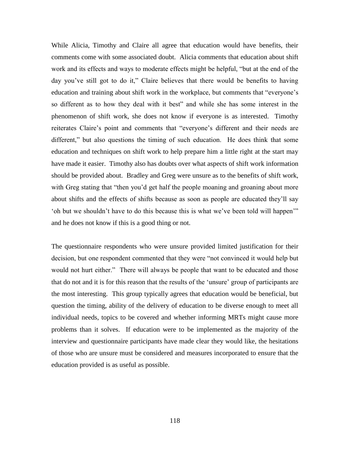While Alicia, Timothy and Claire all agree that education would have benefits, their comments come with some associated doubt. Alicia comments that education about shift work and its effects and ways to moderate effects might be helpful, "but at the end of the day you"ve still got to do it," Claire believes that there would be benefits to having education and training about shift work in the workplace, but comments that "everyone's so different as to how they deal with it best" and while she has some interest in the phenomenon of shift work, she does not know if everyone is as interested. Timothy reiterates Claire's point and comments that "everyone's different and their needs are different," but also questions the timing of such education. He does think that some education and techniques on shift work to help prepare him a little right at the start may have made it easier. Timothy also has doubts over what aspects of shift work information should be provided about. Bradley and Greg were unsure as to the benefits of shift work, with Greg stating that "then you'd get half the people moaning and groaning about more about shifts and the effects of shifts because as soon as people are educated they"ll say " oh but we shouldn't have to do this because this is what we've been told will happen" and he does not know if this is a good thing or not.

The questionnaire respondents who were unsure provided limited justification for their decision, but one respondent commented that they were "not convinced it would help but would not hurt either." There will always be people that want to be educated and those that do not and it is for this reason that the results of the "unsure" group of participants are the most interesting. This group typically agrees that education would be beneficial, but question the timing, ability of the delivery of education to be diverse enough to meet all individual needs, topics to be covered and whether informing MRTs might cause more problems than it solves. If education were to be implemented as the majority of the interview and questionnaire participants have made clear they would like, the hesitations of those who are unsure must be considered and measures incorporated to ensure that the education provided is as useful as possible.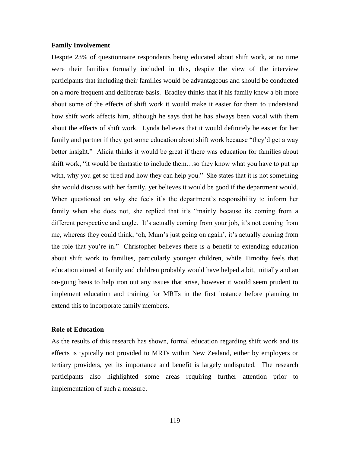### **Family Involvement**

Despite 23% of questionnaire respondents being educated about shift work, at no time were their families formally included in this, despite the view of the interview participants that including their families would be advantageous and should be conducted on a more frequent and deliberate basis. Bradley thinks that if his family knew a bit more about some of the effects of shift work it would make it easier for them to understand how shift work affects him, although he says that he has always been vocal with them about the effects of shift work. Lynda believes that it would definitely be easier for her family and partner if they got some education about shift work because "they"d get a way better insight." Alicia thinks it would be great if there was education for families about shift work, "it would be fantastic to include them…so they know what you have to put up with, why you get so tired and how they can help you." She states that it is not something she would discuss with her family, yet believes it would be good if the department would. When questioned on why she feels it's the department's responsibility to inform her family when she does not, she replied that it's "mainly because its coming from a different perspective and angle. It's actually coming from your job, it's not coming from me, whereas they could think, "oh, Mum"s just going on again", it"s actually coming from the role that you"re in." Christopher believes there is a benefit to extending education about shift work to families, particularly younger children, while Timothy feels that education aimed at family and children probably would have helped a bit, initially and an on-going basis to help iron out any issues that arise, however it would seem prudent to implement education and training for MRTs in the first instance before planning to extend this to incorporate family members.

## **Role of Education**

As the results of this research has shown, formal education regarding shift work and its effects is typically not provided to MRTs within New Zealand, either by employers or tertiary providers, yet its importance and benefit is largely undisputed. The research participants also highlighted some areas requiring further attention prior to implementation of such a measure.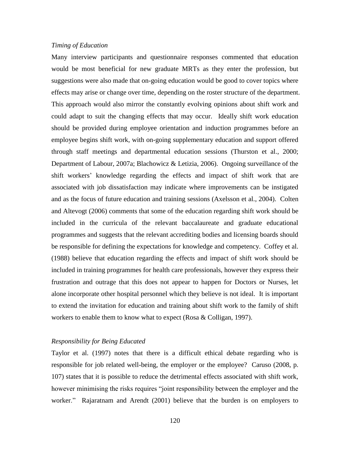## *Timing of Education*

Many interview participants and questionnaire responses commented that education would be most beneficial for new graduate MRTs as they enter the profession, but suggestions were also made that on-going education would be good to cover topics where effects may arise or change over time, depending on the roster structure of the department. This approach would also mirror the constantly evolving opinions about shift work and could adapt to suit the changing effects that may occur. Ideally shift work education should be provided during employee orientation and induction programmes before an employee begins shift work, with on-going supplementary education and support offered through staff meetings and departmental education sessions (Thurston et al., 2000; Department of Labour, 2007a; Blachowicz & Letizia, 2006). Ongoing surveillance of the shift workers" knowledge regarding the effects and impact of shift work that are associated with job dissatisfaction may indicate where improvements can be instigated and as the focus of future education and training sessions (Axelsson et al., 2004). Colten and Altevogt (2006) comments that some of the education regarding shift work should be included in the curricula of the relevant baccalaureate and graduate educational programmes and suggests that the relevant accrediting bodies and licensing boards should be responsible for defining the expectations for knowledge and competency. Coffey et al. (1988) believe that education regarding the effects and impact of shift work should be included in training programmes for health care professionals, however they express their frustration and outrage that this does not appear to happen for Doctors or Nurses, let alone incorporate other hospital personnel which they believe is not ideal. It is important to extend the invitation for education and training about shift work to the family of shift workers to enable them to know what to expect (Rosa & Colligan, 1997).

# *Responsibility for Being Educated*

Taylor et al. (1997) notes that there is a difficult ethical debate regarding who is responsible for job related well-being, the employer or the employee? Caruso (2008, p. 107) states that it is possible to reduce the detrimental effects associated with shift work, however minimising the risks requires "joint responsibility between the employer and the worker." Rajaratnam and Arendt (2001) believe that the burden is on employers to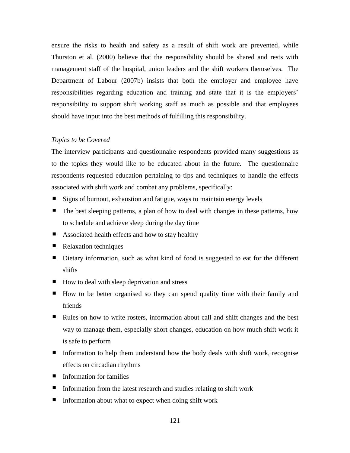ensure the risks to health and safety as a result of shift work are prevented, while Thurston et al. (2000) believe that the responsibility should be shared and rests with management staff of the hospital, union leaders and the shift workers themselves. The Department of Labour (2007b) insists that both the employer and employee have responsibilities regarding education and training and state that it is the employers' responsibility to support shift working staff as much as possible and that employees should have input into the best methods of fulfilling this responsibility.

# *Topics to be Covered*

The interview participants and questionnaire respondents provided many suggestions as to the topics they would like to be educated about in the future. The questionnaire respondents requested education pertaining to tips and techniques to handle the effects associated with shift work and combat any problems, specifically:

- Signs of burnout, exhaustion and fatigue, ways to maintain energy levels
- The best sleeping patterns, a plan of how to deal with changes in these patterns, how to schedule and achieve sleep during the day time
- Associated health effects and how to stay healthy
- Relaxation techniques
- Dietary information, such as what kind of food is suggested to eat for the different shifts
- How to deal with sleep deprivation and stress
- How to be better organised so they can spend quality time with their family and friends
- Rules on how to write rosters, information about call and shift changes and the best way to manage them, especially short changes, education on how much shift work it is safe to perform
- Information to help them understand how the body deals with shift work, recognise effects on circadian rhythms
- **IF** Information for families
- Information from the latest research and studies relating to shift work
- $\blacksquare$  Information about what to expect when doing shift work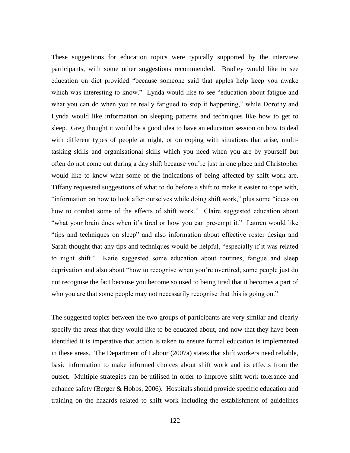These suggestions for education topics were typically supported by the interview participants, with some other suggestions recommended. Bradley would like to see education on diet provided "because someone said that apples help keep you awake which was interesting to know." Lynda would like to see "education about fatigue and what you can do when you're really fatigued to stop it happening," while Dorothy and Lynda would like information on sleeping patterns and techniques like how to get to sleep. Greg thought it would be a good idea to have an education session on how to deal with different types of people at night, or on coping with situations that arise, multitasking skills and organisational skills which you need when you are by yourself but often do not come out during a day shift because you"re just in one place and Christopher would like to know what some of the indications of being affected by shift work are. Tiffany requested suggestions of what to do before a shift to make it easier to cope with, "information on how to look after ourselves while doing shift work," plus some "ideas on how to combat some of the effects of shift work." Claire suggested education about "what your brain does when it's tired or how you can pre-empt it." Lauren would like "tips and techniques on sleep" and also information about effective roster design and Sarah thought that any tips and techniques would be helpful, "especially if it was related to night shift." Katie suggested some education about routines, fatigue and sleep deprivation and also about "how to recognise when you"re overtired, some people just do not recognise the fact because you become so used to being tired that it becomes a part of who you are that some people may not necessarily recognise that this is going on."

The suggested topics between the two groups of participants are very similar and clearly specify the areas that they would like to be educated about, and now that they have been identified it is imperative that action is taken to ensure formal education is implemented in these areas. The Department of Labour (2007a) states that shift workers need reliable, basic information to make informed choices about shift work and its effects from the outset. Multiple strategies can be utilised in order to improve shift work tolerance and enhance safety (Berger & Hobbs, 2006). Hospitals should provide specific education and training on the hazards related to shift work including the establishment of guidelines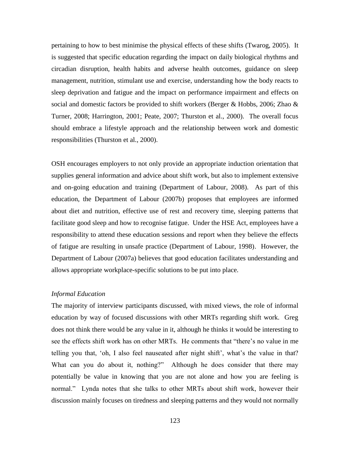pertaining to how to best minimise the physical effects of these shifts (Twarog, 2005). It is suggested that specific education regarding the impact on daily biological rhythms and circadian disruption, health habits and adverse health outcomes, guidance on sleep management, nutrition, stimulant use and exercise, understanding how the body reacts to sleep deprivation and fatigue and the impact on performance impairment and effects on social and domestic factors be provided to shift workers (Berger & Hobbs, 2006; Zhao  $\&$ Turner, 2008; Harrington, 2001; Peate, 2007; Thurston et al., 2000). The overall focus should embrace a lifestyle approach and the relationship between work and domestic responsibilities (Thurston et al., 2000).

OSH encourages employers to not only provide an appropriate induction orientation that supplies general information and advice about shift work, but also to implement extensive and on-going education and training (Department of Labour, 2008). As part of this education, the Department of Labour (2007b) proposes that employees are informed about diet and nutrition, effective use of rest and recovery time, sleeping patterns that facilitate good sleep and how to recognise fatigue. Under the HSE Act, employees have a responsibility to attend these education sessions and report when they believe the effects of fatigue are resulting in unsafe practice (Department of Labour, 1998). However, the Department of Labour (2007a) believes that good education facilitates understanding and allows appropriate workplace-specific solutions to be put into place.

# *Informal Education*

The majority of interview participants discussed, with mixed views, the role of informal education by way of focused discussions with other MRTs regarding shift work. Greg does not think there would be any value in it, although he thinks it would be interesting to see the effects shift work has on other MRTs. He comments that "there"s no value in me telling you that, 'oh, I also feel nauseated after night shift', what's the value in that? What can you do about it, nothing?" Although he does consider that there may potentially be value in knowing that you are not alone and how you are feeling is normal." Lynda notes that she talks to other MRTs about shift work, however their discussion mainly focuses on tiredness and sleeping patterns and they would not normally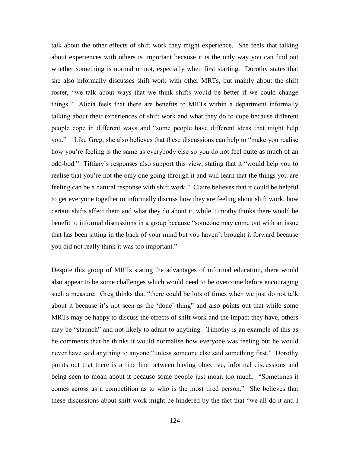talk about the other effects of shift work they might experience. She feels that talking about experiences with others is important because it is the only way you can find out whether something is normal or not, especially when first starting. Dorothy states that she also informally discusses shift work with other MRTs, but mainly about the shift roster, "we talk about ways that we think shifts would be better if we could change things." Alicia feels that there are benefits to MRTs within a department informally talking about their experiences of shift work and what they do to cope because different people cope in different ways and "some people have different ideas that might help you." Like Greg, she also believes that these discussions can help to "make you realise how you"re feeling is the same as everybody else so you do not feel quite as much of an odd-bod." Tiffany"s responses also support this view, stating that it "would help you to realise that you"re not the only one going through it and will learn that the things you are feeling can be a natural response with shift work." Claire believes that it could be helpful to get everyone together to informally discuss how they are feeling about shift work, how certain shifts affect them and what they do about it, while Timothy thinks there would be benefit to informal discussions in a group because "someone may come out with an issue that has been sitting in the back of your mind but you haven"t brought it forward because you did not really think it was too important."

Despite this group of MRTs stating the advantages of informal education, there would also appear to be some challenges which would need to be overcome before encouraging such a measure. Greg thinks that "there could be lots of times when we just do not talk about it because it's not seen as the 'done' thing" and also points out that while some MRTs may be happy to discuss the effects of shift work and the impact they have, others may be "staunch" and not likely to admit to anything. Timothy is an example of this as he comments that he thinks it would normalise how everyone was feeling but he would never have said anything to anyone "unless someone else said something first." Dorothy points out that there is a fine line between having objective, informal discussions and being seen to moan about it because some people just moan too much. "Sometimes it comes across as a competition as to who is the most tired person." She believes that these discussions about shift work might be hindered by the fact that "we all do it and I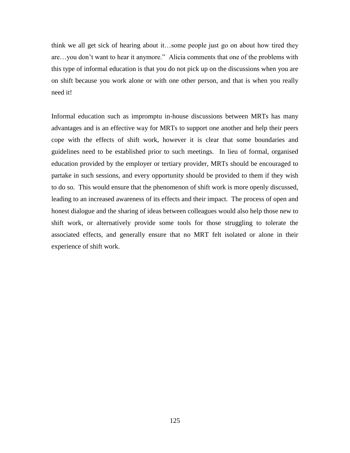think we all get sick of hearing about it…some people just go on about how tired they are…you don"t want to hear it anymore." Alicia comments that one of the problems with this type of informal education is that you do not pick up on the discussions when you are on shift because you work alone or with one other person, and that is when you really need it!

Informal education such as impromptu in-house discussions between MRTs has many advantages and is an effective way for MRTs to support one another and help their peers cope with the effects of shift work, however it is clear that some boundaries and guidelines need to be established prior to such meetings. In lieu of formal, organised education provided by the employer or tertiary provider, MRTs should be encouraged to partake in such sessions, and every opportunity should be provided to them if they wish to do so. This would ensure that the phenomenon of shift work is more openly discussed, leading to an increased awareness of its effects and their impact. The process of open and honest dialogue and the sharing of ideas between colleagues would also help those new to shift work, or alternatively provide some tools for those struggling to tolerate the associated effects, and generally ensure that no MRT felt isolated or alone in their experience of shift work.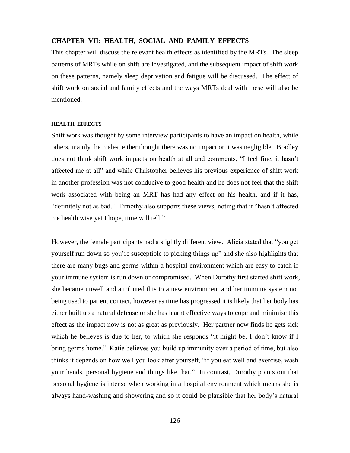## **CHAPTER VII: HEALTH, SOCIAL AND FAMILY EFFECTS**

This chapter will discuss the relevant health effects as identified by the MRTs. The sleep patterns of MRTs while on shift are investigated, and the subsequent impact of shift work on these patterns, namely sleep deprivation and fatigue will be discussed. The effect of shift work on social and family effects and the ways MRTs deal with these will also be mentioned.

### **HEALTH EFFECTS**

Shift work was thought by some interview participants to have an impact on health, while others, mainly the males, either thought there was no impact or it was negligible. Bradley does not think shift work impacts on health at all and comments, "I feel fine, it hasn"t affected me at all" and while Christopher believes his previous experience of shift work in another profession was not conducive to good health and he does not feel that the shift work associated with being an MRT has had any effect on his health, and if it has, "definitely not as bad." Timothy also supports these views, noting that it "hasn"t affected me health wise yet I hope, time will tell."

However, the female participants had a slightly different view. Alicia stated that "you get yourself run down so you"re susceptible to picking things up" and she also highlights that there are many bugs and germs within a hospital environment which are easy to catch if your immune system is run down or compromised. When Dorothy first started shift work, she became unwell and attributed this to a new environment and her immune system not being used to patient contact, however as time has progressed it is likely that her body has either built up a natural defense or she has learnt effective ways to cope and minimise this effect as the impact now is not as great as previously. Her partner now finds he gets sick which he believes is due to her, to which she responds "it might be, I don't know if I bring germs home." Katie believes you build up immunity over a period of time, but also thinks it depends on how well you look after yourself, "if you eat well and exercise, wash your hands, personal hygiene and things like that." In contrast, Dorothy points out that personal hygiene is intense when working in a hospital environment which means she is always hand-washing and showering and so it could be plausible that her body"s natural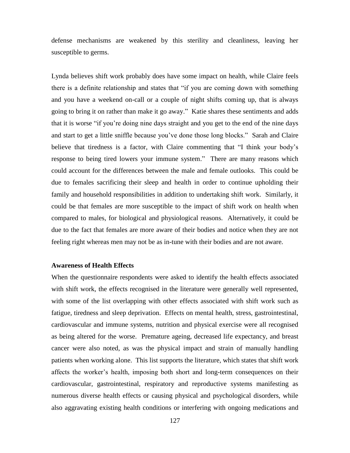defense mechanisms are weakened by this sterility and cleanliness, leaving her susceptible to germs.

Lynda believes shift work probably does have some impact on health, while Claire feels there is a definite relationship and states that "if you are coming down with something and you have a weekend on-call or a couple of night shifts coming up, that is always going to bring it on rather than make it go away." Katie shares these sentiments and adds that it is worse "if you"re doing nine days straight and you get to the end of the nine days and start to get a little sniffle because you"ve done those long blocks." Sarah and Claire believe that tiredness is a factor, with Claire commenting that "I think your body"s response to being tired lowers your immune system." There are many reasons which could account for the differences between the male and female outlooks. This could be due to females sacrificing their sleep and health in order to continue upholding their family and household responsibilities in addition to undertaking shift work. Similarly, it could be that females are more susceptible to the impact of shift work on health when compared to males, for biological and physiological reasons. Alternatively, it could be due to the fact that females are more aware of their bodies and notice when they are not feeling right whereas men may not be as in-tune with their bodies and are not aware.

## **Awareness of Health Effects**

When the questionnaire respondents were asked to identify the health effects associated with shift work, the effects recognised in the literature were generally well represented, with some of the list overlapping with other effects associated with shift work such as fatigue, tiredness and sleep deprivation. Effects on mental health, stress, gastrointestinal, cardiovascular and immune systems, nutrition and physical exercise were all recognised as being altered for the worse. Premature ageing, decreased life expectancy, and breast cancer were also noted, as was the physical impact and strain of manually handling patients when working alone. This list supports the literature, which states that shift work affects the worker"s health, imposing both short and long-term consequences on their cardiovascular, gastrointestinal, respiratory and reproductive systems manifesting as numerous diverse health effects or causing physical and psychological disorders, while also aggravating existing health conditions or interfering with ongoing medications and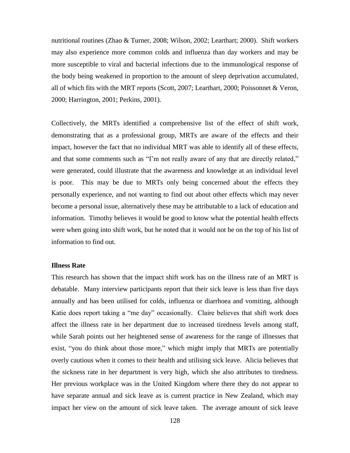nutritional routines (Zhao & Turner, 2008; Wilson, 2002; Learthart; 2000). Shift workers may also experience more common colds and influenza than day workers and may be more susceptible to viral and bacterial infections due to the immunological response of the body being weakened in proportion to the amount of sleep deprivation accumulated, all of which fits with the MRT reports (Scott, 2007; Learthart, 2000; Poissonnet & Veron, 2000; Harrington, 2001; Perkins, 2001).

Collectively, the MRTs identified a comprehensive list of the effect of shift work, demonstrating that as a professional group, MRTs are aware of the effects and their impact, however the fact that no individual MRT was able to identify all of these effects, and that some comments such as "I'm not really aware of any that are directly related," were generated, could illustrate that the awareness and knowledge at an individual level is poor. This may be due to MRTs only being concerned about the effects they personally experience, and not wanting to find out about other effects which may never become a personal issue, alternatively these may be attributable to a lack of education and information. Timothy believes it would be good to know what the potential health effects were when going into shift work, but he noted that it would not be on the top of his list of information to find out.

### **Illness Rate**

This research has shown that the impact shift work has on the illness rate of an MRT is debatable. Many interview participants report that their sick leave is less than five days annually and has been utilised for colds, influenza or diarrhoea and vomiting, although Katie does report taking a "me day" occasionally. Claire believes that shift work does affect the illness rate in her department due to increased tiredness levels among staff, while Sarah points out her heightened sense of awareness for the range of illnesses that exist, "you do think about those more," which might imply that MRTs are potentially overly cautious when it comes to their health and utilising sick leave. Alicia believes that the sickness rate in her department is very high, which she also attributes to tiredness. Her previous workplace was in the United Kingdom where there they do not appear to have separate annual and sick leave as is current practice in New Zealand, which may impact her view on the amount of sick leave taken. The average amount of sick leave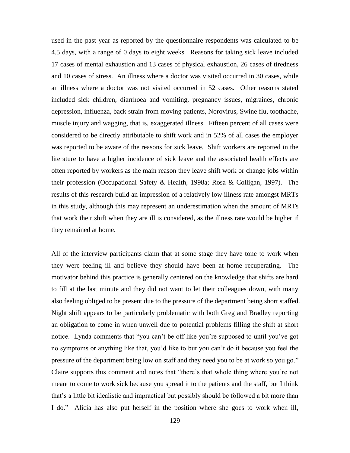used in the past year as reported by the questionnaire respondents was calculated to be 4.5 days, with a range of 0 days to eight weeks. Reasons for taking sick leave included 17 cases of mental exhaustion and 13 cases of physical exhaustion, 26 cases of tiredness and 10 cases of stress. An illness where a doctor was visited occurred in 30 cases, while an illness where a doctor was not visited occurred in 52 cases. Other reasons stated included sick children, diarrhoea and vomiting, pregnancy issues, migraines, chronic depression, influenza, back strain from moving patients, Norovirus, Swine flu, toothache, muscle injury and wagging, that is, exaggerated illness. Fifteen percent of all cases were considered to be directly attributable to shift work and in 52% of all cases the employer was reported to be aware of the reasons for sick leave. Shift workers are reported in the literature to have a higher incidence of sick leave and the associated health effects are often reported by workers as the main reason they leave shift work or change jobs within their profession (Occupational Safety & Health, 1998a; Rosa & Colligan, 1997). The results of this research build an impression of a relatively low illness rate amongst MRTs in this study, although this may represent an underestimation when the amount of MRTs that work their shift when they are ill is considered, as the illness rate would be higher if they remained at home.

All of the interview participants claim that at some stage they have tone to work when they were feeling ill and believe they should have been at home recuperating. The motivator behind this practice is generally centered on the knowledge that shifts are hard to fill at the last minute and they did not want to let their colleagues down, with many also feeling obliged to be present due to the pressure of the department being short staffed. Night shift appears to be particularly problematic with both Greg and Bradley reporting an obligation to come in when unwell due to potential problems filling the shift at short notice. Lynda comments that "you can't be off like you're supposed to until you've got no symptoms or anything like that, you"d like to but you can"t do it because you feel the pressure of the department being low on staff and they need you to be at work so you go." Claire supports this comment and notes that "there"s that whole thing where you"re not meant to come to work sick because you spread it to the patients and the staff, but I think that"s a little bit idealistic and impractical but possibly should be followed a bit more than I do." Alicia has also put herself in the position where she goes to work when ill,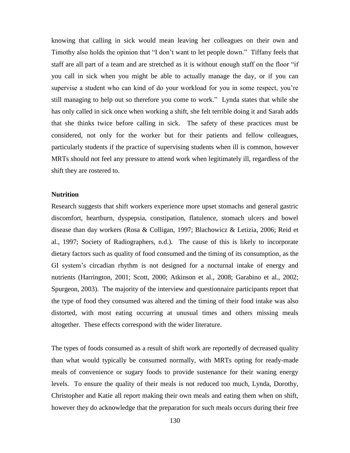knowing that calling in sick would mean leaving her colleagues on their own and Timothy also holds the opinion that "I don"t want to let people down." Tiffany feels that staff are all part of a team and are stretched as it is without enough staff on the floor "if you call in sick when you might be able to actually manage the day, or if you can supervise a student who can kind of do your workload for you in some respect, you"re still managing to help out so therefore you come to work." Lynda states that while she has only called in sick once when working a shift, she felt terrible doing it and Sarah adds that she thinks twice before calling in sick. The safety of these practices must be considered, not only for the worker but for their patients and fellow colleagues, particularly students if the practice of supervising students when ill is common, however MRTs should not feel any pressure to attend work when legitimately ill, regardless of the shift they are rostered to.

## **Nutrition**

Research suggests that shift workers experience more upset stomachs and general gastric discomfort, heartburn, dyspepsia, constipation, flatulence, stomach ulcers and bowel disease than day workers (Rosa & Colligan, 1997; Blachowicz & Letizia, 2006; Reid et al., 1997; Society of Radiographers, n.d.). The cause of this is likely to incorporate dietary factors such as quality of food consumed and the timing of its consumption, as the GI system"s circadian rhythm is not designed for a nocturnal intake of energy and nutrients (Harrington, 2001; Scott, 2000; Atkinson et al., 2008; Garabino et al., 2002; Spurgeon, 2003). The majority of the interview and questionnaire participants report that the type of food they consumed was altered and the timing of their food intake was also distorted, with most eating occurring at unusual times and others missing meals altogether. These effects correspond with the wider literature.

The types of foods consumed as a result of shift work are reportedly of decreased quality than what would typically be consumed normally, with MRTs opting for ready-made meals of convenience or sugary foods to provide sustenance for their waning energy levels. To ensure the quality of their meals is not reduced too much, Lynda, Dorothy, Christopher and Katie all report making their own meals and eating them when on shift, however they do acknowledge that the preparation for such meals occurs during their free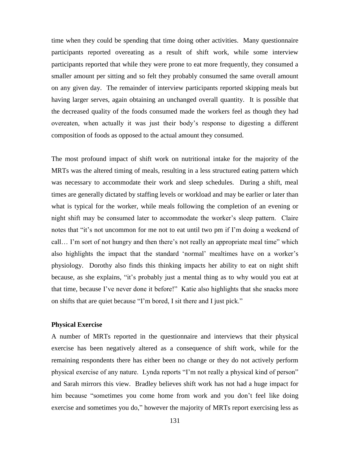time when they could be spending that time doing other activities. Many questionnaire participants reported overeating as a result of shift work, while some interview participants reported that while they were prone to eat more frequently, they consumed a smaller amount per sitting and so felt they probably consumed the same overall amount on any given day. The remainder of interview participants reported skipping meals but having larger serves, again obtaining an unchanged overall quantity. It is possible that the decreased quality of the foods consumed made the workers feel as though they had overeaten, when actually it was just their body"s response to digesting a different composition of foods as opposed to the actual amount they consumed.

The most profound impact of shift work on nutritional intake for the majority of the MRTs was the altered timing of meals, resulting in a less structured eating pattern which was necessary to accommodate their work and sleep schedules. During a shift, meal times are generally dictated by staffing levels or workload and may be earlier or later than what is typical for the worker, while meals following the completion of an evening or night shift may be consumed later to accommodate the worker"s sleep pattern. Claire notes that "it's not uncommon for me not to eat until two pm if I'm doing a weekend of call… I"m sort of not hungry and then there"s not really an appropriate meal time" which also highlights the impact that the standard "normal" mealtimes have on a worker"s physiology. Dorothy also finds this thinking impacts her ability to eat on night shift because, as she explains, "it"s probably just a mental thing as to why would you eat at that time, because I've never done it before!" Katie also highlights that she snacks more on shifts that are quiet because "I"m bored, I sit there and I just pick."

## **Physical Exercise**

A number of MRTs reported in the questionnaire and interviews that their physical exercise has been negatively altered as a consequence of shift work, while for the remaining respondents there has either been no change or they do not actively perform physical exercise of any nature. Lynda reports "I"m not really a physical kind of person" and Sarah mirrors this view. Bradley believes shift work has not had a huge impact for him because "sometimes you come home from work and you don"t feel like doing exercise and sometimes you do," however the majority of MRTs report exercising less as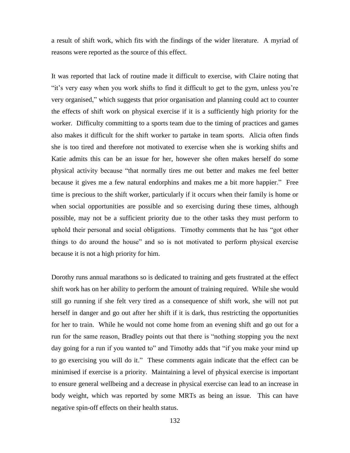a result of shift work, which fits with the findings of the wider literature. A myriad of reasons were reported as the source of this effect.

It was reported that lack of routine made it difficult to exercise, with Claire noting that "it"s very easy when you work shifts to find it difficult to get to the gym, unless you"re very organised," which suggests that prior organisation and planning could act to counter the effects of shift work on physical exercise if it is a sufficiently high priority for the worker. Difficulty committing to a sports team due to the timing of practices and games also makes it difficult for the shift worker to partake in team sports. Alicia often finds she is too tired and therefore not motivated to exercise when she is working shifts and Katie admits this can be an issue for her, however she often makes herself do some physical activity because "that normally tires me out better and makes me feel better because it gives me a few natural endorphins and makes me a bit more happier." Free time is precious to the shift worker, particularly if it occurs when their family is home or when social opportunities are possible and so exercising during these times, although possible, may not be a sufficient priority due to the other tasks they must perform to uphold their personal and social obligations. Timothy comments that he has "got other things to do around the house" and so is not motivated to perform physical exercise because it is not a high priority for him.

Dorothy runs annual marathons so is dedicated to training and gets frustrated at the effect shift work has on her ability to perform the amount of training required. While she would still go running if she felt very tired as a consequence of shift work, she will not put herself in danger and go out after her shift if it is dark, thus restricting the opportunities for her to train. While he would not come home from an evening shift and go out for a run for the same reason, Bradley points out that there is "nothing stopping you the next day going for a run if you wanted to" and Timothy adds that "if you make your mind up to go exercising you will do it." These comments again indicate that the effect can be minimised if exercise is a priority. Maintaining a level of physical exercise is important to ensure general wellbeing and a decrease in physical exercise can lead to an increase in body weight, which was reported by some MRTs as being an issue. This can have negative spin-off effects on their health status.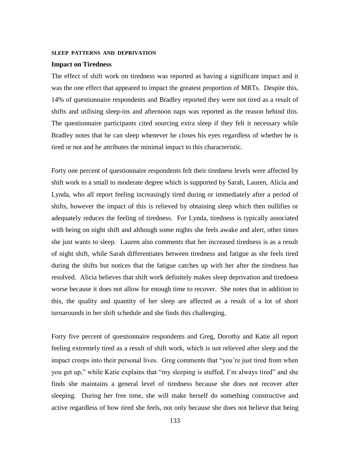#### **SLEEP PATTERNS AND DEPRIVATION**

#### **Impact on Tiredness**

The effect of shift work on tiredness was reported as having a significant impact and it was the one effect that appeared to impact the greatest proportion of MRTs. Despite this, 14% of questionnaire respondents and Bradley reported they were not tired as a result of shifts and utilising sleep-ins and afternoon naps was reported as the reason behind this. The questionnaire participants cited sourcing extra sleep if they felt it necessary while Bradley notes that he can sleep whenever he closes his eyes regardless of whether he is tired or not and he attributes the minimal impact to this characteristic.

Forty one percent of questionnaire respondents felt their tiredness levels were affected by shift work to a small to moderate degree which is supported by Sarah, Lauren, Alicia and Lynda, who all report feeling increasingly tired during or immediately after a period of shifts, however the impact of this is relieved by obtaining sleep which then nullifies or adequately reduces the feeling of tiredness. For Lynda, tiredness is typically associated with being on night shift and although some nights she feels awake and alert, other times she just wants to sleep. Lauren also comments that her increased tiredness is as a result of night shift, while Sarah differentiates between tiredness and fatigue as she feels tired during the shifts but notices that the fatigue catches up with her after the tiredness has resolved. Alicia believes that shift work definitely makes sleep deprivation and tiredness worse because it does not allow for enough time to recover. She notes that in addition to this, the quality and quantity of her sleep are affected as a result of a lot of short turnarounds in her shift schedule and she finds this challenging.

Forty five percent of questionnaire respondents and Greg, Dorothy and Katie all report feeling extremely tired as a result of shift work, which is not relieved after sleep and the impact creeps into their personal lives. Greg comments that "you"re just tired from when you get up," while Katie explains that "my sleeping is stuffed, I"m always tired" and she finds she maintains a general level of tiredness because she does not recover after sleeping. During her free time, she will make herself do something constructive and active regardless of how tired she feels, not only because she does not believe that being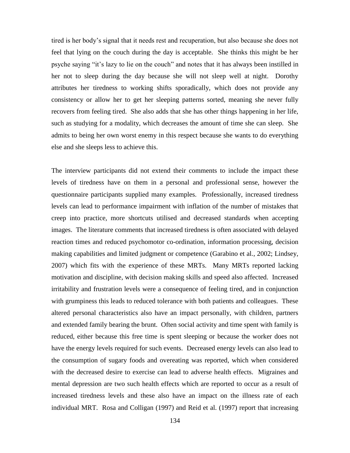tired is her body"s signal that it needs rest and recuperation, but also because she does not feel that lying on the couch during the day is acceptable. She thinks this might be her psyche saying "it"s lazy to lie on the couch" and notes that it has always been instilled in her not to sleep during the day because she will not sleep well at night. Dorothy attributes her tiredness to working shifts sporadically, which does not provide any consistency or allow her to get her sleeping patterns sorted, meaning she never fully recovers from feeling tired. She also adds that she has other things happening in her life, such as studying for a modality, which decreases the amount of time she can sleep. She admits to being her own worst enemy in this respect because she wants to do everything else and she sleeps less to achieve this.

The interview participants did not extend their comments to include the impact these levels of tiredness have on them in a personal and professional sense, however the questionnaire participants supplied many examples. Professionally, increased tiredness levels can lead to performance impairment with inflation of the number of mistakes that creep into practice, more shortcuts utilised and decreased standards when accepting images. The literature comments that increased tiredness is often associated with delayed reaction times and reduced psychomotor co-ordination, information processing, decision making capabilities and limited judgment or competence (Garabino et al., 2002; Lindsey, 2007) which fits with the experience of these MRTs.Many MRTs reported lacking motivation and discipline, with decision making skills and speed also affected. Increased irritability and frustration levels were a consequence of feeling tired, and in conjunction with grumpiness this leads to reduced tolerance with both patients and colleagues. These altered personal characteristics also have an impact personally, with children, partners and extended family bearing the brunt. Often social activity and time spent with family is reduced, either because this free time is spent sleeping or because the worker does not have the energy levels required for such events. Decreased energy levels can also lead to the consumption of sugary foods and overeating was reported, which when considered with the decreased desire to exercise can lead to adverse health effects. Migraines and mental depression are two such health effects which are reported to occur as a result of increased tiredness levels and these also have an impact on the illness rate of each individual MRT. Rosa and Colligan (1997) and Reid et al. (1997) report that increasing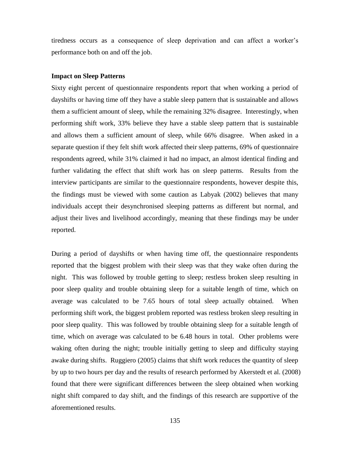tiredness occurs as a consequence of sleep deprivation and can affect a worker"s performance both on and off the job.

### **Impact on Sleep Patterns**

Sixty eight percent of questionnaire respondents report that when working a period of dayshifts or having time off they have a stable sleep pattern that is sustainable and allows them a sufficient amount of sleep, while the remaining 32% disagree. Interestingly, when performing shift work, 33% believe they have a stable sleep pattern that is sustainable and allows them a sufficient amount of sleep, while 66% disagree. When asked in a separate question if they felt shift work affected their sleep patterns, 69% of questionnaire respondents agreed, while 31% claimed it had no impact, an almost identical finding and further validating the effect that shift work has on sleep patterns. Results from the interview participants are similar to the questionnaire respondents, however despite this, the findings must be viewed with some caution as Labyak (2002) believes that many individuals accept their desynchronised sleeping patterns as different but normal, and adjust their lives and livelihood accordingly, meaning that these findings may be under reported.

During a period of dayshifts or when having time off, the questionnaire respondents reported that the biggest problem with their sleep was that they wake often during the night. This was followed by trouble getting to sleep; restless broken sleep resulting in poor sleep quality and trouble obtaining sleep for a suitable length of time, which on average was calculated to be 7.65 hours of total sleep actually obtained. When performing shift work, the biggest problem reported was restless broken sleep resulting in poor sleep quality. This was followed by trouble obtaining sleep for a suitable length of time, which on average was calculated to be 6.48 hours in total. Other problems were waking often during the night; trouble initially getting to sleep and difficulty staying awake during shifts. Ruggiero (2005) claims that shift work reduces the quantity of sleep by up to two hours per day and the results of research performed by Akerstedt et al. (2008) found that there were significant differences between the sleep obtained when working night shift compared to day shift, and the findings of this research are supportive of the aforementioned results.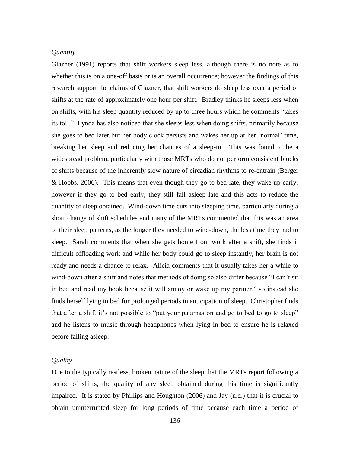### *Quantity*

Glazner (1991) reports that shift workers sleep less, although there is no note as to whether this is on a one-off basis or is an overall occurrence; however the findings of this research support the claims of Glazner, that shift workers do sleep less over a period of shifts at the rate of approximately one hour per shift. Bradley thinks he sleeps less when on shifts, with his sleep quantity reduced by up to three hours which he comments "takes its toll." Lynda has also noticed that she sleeps less when doing shifts, primarily because she goes to bed later but her body clock persists and wakes her up at her "normal" time, breaking her sleep and reducing her chances of a sleep-in. This was found to be a widespread problem, particularly with those MRTs who do not perform consistent blocks of shifts because of the inherently slow nature of circadian rhythms to re-entrain (Berger & Hobbs, 2006). This means that even though they go to bed late, they wake up early; however if they go to bed early, they still fall asleep late and this acts to reduce the quantity of sleep obtained. Wind-down time cuts into sleeping time, particularly during a short change of shift schedules and many of the MRTs commented that this was an area of their sleep patterns, as the longer they needed to wind-down, the less time they had to sleep. Sarah comments that when she gets home from work after a shift, she finds it difficult offloading work and while her body could go to sleep instantly, her brain is not ready and needs a chance to relax. Alicia comments that it usually takes her a while to wind-down after a shift and notes that methods of doing so also differ because "I can"t sit in bed and read my book because it will annoy or wake up my partner," so instead she finds herself lying in bed for prolonged periods in anticipation of sleep. Christopher finds that after a shift it"s not possible to "put your pajamas on and go to bed to go to sleep" and he listens to music through headphones when lying in bed to ensure he is relaxed before falling asleep.

### *Quality*

Due to the typically restless, broken nature of the sleep that the MRTs report following a period of shifts, the quality of any sleep obtained during this time is significantly impaired. It is stated by Phillips and Houghton (2006) and Jay (n.d.) that it is crucial to obtain uninterrupted sleep for long periods of time because each time a period of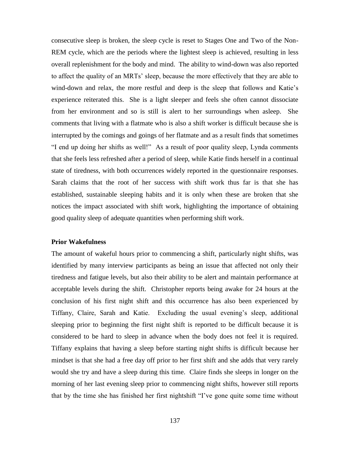consecutive sleep is broken, the sleep cycle is reset to Stages One and Two of the Non-REM cycle, which are the periods where the lightest sleep is achieved, resulting in less overall replenishment for the body and mind. The ability to wind-down was also reported to affect the quality of an MRTs" sleep, because the more effectively that they are able to wind-down and relax, the more restful and deep is the sleep that follows and Katie's experience reiterated this. She is a light sleeper and feels she often cannot dissociate from her environment and so is still is alert to her surroundings when asleep. She comments that living with a flatmate who is also a shift worker is difficult because she is interrupted by the comings and goings of her flatmate and as a result finds that sometimes "I end up doing her shifts as well!" As a result of poor quality sleep, Lynda comments that she feels less refreshed after a period of sleep, while Katie finds herself in a continual state of tiredness, with both occurrences widely reported in the questionnaire responses. Sarah claims that the root of her success with shift work thus far is that she has established, sustainable sleeping habits and it is only when these are broken that she notices the impact associated with shift work, highlighting the importance of obtaining good quality sleep of adequate quantities when performing shift work.

## **Prior Wakefulness**

The amount of wakeful hours prior to commencing a shift, particularly night shifts, was identified by many interview participants as being an issue that affected not only their tiredness and fatigue levels, but also their ability to be alert and maintain performance at acceptable levels during the shift. Christopher reports being awake for 24 hours at the conclusion of his first night shift and this occurrence has also been experienced by Tiffany, Claire, Sarah and Katie. Excluding the usual evening"s sleep, additional sleeping prior to beginning the first night shift is reported to be difficult because it is considered to be hard to sleep in advance when the body does not feel it is required. Tiffany explains that having a sleep before starting night shifts is difficult because her mindset is that she had a free day off prior to her first shift and she adds that very rarely would she try and have a sleep during this time. Claire finds she sleeps in longer on the morning of her last evening sleep prior to commencing night shifts, however still reports that by the time she has finished her first nightshift "I"ve gone quite some time without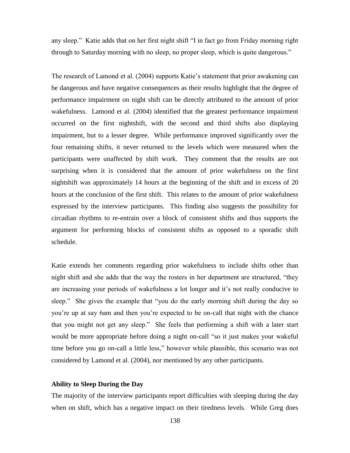any sleep." Katie adds that on her first night shift "I in fact go from Friday morning right through to Saturday morning with no sleep, no proper sleep, which is quite dangerous."

The research of Lamond et al. (2004) supports Katie's statement that prior awakening can be dangerous and have negative consequences as their results highlight that the degree of performance impairment on night shift can be directly attributed to the amount of prior wakefulness. Lamond et al. (2004) identified that the greatest performance impairment occurred on the first nightshift, with the second and third shifts also displaying impairment, but to a lesser degree. While performance improved significantly over the four remaining shifts, it never returned to the levels which were measured when the participants were unaffected by shift work. They comment that the results are not surprising when it is considered that the amount of prior wakefulness on the first nightshift was approximately 14 hours at the beginning of the shift and in excess of 20 hours at the conclusion of the first shift. This relates to the amount of prior wakefulness expressed by the interview participants. This finding also suggests the possibility for circadian rhythms to re-entrain over a block of consistent shifts and thus supports the argument for performing blocks of consistent shifts as opposed to a sporadic shift schedule.

Katie extends her comments regarding prior wakefulness to include shifts other than night shift and she adds that the way the rosters in her department are structured, "they are increasing your periods of wakefulness a lot longer and it"s not really conducive to sleep." She gives the example that "you do the early morning shift during the day so you"re up at say 6am and then you"re expected to be on-call that night with the chance that you might not get any sleep." She feels that performing a shift with a later start would be more appropriate before doing a night on-call "so it just makes your wakeful time before you go on-call a little less," however while plausible, this scenario was not considered by Lamond et al. (2004), nor mentioned by any other participants.

# **Ability to Sleep During the Day**

The majority of the interview participants report difficulties with sleeping during the day when on shift, which has a negative impact on their tiredness levels. While Greg does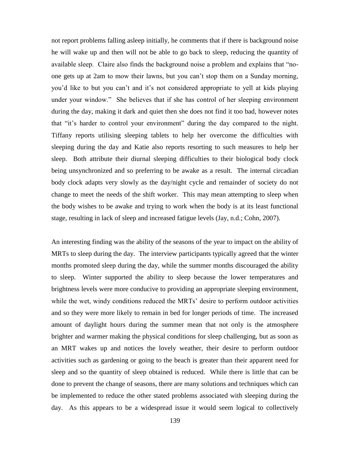not report problems falling asleep initially, he comments that if there is background noise he will wake up and then will not be able to go back to sleep, reducing the quantity of available sleep. Claire also finds the background noise a problem and explains that "noone gets up at 2am to mow their lawns, but you can"t stop them on a Sunday morning, you"d like to but you can"t and it"s not considered appropriate to yell at kids playing under your window." She believes that if she has control of her sleeping environment during the day, making it dark and quiet then she does not find it too bad, however notes that "it"s harder to control your environment" during the day compared to the night. Tiffany reports utilising sleeping tablets to help her overcome the difficulties with sleeping during the day and Katie also reports resorting to such measures to help her sleep. Both attribute their diurnal sleeping difficulties to their biological body clock being unsynchronized and so preferring to be awake as a result. The internal circadian body clock adapts very slowly as the day/night cycle and remainder of society do not change to meet the needs of the shift worker. This may mean attempting to sleep when the body wishes to be awake and trying to work when the body is at its least functional stage, resulting in lack of sleep and increased fatigue levels (Jay, n.d.; Cohn, 2007).

An interesting finding was the ability of the seasons of the year to impact on the ability of MRTs to sleep during the day. The interview participants typically agreed that the winter months promoted sleep during the day, while the summer months discouraged the ability to sleep. Winter supported the ability to sleep because the lower temperatures and brightness levels were more conducive to providing an appropriate sleeping environment, while the wet, windy conditions reduced the MRTs' desire to perform outdoor activities and so they were more likely to remain in bed for longer periods of time. The increased amount of daylight hours during the summer mean that not only is the atmosphere brighter and warmer making the physical conditions for sleep challenging, but as soon as an MRT wakes up and notices the lovely weather, their desire to perform outdoor activities such as gardening or going to the beach is greater than their apparent need for sleep and so the quantity of sleep obtained is reduced. While there is little that can be done to prevent the change of seasons, there are many solutions and techniques which can be implemented to reduce the other stated problems associated with sleeping during the day. As this appears to be a widespread issue it would seem logical to collectively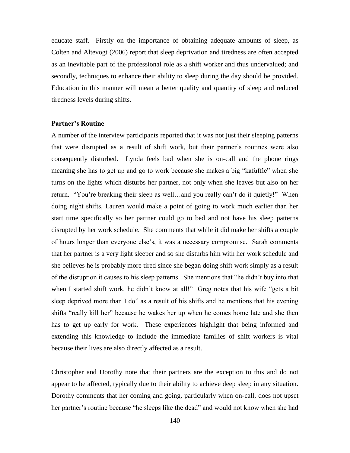educate staff. Firstly on the importance of obtaining adequate amounts of sleep, as Colten and Altevogt (2006) report that sleep deprivation and tiredness are often accepted as an inevitable part of the professional role as a shift worker and thus undervalued; and secondly, techniques to enhance their ability to sleep during the day should be provided. Education in this manner will mean a better quality and quantity of sleep and reduced tiredness levels during shifts.

### **Partner's Routine**

A number of the interview participants reported that it was not just their sleeping patterns that were disrupted as a result of shift work, but their partner"s routines were also consequently disturbed. Lynda feels bad when she is on-call and the phone rings meaning she has to get up and go to work because she makes a big "kafuffle" when she turns on the lights which disturbs her partner, not only when she leaves but also on her return. "You"re breaking their sleep as well…and you really can"t do it quietly!" When doing night shifts, Lauren would make a point of going to work much earlier than her start time specifically so her partner could go to bed and not have his sleep patterns disrupted by her work schedule. She comments that while it did make her shifts a couple of hours longer than everyone else"s, it was a necessary compromise. Sarah comments that her partner is a very light sleeper and so she disturbs him with her work schedule and she believes he is probably more tired since she began doing shift work simply as a result of the disruption it causes to his sleep patterns. She mentions that "he didn"t buy into that when I started shift work, he didn't know at all!" Greg notes that his wife "gets a bit sleep deprived more than I do" as a result of his shifts and he mentions that his evening shifts "really kill her" because he wakes her up when he comes home late and she then has to get up early for work. These experiences highlight that being informed and extending this knowledge to include the immediate families of shift workers is vital because their lives are also directly affected as a result.

Christopher and Dorothy note that their partners are the exception to this and do not appear to be affected, typically due to their ability to achieve deep sleep in any situation. Dorothy comments that her coming and going, particularly when on-call, does not upset her partner's routine because "he sleeps like the dead" and would not know when she had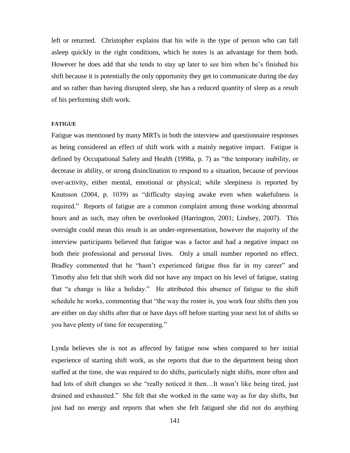left or returned. Christopher explains that his wife is the type of person who can fall asleep quickly in the right conditions, which he notes is an advantage for them both. However he does add that she tends to stay up later to see him when he"s finished his shift because it is potentially the only opportunity they get to communicate during the day and so rather than having disrupted sleep, she has a reduced quantity of sleep as a result of his performing shift work.

#### **FATIGUE**

Fatigue was mentioned by many MRTs in both the interview and questionnaire responses as being considered an effect of shift work with a mainly negative impact. Fatigue is defined by Occupational Safety and Health (1998a, p. 7) as "the temporary inability, or decrease in ability, or strong disinclination to respond to a situation, because of previous over-activity, either mental, emotional or physical; while sleepiness is reported by Knutsson (2004, p. 1039) as "difficulty staying awake even when wakefulness is required." Reports of fatigue are a common complaint among those working abnormal hours and as such, may often be overlooked (Harrington, 2001; Lindsey, 2007). This oversight could mean this result is an under-representation, however the majority of the interview participants believed that fatigue was a factor and had a negative impact on both their professional and personal lives. Only a small number reported no effect. Bradley commented that he "hasn"t experienced fatigue thus far in my career" and Timothy also felt that shift work did not have any impact on his level of fatigue, stating that "a change is like a holiday." He attributed this absence of fatigue to the shift schedule he works, commenting that "the way the roster is, you work four shifts then you are either on day shifts after that or have days off before starting your next lot of shifts so you have plenty of time for recuperating."

Lynda believes she is not as affected by fatigue now when compared to her initial experience of starting shift work, as she reports that due to the department being short staffed at the time, she was required to do shifts, particularly night shifts, more often and had lots of shift changes so she "really noticed it then...It wasn't like being tired, just drained and exhausted." She felt that she worked in the same way as for day shifts, but just had no energy and reports that when she felt fatigued she did not do anything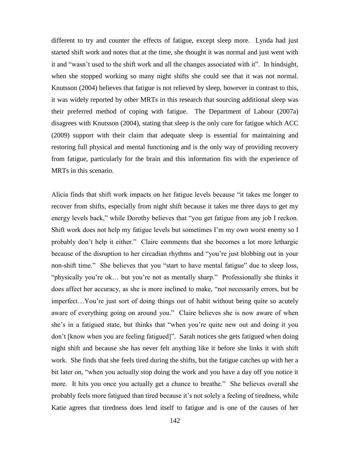different to try and counter the effects of fatigue, except sleep more. Lynda had just started shift work and notes that at the time, she thought it was normal and just went with it and "wasn"t used to the shift work and all the changes associated with it". In hindsight, when she stopped working so many night shifts she could see that it was not normal. Knutsson (2004) believes that fatigue is not relieved by sleep, however in contrast to this, it was widely reported by other MRTs in this research that sourcing additional sleep was their preferred method of coping with fatigue. The Department of Labour (2007a) disagrees with Knutsson (2004), stating that sleep is the only cure for fatigue which ACC (2009) support with their claim that adequate sleep is essential for maintaining and restoring full physical and mental functioning and is the only way of providing recovery from fatigue, particularly for the brain and this information fits with the experience of MRTs in this scenario.

Alicia finds that shift work impacts on her fatigue levels because "it takes me longer to recover from shifts, especially from night shift because it takes me three days to get my energy levels back," while Dorothy believes that "you get fatigue from any job I reckon. Shift work does not help my fatigue levels but sometimes I"m my own worst enemy so I probably don"t help it either." Claire comments that she becomes a lot more lethargic because of the disruption to her circadian rhythms and "you"re just blobbing out in your non-shift time." She believes that you "start to have mental fatigue" due to sleep loss, "physically you"re ok… but you"re not as mentally sharp." Professionally she thinks it does affect her accuracy, as she is more inclined to make, "not necessarily errors, but be imperfect…You"re just sort of doing things out of habit without being quite so acutely aware of everything going on around you." Claire believes she is now aware of when she"s in a fatigued state, but thinks that "when you"re quite new out and doing it you don"t [know when you are feeling fatigued]". Sarah notices she gets fatigued when doing night shift and because she has never felt anything like it before she links it with shift work. She finds that she feels tired during the shifts, but the fatigue catches up with her a bit later on, "when you actually stop doing the work and you have a day off you notice it more. It hits you once you actually get a chance to breathe." She believes overall she probably feels more fatigued than tired because it"s not solely a feeling of tiredness, while Katie agrees that tiredness does lend itself to fatigue and is one of the causes of her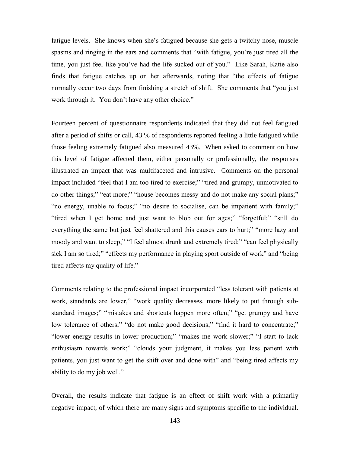fatigue levels. She knows when she"s fatigued because she gets a twitchy nose, muscle spasms and ringing in the ears and comments that "with fatigue, you"re just tired all the time, you just feel like you"ve had the life sucked out of you." Like Sarah, Katie also finds that fatigue catches up on her afterwards, noting that "the effects of fatigue normally occur two days from finishing a stretch of shift. She comments that "you just work through it. You don"t have any other choice."

Fourteen percent of questionnaire respondents indicated that they did not feel fatigued after a period of shifts or call, 43 % of respondents reported feeling a little fatigued while those feeling extremely fatigued also measured 43%. When asked to comment on how this level of fatigue affected them, either personally or professionally, the responses illustrated an impact that was multifaceted and intrusive. Comments on the personal impact included "feel that I am too tired to exercise;" "tired and grumpy, unmotivated to do other things;" "eat more;" "house becomes messy and do not make any social plans;" "no energy, unable to focus;" "no desire to socialise, can be impatient with family;" "tired when I get home and just want to blob out for ages;" "forgetful;" "still do everything the same but just feel shattered and this causes ears to hurt;" "more lazy and moody and want to sleep;" "I feel almost drunk and extremely tired;" "can feel physically sick I am so tired;" "effects my performance in playing sport outside of work" and "being tired affects my quality of life."

Comments relating to the professional impact incorporated "less tolerant with patients at work, standards are lower," "work quality decreases, more likely to put through substandard images;" "mistakes and shortcuts happen more often;" "get grumpy and have low tolerance of others;" "do not make good decisions;" "find it hard to concentrate;" "lower energy results in lower production;" "makes me work slower;" "I start to lack enthusiasm towards work;" "clouds your judgment, it makes you less patient with patients, you just want to get the shift over and done with" and "being tired affects my ability to do my job well."

Overall, the results indicate that fatigue is an effect of shift work with a primarily negative impact, of which there are many signs and symptoms specific to the individual.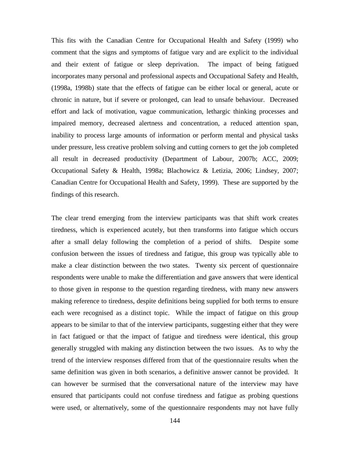This fits with the Canadian Centre for Occupational Health and Safety (1999) who comment that the signs and symptoms of fatigue vary and are explicit to the individual and their extent of fatigue or sleep deprivation. The impact of being fatigued incorporates many personal and professional aspects and Occupational Safety and Health, (1998a, 1998b) state that the effects of fatigue can be either local or general, acute or chronic in nature, but if severe or prolonged, can lead to unsafe behaviour. Decreased effort and lack of motivation, vague communication, lethargic thinking processes and impaired memory, decreased alertness and concentration, a reduced attention span, inability to process large amounts of information or perform mental and physical tasks under pressure, less creative problem solving and cutting corners to get the job completed all result in decreased productivity (Department of Labour, 2007b; ACC, 2009; Occupational Safety & Health, 1998a; Blachowicz & Letizia, 2006; Lindsey, 2007; Canadian Centre for Occupational Health and Safety, 1999). These are supported by the findings of this research.

The clear trend emerging from the interview participants was that shift work creates tiredness, which is experienced acutely, but then transforms into fatigue which occurs after a small delay following the completion of a period of shifts. Despite some confusion between the issues of tiredness and fatigue, this group was typically able to make a clear distinction between the two states. Twenty six percent of questionnaire respondents were unable to make the differentiation and gave answers that were identical to those given in response to the question regarding tiredness, with many new answers making reference to tiredness, despite definitions being supplied for both terms to ensure each were recognised as a distinct topic. While the impact of fatigue on this group appears to be similar to that of the interview participants, suggesting either that they were in fact fatigued or that the impact of fatigue and tiredness were identical, this group generally struggled with making any distinction between the two issues. As to why the trend of the interview responses differed from that of the questionnaire results when the same definition was given in both scenarios, a definitive answer cannot be provided. It can however be surmised that the conversational nature of the interview may have ensured that participants could not confuse tiredness and fatigue as probing questions were used, or alternatively, some of the questionnaire respondents may not have fully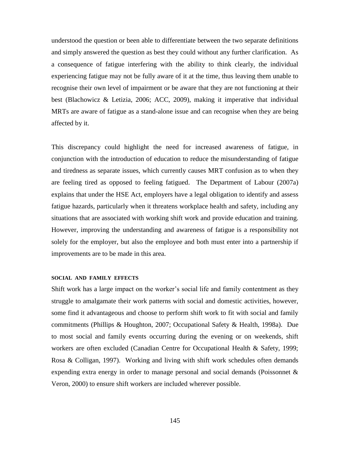understood the question or been able to differentiate between the two separate definitions and simply answered the question as best they could without any further clarification. As a consequence of fatigue interfering with the ability to think clearly, the individual experiencing fatigue may not be fully aware of it at the time, thus leaving them unable to recognise their own level of impairment or be aware that they are not functioning at their best (Blachowicz & Letizia, 2006; ACC, 2009), making it imperative that individual MRTs are aware of fatigue as a stand-alone issue and can recognise when they are being affected by it.

This discrepancy could highlight the need for increased awareness of fatigue, in conjunction with the introduction of education to reduce the misunderstanding of fatigue and tiredness as separate issues, which currently causes MRT confusion as to when they are feeling tired as opposed to feeling fatigued. The Department of Labour (2007a) explains that under the HSE Act, employers have a legal obligation to identify and assess fatigue hazards, particularly when it threatens workplace health and safety, including any situations that are associated with working shift work and provide education and training. However, improving the understanding and awareness of fatigue is a responsibility not solely for the employer, but also the employee and both must enter into a partnership if improvements are to be made in this area.

#### **SOCIAL AND FAMILY EFFECTS**

Shift work has a large impact on the worker's social life and family contentment as they struggle to amalgamate their work patterns with social and domestic activities, however, some find it advantageous and choose to perform shift work to fit with social and family commitments (Phillips & Houghton, 2007; Occupational Safety & Health, 1998a). Due to most social and family events occurring during the evening or on weekends, shift workers are often excluded (Canadian Centre for Occupational Health & Safety, 1999; Rosa & Colligan, 1997). Working and living with shift work schedules often demands expending extra energy in order to manage personal and social demands (Poissonnet & Veron, 2000) to ensure shift workers are included wherever possible.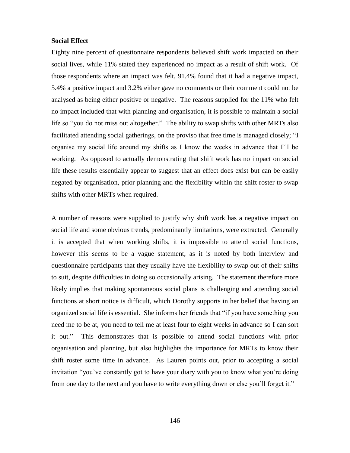# **Social Effect**

Eighty nine percent of questionnaire respondents believed shift work impacted on their social lives, while 11% stated they experienced no impact as a result of shift work. Of those respondents where an impact was felt, 91.4% found that it had a negative impact, 5.4% a positive impact and 3.2% either gave no comments or their comment could not be analysed as being either positive or negative. The reasons supplied for the 11% who felt no impact included that with planning and organisation, it is possible to maintain a social life so "you do not miss out altogether." The ability to swap shifts with other MRTs also facilitated attending social gatherings, on the proviso that free time is managed closely; "I organise my social life around my shifts as I know the weeks in advance that I"ll be working. As opposed to actually demonstrating that shift work has no impact on social life these results essentially appear to suggest that an effect does exist but can be easily negated by organisation, prior planning and the flexibility within the shift roster to swap shifts with other MRTs when required.

A number of reasons were supplied to justify why shift work has a negative impact on social life and some obvious trends, predominantly limitations, were extracted. Generally it is accepted that when working shifts, it is impossible to attend social functions, however this seems to be a vague statement, as it is noted by both interview and questionnaire participants that they usually have the flexibility to swap out of their shifts to suit, despite difficulties in doing so occasionally arising. The statement therefore more likely implies that making spontaneous social plans is challenging and attending social functions at short notice is difficult, which Dorothy supports in her belief that having an organized social life is essential. She informs her friends that "if you have something you need me to be at, you need to tell me at least four to eight weeks in advance so I can sort it out." This demonstrates that is possible to attend social functions with prior organisation and planning, but also highlights the importance for MRTs to know their shift roster some time in advance. As Lauren points out, prior to accepting a social invitation "you"ve constantly got to have your diary with you to know what you"re doing from one day to the next and you have to write everything down or else you"ll forget it."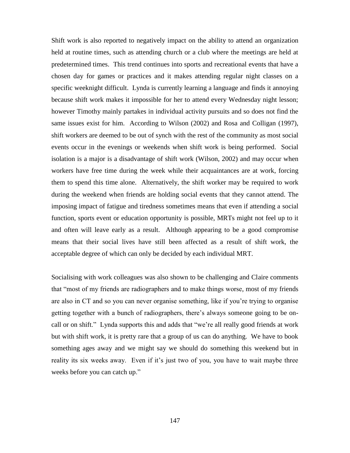Shift work is also reported to negatively impact on the ability to attend an organization held at routine times, such as attending church or a club where the meetings are held at predetermined times. This trend continues into sports and recreational events that have a chosen day for games or practices and it makes attending regular night classes on a specific weeknight difficult. Lynda is currently learning a language and finds it annoying because shift work makes it impossible for her to attend every Wednesday night lesson; however Timothy mainly partakes in individual activity pursuits and so does not find the same issues exist for him. According to Wilson (2002) and Rosa and Colligan (1997), shift workers are deemed to be out of synch with the rest of the community as most social events occur in the evenings or weekends when shift work is being performed. Social isolation is a major is a disadvantage of shift work (Wilson, 2002) and may occur when workers have free time during the week while their acquaintances are at work, forcing them to spend this time alone. Alternatively, the shift worker may be required to work during the weekend when friends are holding social events that they cannot attend. The imposing impact of fatigue and tiredness sometimes means that even if attending a social function, sports event or education opportunity is possible, MRTs might not feel up to it and often will leave early as a result. Although appearing to be a good compromise means that their social lives have still been affected as a result of shift work, the acceptable degree of which can only be decided by each individual MRT.

Socialising with work colleagues was also shown to be challenging and Claire comments that "most of my friends are radiographers and to make things worse, most of my friends are also in CT and so you can never organise something, like if you"re trying to organise getting together with a bunch of radiographers, there"s always someone going to be oncall or on shift." Lynda supports this and adds that "we"re all really good friends at work but with shift work, it is pretty rare that a group of us can do anything. We have to book something ages away and we might say we should do something this weekend but in reality its six weeks away. Even if it's just two of you, you have to wait maybe three weeks before you can catch up."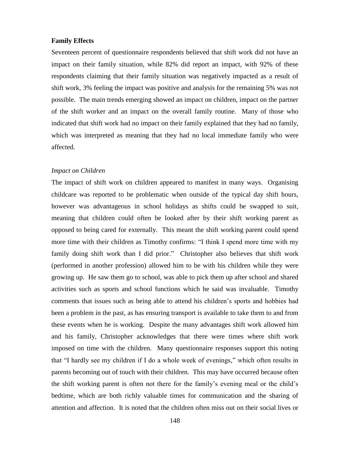### **Family Effects**

Seventeen percent of questionnaire respondents believed that shift work did not have an impact on their family situation, while 82% did report an impact, with 92% of these respondents claiming that their family situation was negatively impacted as a result of shift work, 3% feeling the impact was positive and analysis for the remaining 5% was not possible. The main trends emerging showed an impact on children, impact on the partner of the shift worker and an impact on the overall family routine. Many of those who indicated that shift work had no impact on their family explained that they had no family, which was interpreted as meaning that they had no local immediate family who were affected.

#### *Impact on Children*

The impact of shift work on children appeared to manifest in many ways. Organising childcare was reported to be problematic when outside of the typical day shift hours, however was advantageous in school holidays as shifts could be swapped to suit, meaning that children could often be looked after by their shift working parent as opposed to being cared for externally. This meant the shift working parent could spend more time with their children as Timothy confirms: "I think I spend more time with my family doing shift work than I did prior." Christopher also believes that shift work (performed in another profession) allowed him to be with his children while they were growing up. He saw them go to school, was able to pick them up after school and shared activities such as sports and school functions which he said was invaluable. Timothy comments that issues such as being able to attend his children"s sports and hobbies had been a problem in the past, as has ensuring transport is available to take them to and from these events when he is working. Despite the many advantages shift work allowed him and his family, Christopher acknowledges that there were times where shift work imposed on time with the children. Many questionnaire responses support this noting that "I hardly see my children if I do a whole week of evenings," which often results in parents becoming out of touch with their children. This may have occurred because often the shift working parent is often not there for the family"s evening meal or the child"s bedtime, which are both richly valuable times for communication and the sharing of attention and affection. It is noted that the children often miss out on their social lives or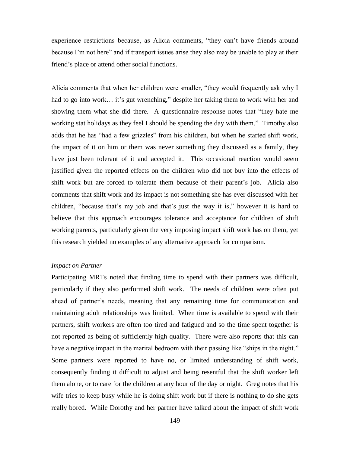experience restrictions because, as Alicia comments, "they can"t have friends around because I'm not here" and if transport issues arise they also may be unable to play at their friend"s place or attend other social functions.

Alicia comments that when her children were smaller, "they would frequently ask why I had to go into work... it's gut wrenching," despite her taking them to work with her and showing them what she did there. A questionnaire response notes that "they hate me working stat holidays as they feel I should be spending the day with them." Timothy also adds that he has "had a few grizzles" from his children, but when he started shift work, the impact of it on him or them was never something they discussed as a family, they have just been tolerant of it and accepted it. This occasional reaction would seem justified given the reported effects on the children who did not buy into the effects of shift work but are forced to tolerate them because of their parent's job. Alicia also comments that shift work and its impact is not something she has ever discussed with her children, "because that's my job and that's just the way it is," however it is hard to believe that this approach encourages tolerance and acceptance for children of shift working parents, particularly given the very imposing impact shift work has on them, yet this research yielded no examples of any alternative approach for comparison.

#### *Impact on Partner*

Participating MRTs noted that finding time to spend with their partners was difficult, particularly if they also performed shift work. The needs of children were often put ahead of partner's needs, meaning that any remaining time for communication and maintaining adult relationships was limited. When time is available to spend with their partners, shift workers are often too tired and fatigued and so the time spent together is not reported as being of sufficiently high quality. There were also reports that this can have a negative impact in the marital bedroom with their passing like "ships in the night." Some partners were reported to have no, or limited understanding of shift work, consequently finding it difficult to adjust and being resentful that the shift worker left them alone, or to care for the children at any hour of the day or night. Greg notes that his wife tries to keep busy while he is doing shift work but if there is nothing to do she gets really bored. While Dorothy and her partner have talked about the impact of shift work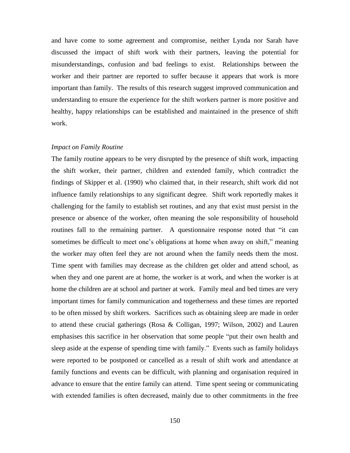and have come to some agreement and compromise, neither Lynda nor Sarah have discussed the impact of shift work with their partners, leaving the potential for misunderstandings, confusion and bad feelings to exist. Relationships between the worker and their partner are reported to suffer because it appears that work is more important than family. The results of this research suggest improved communication and understanding to ensure the experience for the shift workers partner is more positive and healthy, happy relationships can be established and maintained in the presence of shift work.

#### *Impact on Family Routine*

The family routine appears to be very disrupted by the presence of shift work, impacting the shift worker, their partner, children and extended family, which contradict the findings of Skipper et al. (1990) who claimed that, in their research, shift work did not influence family relationships to any significant degree. Shift work reportedly makes it challenging for the family to establish set routines, and any that exist must persist in the presence or absence of the worker, often meaning the sole responsibility of household routines fall to the remaining partner. A questionnaire response noted that "it can sometimes be difficult to meet one's obligations at home when away on shift," meaning the worker may often feel they are not around when the family needs them the most. Time spent with families may decrease as the children get older and attend school, as when they and one parent are at home, the worker is at work, and when the worker is at home the children are at school and partner at work. Family meal and bed times are very important times for family communication and togetherness and these times are reported to be often missed by shift workers. Sacrifices such as obtaining sleep are made in order to attend these crucial gatherings (Rosa & Colligan, 1997; Wilson, 2002) and Lauren emphasises this sacrifice in her observation that some people "put their own health and sleep aside at the expense of spending time with family." Events such as family holidays were reported to be postponed or cancelled as a result of shift work and attendance at family functions and events can be difficult, with planning and organisation required in advance to ensure that the entire family can attend. Time spent seeing or communicating with extended families is often decreased, mainly due to other commitments in the free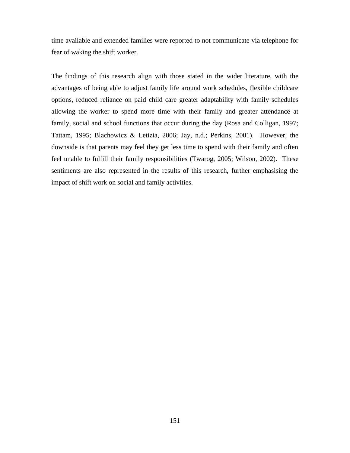time available and extended families were reported to not communicate via telephone for fear of waking the shift worker.

The findings of this research align with those stated in the wider literature, with the advantages of being able to adjust family life around work schedules, flexible childcare options, reduced reliance on paid child care greater adaptability with family schedules allowing the worker to spend more time with their family and greater attendance at family, social and school functions that occur during the day (Rosa and Colligan, 1997; Tattam, 1995; Blachowicz & Letizia, 2006; Jay, n.d.; Perkins, 2001). However, the downside is that parents may feel they get less time to spend with their family and often feel unable to fulfill their family responsibilities (Twarog, 2005; Wilson, 2002). These sentiments are also represented in the results of this research, further emphasising the impact of shift work on social and family activities.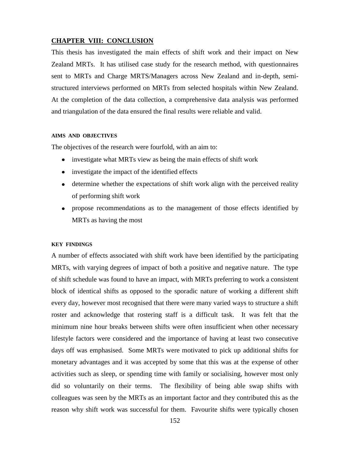## **CHAPTER VIII: CONCLUSION**

This thesis has investigated the main effects of shift work and their impact on New Zealand MRTs. It has utilised case study for the research method, with questionnaires sent to MRTs and Charge MRTS/Managers across New Zealand and in-depth, semistructured interviews performed on MRTs from selected hospitals within New Zealand. At the completion of the data collection, a comprehensive data analysis was performed and triangulation of the data ensured the final results were reliable and valid.

#### **AIMS AND OBJECTIVES**

The objectives of the research were fourfold, with an aim to:

- investigate what MRTs view as being the main effects of shift work
- investigate the impact of the identified effects
- determine whether the expectations of shift work align with the perceived reality of performing shift work
- $\bullet$ propose recommendations as to the management of those effects identified by MRTs as having the most

#### **KEY FINDINGS**

A number of effects associated with shift work have been identified by the participating MRTs, with varying degrees of impact of both a positive and negative nature. The type of shift schedule was found to have an impact, with MRTs preferring to work a consistent block of identical shifts as opposed to the sporadic nature of working a different shift every day, however most recognised that there were many varied ways to structure a shift roster and acknowledge that rostering staff is a difficult task. It was felt that the minimum nine hour breaks between shifts were often insufficient when other necessary lifestyle factors were considered and the importance of having at least two consecutive days off was emphasised. Some MRTs were motivated to pick up additional shifts for monetary advantages and it was accepted by some that this was at the expense of other activities such as sleep, or spending time with family or socialising, however most only did so voluntarily on their terms. The flexibility of being able swap shifts with colleagues was seen by the MRTs as an important factor and they contributed this as the reason why shift work was successful for them. Favourite shifts were typically chosen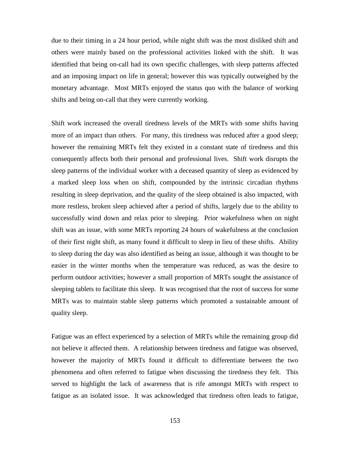due to their timing in a 24 hour period, while night shift was the most disliked shift and others were mainly based on the professional activities linked with the shift. It was identified that being on-call had its own specific challenges, with sleep patterns affected and an imposing impact on life in general; however this was typically outweighed by the monetary advantage. Most MRTs enjoyed the status quo with the balance of working shifts and being on-call that they were currently working.

Shift work increased the overall tiredness levels of the MRTs with some shifts having more of an impact than others. For many, this tiredness was reduced after a good sleep; however the remaining MRTs felt they existed in a constant state of tiredness and this consequently affects both their personal and professional lives. Shift work disrupts the sleep patterns of the individual worker with a deceased quantity of sleep as evidenced by a marked sleep loss when on shift, compounded by the intrinsic circadian rhythms resulting in sleep deprivation, and the quality of the sleep obtained is also impacted, with more restless, broken sleep achieved after a period of shifts, largely due to the ability to successfully wind down and relax prior to sleeping. Prior wakefulness when on night shift was an issue, with some MRTs reporting 24 hours of wakefulness at the conclusion of their first night shift, as many found it difficult to sleep in lieu of these shifts. Ability to sleep during the day was also identified as being an issue, although it was thought to be easier in the winter months when the temperature was reduced, as was the desire to perform outdoor activities; however a small proportion of MRTs sought the assistance of sleeping tablets to facilitate this sleep. It was recognised that the root of success for some MRTs was to maintain stable sleep patterns which promoted a sustainable amount of quality sleep.

Fatigue was an effect experienced by a selection of MRTs while the remaining group did not believe it affected them. A relationship between tiredness and fatigue was observed, however the majority of MRTs found it difficult to differentiate between the two phenomena and often referred to fatigue when discussing the tiredness they felt. This served to highlight the lack of awareness that is rife amongst MRTs with respect to fatigue as an isolated issue. It was acknowledged that tiredness often leads to fatigue,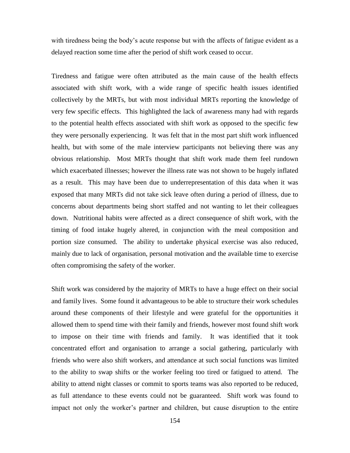with tiredness being the body's acute response but with the affects of fatigue evident as a delayed reaction some time after the period of shift work ceased to occur.

Tiredness and fatigue were often attributed as the main cause of the health effects associated with shift work, with a wide range of specific health issues identified collectively by the MRTs, but with most individual MRTs reporting the knowledge of very few specific effects. This highlighted the lack of awareness many had with regards to the potential health effects associated with shift work as opposed to the specific few they were personally experiencing. It was felt that in the most part shift work influenced health, but with some of the male interview participants not believing there was any obvious relationship. Most MRTs thought that shift work made them feel rundown which exacerbated illnesses; however the illness rate was not shown to be hugely inflated as a result. This may have been due to underrepresentation of this data when it was exposed that many MRTs did not take sick leave often during a period of illness, due to concerns about departments being short staffed and not wanting to let their colleagues down. Nutritional habits were affected as a direct consequence of shift work, with the timing of food intake hugely altered, in conjunction with the meal composition and portion size consumed. The ability to undertake physical exercise was also reduced, mainly due to lack of organisation, personal motivation and the available time to exercise often compromising the safety of the worker.

Shift work was considered by the majority of MRTs to have a huge effect on their social and family lives. Some found it advantageous to be able to structure their work schedules around these components of their lifestyle and were grateful for the opportunities it allowed them to spend time with their family and friends, however most found shift work to impose on their time with friends and family. It was identified that it took concentrated effort and organisation to arrange a social gathering, particularly with friends who were also shift workers, and attendance at such social functions was limited to the ability to swap shifts or the worker feeling too tired or fatigued to attend. The ability to attend night classes or commit to sports teams was also reported to be reduced, as full attendance to these events could not be guaranteed. Shift work was found to impact not only the worker"s partner and children, but cause disruption to the entire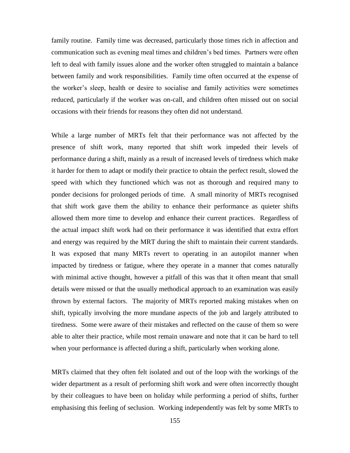family routine. Family time was decreased, particularly those times rich in affection and communication such as evening meal times and children"s bed times. Partners were often left to deal with family issues alone and the worker often struggled to maintain a balance between family and work responsibilities. Family time often occurred at the expense of the worker"s sleep, health or desire to socialise and family activities were sometimes reduced, particularly if the worker was on-call, and children often missed out on social occasions with their friends for reasons they often did not understand.

While a large number of MRTs felt that their performance was not affected by the presence of shift work, many reported that shift work impeded their levels of performance during a shift, mainly as a result of increased levels of tiredness which make it harder for them to adapt or modify their practice to obtain the perfect result, slowed the speed with which they functioned which was not as thorough and required many to ponder decisions for prolonged periods of time. A small minority of MRTs recognised that shift work gave them the ability to enhance their performance as quieter shifts allowed them more time to develop and enhance their current practices. Regardless of the actual impact shift work had on their performance it was identified that extra effort and energy was required by the MRT during the shift to maintain their current standards. It was exposed that many MRTs revert to operating in an autopilot manner when impacted by tiredness or fatigue, where they operate in a manner that comes naturally with minimal active thought, however a pitfall of this was that it often meant that small details were missed or that the usually methodical approach to an examination was easily thrown by external factors. The majority of MRTs reported making mistakes when on shift, typically involving the more mundane aspects of the job and largely attributed to tiredness. Some were aware of their mistakes and reflected on the cause of them so were able to alter their practice, while most remain unaware and note that it can be hard to tell when your performance is affected during a shift, particularly when working alone.

MRTs claimed that they often felt isolated and out of the loop with the workings of the wider department as a result of performing shift work and were often incorrectly thought by their colleagues to have been on holiday while performing a period of shifts, further emphasising this feeling of seclusion. Working independently was felt by some MRTs to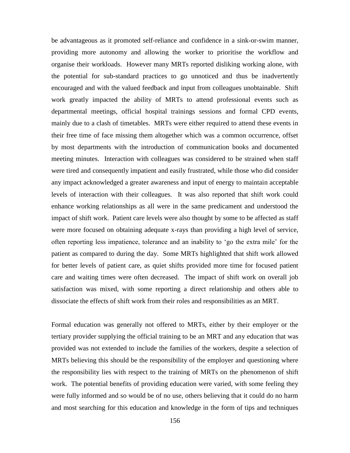be advantageous as it promoted self-reliance and confidence in a sink-or-swim manner, providing more autonomy and allowing the worker to prioritise the workflow and organise their workloads. However many MRTs reported disliking working alone, with the potential for sub-standard practices to go unnoticed and thus be inadvertently encouraged and with the valued feedback and input from colleagues unobtainable. Shift work greatly impacted the ability of MRTs to attend professional events such as departmental meetings, official hospital trainings sessions and formal CPD events, mainly due to a clash of timetables. MRTs were either required to attend these events in their free time of face missing them altogether which was a common occurrence, offset by most departments with the introduction of communication books and documented meeting minutes. Interaction with colleagues was considered to be strained when staff were tired and consequently impatient and easily frustrated, while those who did consider any impact acknowledged a greater awareness and input of energy to maintain acceptable levels of interaction with their colleagues. It was also reported that shift work could enhance working relationships as all were in the same predicament and understood the impact of shift work. Patient care levels were also thought by some to be affected as staff were more focused on obtaining adequate x-rays than providing a high level of service, often reporting less impatience, tolerance and an inability to "go the extra mile" for the patient as compared to during the day. Some MRTs highlighted that shift work allowed for better levels of patient care, as quiet shifts provided more time for focused patient care and waiting times were often decreased. The impact of shift work on overall job satisfaction was mixed, with some reporting a direct relationship and others able to dissociate the effects of shift work from their roles and responsibilities as an MRT.

Formal education was generally not offered to MRTs, either by their employer or the tertiary provider supplying the official training to be an MRT and any education that was provided was not extended to include the families of the workers, despite a selection of MRTs believing this should be the responsibility of the employer and questioning where the responsibility lies with respect to the training of MRTs on the phenomenon of shift work. The potential benefits of providing education were varied, with some feeling they were fully informed and so would be of no use, others believing that it could do no harm and most searching for this education and knowledge in the form of tips and techniques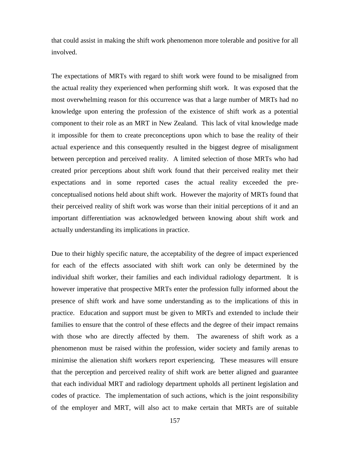that could assist in making the shift work phenomenon more tolerable and positive for all involved.

The expectations of MRTs with regard to shift work were found to be misaligned from the actual reality they experienced when performing shift work. It was exposed that the most overwhelming reason for this occurrence was that a large number of MRTs had no knowledge upon entering the profession of the existence of shift work as a potential component to their role as an MRT in New Zealand. This lack of vital knowledge made it impossible for them to create preconceptions upon which to base the reality of their actual experience and this consequently resulted in the biggest degree of misalignment between perception and perceived reality. A limited selection of those MRTs who had created prior perceptions about shift work found that their perceived reality met their expectations and in some reported cases the actual reality exceeded the preconceptualised notions held about shift work. However the majority of MRTs found that their perceived reality of shift work was worse than their initial perceptions of it and an important differentiation was acknowledged between knowing about shift work and actually understanding its implications in practice.

Due to their highly specific nature, the acceptability of the degree of impact experienced for each of the effects associated with shift work can only be determined by the individual shift worker, their families and each individual radiology department. It is however imperative that prospective MRTs enter the profession fully informed about the presence of shift work and have some understanding as to the implications of this in practice. Education and support must be given to MRTs and extended to include their families to ensure that the control of these effects and the degree of their impact remains with those who are directly affected by them. The awareness of shift work as a phenomenon must be raised within the profession, wider society and family arenas to minimise the alienation shift workers report experiencing. These measures will ensure that the perception and perceived reality of shift work are better aligned and guarantee that each individual MRT and radiology department upholds all pertinent legislation and codes of practice. The implementation of such actions, which is the joint responsibility of the employer and MRT, will also act to make certain that MRTs are of suitable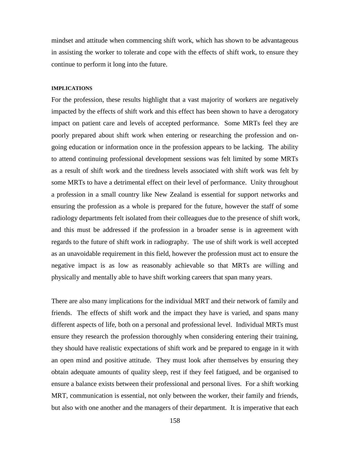mindset and attitude when commencing shift work, which has shown to be advantageous in assisting the worker to tolerate and cope with the effects of shift work, to ensure they continue to perform it long into the future.

### **IMPLICATIONS**

For the profession, these results highlight that a vast majority of workers are negatively impacted by the effects of shift work and this effect has been shown to have a derogatory impact on patient care and levels of accepted performance. Some MRTs feel they are poorly prepared about shift work when entering or researching the profession and ongoing education or information once in the profession appears to be lacking. The ability to attend continuing professional development sessions was felt limited by some MRTs as a result of shift work and the tiredness levels associated with shift work was felt by some MRTs to have a detrimental effect on their level of performance. Unity throughout a profession in a small country like New Zealand is essential for support networks and ensuring the profession as a whole is prepared for the future, however the staff of some radiology departments felt isolated from their colleagues due to the presence of shift work, and this must be addressed if the profession in a broader sense is in agreement with regards to the future of shift work in radiography. The use of shift work is well accepted as an unavoidable requirement in this field, however the profession must act to ensure the negative impact is as low as reasonably achievable so that MRTs are willing and physically and mentally able to have shift working careers that span many years.

There are also many implications for the individual MRT and their network of family and friends. The effects of shift work and the impact they have is varied, and spans many different aspects of life, both on a personal and professional level. Individual MRTs must ensure they research the profession thoroughly when considering entering their training, they should have realistic expectations of shift work and be prepared to engage in it with an open mind and positive attitude. They must look after themselves by ensuring they obtain adequate amounts of quality sleep, rest if they feel fatigued, and be organised to ensure a balance exists between their professional and personal lives. For a shift working MRT, communication is essential, not only between the worker, their family and friends, but also with one another and the managers of their department. It is imperative that each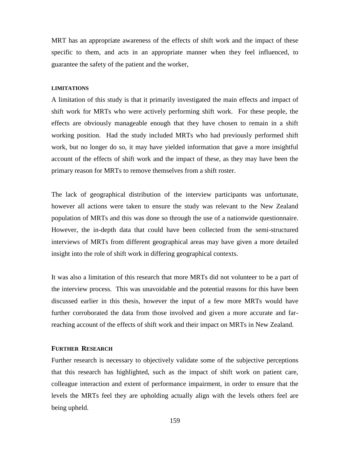MRT has an appropriate awareness of the effects of shift work and the impact of these specific to them, and acts in an appropriate manner when they feel influenced, to guarantee the safety of the patient and the worker,

## **LIMITATIONS**

A limitation of this study is that it primarily investigated the main effects and impact of shift work for MRTs who were actively performing shift work. For these people, the effects are obviously manageable enough that they have chosen to remain in a shift working position. Had the study included MRTs who had previously performed shift work, but no longer do so, it may have yielded information that gave a more insightful account of the effects of shift work and the impact of these, as they may have been the primary reason for MRTs to remove themselves from a shift roster.

The lack of geographical distribution of the interview participants was unfortunate, however all actions were taken to ensure the study was relevant to the New Zealand population of MRTs and this was done so through the use of a nationwide questionnaire. However, the in-depth data that could have been collected from the semi-structured interviews of MRTs from different geographical areas may have given a more detailed insight into the role of shift work in differing geographical contexts.

It was also a limitation of this research that more MRTs did not volunteer to be a part of the interview process. This was unavoidable and the potential reasons for this have been discussed earlier in this thesis, however the input of a few more MRTs would have further corroborated the data from those involved and given a more accurate and farreaching account of the effects of shift work and their impact on MRTs in New Zealand.

## **FURTHER RESEARCH**

Further research is necessary to objectively validate some of the subjective perceptions that this research has highlighted, such as the impact of shift work on patient care, colleague interaction and extent of performance impairment, in order to ensure that the levels the MRTs feel they are upholding actually align with the levels others feel are being upheld.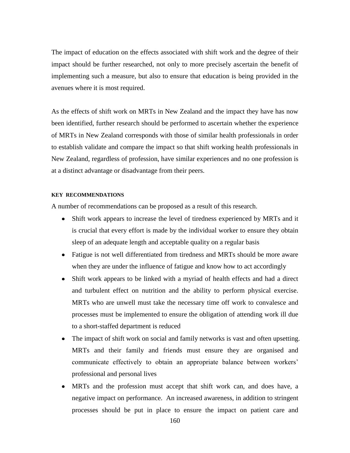The impact of education on the effects associated with shift work and the degree of their impact should be further researched, not only to more precisely ascertain the benefit of implementing such a measure, but also to ensure that education is being provided in the avenues where it is most required.

As the effects of shift work on MRTs in New Zealand and the impact they have has now been identified, further research should be performed to ascertain whether the experience of MRTs in New Zealand corresponds with those of similar health professionals in order to establish validate and compare the impact so that shift working health professionals in New Zealand, regardless of profession, have similar experiences and no one profession is at a distinct advantage or disadvantage from their peers.

#### **KEY RECOMMENDATIONS**

A number of recommendations can be proposed as a result of this research.

- Shift work appears to increase the level of tiredness experienced by MRTs and it is crucial that every effort is made by the individual worker to ensure they obtain sleep of an adequate length and acceptable quality on a regular basis
- Fatigue is not well differentiated from tiredness and MRTs should be more aware when they are under the influence of fatigue and know how to act accordingly
- Shift work appears to be linked with a myriad of health effects and had a direct and turbulent effect on nutrition and the ability to perform physical exercise. MRTs who are unwell must take the necessary time off work to convalesce and processes must be implemented to ensure the obligation of attending work ill due to a short-staffed department is reduced
- The impact of shift work on social and family networks is vast and often upsetting. MRTs and their family and friends must ensure they are organised and communicate effectively to obtain an appropriate balance between workers' professional and personal lives
- MRTs and the profession must accept that shift work can, and does have, a negative impact on performance. An increased awareness, in addition to stringent processes should be put in place to ensure the impact on patient care and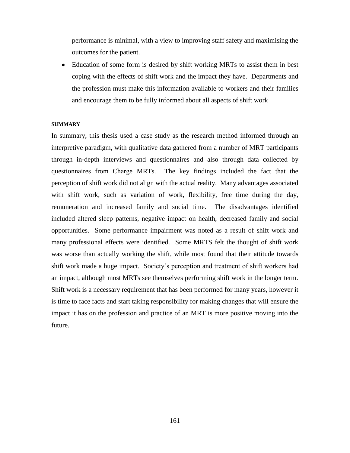performance is minimal, with a view to improving staff safety and maximising the outcomes for the patient.

Education of some form is desired by shift working MRTs to assist them in best  $\bullet$ coping with the effects of shift work and the impact they have. Departments and the profession must make this information available to workers and their families and encourage them to be fully informed about all aspects of shift work

#### **SUMMARY**

In summary, this thesis used a case study as the research method informed through an interpretive paradigm, with qualitative data gathered from a number of MRT participants through in-depth interviews and questionnaires and also through data collected by questionnaires from Charge MRTs. The key findings included the fact that the perception of shift work did not align with the actual reality. Many advantages associated with shift work, such as variation of work, flexibility, free time during the day, remuneration and increased family and social time. The disadvantages identified included altered sleep patterns, negative impact on health, decreased family and social opportunities. Some performance impairment was noted as a result of shift work and many professional effects were identified. Some MRTS felt the thought of shift work was worse than actually working the shift, while most found that their attitude towards shift work made a huge impact. Society"s perception and treatment of shift workers had an impact, although most MRTs see themselves performing shift work in the longer term. Shift work is a necessary requirement that has been performed for many years, however it is time to face facts and start taking responsibility for making changes that will ensure the impact it has on the profession and practice of an MRT is more positive moving into the future.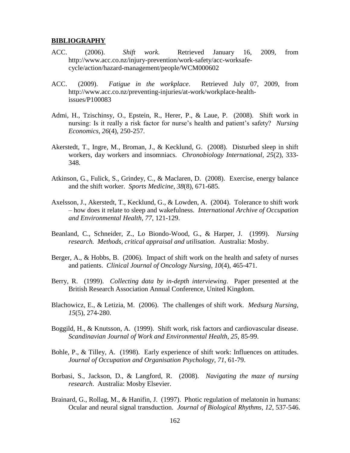### **BIBLIOGRAPHY**

- ACC. (2006). *Shift work*. Retrieved January 16, 2009, from http://www.acc.co.nz/injury-prevention/work-safety/acc-worksafecycle/action/hazard-management/people/WCM000602
- ACC. (2009). *Fatigue in the workplace*. Retrieved July 07, 2009, from http://www.acc.co.nz/preventing-injuries/at-work/workplace-healthissues/P100083
- Admi, H., Tzischinsy, O., Epstein, R., Herer, P., & Laue, P. (2008). Shift work in nursing: Is it really a risk factor for nurse"s health and patient"s safety? *Nursing Economics, 26*(4), 250-257.
- Akerstedt, T., Ingre, M., Broman, J., & Kecklund, G. (2008). Disturbed sleep in shift workers, day workers and insomniacs. *Chronobiology International, 25*(2), 333- 348.
- Atkinson, G., Fulick, S., Grindey, C., & Maclaren, D. (2008). Exercise, energy balance and the shift worker. *Sports Medicine, 38*(8), 671-685.
- Axelsson, J., Akerstedt, T., Kecklund, G., & Lowden, A. (2004). Tolerance to shift work – how does it relate to sleep and wakefulness. *International Archive of Occupation and Environmental Health, 77*, 121-129.
- Beanland, C., Schneider, Z., Lo Biondo-Wood, G., & Harper, J. (1999). *Nursing research. Methods, critical appraisal and utilisation*. Australia: Mosby.
- Berger, A., & Hobbs, B. (2006). Impact of shift work on the health and safety of nurses and patients. *Clinical Journal of Oncology Nursing, 10*(4), 465-471.
- Berry, R. (1999). *Collecting data by in-depth interviewing*. Paper presented at the British Research Association Annual Conference, United Kingdom.
- Blachowicz, E., & Letizia, M. (2006). The challenges of shift work. *Medsurg Nursing, 15*(5), 274-280.
- Boggild, H., & Knutsson, A. (1999). Shift work, risk factors and cardiovascular disease. *Scandinavian Journal of Work and Environmental Health, 25*, 85-99.
- Bohle, P., & Tilley, A. (1998). Early experience of shift work: Influences on attitudes. *Journal of Occupation and Organisation Psychology, 71*, 61-79.
- Borbasi, S., Jackson, D., & Langford, R. (2008). *Navigating the maze of nursing research*. Australia: Mosby Elsevier.
- Brainard, G., Rollag, M., & Hanifin, J. (1997). Photic regulation of melatonin in humans: Ocular and neural signal transduction. *Journal of Biological Rhythms, 12*, 537-546.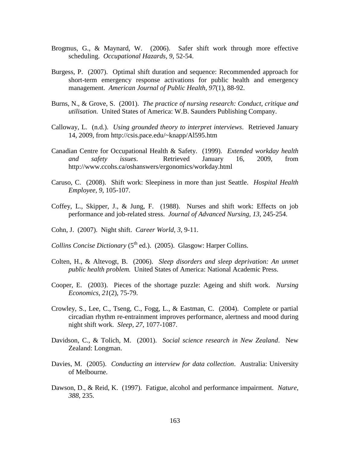- Brogmus, G., & Maynard, W. (2006). Safer shift work through more effective scheduling. *Occupational Hazards, 9*, 52-54.
- Burgess, P. (2007). Optimal shift duration and sequence: Recommended approach for short-term emergency response activations for public health and emergency management. *American Journal of Public Health, 97*(1), 88-92.
- Burns, N., & Grove, S. (2001). *The practice of nursing research: Conduct, critique and utilisation.* United States of America: W.B. Saunders Publishing Company.
- Calloway, L. (n.d.). *Using grounded theory to interpret interviews*. Retrieved January 14, 2009, from http://csis.pace.edu/~knapp/Al595.htm
- Canadian Centre for Occupational Health & Safety. (1999). *Extended workday health and safety issues*. Retrieved January 16, 2009, from http://www.ccohs.ca/oshanswers/ergonomics/workday.html
- Caruso, C. (2008). Shift work: Sleepiness in more than just Seattle. *Hospital Health Employee, 9*, 105-107.
- Coffey, L., Skipper, J., & Jung, F. (1988). Nurses and shift work: Effects on job performance and job-related stress. *Journal of Advanced Nursing, 13*, 245-254.
- Cohn, J. (2007). Night shift. *Career World, 3*, 9-11.
- *Collins Concise Dictionary* (5<sup>th</sup> ed.). (2005). Glasgow: Harper Collins.
- Colten, H., & Altevogt, B. (2006). *Sleep disorders and sleep deprivation: An unmet public health problem.* United States of America: National Academic Press.
- Cooper, E. (2003). Pieces of the shortage puzzle: Ageing and shift work. *Nursing Economics, 21*(2), 75-79.
- Crowley, S., Lee, C., Tseng, C., Fogg, L., & Eastman, C. (2004). Complete or partial circadian rhythm re-entrainment improves performance, alertness and mood during night shift work. *Sleep, 27*, 1077-1087.
- Davidson, C., & Tolich, M. (2001). *Social science research in New Zealand*. New Zealand: Longman.
- Davies, M. (2005). *Conducting an interview for data collection*. Australia: University of Melbourne.
- Dawson, D., & Reid, K. (1997). Fatigue, alcohol and performance impairment. *Nature, 388*, 235.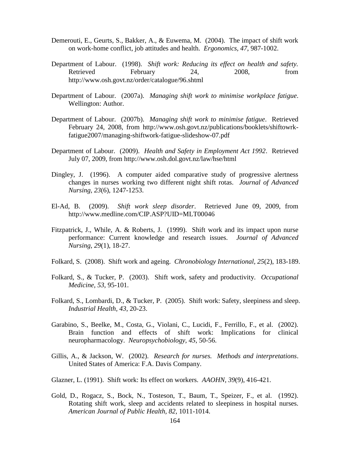- Demerouti, E., Geurts, S., Bakker, A., & Euwema, M. (2004). The impact of shift work on work-home conflict, job attitudes and health. *Ergonomics, 47*, 987-1002.
- Department of Labour. (1998). *Shift work: Reducing its effect on health and safety.* Retrieved February 24, 2008, from http://www.osh.govt.nz/order/catalogue/96.shtml
- Department of Labour. (2007a). *Managing shift work to minimise workplace fatigue*. Wellington: Author.
- Department of Labour. (2007b). *Managing shift work to minimise fatigue*. Retrieved February 24, 2008, from http://www.osh.govt.nz/publications/booklets/shiftowrkfatigue2007/managing-shiftwork-fatigue-slideshow-07.pdf
- Department of Labour. (2009). *Health and Safety in Employment Act 1992*. Retrieved July 07, 2009, from http://www.osh.dol.govt.nz/law/hse/html
- Dingley, J. (1996). A computer aided comparative study of progressive alertness changes in nurses working two different night shift rotas. *Journal of Advanced Nursing, 23*(6), 1247-1253.
- El-Ad, B. (2009). *Shift work sleep disorder*. Retrieved June 09, 2009, from http://www.medline.com/CIP.ASP?UID=MLT00046
- Fitzpatrick, J., While, A. & Roberts, J. (1999). Shift work and its impact upon nurse performance: Current knowledge and research issues. *Journal of Advanced Nursing, 29*(1), 18-27.
- Folkard, S. (2008). Shift work and ageing. *Chronobiology International, 25*(2), 183-189.
- Folkard, S., & Tucker, P. (2003). Shift work, safety and productivity. *Occupational Medicine, 53*, 95-101.
- Folkard, S., Lombardi, D., & Tucker, P. (2005). Shift work: Safety, sleepiness and sleep. *Industrial Health, 43*, 20-23.
- Garabino, S., Beelke, M., Costa, G., Violani, C., Lucidi, F., Ferrillo, F., et al. (2002). Brain function and effects of shift work: Implications for clinical neuropharmacology. *Neuropsychobiology, 45*, 50-56.
- Gillis, A., & Jackson, W. (2002). *Research for nurses. Methods and interpretations*. United States of America: F.A. Davis Company.
- Glazner, L. (1991). Shift work: Its effect on workers. *AAOHN, 39*(9), 416-421.
- Gold, D., Rogacz, S., Bock, N., Tosteson, T., Baum, T., Speizer, F., et al. (1992). Rotating shift work, sleep and accidents related to sleepiness in hospital nurses. *American Journal of Public Health, 82*, 1011-1014.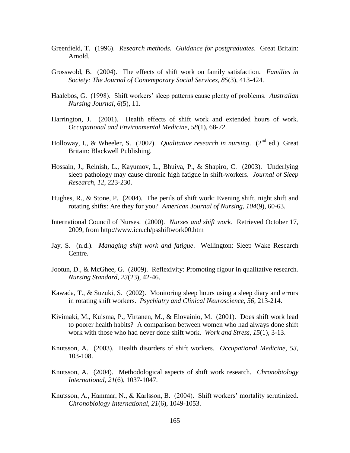- Greenfield, T. (1996). *Research methods. Guidance for postgraduates*. Great Britain: Arnold.
- Grosswold, B. (2004). The effects of shift work on family satisfaction. *Families in Society: The Journal of Contemporary Social Services, 85*(3), 413-424.
- Haalebos, G. (1998). Shift workers" sleep patterns cause plenty of problems. *Australian Nursing Journal, 6*(5), 11.
- Harrington, J. (2001). Health effects of shift work and extended hours of work. *Occupational and Environmental Medicine, 58*(1), 68-72.
- Holloway, I., & Wheeler, S. (2002). *Qualitative research in nursing.* (2<sup>nd</sup> ed.). Great Britain: Blackwell Publishing.
- Hossain, J., Reinish, L., Kayumov, L., Bhuiya, P., & Shapiro, C. (2003). Underlying sleep pathology may cause chronic high fatigue in shift-workers. *Journal of Sleep Research, 12*, 223-230.
- Hughes, R., & Stone, P. (2004). The perils of shift work: Evening shift, night shift and rotating shifts: Are they for you? *American Journal of Nursing, 104*(9), 60-63.
- International Council of Nurses. (2000). *Nurses and shift work*. Retrieved October 17, 2009, from http://www.icn.ch/psshiftwork00.htm
- Jay, S. (n.d.). *Managing shift work and fatigue*. Wellington: Sleep Wake Research Centre.
- Jootun, D., & McGhee, G. (2009). Reflexivity: Promoting rigour in qualitative research. *Nursing Standard, 23*(23), 42-46.
- Kawada, T., & Suzuki, S. (2002). Monitoring sleep hours using a sleep diary and errors in rotating shift workers. *Psychiatry and Clinical Neuroscience, 56,* 213-214.
- Kivimaki, M., Kuisma, P., Virtanen, M., & Elovainio, M. (2001). Does shift work lead to poorer health habits? A comparison between women who had always done shift work with those who had never done shift work. *Work and Stress, 15*(1), 3-13.
- Knutsson, A. (2003). Health disorders of shift workers. *Occupational Medicine, 53*, 103-108.
- Knutsson, A. (2004). Methodological aspects of shift work research. *Chronobiology International, 21*(6), 1037-1047.
- Knutsson, A., Hammar, N., & Karlsson, B. (2004). Shift workers' mortality scrutinized. *Chronobiology International, 21*(6), 1049-1053.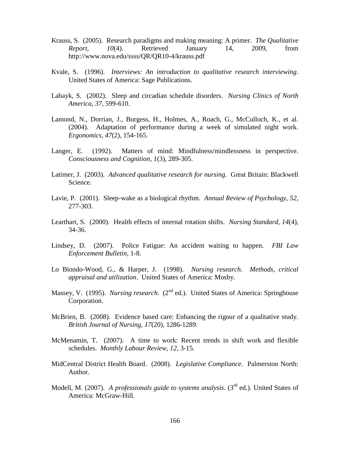- Krauss, S. (2005). Research paradigms and making meaning: A primer. *The Qualitative Report, 10*(4). Retrieved January 14, 2009, from http://www.nova.edu/ssss/QR/QR10-4/krauss.pdf
- Kvale, S. (1996). *Interviews: An introduction to qualitative research interviewing*. United States of America: Sage Publications.
- Labayk, S. (2002). Sleep and circadian schedule disorders. *Nursing Clinics of North America, 37*, 599-610.
- Lamond, N., Dorrian, J., Burgess, H., Holmes, A., Roach, G., McCulloch, K., et al. (2004). Adaptation of performance during a week of simulated night work. *Ergonomics, 47*(2), 154-165.
- Langer, E. (1992). Matters of mind: Mindfulness/mindlessness in perspective. *Consciousness and Cognition, 1*(3), 289-305.
- Latimer, J. (2003). *Advanced qualitative research for nursing*. Great Britain: Blackwell Science.
- Lavie, P. (2001). Sleep-wake as a biological rhythm. *Annual Review of Psychology, 52*, 277-303.
- Learthart, S. (2000). Health effects of internal rotation shifts. *Nursing Standard, 14*(4), 34-36.
- Lindsey, D. (2007). Police Fatigue: An accident waiting to happen. *FBI Law Enforcement Bulletin,* 1-8.
- Lo Biondo-Wood, G., & Harper, J. (1998). *Nursing research. Methods, critical appraisal and utilization*. United States of America: Mosby.
- Massey, V. (1995). *Nursing research.* (2<sup>nd</sup> ed.). United States of America: Springhouse Corporation.
- McBrien, B. (2008). Evidence based care: Enhancing the rigour of a qualitative study. *British Journal of Nursing, 17*(20), 1286-1289.
- McMenamin, T. (2007). A time to work: Recent trends in shift work and flexible schedules. *Monthly Labour Review, 12*, 3-15.
- MidCentral District Health Board. (2008). *Legislative Compliance*. Palmerston North: Author.
- Modell, M. (2007). *A professionals guide to systems analysis*. (3<sup>rd</sup> ed.). United States of America: McGraw-Hill.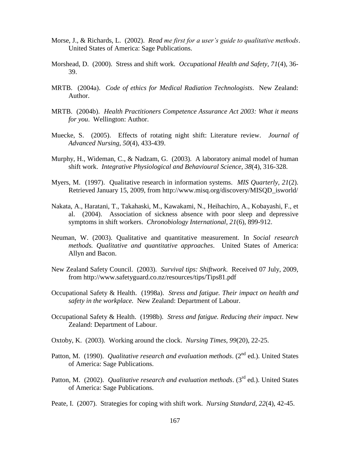- Morse, J., & Richards, L. (2002). *Read me first for a user's guide to qualitative methods*. United States of America: Sage Publications.
- Morshead, D. (2000). Stress and shift work. *Occupational Health and Safety, 71*(4), 36- 39.
- MRTB. (2004a). *Code of ethics for Medical Radiation Technologists*. New Zealand: Author.
- MRTB. (2004b). *Health Practitioners Competence Assurance Act 2003: What it means for you*. Wellington: Author.
- Muecke, S. (2005). Effects of rotating night shift: Literature review. *Journal of Advanced Nursing, 50*(4), 433-439.
- Murphy, H., Wideman, C., & Nadzam, G. (2003). A laboratory animal model of human shift work. *Integrative Physiological and Behavioural Science, 38*(4), 316-328.
- Myers, M. (1997). Qualitative research in information systems. *MIS Quarterly, 21*(2). Retrieved January 15, 2009, from http://www.misq.org/discovery/MISQD\_isworld/
- Nakata, A., Haratani, T., Takahaski, M., Kawakami, N., Heihachiro, A., Kobayashi, F., et al. (2004). Association of sickness absence with poor sleep and depressive symptoms in shift workers. *Chronobiology International, 21*(6), 899-912.
- Neuman, W. (2003). Qualitative and quantitative measurement. In *Social research methods. Qualitative and quantitative approaches*. United States of America: Allyn and Bacon.
- New Zealand Safety Council. (2003). *Survival tips: Shiftwork*. Received 07 July, 2009, from http://www.safetyguard.co.nz/resources/tips/Tips81.pdf
- Occupational Safety & Health. (1998a). *Stress and fatigue. Their impact on health and safety in the workplace.* New Zealand: Department of Labour.
- Occupational Safety & Health. (1998b). *Stress and fatigue. Reducing their impact*. New Zealand: Department of Labour.
- Oxtoby, K. (2003). Working around the clock. *Nursing Times, 99*(20), 22-25.
- Patton, M. (1990). *Qualitative research and evaluation methods.* (2<sup>nd</sup> ed.). United States of America: Sage Publications.
- Patton, M. (2002). *Qualitative research and evaluation methods*. (3<sup>rd</sup> ed.). United States of America: Sage Publications.
- Peate, I. (2007). Strategies for coping with shift work. *Nursing Standard, 22*(4), 42-45.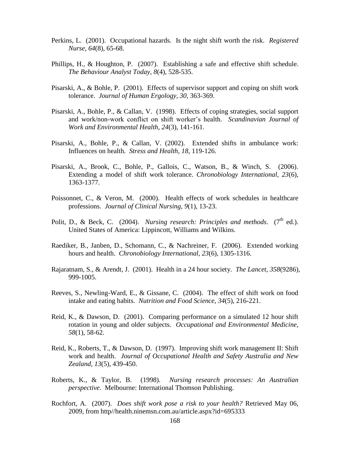- Perkins, L. (2001). Occupational hazards. Is the night shift worth the risk. *Registered Nurse, 64*(8), 65-68.
- Phillips, H., & Houghton, P. (2007). Establishing a safe and effective shift schedule. *The Behaviour Analyst Today, 8*(4), 528-535.
- Pisarski, A., & Bohle, P. (2001). Effects of supervisor support and coping on shift work tolerance. *Journal of Human Ergology, 30*, 363-369.
- Pisarski, A., Bohle, P., & Callan, V. (1998). Effects of coping strategies, social support and work/non-work conflict on shift worker"s health. *Scandinavian Journal of Work and Environmental Health, 24*(3), 141-161.
- Pisarski, A., Bohle, P., & Callan, V. (2002). Extended shifts in ambulance work: Influences on health. *Stress and Health, 18*, 119-126.
- Pisarski, A., Brook, C., Bohle, P., Gallois, C., Watson, B., & Winch, S. (2006). Extending a model of shift work tolerance. *Chronobiology International, 23*(6), 1363-1377.
- Poissonnet, C., & Veron, M. (2000). Health effects of work schedules in healthcare professions. *Journal of Clinical Nursing, 9*(1), 13-23.
- Polit, D., & Beck, C. (2004). *Nursing research: Principles and methods.* (7<sup>th</sup> ed.). United States of America: Lippincott, Williams and Wilkins.
- Raediker, B., Janben, D., Schomann, C., & Nachreiner, F. (2006). Extended working hours and health. *Chronobiology International, 23*(6), 1305-1316.
- Rajaratnam, S., & Arendt, J. (2001). Health in a 24 hour society. *The Lancet, 358*(9286), 999-1005.
- Reeves, S., Newling-Ward, E., & Gissane, C. (2004). The effect of shift work on food intake and eating habits. *Nutrition and Food Science, 34*(5), 216-221.
- Reid, K., & Dawson, D. (2001). Comparing performance on a simulated 12 hour shift rotation in young and older subjects. *Occupational and Environmental Medicine, 58*(1), 58-62.
- Reid, K., Roberts, T., & Dawson, D. (1997). Improving shift work management II: Shift work and health. *Journal of Occupational Health and Safety Australia and New Zealand, 13*(5), 439-450.
- Roberts, K., & Taylor, B. (1998). *Nursing research processes: An Australian perspective*. Melbourne: International Thomson Publishing.
- Rochfort, A. (2007). *Does shift work pose a risk to your health?* Retrieved May 06, 2009, from http//health.ninemsn.com.au/article.aspx?id=695333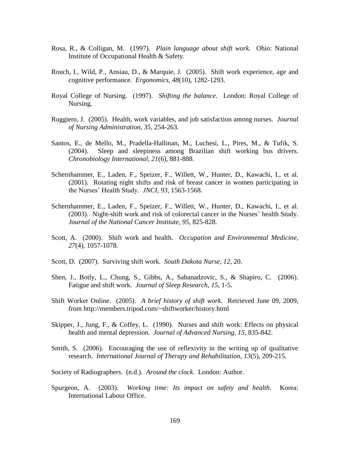- Rosa, R., & Colligan, M. (1997). *Plain language about shift work.* Ohio: National Institute of Occupational Health & Safety.
- Rouch, I., Wild, P., Ansiau, D., & Marquie, J. (2005). Shift work experience, age and cognitive performance. *Ergonomics, 48*(10), 1282-1293.
- Royal College of Nursing. (1997). *Shifting the balance*. London: Royal College of Nursing.
- Ruggiero, J. (2005). Health, work variables, and job satisfaction among nurses. *Journal of Nursing Administration, 35*, 254-263.
- Santos, E., de Mello, M., Pradella-Hallinan, M., Luchesi, L., Pires, M., & Tufik, S. (2004). Sleep and sleepiness among Brazilian shift working bus drivers. *Chronobiology International, 21*(6), 881-888.
- Schernhammer, E., Laden, F., Speizer, F., Willett, W., Hunter, D., Kawachi, I., et al. (2001). Rotating night shifts and risk of breast cancer in women participating in the Nurses" Health Study. *JNCI, 93*, 1563-1568.
- Schernhammer, E., Laden, F., Speizer, F., Willett, W., Hunter, D., Kawachi, I., et al. (2003). Night-shift work and risk of colorectal cancer in the Nurses' health Study. *Journal of the National Cancer Institute, 95*, 825-828.
- Scott, A. (2000). Shift work and health. *Occupation and Environmental Medicine, 27*(4), 1057-1078.
- Scott, D. (2007). Surviving shift work. *South Dakota Nurse, 12*, 20.
- Shen, J., Botly, L., Chung, S., Gibbs, A., Sabanadzovic, S., & Shapiro, C. (2006). Fatigue and shift work. *Journal of Sleep Research, 15*, 1-5.
- Shift Worker Online. (2005). *A brief history of shift work*. Retrieved June 09, 2009, from http://members.tripod.com/~shiftworker/history.html
- Skipper, J., Jung, F., & Coffey, L. (1990). Nurses and shift work: Effects on physical health and mental depression. *Journal of Advanced Nursing, 15*, 835-842.
- Smith, S. (2006). Encouraging the use of reflexivity in the writing up of qualitative research. *International Journal of Therapy and Rehabilitation, 13*(5), 209-215.

Society of Radiographers. (n.d.). *Around the clock*. London: Author.

Spurgeon, A. (2003). *Working time: Its impact on safety and health*. Korea: International Labour Office.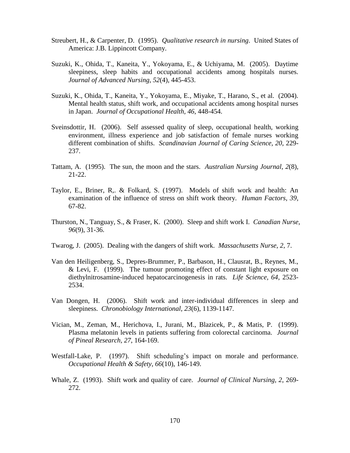- Streubert, H., & Carpenter, D. (1995). *Qualitative research in nursing*. United States of America: J.B. Lippincott Company.
- Suzuki, K., Ohida, T., Kaneita, Y., Yokoyama, E., & Uchiyama, M. (2005). Daytime sleepiness, sleep habits and occupational accidents among hospitals nurses. *Journal of Advanced Nursing, 52*(4), 445-453.
- Suzuki, K., Ohida, T., Kaneita, Y., Yokoyama, E., Miyake, T., Harano, S., et al. (2004). Mental health status, shift work, and occupational accidents among hospital nurses in Japan. *Journal of Occupational Health, 46*, 448-454.
- Sveinsdottir, H. (2006). Self assessed quality of sleep, occupational health, working environment, illness experience and job satisfaction of female nurses working different combination of shifts. *Scandinavian Journal of Caring Science, 20*, 229- 237.
- Tattam, A. (1995). The sun, the moon and the stars. *Australian Nursing Journal, 2*(8), 21-22.
- Taylor, E., Briner, R,. & Folkard, S. (1997). Models of shift work and health: An examination of the influence of stress on shift work theory. *Human Factors, 39*, 67-82.
- Thurston, N., Tanguay, S., & Fraser, K. (2000). Sleep and shift work I. *Canadian Nurse, 96*(9), 31-36.
- Twarog, J. (2005). Dealing with the dangers of shift work. *Massachusetts Nurse, 2*, 7.
- Van den Heiligenberg, S., Depres-Brummer, P., Barbason, H., Clausrat, B., Reynes, M., & Levi, F. (1999). The tumour promoting effect of constant light exposure on diethylnitrosamine-induced hepatocarcinogenesis in rats. *Life Science, 64*, 2523- 2534.
- Van Dongen, H. (2006). Shift work and inter-individual differences in sleep and sleepiness. *Chronobiology International, 23*(6), 1139-1147.
- Vician, M., Zeman, M., Herichova, I., Jurani, M., Blazicek, P., & Matis, P. (1999). Plasma melatonin levels in patients suffering from colorectal carcinoma. *Journal of Pineal Research, 27*, 164-169.
- Westfall-Lake, P. (1997). Shift scheduling's impact on morale and performance. *Occupational Health & Safety, 66*(10), 146-149.
- Whale, Z. (1993). Shift work and quality of care. *Journal of Clinical Nursing, 2*, 269- 272.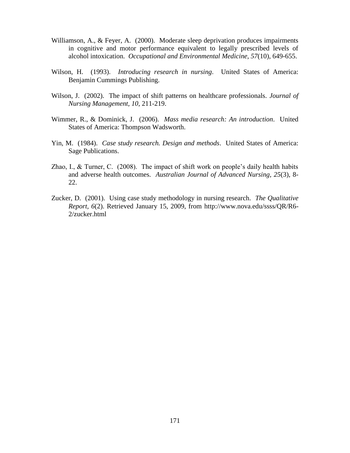- Williamson, A., & Feyer, A. (2000). Moderate sleep deprivation produces impairments in cognitive and motor performance equivalent to legally prescribed levels of alcohol intoxication. *Occupational and Environmental Medicine, 57*(10), 649-655.
- Wilson, H. (1993). *Introducing research in nursing*. United States of America: Benjamin Cummings Publishing.
- Wilson, J. (2002). The impact of shift patterns on healthcare professionals. *Journal of Nursing Management, 10*, 211-219.
- Wimmer, R., & Dominick, J. (2006). *Mass media research: An introduction*. United States of America: Thompson Wadsworth.
- Yin, M. (1984). *Case study research. Design and methods*. United States of America: Sage Publications.
- Zhao, I., & Turner, C. (2008). The impact of shift work on people"s daily health habits and adverse health outcomes. *Australian Journal of Advanced Nursing, 25*(3), 8- 22.
- Zucker, D. (2001). Using case study methodology in nursing research. *The Qualitative Report, 6*(2). Retrieved January 15, 2009, from http://www.nova.edu/ssss/QR/R6- 2/zucker.html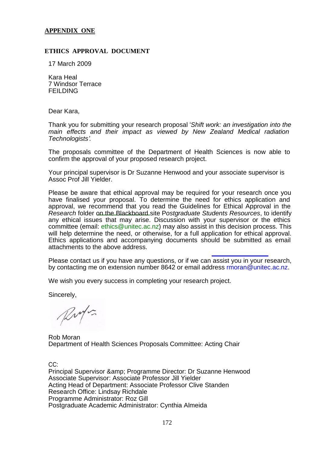## **APPENDIX ONE**

## **ETHICS APPROVAL DOCUMENT**

17 March 2009

Kara Heal 7 Windsor Terrace FEILDING

Dear Kara,

Thank you for submitting your research proposal '*Shift work: an investigation into the main effects and their impact as viewed by New Zealand Medical radiation Technologists'.*

The proposals committee of the Department of Health Sciences is now able to confirm the approval of your proposed research project.

Your principal supervisor is Dr Suzanne Henwood and your associate supervisor is Assoc Prof Jill Yielder.

Please be aware that ethical approval may be required for your research once you have finalised your proposal. To determine the need for ethics application and approval, we recommend that you read the Guidelines for Ethical Approval in the *Research* folder on the Blackboard site P*ostgraduate Students Resources*, to identify any ethical issues that may arise. Discussion with your supervisor or the ethics committee (email: ethics@unitec.ac.nz) may also assist in this decision process. This will help determine the need, or otherwise, for a full application for ethical approval. Ethics applications and accompanying documents should be submitted as email attachments to the above address.

Please contact us if you have any questions, or if we can assist you in your research, by contacting me on extension number 8642 or email address rmoran@unitec.ac.nz.

We wish you every success in completing your research project.

Sincerely,

Rufs

Rob Moran Department of Health Sciences Proposals Committee: Acting Chair

CC:

Principal Supervisor & amp: Programme Director: Dr Suzanne Henwood Associate Supervisor: Associate Professor Jill Yielder Acting Head of Department: Associate Professor Clive Standen Research Office: Lindsay Richdale Programme Administrator: Roz Gill Postgraduate Academic Administrator: Cynthia Almeida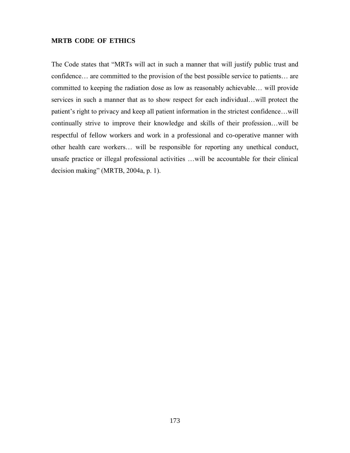# **MRTB CODE OF ETHICS**

The Code states that "MRTs will act in such a manner that will justify public trust and confidence… are committed to the provision of the best possible service to patients… are committed to keeping the radiation dose as low as reasonably achievable… will provide services in such a manner that as to show respect for each individual…will protect the patient"s right to privacy and keep all patient information in the strictest confidence…will continually strive to improve their knowledge and skills of their profession…will be respectful of fellow workers and work in a professional and co-operative manner with other health care workers… will be responsible for reporting any unethical conduct, unsafe practice or illegal professional activities …will be accountable for their clinical decision making" (MRTB, 2004a, p. 1).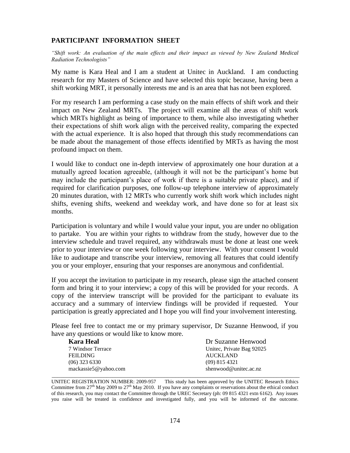# **PARTICIPANT INFORMATION SHEET**

*"Shift work: An evaluation of the main effects and their impact as viewed by New Zealand Medical Radiation Technologists"*

My name is Kara Heal and I am a student at Unitec in Auckland. I am conducting research for my Masters of Science and have selected this topic because, having been a shift working MRT, it personally interests me and is an area that has not been explored.

For my research I am performing a case study on the main effects of shift work and their impact on New Zealand MRTs. The project will examine all the areas of shift work which MRTs highlight as being of importance to them, while also investigating whether their expectations of shift work align with the perceived reality, comparing the expected with the actual experience. It is also hoped that through this study recommendations can be made about the management of those effects identified by MRTs as having the most profound impact on them.

I would like to conduct one in-depth interview of approximately one hour duration at a mutually agreed location agreeable, (although it will not be the participant"s home but may include the participant"s place of work if there is a suitable private place), and if required for clarification purposes, one follow-up telephone interview of approximately 20 minutes duration, with 12 MRTs who currently work shift work which includes night shifts, evening shifts, weekend and weekday work, and have done so for at least six months.

Participation is voluntary and while I would value your input, you are under no obligation to partake. You are within your rights to withdraw from the study, however due to the interview schedule and travel required, any withdrawals must be done at least one week prior to your interview or one week following your interview. With your consent I would like to audiotape and transcribe your interview, removing all features that could identify you or your employer, ensuring that your responses are anonymous and confidential.

If you accept the invitation to participate in my research, please sign the attached consent form and bring it to your interview; a copy of this will be provided for your records. A copy of the interview transcript will be provided for the participant to evaluate its accuracy and a summary of interview findings will be provided if requested. Your participation is greatly appreciated and I hope you will find your involvement interesting.

Please feel free to contact me or my primary supervisor, Dr Suzanne Henwood, if you have any questions or would like to know more.

| <b>Kara Heal</b>     | Dr Suzanne Henwood        |
|----------------------|---------------------------|
| 7 Windsor Terrace    | Unitec, Private Bag 92025 |
| <b>FEILDING</b>      | <b>AUCKLAND</b>           |
| $(06)$ 323 6330      | $(09)$ 815 4321           |
| mackassie5@yahoo.com | shenwood@unitec.ac.nz     |

UNITEC REGISTRATION NUMBER: 2009-957 This study has been approved by the UNITEC Research Ethics Committee from 27<sup>th</sup> May 2009 to 27<sup>th</sup> May 2010. If you have any complaints or reservations about the ethical conduct of this research, you may contact the Committee through the UREC Secretary (ph: 09 815 4321 extn 6162). Any issues you raise will be treated in confidence and investigated fully, and you will be informed of the outcome.

\_\_\_\_\_\_\_\_\_\_\_\_\_\_\_\_\_\_\_\_\_\_\_\_\_\_\_\_\_\_\_\_\_\_\_\_\_\_\_\_\_\_\_\_\_\_\_\_\_\_\_\_\_\_\_\_\_\_\_\_\_\_\_\_\_\_\_\_\_\_\_\_\_\_\_\_\_\_\_\_\_\_\_\_\_\_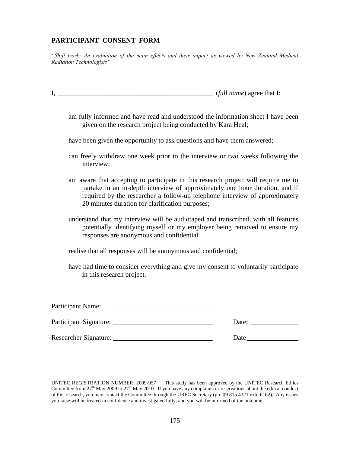# **PARTICIPANT CONSENT FORM**

*"Shift work: An evaluation of the main effects and their impact as viewed by New Zealand Medical Radiation Technologists"*

I, \_\_\_\_\_\_\_\_\_\_\_\_\_\_\_\_\_\_\_\_\_\_\_\_\_\_\_\_\_\_\_\_\_\_\_\_\_\_\_\_\_\_\_\_\_ (*full name*) agree that I:

am fully informed and have read and understood the information sheet I have been given on the research project being conducted by Kara Heal;

have been given the opportunity to ask questions and have them answered;

- can freely withdraw one week prior to the interview or two weeks following the interview;
- am aware that accepting to participate in this research project will require me to partake in an in-depth interview of approximately one hour duration, and if required by the researcher a follow-up telephone interview of approximately 20 minutes duration for clarification purposes;
- understand that my interview will be audiotaped and transcribed, with all features potentially identifying myself or my employer being removed to ensure my responses are anonymous and confidential
- realise that all responses will be anonymous and confidential;
- have had time to consider everything and give my consent to voluntarily participate in this research project.

| Participant Name:      |       |
|------------------------|-------|
| Participant Signature: | Date: |
| Researcher Signature:  | Date  |

\_\_\_\_\_\_\_\_\_\_\_\_\_\_\_\_\_\_\_\_\_\_\_\_\_\_\_\_\_\_\_\_\_\_\_\_\_\_\_\_\_\_\_\_\_\_\_\_\_\_\_\_\_\_\_\_\_\_\_\_\_\_\_\_\_\_\_\_\_\_\_\_\_\_\_\_\_\_\_\_\_\_\_\_\_\_

UNITEC REGISTRATION NUMBER: 2009-957 This study has been approved by the UNITEC Research Ethics Committee from  $27<sup>th</sup>$  May 2009 to  $27<sup>th</sup>$  May 2010. If you have any complaints or reservations about the ethical conduct of this research, you may contact the Committee through the UREC Secretary (ph: 09 815 4321 extn 6162). Any issues you raise will be treated in confidence and investigated fully, and you will be informed of the outcome.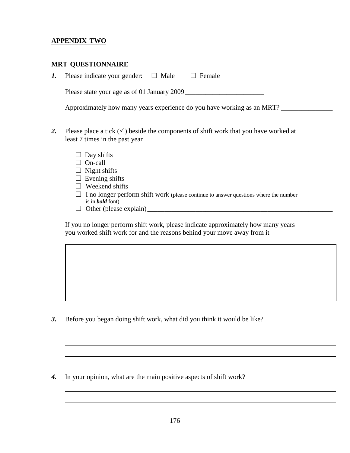## **APPENDIX TWO**

## **MRT QUESTIONNAIRE**

*1.* Please indicate your gender:  $\Box$  Male  $\Box$  Female

Please state your age as of 01 January 2009 \_\_\_\_\_\_\_\_\_\_\_\_\_\_\_\_\_\_\_\_\_\_\_

Approximately how many years experience do you have working as an MRT?

- 2. Please place a tick  $(\checkmark)$  beside the components of shift work that you have worked at least 7 times in the past year
	- $\Box$  Day shifts
	- □ On-call
	- $\Box$  Night shifts
	- $\Box$  Evening shifts
	- $\square$  Weekend shifts
	- $\Box$  I no longer perform shift work (please continue to answer questions where the number is in *bold* font)
	- Other (please explain) \_\_\_\_\_\_\_\_\_\_\_\_\_\_\_\_\_\_\_\_\_\_\_\_\_\_\_\_\_\_\_\_\_\_\_\_\_\_\_\_\_\_\_\_\_\_\_\_\_\_\_\_\_\_

If you no longer perform shift work, please indicate approximately how many years you worked shift work for and the reasons behind your move away from it

*3.* Before you began doing shift work, what did you think it would be like?

*4.* In your opinion, what are the main positive aspects of shift work?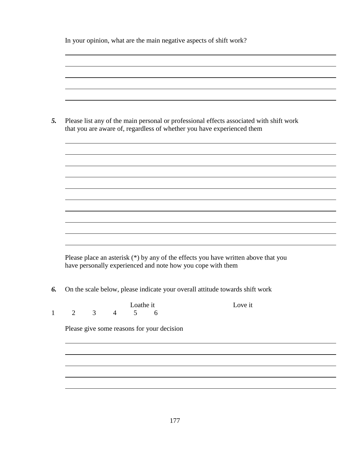In your opinion, what are the main negative aspects of shift work?

|                |   |                | Please list any of the main personal or professional effects associated with shift work<br>that you are aware of, regardless of whether you have experienced them |         |
|----------------|---|----------------|-------------------------------------------------------------------------------------------------------------------------------------------------------------------|---------|
|                |   |                |                                                                                                                                                                   |         |
|                |   |                |                                                                                                                                                                   |         |
|                |   |                |                                                                                                                                                                   |         |
|                |   |                |                                                                                                                                                                   |         |
|                |   |                |                                                                                                                                                                   |         |
|                |   |                | Please place an asterisk (*) by any of the effects you have written above that you<br>have personally experienced and note how you cope with them                 |         |
|                |   |                | On the scale below, please indicate your overall attitude towards shift work                                                                                      |         |
|                | 3 | $\overline{4}$ | Loathe it<br>5 <sup>5</sup><br>6                                                                                                                                  | Love it |
| $\overline{2}$ |   |                | Please give some reasons for your decision                                                                                                                        |         |
|                |   |                |                                                                                                                                                                   |         |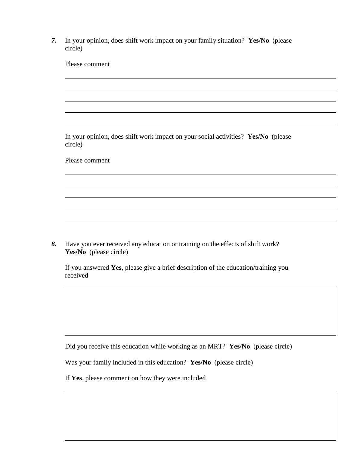*7.* In your opinion, does shift work impact on your family situation? **Yes/No** (please circle)

| Please comment                                                                               |
|----------------------------------------------------------------------------------------------|
|                                                                                              |
|                                                                                              |
|                                                                                              |
|                                                                                              |
|                                                                                              |
|                                                                                              |
| In your opinion, does shift work impact on your social activities? Yes/No (please<br>circle) |
| Please comment                                                                               |
|                                                                                              |
|                                                                                              |
|                                                                                              |
|                                                                                              |
|                                                                                              |
|                                                                                              |
|                                                                                              |

*8.* Have you ever received any education or training on the effects of shift work? **Yes/No** (please circle)

If you answered **Yes**, please give a brief description of the education/training you received

Did you receive this education while working as an MRT? **Yes/No** (please circle)

Was your family included in this education? **Yes/No** (please circle)

If **Yes**, please comment on how they were included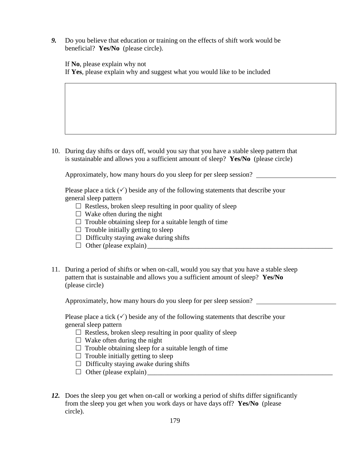*9.* Do you believe that education or training on the effects of shift work would be beneficial? **Yes/No** (please circle).

If **No**, please explain why not If **Yes**, please explain why and suggest what you would like to be included

10. During day shifts or days off, would you say that you have a stable sleep pattern that is sustainable and allows you a sufficient amount of sleep? **Yes/No** (please circle)

Approximately, how many hours do you sleep for per sleep session?

Please place a tick  $(\checkmark)$  beside any of the following statements that describe your general sleep pattern

- $\Box$  Restless, broken sleep resulting in poor quality of sleep
- $\Box$  Wake often during the night
- $\Box$  Trouble obtaining sleep for a suitable length of time
- $\Box$  Trouble initially getting to sleep
- $\Box$  Difficulty staying awake during shifts
- $\Box$  Other (please explain)
- 11. During a period of shifts or when on-call, would you say that you have a stable sleep pattern that is sustainable and allows you a sufficient amount of sleep? **Yes/No** (please circle)

Approximately, how many hours do you sleep for per sleep session?

Please place a tick  $(\checkmark)$  beside any of the following statements that describe your general sleep pattern

- $\Box$  Restless, broken sleep resulting in poor quality of sleep
- $\Box$  Wake often during the night
- $\Box$  Trouble obtaining sleep for a suitable length of time
- $\Box$  Trouble initially getting to sleep
- $\Box$  Difficulty staying awake during shifts
- $\Box$  Other (please explain)
- *12.* Does the sleep you get when on-call or working a period of shifts differ significantly from the sleep you get when you work days or have days off? **Yes/No** (please circle).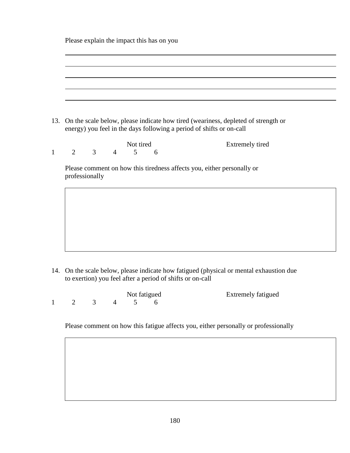Please explain the impact this has on you

|              | 13. On the scale below, please indicate how tired (weariness, depleted of strength or<br>energy) you feel in the days following a period of shifts or on-call |                        |
|--------------|---------------------------------------------------------------------------------------------------------------------------------------------------------------|------------------------|
| $\mathbf{1}$ | Not tired<br>$\mathfrak{Z}$<br>2<br>5<br>$\overline{4}$<br>6                                                                                                  | <b>Extremely tired</b> |
|              | Please comment on how this tiredness affects you, either personally or<br>professionally                                                                      |                        |
|              |                                                                                                                                                               |                        |
|              |                                                                                                                                                               |                        |
|              |                                                                                                                                                               |                        |

14. On the scale below, please indicate how fatigued (physical or mental exhaustion due to exertion) you feel after a period of shifts or on-call

|  |  | Not fatigued            | <b>Extremely fatigued</b> |
|--|--|-------------------------|---------------------------|
|  |  | $1 \t2 \t3 \t4 \t5 \t6$ |                           |

Please comment on how this fatigue affects you, either personally or professionally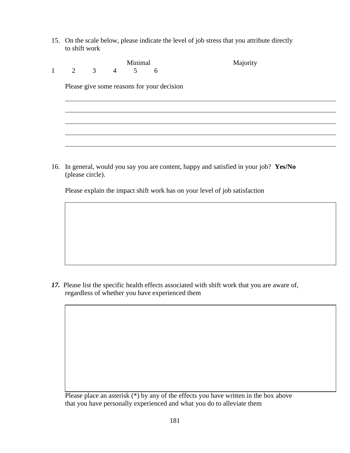15. On the scale below, please indicate the level of job stress that you attribute directly to shift work

|  | Minimal   |                                            | Majority |
|--|-----------|--------------------------------------------|----------|
|  | 2 3 4 5 6 |                                            |          |
|  |           |                                            |          |
|  |           | Please give some reasons for your decision |          |
|  |           |                                            |          |
|  |           |                                            |          |
|  |           |                                            |          |
|  |           |                                            |          |
|  |           |                                            |          |
|  |           |                                            |          |
|  |           |                                            |          |

16. In general, would you say you are content, happy and satisfied in your job? **Yes/No** (please circle).

Please explain the impact shift work has on your level of job satisfaction

*17.* Please list the specific health effects associated with shift work that you are aware of, regardless of whether you have experienced them

Please place an asterisk (\*) by any of the effects you have written in the box above that you have personally experienced and what you do to alleviate them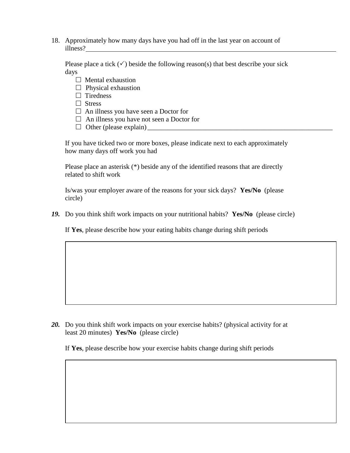18. Approximately how many days have you had off in the last year on account of illness?

Please place a tick  $(\checkmark)$  beside the following reason(s) that best describe your sick days

- $\Box$  Mental exhaustion
- $\Box$  Physical exhaustion
- $\Box$  Tiredness
- □ Stress
- $\Box$  An illness you have seen a Doctor for
- □ An illness you have not seen a Doctor for
- Other (please explain) \_\_\_\_\_\_\_\_\_\_\_\_\_\_\_\_\_\_\_\_\_\_\_\_\_\_\_\_\_\_\_\_\_\_\_\_\_\_\_\_\_\_\_\_\_\_\_\_\_\_\_\_\_\_

If you have ticked two or more boxes, please indicate next to each approximately how many days off work you had

Please place an asterisk (\*) beside any of the identified reasons that are directly related to shift work

Is/was your employer aware of the reasons for your sick days? **Yes/No** (please circle)

*19.* Do you think shift work impacts on your nutritional habits? **Yes/No** (please circle)

If **Yes**, please describe how your eating habits change during shift periods

*20.* Do you think shift work impacts on your exercise habits? (physical activity for at least 20 minutes) **Yes/No** (please circle)

If **Yes**, please describe how your exercise habits change during shift periods

182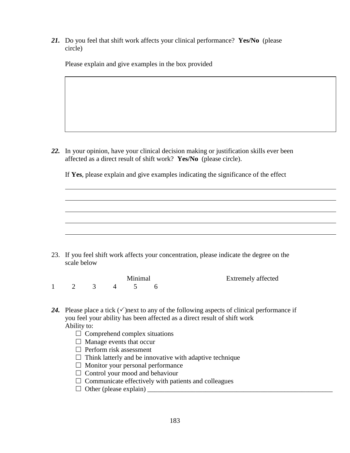*21.* Do you feel that shift work affects your clinical performance? **Yes/No** (please circle)

Please explain and give examples in the box provided

*22.* In your opinion, have your clinical decision making or justification skills ever been affected as a direct result of shift work? **Yes/No** (please circle).

If **Yes**, please explain and give examples indicating the significance of the effect

23. If you feel shift work affects your concentration, please indicate the degree on the scale below

Minimal Extremely affected 1 2 3 4 5 6

24. Please place a tick  $(\checkmark)$  next to any of the following aspects of clinical performance if you feel your ability has been affected as a direct result of shift work Ability to:

- $\Box$  Comprehend complex situations
- $\Box$  Manage events that occur
- $\Box$  Perform risk assessment
- $\Box$  Think latterly and be innovative with adaptive technique
- $\Box$  Monitor your personal performance
- $\Box$  Control your mood and behaviour
- $\Box$  Communicate effectively with patients and colleagues
- $\Box$  Other (please explain)  $\Box$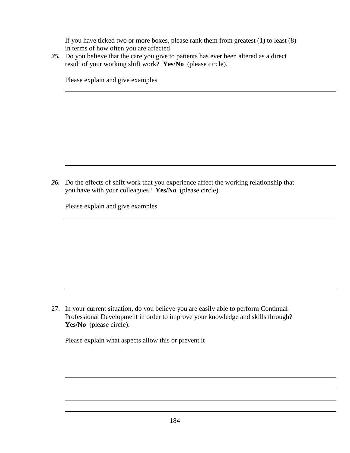If you have ticked two or more boxes, please rank them from greatest (1) to least (8) in terms of how often you are affected

*25.* Do you believe that the care you give to patients has ever been altered as a direct result of your working shift work? **Yes/No** (please circle).

Please explain and give examples

*26.* Do the effects of shift work that you experience affect the working relationship that you have with your colleagues? **Yes/No** (please circle).

Please explain and give examples

27. In your current situation, do you believe you are easily able to perform Continual Professional Development in order to improve your knowledge and skills through? **Yes/No** (please circle).

Please explain what aspects allow this or prevent it